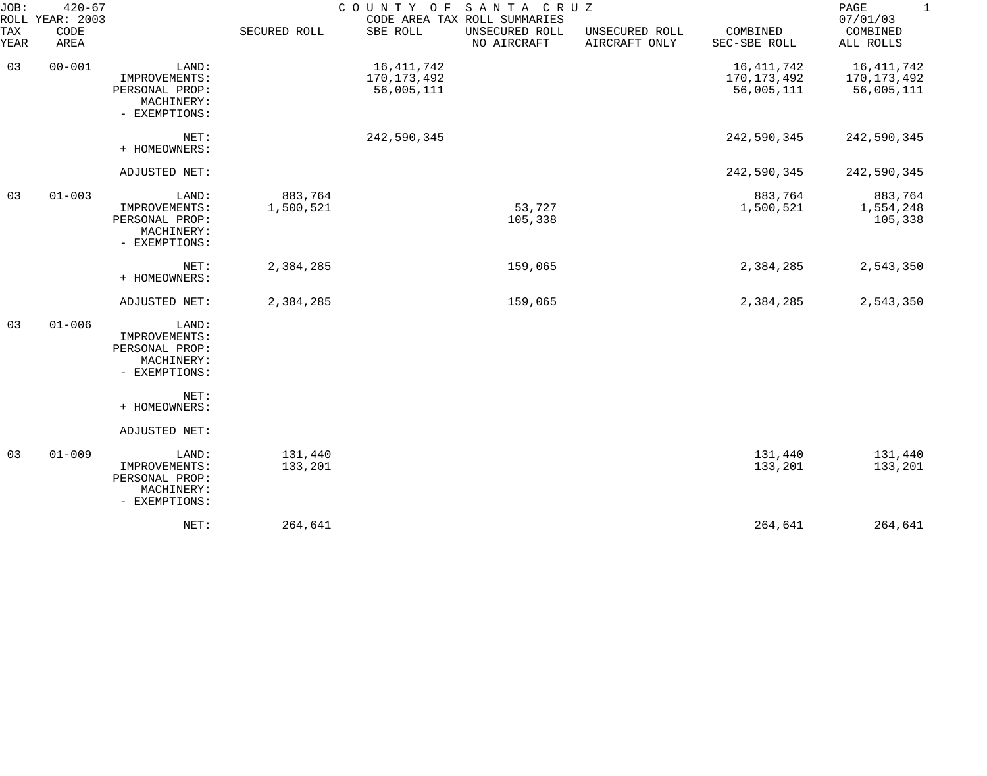| JOB:               | $420 - 67$<br>ROLL YEAR: 2003 |                                                                         |                      |                                         | COUNTY OF SANTA CRUZ<br>CODE AREA TAX ROLL SUMMARIES |                                 |                                         | PAGE<br>$\mathbf 1$<br>07/01/03           |
|--------------------|-------------------------------|-------------------------------------------------------------------------|----------------------|-----------------------------------------|------------------------------------------------------|---------------------------------|-----------------------------------------|-------------------------------------------|
| <b>TAX</b><br>YEAR | CODE<br>AREA                  |                                                                         | SECURED ROLL         | SBE ROLL                                | UNSECURED ROLL<br>NO AIRCRAFT                        | UNSECURED ROLL<br>AIRCRAFT ONLY | COMBINED<br>SEC-SBE ROLL                | COMBINED<br>ALL ROLLS                     |
| 03                 | $00 - 001$                    | LAND:<br>IMPROVEMENTS:<br>PERSONAL PROP:<br>MACHINERY:<br>- EXEMPTIONS: |                      | 16,411,742<br>170,173,492<br>56,005,111 |                                                      |                                 | 16,411,742<br>170,173,492<br>56,005,111 | 16, 411, 742<br>170,173,492<br>56,005,111 |
|                    |                               | NET:<br>+ HOMEOWNERS:                                                   |                      | 242,590,345                             |                                                      |                                 | 242,590,345                             | 242,590,345                               |
|                    |                               | ADJUSTED NET:                                                           |                      |                                         |                                                      |                                 | 242,590,345                             | 242,590,345                               |
| 03                 | $01 - 003$                    | LAND:<br>IMPROVEMENTS:<br>PERSONAL PROP:<br>MACHINERY:<br>- EXEMPTIONS: | 883,764<br>1,500,521 |                                         | 53,727<br>105,338                                    |                                 | 883,764<br>1,500,521                    | 883,764<br>1,554,248<br>105,338           |
|                    |                               | NET:<br>+ HOMEOWNERS:                                                   | 2,384,285            |                                         | 159,065                                              |                                 | 2,384,285                               | 2,543,350                                 |
|                    |                               | ADJUSTED NET:                                                           | 2,384,285            |                                         | 159,065                                              |                                 | 2,384,285                               | 2,543,350                                 |
| 03                 | $01 - 006$                    | LAND:<br>IMPROVEMENTS:<br>PERSONAL PROP:<br>MACHINERY:<br>- EXEMPTIONS: |                      |                                         |                                                      |                                 |                                         |                                           |
|                    |                               | NET:<br>+ HOMEOWNERS:                                                   |                      |                                         |                                                      |                                 |                                         |                                           |
|                    |                               | ADJUSTED NET:                                                           |                      |                                         |                                                      |                                 |                                         |                                           |
| 03                 | $01 - 009$                    | LAND:<br>IMPROVEMENTS:<br>PERSONAL PROP:<br>MACHINERY:<br>- EXEMPTIONS: | 131,440<br>133,201   |                                         |                                                      |                                 | 131,440<br>133,201                      | 131,440<br>133,201                        |
|                    |                               | NET:                                                                    | 264,641              |                                         |                                                      |                                 | 264,641                                 | 264,641                                   |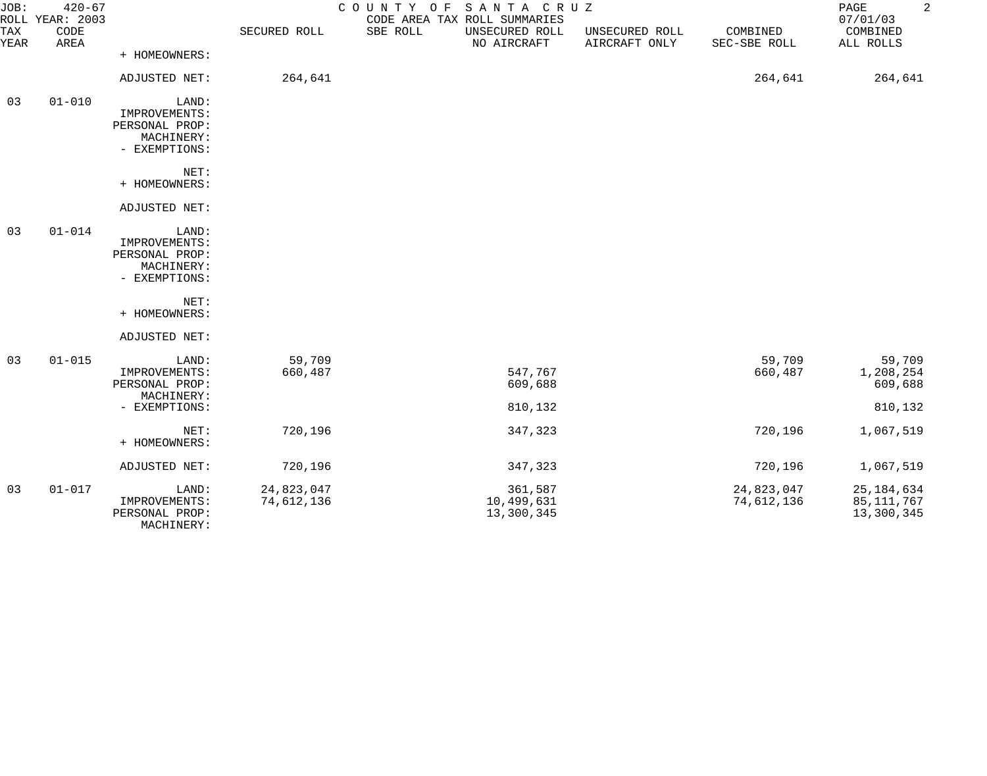| JOB:<br><b>TAX</b> | $420 - 67$<br>ROLL YEAR: 2003<br>CODE |                                 | SECURED ROLL | COUNTY OF<br>SANTA CRUZ<br>CODE AREA TAX ROLL SUMMARIES<br>SBE ROLL<br>UNSECURED ROLL | UNSECURED ROLL | COMBINED     | $\overline{2}$<br>PAGE<br>07/01/03<br>COMBINED |
|--------------------|---------------------------------------|---------------------------------|--------------|---------------------------------------------------------------------------------------|----------------|--------------|------------------------------------------------|
| YEAR               | AREA                                  |                                 |              | NO AIRCRAFT                                                                           | AIRCRAFT ONLY  | SEC-SBE ROLL | ALL ROLLS                                      |
|                    |                                       | + HOMEOWNERS:                   |              |                                                                                       |                |              |                                                |
|                    |                                       | ADJUSTED NET:                   | 264,641      |                                                                                       |                | 264,641      | 264,641                                        |
| 03                 | $01 - 010$                            | LAND:                           |              |                                                                                       |                |              |                                                |
|                    |                                       | IMPROVEMENTS:                   |              |                                                                                       |                |              |                                                |
|                    |                                       | PERSONAL PROP:<br>MACHINERY:    |              |                                                                                       |                |              |                                                |
|                    |                                       | - EXEMPTIONS:                   |              |                                                                                       |                |              |                                                |
|                    |                                       | NET:                            |              |                                                                                       |                |              |                                                |
|                    |                                       | + HOMEOWNERS:                   |              |                                                                                       |                |              |                                                |
|                    |                                       | ADJUSTED NET:                   |              |                                                                                       |                |              |                                                |
| 03                 | $01 - 014$                            | LAND:                           |              |                                                                                       |                |              |                                                |
|                    |                                       | IMPROVEMENTS:                   |              |                                                                                       |                |              |                                                |
|                    |                                       | PERSONAL PROP:<br>MACHINERY:    |              |                                                                                       |                |              |                                                |
|                    |                                       | - EXEMPTIONS:                   |              |                                                                                       |                |              |                                                |
|                    |                                       |                                 |              |                                                                                       |                |              |                                                |
|                    |                                       | NET:<br>+ HOMEOWNERS:           |              |                                                                                       |                |              |                                                |
|                    |                                       |                                 |              |                                                                                       |                |              |                                                |
|                    |                                       | ADJUSTED NET:                   |              |                                                                                       |                |              |                                                |
| 03                 | $01 - 015$                            | LAND:                           | 59,709       |                                                                                       |                | 59,709       | 59,709                                         |
|                    |                                       | IMPROVEMENTS:<br>PERSONAL PROP: | 660,487      | 547,767<br>609,688                                                                    |                | 660,487      | 1,208,254<br>609,688                           |
|                    |                                       | MACHINERY:                      |              |                                                                                       |                |              |                                                |
|                    |                                       | - EXEMPTIONS:                   |              | 810,132                                                                               |                |              | 810,132                                        |
|                    |                                       | NET:                            | 720,196      | 347,323                                                                               |                | 720,196      | 1,067,519                                      |
|                    |                                       | + HOMEOWNERS:                   |              |                                                                                       |                |              |                                                |
|                    |                                       | ADJUSTED NET:                   | 720,196      | 347,323                                                                               |                | 720,196      | 1,067,519                                      |
| 03                 | $01 - 017$                            | LAND:                           | 24,823,047   | 361,587                                                                               |                | 24,823,047   | 25, 184, 634                                   |
|                    |                                       | IMPROVEMENTS:                   | 74,612,136   | 10,499,631                                                                            |                | 74,612,136   | 85,111,767                                     |
|                    |                                       | PERSONAL PROP:<br>MACHINERY:    |              | 13,300,345                                                                            |                |              | 13,300,345                                     |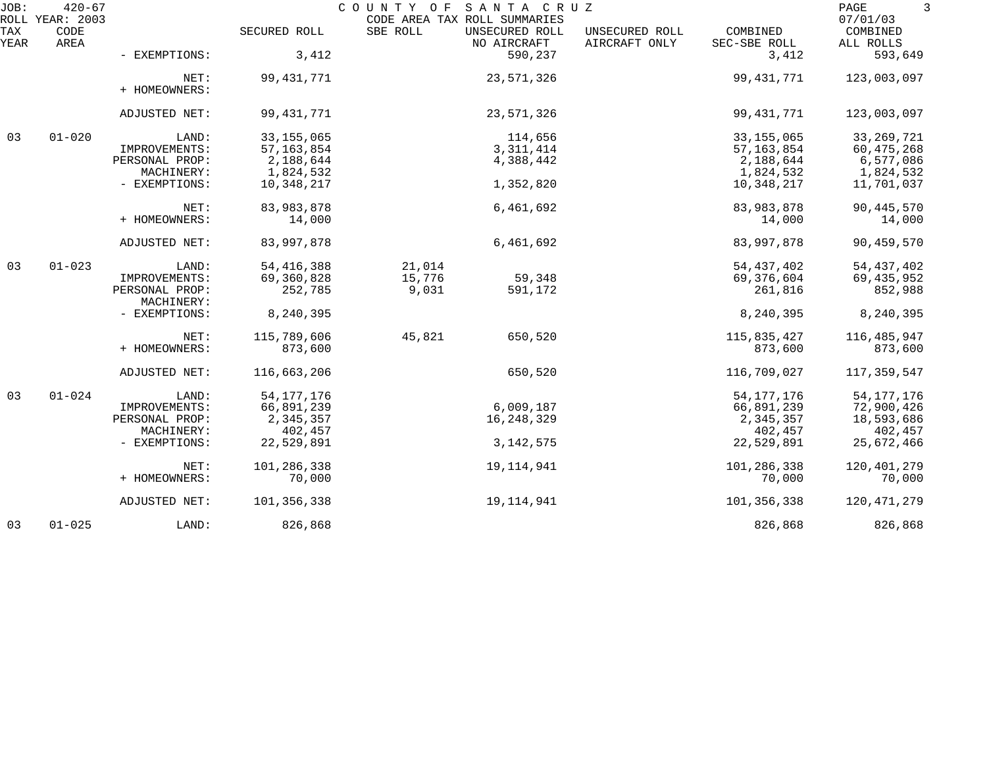| JOB:        | $420 - 67$<br>ROLL YEAR: 2003 |                              |              | COUNTY OF<br>CODE AREA TAX ROLL SUMMARIES | SANTA CRUZ                    |                                 |                          | PAGE<br>3<br>07/01/03 |
|-------------|-------------------------------|------------------------------|--------------|-------------------------------------------|-------------------------------|---------------------------------|--------------------------|-----------------------|
| TAX<br>YEAR | CODE<br>AREA                  |                              | SECURED ROLL | SBE ROLL                                  | UNSECURED ROLL<br>NO AIRCRAFT | UNSECURED ROLL<br>AIRCRAFT ONLY | COMBINED<br>SEC-SBE ROLL | COMBINED<br>ALL ROLLS |
|             |                               | - EXEMPTIONS:                | 3,412        |                                           | 590,237                       |                                 | 3,412                    | 593,649               |
|             |                               | NET:<br>+ HOMEOWNERS:        | 99, 431, 771 |                                           | 23,571,326                    |                                 | 99,431,771               | 123,003,097           |
|             |                               | ADJUSTED NET:                | 99, 431, 771 |                                           | 23,571,326                    |                                 | 99,431,771               | 123,003,097           |
| 03          | $01 - 020$                    | LAND:                        | 33, 155, 065 |                                           | 114,656                       |                                 | 33, 155, 065             | 33, 269, 721          |
|             |                               | IMPROVEMENTS:                | 57, 163, 854 |                                           | 3, 311, 414                   |                                 | 57, 163, 854             | 60,475,268            |
|             |                               | PERSONAL PROP:               | 2,188,644    |                                           | 4,388,442                     |                                 | 2,188,644                | 6,577,086             |
|             |                               | MACHINERY:                   | 1,824,532    |                                           |                               |                                 | 1,824,532                | 1,824,532             |
|             |                               | - EXEMPTIONS:                | 10,348,217   |                                           | 1,352,820                     |                                 | 10,348,217               | 11,701,037            |
|             |                               | NET:                         | 83,983,878   |                                           | 6,461,692                     |                                 | 83,983,878               | 90, 445, 570          |
|             |                               | + HOMEOWNERS:                | 14,000       |                                           |                               |                                 | 14,000                   | 14,000                |
|             |                               | ADJUSTED NET:                | 83,997,878   |                                           | 6,461,692                     |                                 | 83,997,878               | 90,459,570            |
| 03          | $01 - 023$                    | LAND:                        | 54, 416, 388 | 21,014                                    |                               |                                 | 54, 437, 402             | 54, 437, 402          |
|             |                               | IMPROVEMENTS:                | 69,360,828   | 15,776                                    | 59,348                        |                                 | 69,376,604               | 69, 435, 952          |
|             |                               | PERSONAL PROP:<br>MACHINERY: | 252,785      | 9,031                                     | 591,172                       |                                 | 261,816                  | 852,988               |
|             |                               | - EXEMPTIONS:                | 8,240,395    |                                           |                               |                                 | 8,240,395                | 8,240,395             |
|             |                               | NET:                         | 115,789,606  | 45,821                                    | 650,520                       |                                 | 115,835,427              | 116,485,947           |
|             |                               | + HOMEOWNERS:                | 873,600      |                                           |                               |                                 | 873,600                  | 873,600               |
|             |                               | ADJUSTED NET:                | 116,663,206  |                                           | 650,520                       |                                 | 116,709,027              | 117,359,547           |
| 03          | $01 - 024$                    | LAND:                        | 54, 177, 176 |                                           |                               |                                 | 54, 177, 176             | 54, 177, 176          |
|             |                               | IMPROVEMENTS:                | 66,891,239   |                                           | 6,009,187                     |                                 | 66,891,239               | 72,900,426            |
|             |                               | PERSONAL PROP:               | 2,345,357    |                                           | 16,248,329                    |                                 | 2,345,357                | 18,593,686            |
|             |                               | MACHINERY:                   | 402,457      |                                           |                               |                                 | 402,457                  | 402,457               |
|             |                               | - EXEMPTIONS:                | 22,529,891   |                                           | 3, 142, 575                   |                                 | 22,529,891               | 25,672,466            |
|             |                               | NET:                         | 101,286,338  |                                           | 19, 114, 941                  |                                 | 101,286,338              | 120, 401, 279         |
|             |                               | + HOMEOWNERS:                | 70,000       |                                           |                               |                                 | 70,000                   | 70,000                |
|             |                               | ADJUSTED NET:                | 101,356,338  |                                           | 19, 114, 941                  |                                 | 101,356,338              | 120, 471, 279         |
| 03          | $01 - 025$                    | LAND:                        | 826,868      |                                           |                               |                                 | 826,868                  | 826,868               |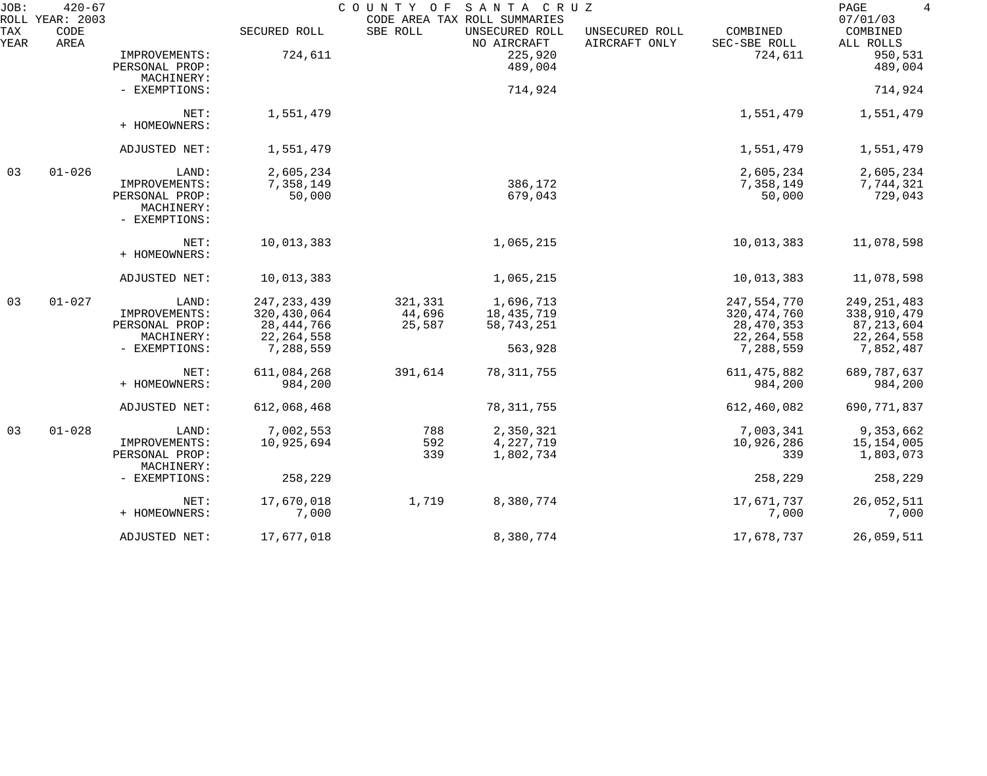| JOB:               | $420 - 67$<br>ROLL YEAR: 2003 |                                               |               | COUNTY OF | SANTA CRUZ<br>CODE AREA TAX ROLL SUMMARIES |                                 |                          | $4\overline{ }$<br>PAGE<br>07/01/03 |
|--------------------|-------------------------------|-----------------------------------------------|---------------|-----------|--------------------------------------------|---------------------------------|--------------------------|-------------------------------------|
| <b>TAX</b><br>YEAR | CODE<br>AREA                  |                                               | SECURED ROLL  | SBE ROLL  | UNSECURED ROLL<br>NO AIRCRAFT              | UNSECURED ROLL<br>AIRCRAFT ONLY | COMBINED<br>SEC-SBE ROLL | COMBINED<br>ALL ROLLS               |
|                    |                               | IMPROVEMENTS:<br>PERSONAL PROP:<br>MACHINERY: | 724,611       |           | 225,920<br>489,004                         |                                 | 724,611                  | 950,531<br>489,004                  |
|                    |                               | - EXEMPTIONS:                                 |               |           | 714,924                                    |                                 |                          | 714,924                             |
|                    |                               | NET:<br>+ HOMEOWNERS:                         | 1,551,479     |           |                                            |                                 | 1,551,479                | 1,551,479                           |
|                    |                               | ADJUSTED NET:                                 | 1,551,479     |           |                                            |                                 | 1,551,479                | 1,551,479                           |
| 03                 | $01 - 026$                    | LAND:                                         | 2,605,234     |           |                                            |                                 | 2,605,234                | 2,605,234                           |
|                    |                               | IMPROVEMENTS:                                 | 7,358,149     |           | 386,172                                    |                                 | 7,358,149                | 7,744,321                           |
|                    |                               | PERSONAL PROP:<br>MACHINERY:<br>- EXEMPTIONS: | 50,000        |           | 679,043                                    |                                 | 50,000                   | 729,043                             |
|                    |                               | NET:<br>+ HOMEOWNERS:                         | 10,013,383    |           | 1,065,215                                  |                                 | 10,013,383               | 11,078,598                          |
|                    |                               | ADJUSTED NET:                                 | 10,013,383    |           | 1,065,215                                  |                                 | 10,013,383               | 11,078,598                          |
| 03                 | $01 - 027$                    | LAND:                                         | 247, 233, 439 | 321,331   | 1,696,713                                  |                                 | 247,554,770              | 249, 251, 483                       |
|                    |                               | IMPROVEMENTS:                                 | 320, 430, 064 | 44,696    | 18,435,719                                 |                                 | 320, 474, 760            | 338,910,479                         |
|                    |                               | PERSONAL PROP:                                | 28, 444, 766  | 25,587    | 58,743,251                                 |                                 | 28, 470, 353             | 87, 213, 604                        |
|                    |                               | MACHINERY:                                    | 22, 264, 558  |           |                                            |                                 | 22, 264, 558             | 22, 264, 558                        |
|                    |                               | - EXEMPTIONS:                                 | 7,288,559     |           | 563,928                                    |                                 | 7,288,559                | 7,852,487                           |
|                    |                               | NET:                                          | 611,084,268   | 391,614   | 78, 311, 755                               |                                 | 611, 475, 882            | 689, 787, 637                       |
|                    |                               | + HOMEOWNERS:                                 | 984,200       |           |                                            |                                 | 984,200                  | 984,200                             |
|                    |                               | ADJUSTED NET:                                 | 612,068,468   |           | 78, 311, 755                               |                                 | 612,460,082              | 690, 771, 837                       |
| 03                 | $01 - 028$                    | LAND:                                         | 7,002,553     | 788       | 2,350,321                                  |                                 | 7,003,341                | 9,353,662                           |
|                    |                               | IMPROVEMENTS:                                 | 10,925,694    | 592       | 4,227,719                                  |                                 | 10,926,286               | 15, 154, 005                        |
|                    |                               | PERSONAL PROP:<br>MACHINERY:                  |               | 339       | 1,802,734                                  |                                 | 339                      | 1,803,073                           |
|                    |                               | - EXEMPTIONS:                                 | 258,229       |           |                                            |                                 | 258,229                  | 258,229                             |
|                    |                               | NET:                                          | 17,670,018    | 1,719     | 8,380,774                                  |                                 | 17,671,737               | 26,052,511                          |
|                    |                               | + HOMEOWNERS:                                 | 7,000         |           |                                            |                                 | 7,000                    | 7,000                               |
|                    |                               | ADJUSTED NET:                                 | 17,677,018    |           | 8,380,774                                  |                                 | 17,678,737               | 26,059,511                          |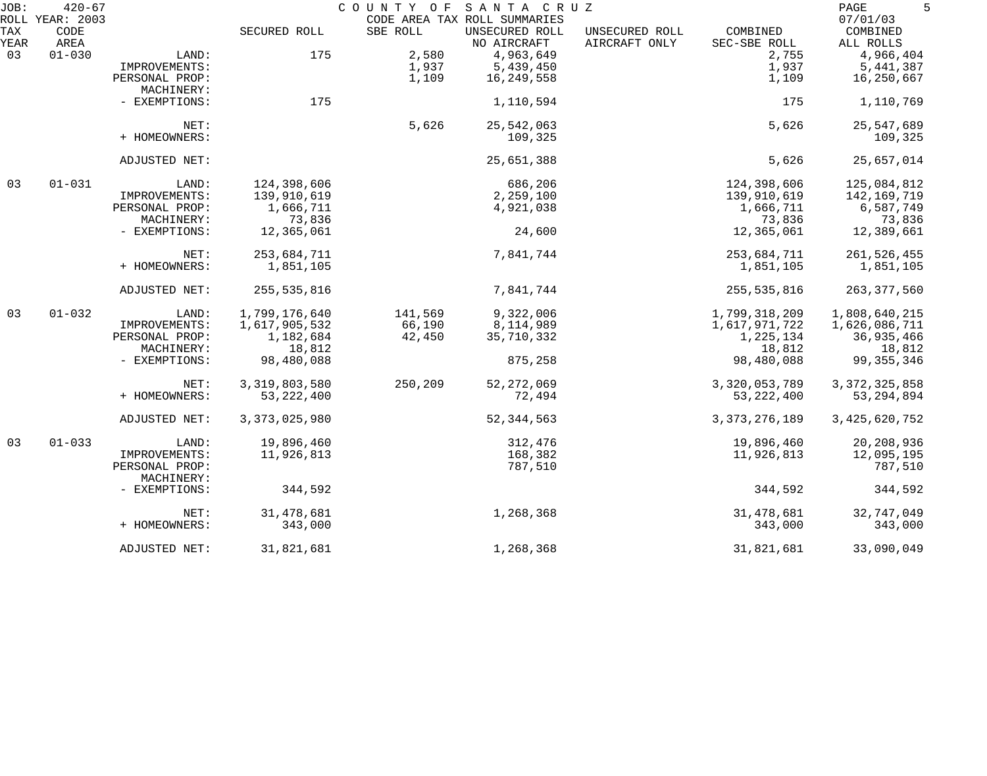| JOB:        | $420 - 67$                      |                              |                  | COUNTY OF | SANTA CRUZ<br>CODE AREA TAX ROLL SUMMARIES |                                 |                          | PAGE<br>5                         |
|-------------|---------------------------------|------------------------------|------------------|-----------|--------------------------------------------|---------------------------------|--------------------------|-----------------------------------|
| TAX<br>YEAR | ROLL YEAR: 2003<br>CODE<br>AREA |                              | SECURED ROLL     | SBE ROLL  | UNSECURED ROLL<br>NO AIRCRAFT              | UNSECURED ROLL<br>AIRCRAFT ONLY | COMBINED<br>SEC-SBE ROLL | 07/01/03<br>COMBINED<br>ALL ROLLS |
| 03          | $01 - 030$                      | LAND:                        | 175              | 2,580     | 4,963,649                                  |                                 | 2,755                    | 4,966,404                         |
|             |                                 | IMPROVEMENTS:                |                  | 1,937     | 5,439,450                                  |                                 | 1,937                    | 5,441,387                         |
|             |                                 | PERSONAL PROP:               |                  | 1,109     | 16,249,558                                 |                                 | 1,109                    | 16,250,667                        |
|             |                                 | MACHINERY:                   |                  |           |                                            |                                 |                          |                                   |
|             |                                 | - EXEMPTIONS:                | 175              |           | 1,110,594                                  |                                 | 175                      | 1,110,769                         |
|             |                                 | NET:                         |                  | 5,626     | 25,542,063                                 |                                 | 5,626                    | 25,547,689                        |
|             |                                 | + HOMEOWNERS:                |                  |           | 109,325                                    |                                 |                          | 109,325                           |
|             |                                 | ADJUSTED NET:                |                  |           | 25,651,388                                 |                                 | 5,626                    | 25,657,014                        |
| 03          | $01 - 031$                      | LAND:                        | 124,398,606      |           | 686,206                                    |                                 | 124,398,606              | 125,084,812                       |
|             |                                 | IMPROVEMENTS:                | 139,910,619      |           | 2,259,100                                  |                                 | 139,910,619              | 142,169,719                       |
|             |                                 | PERSONAL PROP:               | 1,666,711        |           | 4,921,038                                  |                                 | 1,666,711                | 6,587,749                         |
|             |                                 | MACHINERY:                   | 73,836           |           |                                            |                                 | 73,836                   | 73,836                            |
|             |                                 | - EXEMPTIONS:                | 12,365,061       |           | 24,600                                     |                                 | 12,365,061               | 12,389,661                        |
|             |                                 | NET:                         | 253,684,711      |           | 7,841,744                                  |                                 | 253,684,711              | 261,526,455                       |
|             |                                 | + HOMEOWNERS:                | 1,851,105        |           |                                            |                                 | 1,851,105                | 1,851,105                         |
|             |                                 | ADJUSTED NET:                | 255,535,816      |           | 7,841,744                                  |                                 | 255,535,816              | 263, 377, 560                     |
| 03          | $01 - 032$                      | LAND:                        | 1,799,176,640    | 141,569   | 9,322,006                                  |                                 | 1,799,318,209            | 1,808,640,215                     |
|             |                                 | IMPROVEMENTS:                | 1,617,905,532    | 66,190    | 8,114,989                                  |                                 | 1,617,971,722            | 1,626,086,711                     |
|             |                                 | PERSONAL PROP:               | 1,182,684        | 42,450    | 35,710,332                                 |                                 | 1,225,134                | 36,935,466                        |
|             |                                 | MACHINERY:                   | 18,812           |           |                                            |                                 | 18,812                   | 18,812                            |
|             |                                 | - EXEMPTIONS:                | 98,480,088       |           | 875,258                                    |                                 | 98,480,088               | 99, 355, 346                      |
|             |                                 | NET:                         | 3,319,803,580    | 250,209   | 52, 272, 069                               |                                 | 3,320,053,789            | 3, 372, 325, 858                  |
|             |                                 | + HOMEOWNERS:                | 53, 222, 400     |           | 72,494                                     |                                 | 53, 222, 400             | 53, 294, 894                      |
|             |                                 | ADJUSTED NET:                | 3, 373, 025, 980 |           | 52, 344, 563                               |                                 | 3, 373, 276, 189         | 3, 425, 620, 752                  |
| 03          | $01 - 033$                      | LAND:                        | 19,896,460       |           | 312,476                                    |                                 | 19,896,460               | 20,208,936                        |
|             |                                 | IMPROVEMENTS:                | 11,926,813       |           | 168,382                                    |                                 | 11,926,813               | 12,095,195                        |
|             |                                 | PERSONAL PROP:<br>MACHINERY: |                  |           | 787,510                                    |                                 |                          | 787,510                           |
|             |                                 | - EXEMPTIONS:                | 344,592          |           |                                            |                                 | 344,592                  | 344,592                           |
|             |                                 | NET:                         | 31, 478, 681     |           | 1,268,368                                  |                                 | 31,478,681               | 32,747,049                        |
|             |                                 | + HOMEOWNERS:                | 343,000          |           |                                            |                                 | 343,000                  | 343,000                           |
|             |                                 | ADJUSTED NET:                | 31,821,681       |           | 1,268,368                                  |                                 | 31,821,681               | 33,090,049                        |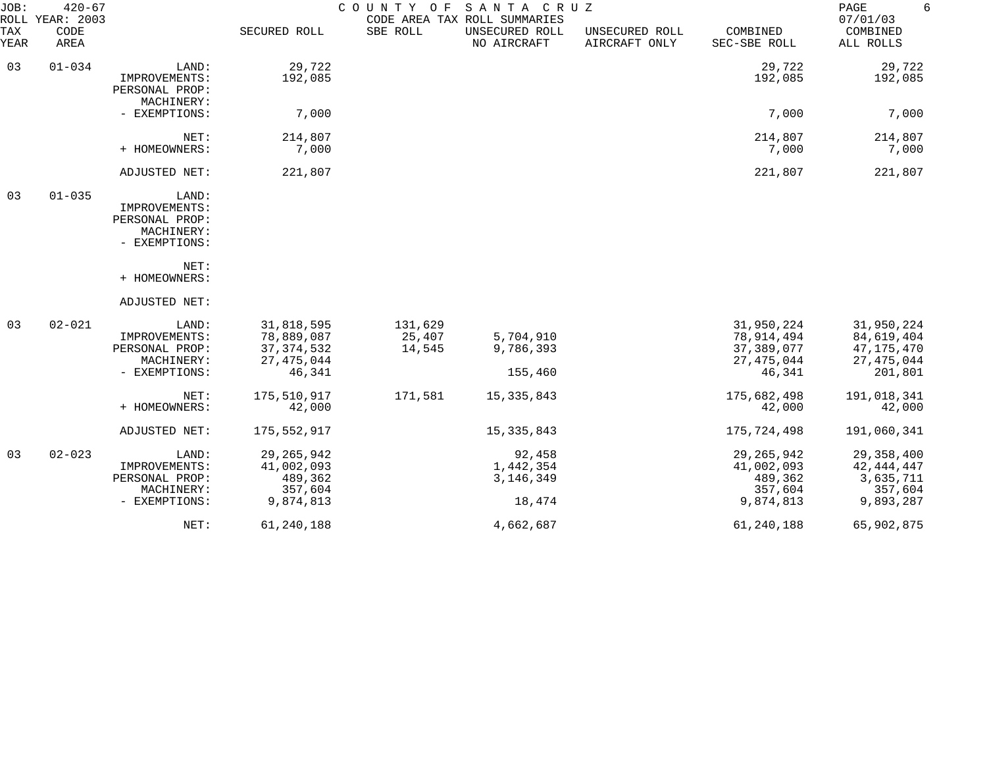| JOB:        | $420 - 67$<br>ROLL YEAR: 2003 |                                                                         |                                                                    | COUNTY<br>O F               | SANTA CRUZ<br>CODE AREA TAX ROLL SUMMARIES   |                                 |                                                                  | PAGE<br>6<br>07/01/03                                             |
|-------------|-------------------------------|-------------------------------------------------------------------------|--------------------------------------------------------------------|-----------------------------|----------------------------------------------|---------------------------------|------------------------------------------------------------------|-------------------------------------------------------------------|
| TAX<br>YEAR | CODE<br>AREA                  |                                                                         | SECURED ROLL                                                       | SBE ROLL                    | UNSECURED ROLL<br>NO AIRCRAFT                | UNSECURED ROLL<br>AIRCRAFT ONLY | COMBINED<br>SEC-SBE ROLL                                         | COMBINED<br>ALL ROLLS                                             |
| 03          | $01 - 034$                    | LAND:<br>IMPROVEMENTS:<br>PERSONAL PROP:<br>MACHINERY:                  | 29,722<br>192,085                                                  |                             |                                              |                                 | 29,722<br>192,085                                                | 29,722<br>192,085                                                 |
|             |                               | - EXEMPTIONS:                                                           | 7,000                                                              |                             |                                              |                                 | 7,000                                                            | 7,000                                                             |
|             |                               | NET:<br>+ HOMEOWNERS:                                                   | 214,807<br>7,000                                                   |                             |                                              |                                 | 214,807<br>7,000                                                 | 214,807<br>7,000                                                  |
|             |                               | ADJUSTED NET:                                                           | 221,807                                                            |                             |                                              |                                 | 221,807                                                          | 221,807                                                           |
| 03          | $01 - 035$                    | LAND:<br>IMPROVEMENTS:<br>PERSONAL PROP:<br>MACHINERY:<br>- EXEMPTIONS: |                                                                    |                             |                                              |                                 |                                                                  |                                                                   |
|             |                               | NET:<br>+ HOMEOWNERS:                                                   |                                                                    |                             |                                              |                                 |                                                                  |                                                                   |
|             |                               | ADJUSTED NET:                                                           |                                                                    |                             |                                              |                                 |                                                                  |                                                                   |
| 03          | $02 - 021$                    | LAND:<br>IMPROVEMENTS:<br>PERSONAL PROP:<br>MACHINERY:<br>- EXEMPTIONS: | 31,818,595<br>78,889,087<br>37, 374, 532<br>27, 475, 044<br>46,341 | 131,629<br>25,407<br>14,545 | 5,704,910<br>9,786,393<br>155,460            |                                 | 31,950,224<br>78,914,494<br>37,389,077<br>27, 475, 044<br>46,341 | 31,950,224<br>84,619,404<br>47,175,470<br>27, 475, 044<br>201,801 |
|             |                               | NET:<br>+ HOMEOWNERS:                                                   | 175,510,917<br>42,000                                              | 171,581                     | 15, 335, 843                                 |                                 | 175,682,498<br>42,000                                            | 191,018,341<br>42,000                                             |
|             |                               | ADJUSTED NET:                                                           | 175, 552, 917                                                      |                             | 15, 335, 843                                 |                                 | 175,724,498                                                      | 191,060,341                                                       |
| 03          | $02 - 023$                    | LAND:<br>IMPROVEMENTS:<br>PERSONAL PROP:<br>MACHINERY:<br>- EXEMPTIONS: | 29, 265, 942<br>41,002,093<br>489,362<br>357,604<br>9,874,813      |                             | 92,458<br>1,442,354<br>3, 146, 349<br>18,474 |                                 | 29, 265, 942<br>41,002,093<br>489,362<br>357,604<br>9,874,813    | 29, 358, 400<br>42,444,447<br>3,635,711<br>357,604<br>9,893,287   |
|             |                               | NET:                                                                    | 61,240,188                                                         |                             | 4,662,687                                    |                                 | 61,240,188                                                       | 65,902,875                                                        |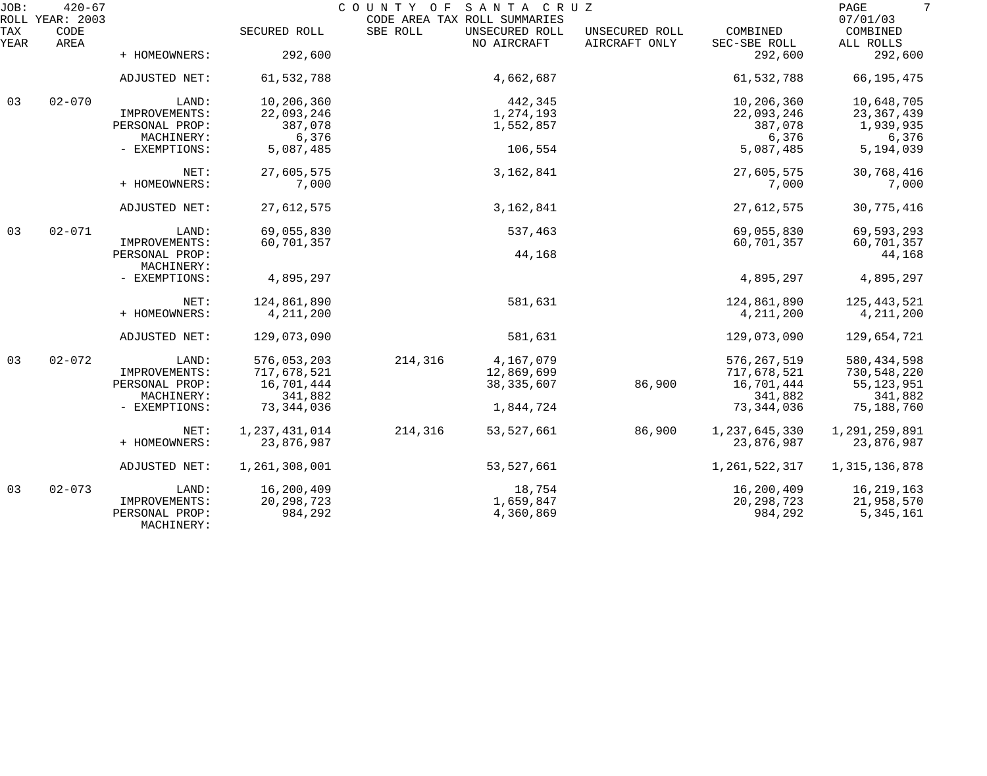| JOB:        | $420 - 67$<br>ROLL YEAR: 2003 |                              |               | COUNTY OF SANTA CRUZ<br>CODE AREA TAX ROLL SUMMARIES |                |                                 |                          | 7<br>PAGE<br>07/01/03 |
|-------------|-------------------------------|------------------------------|---------------|------------------------------------------------------|----------------|---------------------------------|--------------------------|-----------------------|
| TAX<br>YEAR | CODE<br>AREA                  |                              | SECURED ROLL  | SBE ROLL<br>NO AIRCRAFT                              | UNSECURED ROLL | UNSECURED ROLL<br>AIRCRAFT ONLY | COMBINED<br>SEC-SBE ROLL | COMBINED<br>ALL ROLLS |
|             |                               | + HOMEOWNERS:                | 292,600       |                                                      |                |                                 | 292,600                  | 292,600               |
|             |                               | ADJUSTED NET:                | 61,532,788    |                                                      | 4,662,687      |                                 | 61,532,788               | 66, 195, 475          |
| 03          | $02 - 070$                    | LAND:                        | 10,206,360    |                                                      | 442,345        |                                 | 10,206,360               | 10,648,705            |
|             |                               | IMPROVEMENTS:                | 22,093,246    |                                                      | 1,274,193      |                                 | 22,093,246               | 23, 367, 439          |
|             |                               | PERSONAL PROP:               | 387,078       |                                                      | 1,552,857      |                                 | 387,078                  | 1,939,935             |
|             |                               | MACHINERY:                   | 6,376         |                                                      |                |                                 | 6,376                    | 6,376                 |
|             |                               | - EXEMPTIONS:                | 5,087,485     |                                                      | 106,554        |                                 | 5,087,485                | 5,194,039             |
|             |                               | NET:                         | 27,605,575    |                                                      | 3, 162, 841    |                                 | 27,605,575               | 30,768,416            |
|             |                               | + HOMEOWNERS:                | 7,000         |                                                      |                |                                 | 7,000                    | 7,000                 |
|             |                               | ADJUSTED NET:                | 27,612,575    |                                                      | 3,162,841      |                                 | 27,612,575               | 30,775,416            |
| 03          | $02 - 071$                    | LAND:                        | 69,055,830    |                                                      | 537,463        |                                 | 69,055,830               | 69,593,293            |
|             |                               | IMPROVEMENTS:                | 60,701,357    |                                                      |                |                                 | 60,701,357               | 60,701,357            |
|             |                               | PERSONAL PROP:               |               |                                                      | 44,168         |                                 |                          | 44,168                |
|             |                               | MACHINERY:                   |               |                                                      |                |                                 |                          |                       |
|             |                               | - EXEMPTIONS:                | 4,895,297     |                                                      |                |                                 | 4,895,297                | 4,895,297             |
|             |                               | NET:                         | 124,861,890   |                                                      | 581,631        |                                 | 124,861,890              | 125, 443, 521         |
|             |                               | + HOMEOWNERS:                | 4, 211, 200   |                                                      |                |                                 | 4, 211, 200              | 4, 211, 200           |
|             |                               | ADJUSTED NET:                | 129,073,090   |                                                      | 581,631        |                                 | 129,073,090              | 129,654,721           |
| 03          | $02 - 072$                    | LAND:                        | 576,053,203   | 214,316                                              | 4,167,079      |                                 | 576, 267, 519            | 580, 434, 598         |
|             |                               | IMPROVEMENTS:                | 717,678,521   |                                                      | 12,869,699     |                                 | 717,678,521              | 730,548,220           |
|             |                               | PERSONAL PROP:               | 16,701,444    |                                                      | 38, 335, 607   | 86,900                          | 16,701,444               | 55, 123, 951          |
|             |                               | MACHINERY:                   | 341,882       |                                                      |                |                                 | 341,882                  | 341,882               |
|             |                               | - EXEMPTIONS:                | 73,344,036    |                                                      | 1,844,724      |                                 | 73, 344, 036             | 75,188,760            |
|             |                               | NET:                         | 1,237,431,014 | 214,316                                              | 53, 527, 661   | 86,900                          | 1,237,645,330            | 1,291,259,891         |
|             |                               | + HOMEOWNERS:                | 23,876,987    |                                                      |                |                                 | 23,876,987               | 23,876,987            |
|             |                               | ADJUSTED NET:                | 1,261,308,001 |                                                      | 53, 527, 661   |                                 | 1,261,522,317            | 1,315,136,878         |
| 03          | $02 - 073$                    | LAND:                        | 16,200,409    |                                                      | 18,754         |                                 | 16,200,409               | 16, 219, 163          |
|             |                               | IMPROVEMENTS:                | 20, 298, 723  |                                                      | 1,659,847      |                                 | 20, 298, 723             | 21,958,570            |
|             |                               | PERSONAL PROP:<br>MACHINERY: | 984,292       |                                                      | 4,360,869      |                                 | 984,292                  | 5, 345, 161           |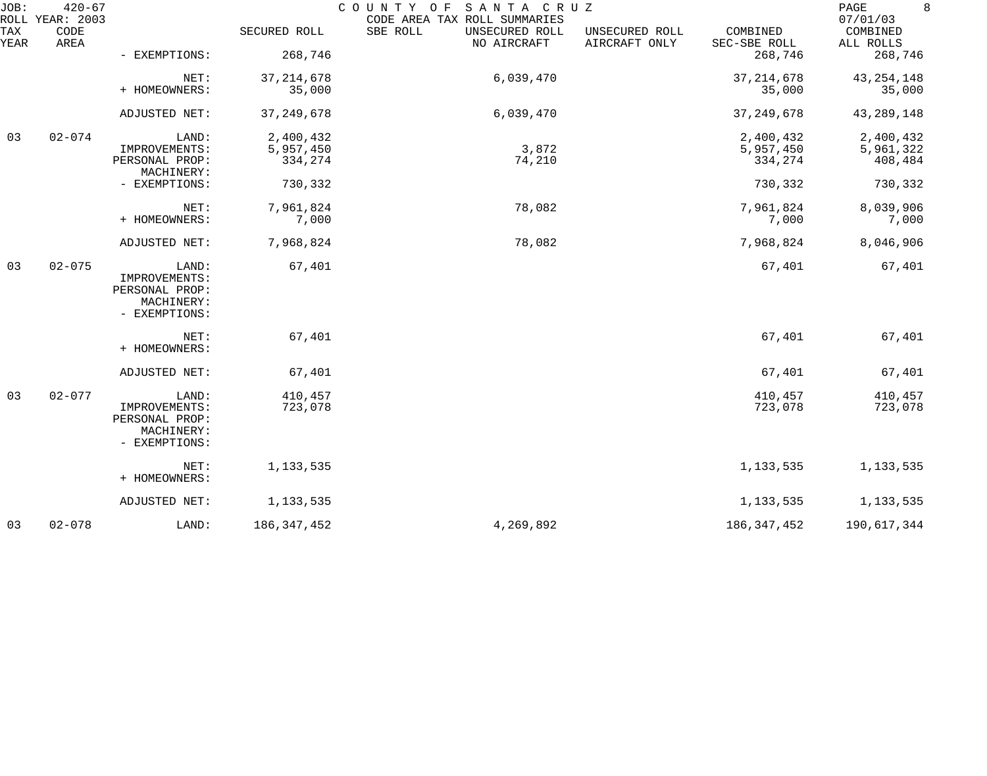| JOB:        | $420 - 67$<br>ROLL YEAR: 2003 |                                                                         |               | COUNTY OF<br>SANTA CRUZ<br>CODE AREA TAX ROLL SUMMARIES |                                 |                          | 8<br>PAGE<br>07/01/03 |
|-------------|-------------------------------|-------------------------------------------------------------------------|---------------|---------------------------------------------------------|---------------------------------|--------------------------|-----------------------|
| TAX<br>YEAR | CODE<br>AREA                  |                                                                         | SECURED ROLL  | SBE ROLL<br>UNSECURED ROLL<br>NO AIRCRAFT               | UNSECURED ROLL<br>AIRCRAFT ONLY | COMBINED<br>SEC-SBE ROLL | COMBINED<br>ALL ROLLS |
|             |                               | - EXEMPTIONS:                                                           | 268,746       |                                                         |                                 | 268,746                  | 268,746               |
|             |                               | NET:                                                                    | 37, 214, 678  | 6,039,470                                               |                                 | 37, 214, 678             | 43, 254, 148          |
|             |                               | + HOMEOWNERS:                                                           | 35,000        |                                                         |                                 | 35,000                   | 35,000                |
|             |                               | ADJUSTED NET:                                                           | 37, 249, 678  | 6,039,470                                               |                                 | 37, 249, 678             | 43, 289, 148          |
| 03          | $02 - 074$                    | LAND:                                                                   | 2,400,432     |                                                         |                                 | 2,400,432                | 2,400,432             |
|             |                               | IMPROVEMENTS:                                                           | 5,957,450     | 3,872                                                   |                                 | 5,957,450                | 5,961,322             |
|             |                               | PERSONAL PROP:<br>MACHINERY:                                            | 334,274       | 74,210                                                  |                                 | 334,274                  | 408,484               |
|             |                               | - EXEMPTIONS:                                                           | 730,332       |                                                         |                                 | 730,332                  | 730,332               |
|             |                               | NET:                                                                    | 7,961,824     | 78,082                                                  |                                 | 7,961,824                | 8,039,906             |
|             |                               | + HOMEOWNERS:                                                           | 7,000         |                                                         |                                 | 7,000                    | 7,000                 |
|             |                               | ADJUSTED NET:                                                           | 7,968,824     | 78,082                                                  |                                 | 7,968,824                | 8,046,906             |
| 03          | $02 - 075$                    | LAND:<br>IMPROVEMENTS:<br>PERSONAL PROP:<br>MACHINERY:<br>- EXEMPTIONS: | 67,401        |                                                         |                                 | 67,401                   | 67,401                |
|             |                               | NET:                                                                    | 67,401        |                                                         |                                 | 67,401                   | 67,401                |
|             |                               | + HOMEOWNERS:                                                           |               |                                                         |                                 |                          |                       |
|             |                               | ADJUSTED NET:                                                           | 67,401        |                                                         |                                 | 67,401                   | 67,401                |
| 03          | $02 - 077$                    | LAND:                                                                   | 410,457       |                                                         |                                 | 410,457                  | 410,457               |
|             |                               | IMPROVEMENTS:<br>PERSONAL PROP:<br>MACHINERY:<br>- EXEMPTIONS:          | 723,078       |                                                         |                                 | 723,078                  | 723,078               |
|             |                               | NET:<br>+ HOMEOWNERS:                                                   | 1, 133, 535   |                                                         |                                 | 1,133,535                | 1,133,535             |
|             |                               | ADJUSTED NET:                                                           | 1,133,535     |                                                         |                                 | 1,133,535                | 1,133,535             |
| 03          | $02 - 078$                    | LAND:                                                                   | 186, 347, 452 | 4,269,892                                               |                                 | 186, 347, 452            | 190,617,344           |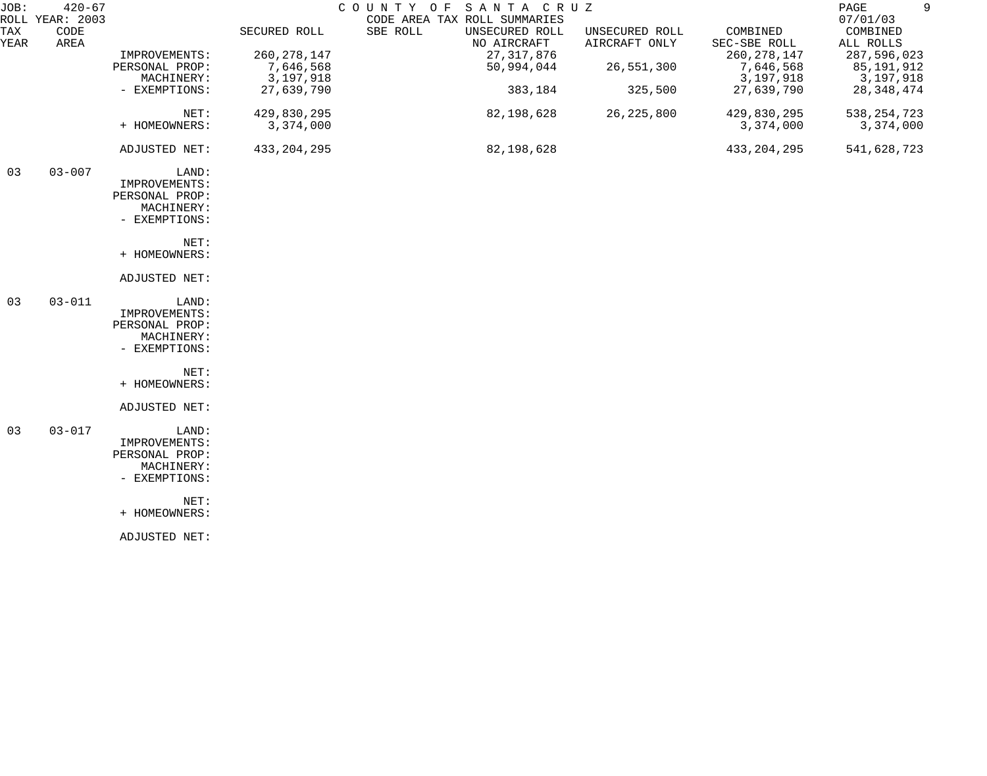| JOB:        | $420 - 67$                      |                |               | SANTA CRUZ<br>COUNTY OF                                                   |                                 |                          | 9<br>PAGE                         |
|-------------|---------------------------------|----------------|---------------|---------------------------------------------------------------------------|---------------------------------|--------------------------|-----------------------------------|
| TAX<br>YEAR | ROLL YEAR: 2003<br>CODE<br>AREA |                | SECURED ROLL  | CODE AREA TAX ROLL SUMMARIES<br>SBE ROLL<br>UNSECURED ROLL<br>NO AIRCRAFT | UNSECURED ROLL<br>AIRCRAFT ONLY | COMBINED<br>SEC-SBE ROLL | 07/01/03<br>COMBINED<br>ALL ROLLS |
|             |                                 | IMPROVEMENTS:  | 260, 278, 147 | 27, 317, 876                                                              |                                 | 260, 278, 147            | 287,596,023                       |
|             |                                 | PERSONAL PROP: | 7,646,568     | 50,994,044                                                                | 26,551,300                      | 7,646,568                | 85,191,912                        |
|             |                                 | MACHINERY:     | 3,197,918     |                                                                           |                                 | 3,197,918                | 3,197,918                         |
|             |                                 | - EXEMPTIONS:  | 27,639,790    | 383,184                                                                   | 325,500                         | 27,639,790               | 28, 348, 474                      |
|             |                                 | NET:           | 429,830,295   | 82,198,628                                                                | 26, 225, 800                    | 429,830,295              | 538, 254, 723                     |
|             |                                 | + HOMEOWNERS:  | 3,374,000     |                                                                           |                                 | 3,374,000                | 3,374,000                         |
|             |                                 | ADJUSTED NET:  | 433, 204, 295 | 82,198,628                                                                |                                 | 433, 204, 295            | 541,628,723                       |
| 03          | $03 - 007$                      | LAND:          |               |                                                                           |                                 |                          |                                   |
|             |                                 | IMPROVEMENTS:  |               |                                                                           |                                 |                          |                                   |
|             |                                 | PERSONAL PROP: |               |                                                                           |                                 |                          |                                   |
|             |                                 | MACHINERY:     |               |                                                                           |                                 |                          |                                   |
|             |                                 | - EXEMPTIONS:  |               |                                                                           |                                 |                          |                                   |
|             |                                 | NET:           |               |                                                                           |                                 |                          |                                   |
|             |                                 | + HOMEOWNERS:  |               |                                                                           |                                 |                          |                                   |
|             |                                 | ADJUSTED NET:  |               |                                                                           |                                 |                          |                                   |
| 03          | $03 - 011$                      | LAND:          |               |                                                                           |                                 |                          |                                   |
|             |                                 | IMPROVEMENTS:  |               |                                                                           |                                 |                          |                                   |
|             |                                 | PERSONAL PROP: |               |                                                                           |                                 |                          |                                   |
|             |                                 | MACHINERY:     |               |                                                                           |                                 |                          |                                   |
|             |                                 | - EXEMPTIONS:  |               |                                                                           |                                 |                          |                                   |
|             |                                 | NET:           |               |                                                                           |                                 |                          |                                   |
|             |                                 | + HOMEOWNERS:  |               |                                                                           |                                 |                          |                                   |
|             |                                 | ADJUSTED NET:  |               |                                                                           |                                 |                          |                                   |
| 03          | $03 - 017$                      | LAND:          |               |                                                                           |                                 |                          |                                   |
|             |                                 | IMPROVEMENTS:  |               |                                                                           |                                 |                          |                                   |
|             |                                 | PERSONAL PROP: |               |                                                                           |                                 |                          |                                   |
|             |                                 | MACHINERY:     |               |                                                                           |                                 |                          |                                   |
|             |                                 | - EXEMPTIONS:  |               |                                                                           |                                 |                          |                                   |
|             |                                 | NET:           |               |                                                                           |                                 |                          |                                   |
|             |                                 | + HOMEOWNERS:  |               |                                                                           |                                 |                          |                                   |
|             |                                 | ADJUSTED NET:  |               |                                                                           |                                 |                          |                                   |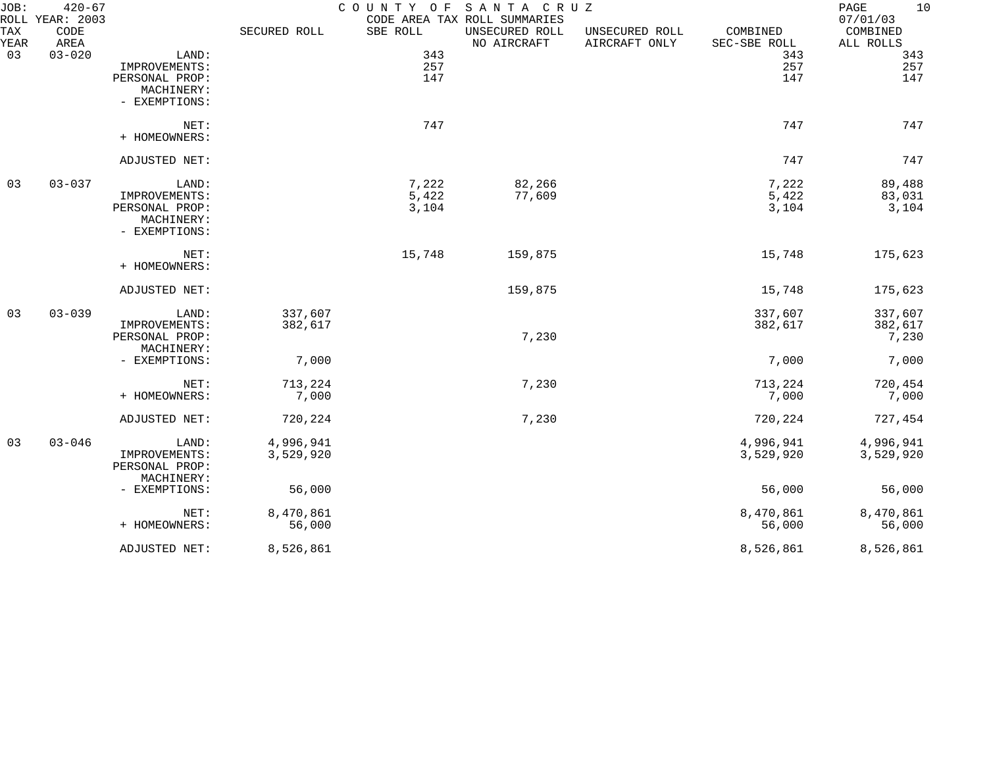| JOB:        | $420 - 67$<br>ROLL YEAR: 2003 |                |              |          | COUNTY OF SANTA CRUZ<br>CODE AREA TAX ROLL SUMMARIES |                                 |                          | PAGE<br>10<br>07/01/03 |
|-------------|-------------------------------|----------------|--------------|----------|------------------------------------------------------|---------------------------------|--------------------------|------------------------|
| TAX<br>YEAR | CODE<br>AREA                  |                | SECURED ROLL | SBE ROLL | UNSECURED ROLL<br>NO AIRCRAFT                        | UNSECURED ROLL<br>AIRCRAFT ONLY | COMBINED<br>SEC-SBE ROLL | COMBINED<br>ALL ROLLS  |
| 03          | $03 - 020$                    | LAND:          |              | 343      |                                                      |                                 | 343                      | 343                    |
|             |                               | IMPROVEMENTS:  |              | 257      |                                                      |                                 | 257                      | 257                    |
|             |                               | PERSONAL PROP: |              | 147      |                                                      |                                 | 147                      | 147                    |
|             |                               | MACHINERY:     |              |          |                                                      |                                 |                          |                        |
|             |                               | - EXEMPTIONS:  |              |          |                                                      |                                 |                          |                        |
|             |                               | NET:           |              | 747      |                                                      |                                 | 747                      | 747                    |
|             |                               | + HOMEOWNERS:  |              |          |                                                      |                                 |                          |                        |
|             |                               | ADJUSTED NET:  |              |          |                                                      |                                 | 747                      | 747                    |
| 03          | $03 - 037$                    | LAND:          |              | 7,222    | 82,266                                               |                                 | 7,222                    | 89,488                 |
|             |                               | IMPROVEMENTS:  |              | 5,422    | 77,609                                               |                                 | 5,422                    | 83,031                 |
|             |                               | PERSONAL PROP: |              | 3,104    |                                                      |                                 | 3,104                    | 3,104                  |
|             |                               | MACHINERY:     |              |          |                                                      |                                 |                          |                        |
|             |                               | - EXEMPTIONS:  |              |          |                                                      |                                 |                          |                        |
|             |                               | NET:           |              | 15,748   | 159,875                                              |                                 | 15,748                   | 175,623                |
|             |                               | + HOMEOWNERS:  |              |          |                                                      |                                 |                          |                        |
|             |                               | ADJUSTED NET:  |              |          | 159,875                                              |                                 | 15,748                   | 175,623                |
| 03          | $03 - 039$                    | LAND:          | 337,607      |          |                                                      |                                 | 337,607                  | 337,607                |
|             |                               | IMPROVEMENTS:  | 382,617      |          |                                                      |                                 | 382,617                  | 382,617                |
|             |                               | PERSONAL PROP: |              |          | 7,230                                                |                                 |                          | 7,230                  |
|             |                               | MACHINERY:     |              |          |                                                      |                                 |                          |                        |
|             |                               | - EXEMPTIONS:  | 7,000        |          |                                                      |                                 | 7,000                    | 7,000                  |
|             |                               | NET:           | 713,224      |          | 7,230                                                |                                 | 713,224                  | 720,454                |
|             |                               | + HOMEOWNERS:  | 7,000        |          |                                                      |                                 | 7,000                    | 7,000                  |
|             |                               |                |              |          |                                                      |                                 |                          |                        |
|             |                               | ADJUSTED NET:  | 720,224      |          | 7,230                                                |                                 | 720,224                  | 727,454                |
| 03          | $03 - 046$                    | LAND:          | 4,996,941    |          |                                                      |                                 | 4,996,941                | 4,996,941              |
|             |                               | IMPROVEMENTS:  | 3,529,920    |          |                                                      |                                 | 3,529,920                | 3,529,920              |
|             |                               | PERSONAL PROP: |              |          |                                                      |                                 |                          |                        |
|             |                               | MACHINERY:     |              |          |                                                      |                                 |                          |                        |
|             |                               | - EXEMPTIONS:  | 56,000       |          |                                                      |                                 | 56,000                   | 56,000                 |
|             |                               | NET:           | 8,470,861    |          |                                                      |                                 | 8,470,861                | 8,470,861              |
|             |                               | + HOMEOWNERS:  | 56,000       |          |                                                      |                                 | 56,000                   | 56,000                 |
|             |                               | ADJUSTED NET:  | 8,526,861    |          |                                                      |                                 | 8,526,861                | 8,526,861              |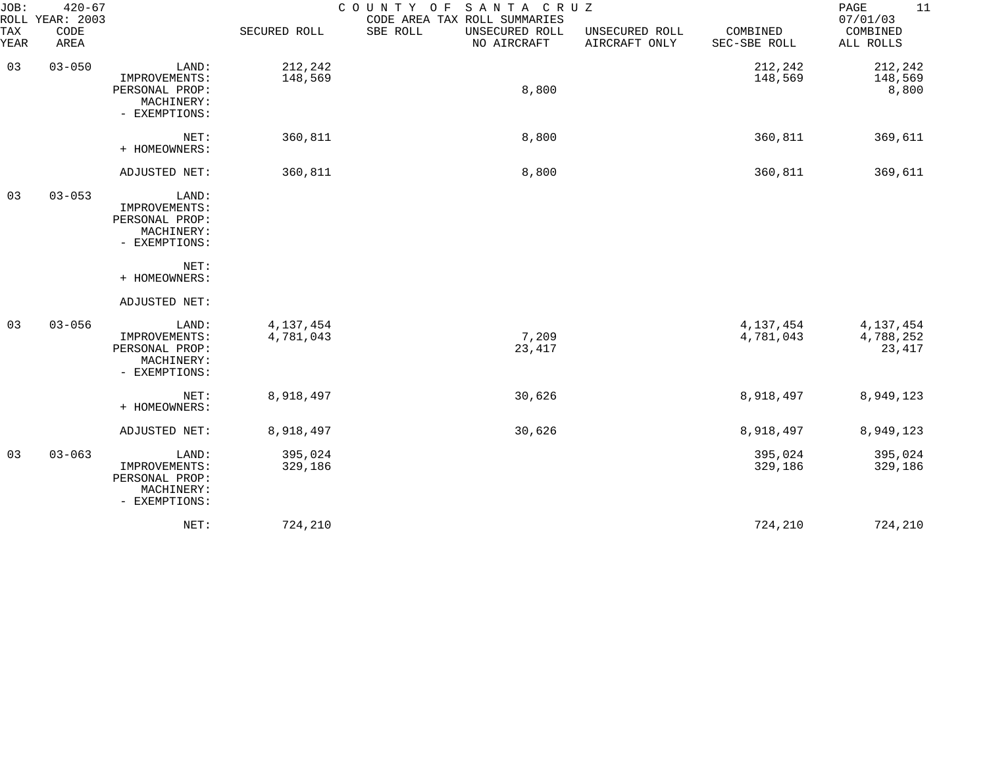| JOB:<br>ROLL | $420 - 67$<br>YEAR: 2003 |                                                                         |                          | COUNTY OF<br>SANTA CRUZ<br>CODE AREA TAX ROLL SUMMARIES |                                 |                          | 11<br>PAGE<br>07/01/03             |
|--------------|--------------------------|-------------------------------------------------------------------------|--------------------------|---------------------------------------------------------|---------------------------------|--------------------------|------------------------------------|
| TAX<br>YEAR  | CODE<br>AREA             |                                                                         | SECURED ROLL             | SBE ROLL<br>UNSECURED ROLL<br>NO AIRCRAFT               | UNSECURED ROLL<br>AIRCRAFT ONLY | COMBINED<br>SEC-SBE ROLL | COMBINED<br>ALL ROLLS              |
| 03           | $03 - 050$               | LAND:<br>IMPROVEMENTS:<br>PERSONAL PROP:<br>MACHINERY:<br>- EXEMPTIONS: | 212,242<br>148,569       | 8,800                                                   |                                 | 212,242<br>148,569       | 212,242<br>148,569<br>8,800        |
|              |                          | NET:<br>+ HOMEOWNERS:                                                   | 360,811                  | 8,800                                                   |                                 | 360,811                  | 369,611                            |
|              |                          | ADJUSTED NET:                                                           | 360,811                  | 8,800                                                   |                                 | 360,811                  | 369,611                            |
| 03           | $03 - 053$               | LAND:<br>IMPROVEMENTS:<br>PERSONAL PROP:<br>MACHINERY:<br>- EXEMPTIONS: |                          |                                                         |                                 |                          |                                    |
|              |                          | NET:<br>+ HOMEOWNERS:                                                   |                          |                                                         |                                 |                          |                                    |
|              |                          | ADJUSTED NET:                                                           |                          |                                                         |                                 |                          |                                    |
| 03           | $03 - 056$               | LAND:<br>IMPROVEMENTS:<br>PERSONAL PROP:<br>MACHINERY:<br>- EXEMPTIONS: | 4, 137, 454<br>4,781,043 | 7,209<br>23,417                                         |                                 | 4,137,454<br>4,781,043   | 4, 137, 454<br>4,788,252<br>23,417 |
|              |                          | NET:<br>+ HOMEOWNERS:                                                   | 8,918,497                | 30,626                                                  |                                 | 8,918,497                | 8,949,123                          |
|              |                          | ADJUSTED NET:                                                           | 8,918,497                | 30,626                                                  |                                 | 8,918,497                | 8,949,123                          |
| 03           | $03 - 063$               | LAND:<br>IMPROVEMENTS:<br>PERSONAL PROP:<br>MACHINERY:<br>- EXEMPTIONS: | 395,024<br>329,186       |                                                         |                                 | 395,024<br>329,186       | 395,024<br>329,186                 |
|              |                          | NET:                                                                    | 724,210                  |                                                         |                                 | 724,210                  | 724,210                            |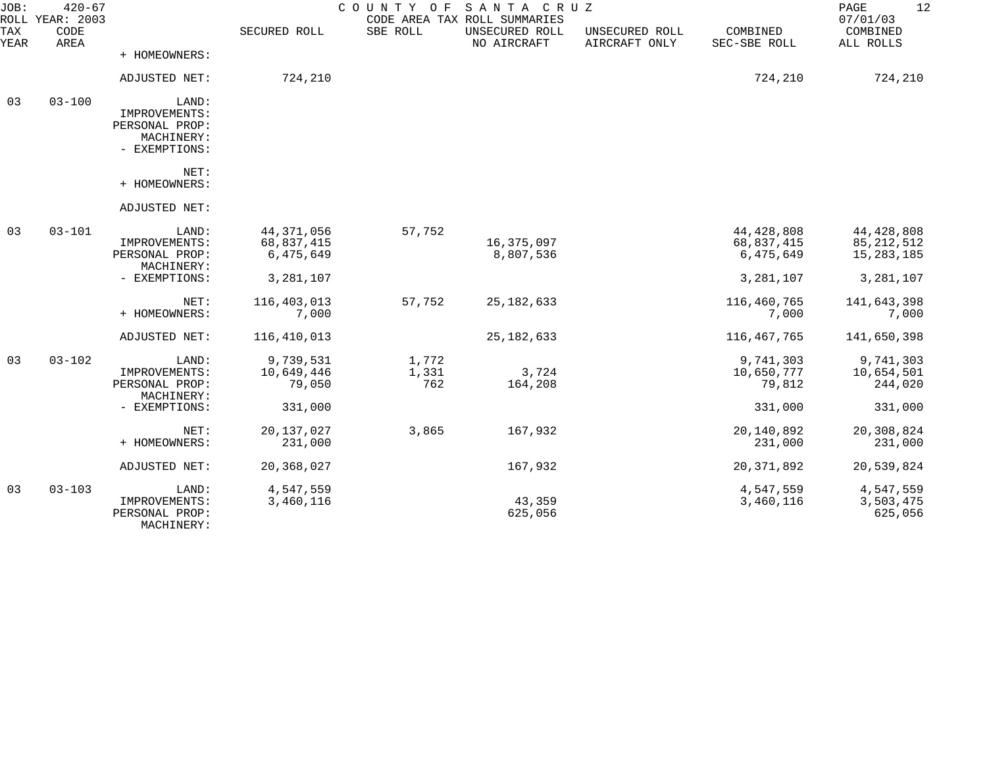| JOB:               | $420 - 67$<br>ROLL YEAR: 2003 |                                                                         |                                         | COUNTY OF             | SANTA CRUZ<br>CODE AREA TAX ROLL SUMMARIES |                                 |                                         | 12<br>PAGE<br>07/01/03                       |
|--------------------|-------------------------------|-------------------------------------------------------------------------|-----------------------------------------|-----------------------|--------------------------------------------|---------------------------------|-----------------------------------------|----------------------------------------------|
| <b>TAX</b><br>YEAR | CODE<br>AREA                  |                                                                         | SECURED ROLL                            | SBE ROLL              | UNSECURED ROLL<br>NO AIRCRAFT              | UNSECURED ROLL<br>AIRCRAFT ONLY | COMBINED<br>SEC-SBE ROLL                | COMBINED<br>ALL ROLLS                        |
|                    |                               | + HOMEOWNERS:                                                           |                                         |                       |                                            |                                 |                                         |                                              |
|                    |                               | ADJUSTED NET:                                                           | 724,210                                 |                       |                                            |                                 | 724,210                                 | 724,210                                      |
| 03                 | $03 - 100$                    | LAND:<br>IMPROVEMENTS:<br>PERSONAL PROP:<br>MACHINERY:<br>- EXEMPTIONS: |                                         |                       |                                            |                                 |                                         |                                              |
|                    |                               | NET:<br>+ HOMEOWNERS:                                                   |                                         |                       |                                            |                                 |                                         |                                              |
|                    |                               | ADJUSTED NET:                                                           |                                         |                       |                                            |                                 |                                         |                                              |
| 03                 | $03 - 101$                    | LAND:<br>IMPROVEMENTS:<br>PERSONAL PROP:<br>MACHINERY:                  | 44, 371, 056<br>68,837,415<br>6,475,649 | 57,752                | 16,375,097<br>8,807,536                    |                                 | 44, 428, 808<br>68,837,415<br>6,475,649 | 44, 428, 808<br>85, 212, 512<br>15, 283, 185 |
|                    |                               | - EXEMPTIONS:                                                           | 3,281,107                               |                       |                                            |                                 | 3,281,107                               | 3,281,107                                    |
|                    |                               | NET:<br>+ HOMEOWNERS:                                                   | 116, 403, 013<br>7,000                  | 57,752                | 25, 182, 633                               |                                 | 116,460,765<br>7,000                    | 141,643,398<br>7,000                         |
|                    |                               | ADJUSTED NET:                                                           | 116,410,013                             |                       | 25, 182, 633                               |                                 | 116,467,765                             | 141,650,398                                  |
| 03                 | $03 - 102$                    | LAND:<br>IMPROVEMENTS:<br>PERSONAL PROP:<br>MACHINERY:                  | 9,739,531<br>10,649,446<br>79,050       | 1,772<br>1,331<br>762 | 3,724<br>164,208                           |                                 | 9,741,303<br>10,650,777<br>79,812       | 9,741,303<br>10,654,501<br>244,020           |
|                    |                               | - EXEMPTIONS:                                                           | 331,000                                 |                       |                                            |                                 | 331,000                                 | 331,000                                      |
|                    |                               | NET:<br>+ HOMEOWNERS:                                                   | 20,137,027<br>231,000                   | 3,865                 | 167,932                                    |                                 | 20,140,892<br>231,000                   | 20,308,824<br>231,000                        |
|                    |                               | ADJUSTED NET:                                                           | 20,368,027                              |                       | 167,932                                    |                                 | 20, 371, 892                            | 20,539,824                                   |
| 03                 | $03 - 103$                    | LAND:<br>IMPROVEMENTS:<br>PERSONAL PROP:<br>MACHINERY:                  | 4,547,559<br>3,460,116                  |                       | 43,359<br>625,056                          |                                 | 4,547,559<br>3,460,116                  | 4,547,559<br>3,503,475<br>625,056            |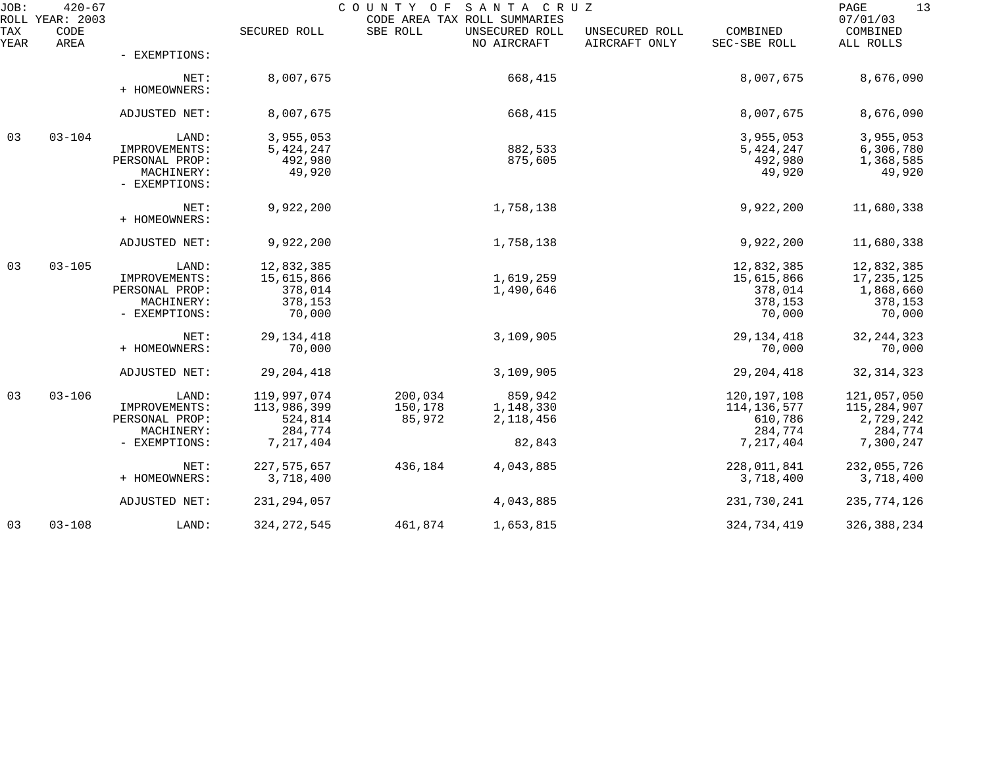| JOB:        | $420 - 67$<br>ROLL YEAR: 2003 |                                                                         |                                                               | COUNTY OF                    | SANTA CRUZ<br>CODE AREA TAX ROLL SUMMARIES  |                                 |                                                               | 13<br>PAGE<br>07/01/03                                          |
|-------------|-------------------------------|-------------------------------------------------------------------------|---------------------------------------------------------------|------------------------------|---------------------------------------------|---------------------------------|---------------------------------------------------------------|-----------------------------------------------------------------|
| TAX<br>YEAR | CODE<br>AREA                  |                                                                         | SECURED ROLL                                                  | SBE ROLL                     | UNSECURED ROLL<br>NO AIRCRAFT               | UNSECURED ROLL<br>AIRCRAFT ONLY | COMBINED<br>SEC-SBE ROLL                                      | COMBINED<br>ALL ROLLS                                           |
|             |                               | - EXEMPTIONS:                                                           |                                                               |                              |                                             |                                 |                                                               |                                                                 |
|             |                               | NET:<br>+ HOMEOWNERS:                                                   | 8,007,675                                                     |                              | 668,415                                     |                                 | 8,007,675                                                     | 8,676,090                                                       |
|             |                               | ADJUSTED NET:                                                           | 8,007,675                                                     |                              | 668,415                                     |                                 | 8,007,675                                                     | 8,676,090                                                       |
| 03          | $03 - 104$                    | LAND:<br>IMPROVEMENTS:<br>PERSONAL PROP:<br>MACHINERY:<br>- EXEMPTIONS: | 3,955,053<br>5, 424, 247<br>492,980<br>49,920                 |                              | 882,533<br>875,605                          |                                 | 3,955,053<br>5,424,247<br>492,980<br>49,920                   | 3,955,053<br>6,306,780<br>1,368,585<br>49,920                   |
|             |                               | NET:<br>+ HOMEOWNERS:                                                   | 9,922,200                                                     |                              | 1,758,138                                   |                                 | 9,922,200                                                     | 11,680,338                                                      |
|             |                               | ADJUSTED NET:                                                           | 9,922,200                                                     |                              | 1,758,138                                   |                                 | 9,922,200                                                     | 11,680,338                                                      |
| 03          | $03 - 105$                    | LAND:<br>IMPROVEMENTS:<br>PERSONAL PROP:<br>MACHINERY:<br>- EXEMPTIONS: | 12,832,385<br>15,615,866<br>378,014<br>378,153<br>70,000      |                              | 1,619,259<br>1,490,646                      |                                 | 12,832,385<br>15,615,866<br>378,014<br>378,153<br>70,000      | 12,832,385<br>17,235,125<br>1,868,660<br>378,153<br>70,000      |
|             |                               | NET:<br>+ HOMEOWNERS:                                                   | 29, 134, 418<br>70,000                                        |                              | 3,109,905                                   |                                 | 29, 134, 418<br>70,000                                        | 32, 244, 323<br>70,000                                          |
|             |                               | ADJUSTED NET:                                                           | 29, 204, 418                                                  |                              | 3,109,905                                   |                                 | 29, 204, 418                                                  | 32, 314, 323                                                    |
| 03          | $03 - 106$                    | LAND:<br>IMPROVEMENTS:<br>PERSONAL PROP:<br>MACHINERY:<br>- EXEMPTIONS: | 119,997,074<br>113,986,399<br>524,814<br>284,774<br>7,217,404 | 200,034<br>150,178<br>85,972 | 859,942<br>1,148,330<br>2,118,456<br>82,843 |                                 | 120,197,108<br>114,136,577<br>610,786<br>284,774<br>7,217,404 | 121,057,050<br>115,284,907<br>2,729,242<br>284,774<br>7,300,247 |
|             |                               | NET:<br>+ HOMEOWNERS:                                                   | 227, 575, 657<br>3,718,400                                    | 436,184                      | 4,043,885                                   |                                 | 228,011,841<br>3,718,400                                      | 232,055,726<br>3,718,400                                        |
|             |                               | ADJUSTED NET:                                                           | 231, 294, 057                                                 |                              | 4,043,885                                   |                                 | 231,730,241                                                   | 235, 774, 126                                                   |
| 03          | $03 - 108$                    | LAND:                                                                   | 324, 272, 545                                                 | 461,874                      | 1,653,815                                   |                                 | 324,734,419                                                   | 326, 388, 234                                                   |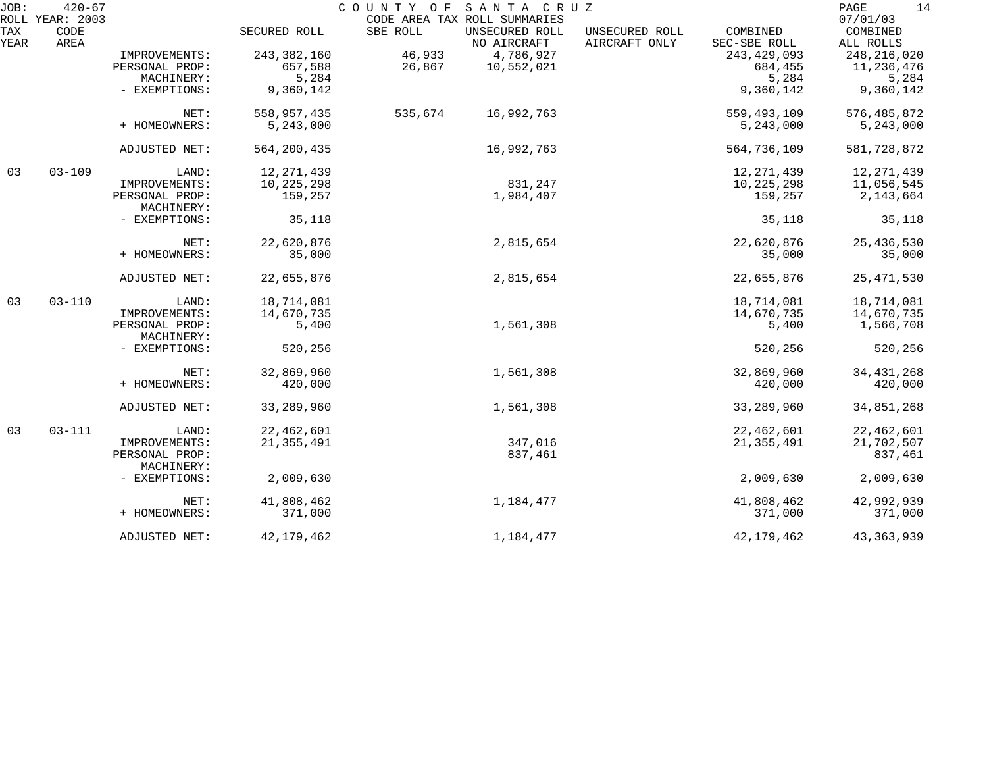| JOB:        | $420 - 67$<br>ROLL YEAR: 2003 |                              |               | COUNTY OF | SANTA CRUZ<br>CODE AREA TAX ROLL SUMMARIES |                                 |                          | 14<br>PAGE<br>07/01/03 |
|-------------|-------------------------------|------------------------------|---------------|-----------|--------------------------------------------|---------------------------------|--------------------------|------------------------|
| TAX<br>YEAR | CODE<br>AREA                  |                              | SECURED ROLL  | SBE ROLL  | UNSECURED ROLL<br>NO AIRCRAFT              | UNSECURED ROLL<br>AIRCRAFT ONLY | COMBINED<br>SEC-SBE ROLL | COMBINED<br>ALL ROLLS  |
|             |                               | IMPROVEMENTS:                | 243, 382, 160 | 46,933    | 4,786,927                                  |                                 | 243, 429, 093            | 248, 216, 020          |
|             |                               | PERSONAL PROP:               | 657,588       | 26,867    | 10,552,021                                 |                                 | 684,455                  | 11,236,476             |
|             |                               | MACHINERY:                   | 5,284         |           |                                            |                                 | 5,284                    | 5,284                  |
|             |                               | - EXEMPTIONS:                | 9,360,142     |           |                                            |                                 | 9,360,142                | 9,360,142              |
|             |                               | NET:                         | 558,957,435   | 535,674   | 16,992,763                                 |                                 | 559,493,109              | 576, 485, 872          |
|             |                               | + HOMEOWNERS:                | 5,243,000     |           |                                            |                                 | 5,243,000                | 5,243,000              |
|             |                               | ADJUSTED NET:                | 564, 200, 435 |           | 16,992,763                                 |                                 | 564,736,109              | 581,728,872            |
| 03          | $03 - 109$                    | LAND:                        | 12, 271, 439  |           |                                            |                                 | 12, 271, 439             | 12, 271, 439           |
|             |                               | IMPROVEMENTS:                | 10,225,298    |           | 831,247                                    |                                 | 10,225,298               | 11,056,545             |
|             |                               | PERSONAL PROP:<br>MACHINERY: | 159,257       |           | 1,984,407                                  |                                 | 159,257                  | 2,143,664              |
|             |                               | - EXEMPTIONS:                | 35,118        |           |                                            |                                 | 35,118                   | 35,118                 |
|             |                               | NET:                         | 22,620,876    |           | 2,815,654                                  |                                 | 22,620,876               | 25,436,530             |
|             |                               | + HOMEOWNERS:                | 35,000        |           |                                            |                                 | 35,000                   | 35,000                 |
|             |                               | ADJUSTED NET:                | 22,655,876    |           | 2,815,654                                  |                                 | 22,655,876               | 25, 471, 530           |
| 03          | $03 - 110$                    | LAND:                        | 18,714,081    |           |                                            |                                 | 18,714,081               | 18,714,081             |
|             |                               | IMPROVEMENTS:                | 14,670,735    |           |                                            |                                 | 14,670,735               | 14,670,735             |
|             |                               | PERSONAL PROP:<br>MACHINERY: | 5,400         |           | 1,561,308                                  |                                 | 5,400                    | 1,566,708              |
|             |                               | - EXEMPTIONS:                | 520,256       |           |                                            |                                 | 520,256                  | 520,256                |
|             |                               | NET:                         | 32,869,960    |           | 1,561,308                                  |                                 | 32,869,960               | 34, 431, 268           |
|             |                               | + HOMEOWNERS:                | 420,000       |           |                                            |                                 | 420,000                  | 420,000                |
|             |                               | ADJUSTED NET:                | 33,289,960    |           | 1,561,308                                  |                                 | 33,289,960               | 34,851,268             |
| 03          | $03 - 111$                    | LAND:                        | 22, 462, 601  |           |                                            |                                 | 22, 462, 601             | 22, 462, 601           |
|             |                               | IMPROVEMENTS:                | 21, 355, 491  |           | 347,016                                    |                                 | 21, 355, 491             | 21,702,507             |
|             |                               | PERSONAL PROP:               |               |           | 837,461                                    |                                 |                          | 837,461                |
|             |                               | MACHINERY:                   |               |           |                                            |                                 |                          |                        |
|             |                               | - EXEMPTIONS:                | 2,009,630     |           |                                            |                                 | 2,009,630                | 2,009,630              |
|             |                               | NET:                         | 41,808,462    |           | 1,184,477                                  |                                 | 41,808,462               | 42,992,939             |
|             |                               | + HOMEOWNERS:                | 371,000       |           |                                            |                                 | 371,000                  | 371,000                |
|             |                               | ADJUSTED NET:                | 42, 179, 462  |           | 1,184,477                                  |                                 | 42, 179, 462             | 43, 363, 939           |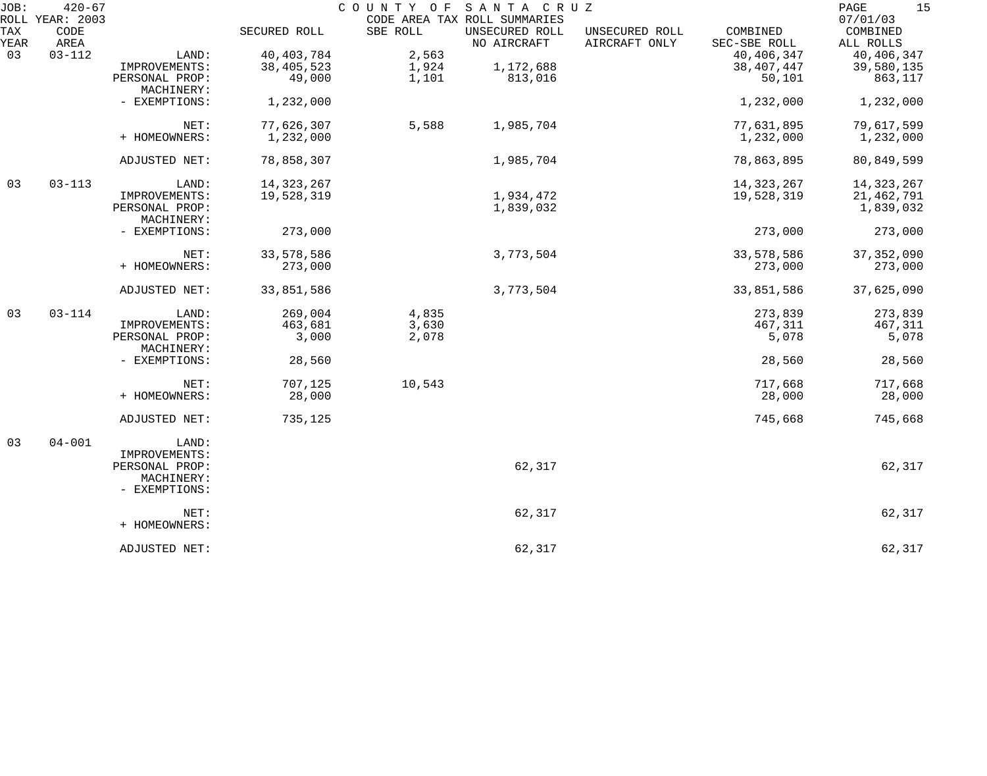| JOB:        | $420 - 67$                      |                              |              |          | COUNTY OF SANTA CRUZ                                          |                                 |                          | 15<br>PAGE                        |
|-------------|---------------------------------|------------------------------|--------------|----------|---------------------------------------------------------------|---------------------------------|--------------------------|-----------------------------------|
| TAX<br>YEAR | ROLL YEAR: 2003<br>CODE<br>AREA |                              | SECURED ROLL | SBE ROLL | CODE AREA TAX ROLL SUMMARIES<br>UNSECURED ROLL<br>NO AIRCRAFT | UNSECURED ROLL<br>AIRCRAFT ONLY | COMBINED<br>SEC-SBE ROLL | 07/01/03<br>COMBINED<br>ALL ROLLS |
| 03          | $03 - 112$                      | LAND:                        | 40, 403, 784 | 2,563    |                                                               |                                 | 40, 406, 347             | 40, 406, 347                      |
|             |                                 | IMPROVEMENTS:                | 38, 405, 523 | 1,924    | 1,172,688                                                     |                                 | 38, 407, 447             | 39,580,135                        |
|             |                                 | PERSONAL PROP:               | 49,000       | 1,101    | 813,016                                                       |                                 | 50,101                   | 863,117                           |
|             |                                 | MACHINERY:                   |              |          |                                                               |                                 |                          |                                   |
|             |                                 | - EXEMPTIONS:                | 1,232,000    |          |                                                               |                                 | 1,232,000                | 1,232,000                         |
|             |                                 | NET:                         | 77,626,307   | 5,588    | 1,985,704                                                     |                                 | 77,631,895               | 79,617,599                        |
|             |                                 | + HOMEOWNERS:                | 1,232,000    |          |                                                               |                                 | 1,232,000                | 1,232,000                         |
|             |                                 | ADJUSTED NET:                | 78,858,307   |          | 1,985,704                                                     |                                 | 78,863,895               | 80,849,599                        |
| 03          | $03 - 113$                      | LAND:                        | 14, 323, 267 |          |                                                               |                                 | 14, 323, 267             | 14,323,267                        |
|             |                                 | IMPROVEMENTS:                | 19,528,319   |          | 1,934,472                                                     |                                 | 19,528,319               | 21, 462, 791                      |
|             |                                 | PERSONAL PROP:<br>MACHINERY: |              |          | 1,839,032                                                     |                                 |                          | 1,839,032                         |
|             |                                 | - EXEMPTIONS:                | 273,000      |          |                                                               |                                 | 273,000                  | 273,000                           |
|             |                                 | NET:                         | 33,578,586   |          | 3,773,504                                                     |                                 | 33,578,586               | 37, 352, 090                      |
|             |                                 | + HOMEOWNERS:                | 273,000      |          |                                                               |                                 | 273,000                  | 273,000                           |
|             |                                 | ADJUSTED NET:                | 33,851,586   |          | 3,773,504                                                     |                                 | 33,851,586               | 37,625,090                        |
| 03          | $03 - 114$                      | LAND:                        | 269,004      | 4,835    |                                                               |                                 | 273,839                  | 273,839                           |
|             |                                 | IMPROVEMENTS:                | 463,681      | 3,630    |                                                               |                                 | 467,311                  | 467,311                           |
|             |                                 | PERSONAL PROP:<br>MACHINERY: | 3,000        | 2,078    |                                                               |                                 | 5,078                    | 5,078                             |
|             |                                 | - EXEMPTIONS:                | 28,560       |          |                                                               |                                 | 28,560                   | 28,560                            |
|             |                                 | NET:                         | 707,125      | 10,543   |                                                               |                                 | 717,668                  | 717,668                           |
|             |                                 | + HOMEOWNERS:                | 28,000       |          |                                                               |                                 | 28,000                   | 28,000                            |
|             |                                 | ADJUSTED NET:                | 735,125      |          |                                                               |                                 | 745,668                  | 745,668                           |
| 03          | $04 - 001$                      | LAND:                        |              |          |                                                               |                                 |                          |                                   |
|             |                                 | IMPROVEMENTS:                |              |          |                                                               |                                 |                          |                                   |
|             |                                 | PERSONAL PROP:<br>MACHINERY: |              |          | 62,317                                                        |                                 |                          | 62,317                            |
|             |                                 | - EXEMPTIONS:                |              |          |                                                               |                                 |                          |                                   |
|             |                                 | NET:<br>+ HOMEOWNERS:        |              |          | 62,317                                                        |                                 |                          | 62,317                            |
|             |                                 | ADJUSTED NET:                |              |          | 62,317                                                        |                                 |                          | 62,317                            |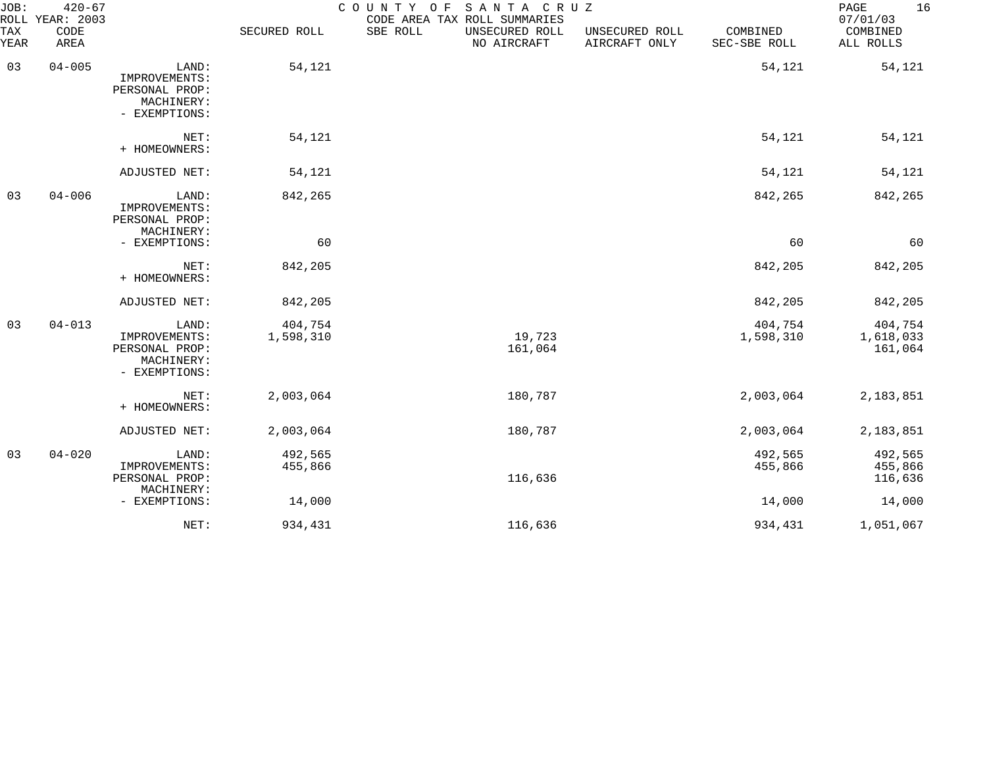| JOB:<br>ROLL | $420 - 67$<br>YEAR: 2003 |                                                                         |                      | COUNTY OF<br>SANTA CRUZ<br>CODE AREA TAX ROLL SUMMARIES |                                 |                          | 16<br>PAGE<br>07/01/03          |
|--------------|--------------------------|-------------------------------------------------------------------------|----------------------|---------------------------------------------------------|---------------------------------|--------------------------|---------------------------------|
| TAX<br>YEAR  | CODE<br>AREA             |                                                                         | SECURED ROLL         | SBE ROLL<br>UNSECURED ROLL<br>NO AIRCRAFT               | UNSECURED ROLL<br>AIRCRAFT ONLY | COMBINED<br>SEC-SBE ROLL | COMBINED<br>ALL ROLLS           |
| 03           | $04 - 005$               | LAND:<br>IMPROVEMENTS:<br>PERSONAL PROP:<br>MACHINERY:<br>- EXEMPTIONS: | 54,121               |                                                         |                                 | 54,121                   | 54,121                          |
|              |                          | NET:<br>+ HOMEOWNERS:                                                   | 54,121               |                                                         |                                 | 54,121                   | 54,121                          |
|              |                          | ADJUSTED NET:                                                           | 54,121               |                                                         |                                 | 54,121                   | 54,121                          |
| 03           | $04 - 006$               | LAND:<br>IMPROVEMENTS:<br>PERSONAL PROP:<br>MACHINERY:                  | 842,265              |                                                         |                                 | 842,265                  | 842,265                         |
|              |                          | - EXEMPTIONS:                                                           | 60                   |                                                         |                                 | 60                       | 60                              |
|              |                          | NET:<br>+ HOMEOWNERS:                                                   | 842,205              |                                                         |                                 | 842,205                  | 842,205                         |
|              |                          | ADJUSTED NET:                                                           | 842,205              |                                                         |                                 | 842,205                  | 842,205                         |
| 03           | $04 - 013$               | LAND:<br>IMPROVEMENTS:<br>PERSONAL PROP:<br>MACHINERY:<br>- EXEMPTIONS: | 404,754<br>1,598,310 | 19,723<br>161,064                                       |                                 | 404,754<br>1,598,310     | 404,754<br>1,618,033<br>161,064 |
|              |                          | NET:<br>+ HOMEOWNERS:                                                   | 2,003,064            | 180,787                                                 |                                 | 2,003,064                | 2,183,851                       |
|              |                          | ADJUSTED NET:                                                           | 2,003,064            | 180,787                                                 |                                 | 2,003,064                | 2,183,851                       |
| 03           | $04 - 020$               | LAND:<br>IMPROVEMENTS:<br>PERSONAL PROP:<br>MACHINERY:                  | 492,565<br>455,866   | 116,636                                                 |                                 | 492,565<br>455,866       | 492,565<br>455,866<br>116,636   |
|              |                          | - EXEMPTIONS:                                                           | 14,000               |                                                         |                                 | 14,000                   | 14,000                          |
|              |                          | NET:                                                                    | 934,431              | 116,636                                                 |                                 | 934,431                  | 1,051,067                       |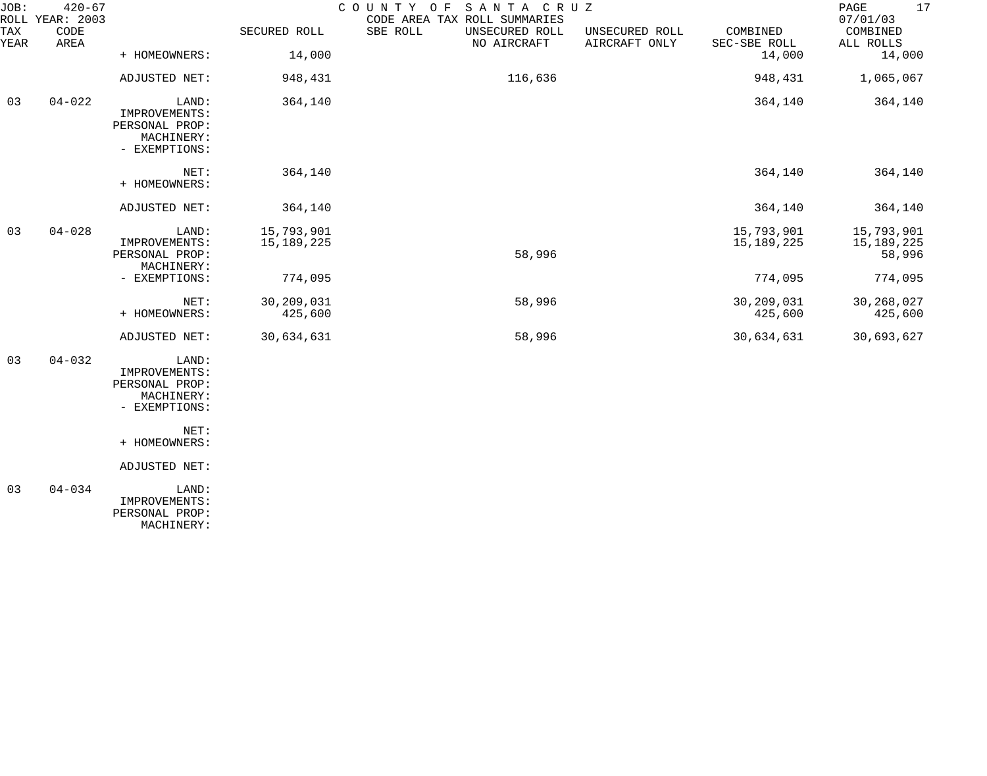| JOB:        | $420 - 67$<br>COUNTY OF SANTA CRUZ<br>ROLL YEAR: 2003<br>CODE AREA TAX ROLL SUMMARIES |                                                                         |                          |                                           |                                 | 17<br>PAGE<br>07/01/03     |                                    |
|-------------|---------------------------------------------------------------------------------------|-------------------------------------------------------------------------|--------------------------|-------------------------------------------|---------------------------------|----------------------------|------------------------------------|
| TAX<br>YEAR | CODE<br>AREA                                                                          |                                                                         | SECURED ROLL             | SBE ROLL<br>UNSECURED ROLL<br>NO AIRCRAFT | UNSECURED ROLL<br>AIRCRAFT ONLY | COMBINED<br>SEC-SBE ROLL   | COMBINED<br>ALL ROLLS              |
|             |                                                                                       | + HOMEOWNERS:                                                           | 14,000                   |                                           |                                 | 14,000                     | 14,000                             |
|             |                                                                                       | ADJUSTED NET:                                                           | 948,431                  | 116,636                                   |                                 | 948,431                    | 1,065,067                          |
| 03          | $04 - 022$                                                                            | LAND:<br>IMPROVEMENTS:<br>PERSONAL PROP:<br>MACHINERY:<br>- EXEMPTIONS: | 364,140                  |                                           |                                 | 364,140                    | 364,140                            |
|             |                                                                                       | $NET$ :<br>+ HOMEOWNERS:                                                | 364,140                  |                                           |                                 | 364,140                    | 364,140                            |
|             |                                                                                       | ADJUSTED NET:                                                           | 364,140                  |                                           |                                 | 364,140                    | 364,140                            |
| 03          | $04 - 028$                                                                            | LAND:<br>IMPROVEMENTS:<br>PERSONAL PROP:<br>MACHINERY:                  | 15,793,901<br>15,189,225 | 58,996                                    |                                 | 15,793,901<br>15, 189, 225 | 15,793,901<br>15,189,225<br>58,996 |
|             |                                                                                       | - EXEMPTIONS:                                                           | 774,095                  |                                           |                                 | 774,095                    | 774,095                            |
|             |                                                                                       | NET:<br>+ HOMEOWNERS:                                                   | 30,209,031<br>425,600    | 58,996                                    |                                 | 30,209,031<br>425,600      | 30,268,027<br>425,600              |
|             |                                                                                       | ADJUSTED NET:                                                           | 30,634,631               | 58,996                                    |                                 | 30,634,631                 | 30,693,627                         |
| 03          | $04 - 032$                                                                            | LAND:<br>IMPROVEMENTS:<br>PERSONAL PROP:<br>MACHINERY:<br>- EXEMPTIONS: |                          |                                           |                                 |                            |                                    |
|             |                                                                                       | NET:<br>+ HOMEOWNERS:                                                   |                          |                                           |                                 |                            |                                    |
|             |                                                                                       | ADJUSTED NET:                                                           |                          |                                           |                                 |                            |                                    |

 03 04-034 LAND: IMPROVEMENTS: PERSONAL PROP: MACHINERY: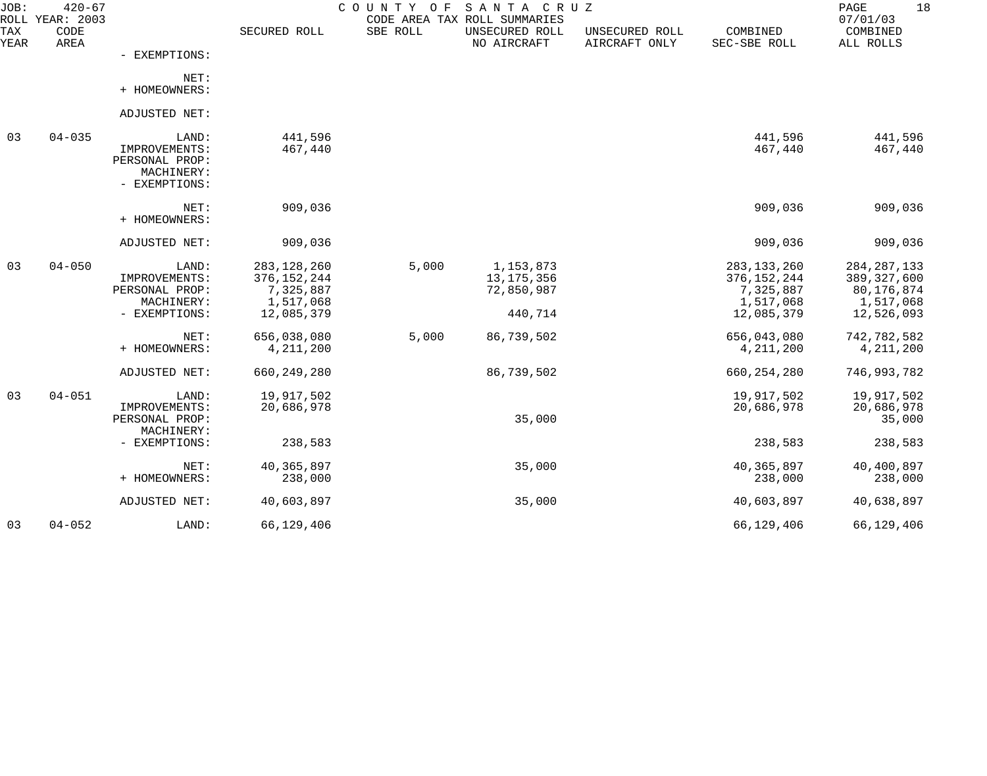| JOB:<br>ROLL | $420 - 67$<br>YEAR: 2003 |                                                                         |                                                                        | COUNTY OF | SANTA CRUZ<br>CODE AREA TAX ROLL SUMMARIES         |                                 |                                                                        | 18<br>PAGE<br>07/01/03                                                  |
|--------------|--------------------------|-------------------------------------------------------------------------|------------------------------------------------------------------------|-----------|----------------------------------------------------|---------------------------------|------------------------------------------------------------------------|-------------------------------------------------------------------------|
| TAX<br>YEAR  | CODE<br>AREA             |                                                                         | SECURED ROLL                                                           | SBE ROLL  | UNSECURED ROLL<br>NO AIRCRAFT                      | UNSECURED ROLL<br>AIRCRAFT ONLY | COMBINED<br>SEC-SBE ROLL                                               | COMBINED<br>ALL ROLLS                                                   |
|              |                          | - EXEMPTIONS:                                                           |                                                                        |           |                                                    |                                 |                                                                        |                                                                         |
|              |                          | NET:<br>+ HOMEOWNERS:                                                   |                                                                        |           |                                                    |                                 |                                                                        |                                                                         |
|              |                          | ADJUSTED NET:                                                           |                                                                        |           |                                                    |                                 |                                                                        |                                                                         |
| 03           | $04 - 035$               | LAND:<br>IMPROVEMENTS:<br>PERSONAL PROP:<br>MACHINERY:<br>- EXEMPTIONS: | 441,596<br>467,440                                                     |           |                                                    |                                 | 441,596<br>467,440                                                     | 441,596<br>467,440                                                      |
|              |                          | NET:<br>+ HOMEOWNERS:                                                   | 909,036                                                                |           |                                                    |                                 | 909,036                                                                | 909,036                                                                 |
|              |                          | ADJUSTED NET:                                                           | 909,036                                                                |           |                                                    |                                 | 909,036                                                                | 909,036                                                                 |
| 03           | $04 - 050$               | LAND:<br>IMPROVEMENTS:<br>PERSONAL PROP:<br>MACHINERY:<br>- EXEMPTIONS: | 283, 128, 260<br>376, 152, 244<br>7,325,887<br>1,517,068<br>12,085,379 | 5,000     | 1,153,873<br>13, 175, 356<br>72,850,987<br>440,714 |                                 | 283, 133, 260<br>376, 152, 244<br>7,325,887<br>1,517,068<br>12,085,379 | 284, 287, 133<br>389, 327, 600<br>80,176,874<br>1,517,068<br>12,526,093 |
|              |                          | NET:<br>+ HOMEOWNERS:                                                   | 656,038,080<br>4, 211, 200                                             | 5,000     | 86,739,502                                         |                                 | 656,043,080<br>4, 211, 200                                             | 742,782,582<br>4, 211, 200                                              |
|              |                          | ADJUSTED NET:                                                           | 660, 249, 280                                                          |           | 86,739,502                                         |                                 | 660, 254, 280                                                          | 746,993,782                                                             |
| 03           | $04 - 051$               | LAND:<br>IMPROVEMENTS:<br>PERSONAL PROP:                                | 19,917,502<br>20,686,978                                               |           | 35,000                                             |                                 | 19,917,502<br>20,686,978                                               | 19,917,502<br>20,686,978<br>35,000                                      |
|              |                          | MACHINERY:<br>- EXEMPTIONS:                                             | 238,583                                                                |           |                                                    |                                 | 238,583                                                                | 238,583                                                                 |
|              |                          | NET:<br>+ HOMEOWNERS:                                                   | 40,365,897<br>238,000                                                  |           | 35,000                                             |                                 | 40, 365, 897<br>238,000                                                | 40,400,897<br>238,000                                                   |
|              |                          | ADJUSTED NET:                                                           | 40,603,897                                                             |           | 35,000                                             |                                 | 40,603,897                                                             | 40,638,897                                                              |
| 03           | $04 - 052$               | LAND:                                                                   | 66,129,406                                                             |           |                                                    |                                 | 66,129,406                                                             | 66,129,406                                                              |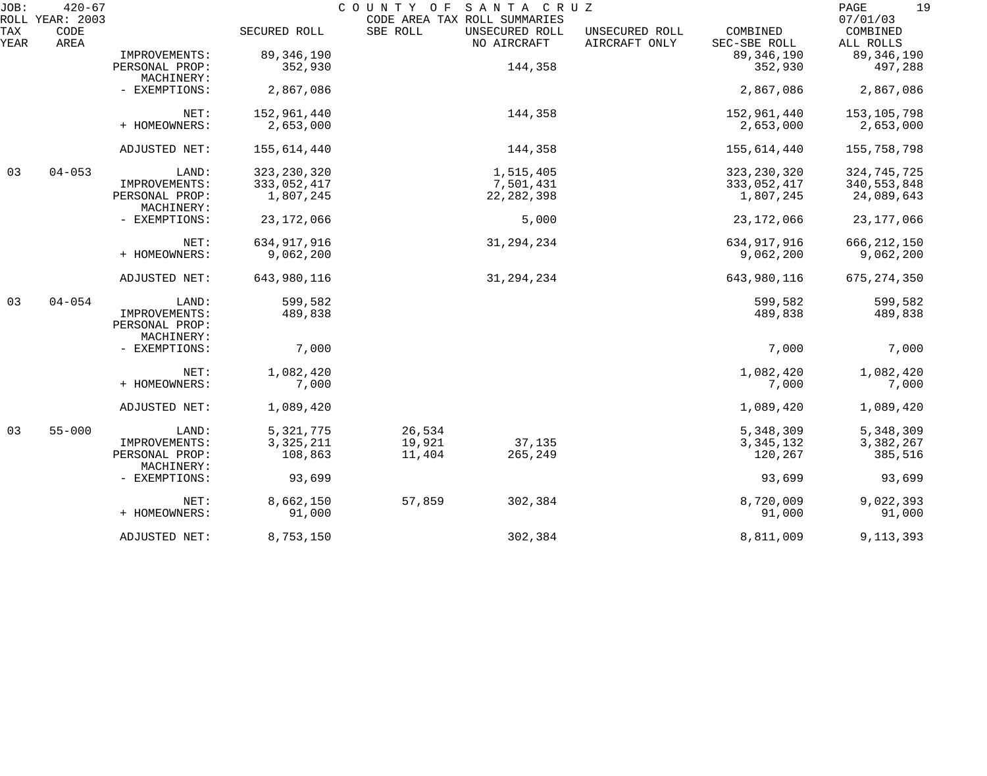| JOB:        | $420 - 67$<br>ROLL YEAR: 2003 |                                               |               | COUNTY OF<br>SANTA CRUZ<br>CODE AREA TAX ROLL SUMMARIES |                                 |                          | 19<br>PAGE<br>07/01/03 |
|-------------|-------------------------------|-----------------------------------------------|---------------|---------------------------------------------------------|---------------------------------|--------------------------|------------------------|
| TAX<br>YEAR | CODE<br>AREA                  |                                               | SECURED ROLL  | SBE ROLL<br>UNSECURED ROLL<br>NO AIRCRAFT               | UNSECURED ROLL<br>AIRCRAFT ONLY | COMBINED<br>SEC-SBE ROLL | COMBINED<br>ALL ROLLS  |
|             |                               | IMPROVEMENTS:                                 | 89, 346, 190  |                                                         |                                 | 89, 346, 190             | 89, 346, 190           |
|             |                               | PERSONAL PROP:<br>MACHINERY:                  | 352,930       |                                                         | 144,358                         | 352,930                  | 497,288                |
|             |                               | - EXEMPTIONS:                                 | 2,867,086     |                                                         |                                 | 2,867,086                | 2,867,086              |
|             |                               | NET:                                          | 152,961,440   |                                                         | 144,358                         | 152,961,440              | 153, 105, 798          |
|             |                               | + HOMEOWNERS:                                 | 2,653,000     |                                                         |                                 | 2,653,000                | 2,653,000              |
|             |                               | ADJUSTED NET:                                 | 155,614,440   |                                                         | 144,358                         | 155,614,440              | 155,758,798            |
| 03          | $04 - 053$                    | LAND:                                         | 323, 230, 320 | 1,515,405                                               |                                 | 323, 230, 320            | 324,745,725            |
|             |                               | IMPROVEMENTS:                                 | 333,052,417   | 7,501,431                                               |                                 | 333,052,417              | 340, 553, 848          |
|             |                               | PERSONAL PROP:<br>MACHINERY:                  | 1,807,245     | 22, 282, 398                                            |                                 | 1,807,245                | 24,089,643             |
|             |                               | - EXEMPTIONS:                                 | 23, 172, 066  |                                                         | 5,000                           | 23, 172, 066             | 23, 177, 066           |
|             |                               | NET:                                          | 634, 917, 916 | 31, 294, 234                                            |                                 | 634, 917, 916            | 666, 212, 150          |
|             |                               | + HOMEOWNERS:                                 | 9,062,200     |                                                         |                                 | 9,062,200                | 9,062,200              |
|             |                               | ADJUSTED NET:                                 | 643,980,116   | 31, 294, 234                                            |                                 | 643,980,116              | 675, 274, 350          |
| 03          | $04 - 054$                    | LAND:                                         | 599,582       |                                                         |                                 | 599,582                  | 599,582                |
|             |                               | IMPROVEMENTS:<br>PERSONAL PROP:<br>MACHINERY: | 489,838       |                                                         |                                 | 489,838                  | 489,838                |
|             |                               | - EXEMPTIONS:                                 | 7,000         |                                                         |                                 | 7,000                    | 7,000                  |
|             |                               | NET:                                          | 1,082,420     |                                                         |                                 | 1,082,420                | 1,082,420              |
|             |                               | + HOMEOWNERS:                                 | 7,000         |                                                         |                                 | 7,000                    | 7,000                  |
|             |                               | ADJUSTED NET:                                 | 1,089,420     |                                                         |                                 | 1,089,420                | 1,089,420              |
| 03          | $55 - 000$                    | LAND:                                         | 5, 321, 775   | 26,534                                                  |                                 | 5,348,309                | 5,348,309              |
|             |                               | IMPROVEMENTS:                                 | 3, 325, 211   | 19,921                                                  | 37,135                          | 3, 345, 132              | 3,382,267              |
|             |                               | PERSONAL PROP:<br>MACHINERY:                  | 108,863       | 11,404                                                  | 265,249                         | 120,267                  | 385,516                |
|             |                               | - EXEMPTIONS:                                 | 93,699        |                                                         |                                 | 93,699                   | 93,699                 |
|             |                               | NET:                                          | 8,662,150     | 57,859                                                  | 302,384                         | 8,720,009                | 9,022,393              |
|             |                               | + HOMEOWNERS:                                 | 91,000        |                                                         |                                 | 91,000                   | 91,000                 |
|             |                               | ADJUSTED NET:                                 | 8,753,150     |                                                         | 302,384                         | 8,811,009                | 9, 113, 393            |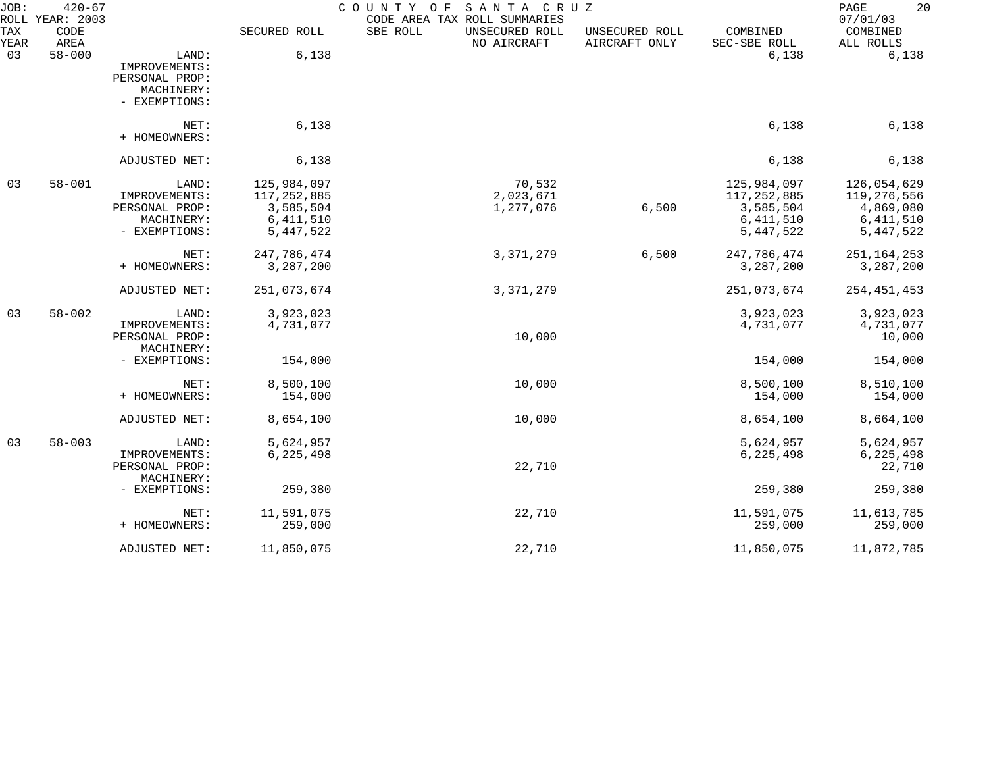| JOB:        | $420 - 67$<br>ROLL YEAR: 2003 |                                                                         |                                                                       | SANTA CRUZ<br>COUNTY OF<br>CODE AREA TAX ROLL SUMMARIES |                                 |                                                                         | 20<br>PAGE<br>07/01/03                                                |
|-------------|-------------------------------|-------------------------------------------------------------------------|-----------------------------------------------------------------------|---------------------------------------------------------|---------------------------------|-------------------------------------------------------------------------|-----------------------------------------------------------------------|
| TAX<br>YEAR | CODE<br>AREA                  |                                                                         | SECURED ROLL                                                          | SBE ROLL<br>UNSECURED ROLL<br>NO AIRCRAFT               | UNSECURED ROLL<br>AIRCRAFT ONLY | COMBINED<br>SEC-SBE ROLL                                                | COMBINED<br>ALL ROLLS                                                 |
| 03          | $58 - 000$                    | LAND:<br>IMPROVEMENTS:<br>PERSONAL PROP:<br>MACHINERY:<br>- EXEMPTIONS: | 6,138                                                                 |                                                         |                                 | 6,138                                                                   | 6,138                                                                 |
|             |                               | NET:<br>+ HOMEOWNERS:                                                   | 6,138                                                                 |                                                         |                                 | 6,138                                                                   | 6,138                                                                 |
|             |                               | ADJUSTED NET:                                                           | 6,138                                                                 |                                                         |                                 | 6,138                                                                   | 6,138                                                                 |
| 03          | $58 - 001$                    | LAND:<br>IMPROVEMENTS:<br>PERSONAL PROP:<br>MACHINERY:<br>- EXEMPTIONS: | 125,984,097<br>117, 252, 885<br>3,585,504<br>6, 411, 510<br>5,447,522 | 70,532<br>2,023,671<br>1,277,076                        | 6,500                           | 125,984,097<br>117, 252, 885<br>3,585,504<br>6, 411, 510<br>5, 447, 522 | 126,054,629<br>119,276,556<br>4,869,080<br>6, 411, 510<br>5, 447, 522 |
|             |                               | NET:<br>+ HOMEOWNERS:                                                   | 247,786,474<br>3,287,200                                              | 3, 371, 279                                             | 6,500                           | 247,786,474<br>3,287,200                                                | 251, 164, 253<br>3,287,200                                            |
|             |                               | ADJUSTED NET:                                                           | 251,073,674                                                           | 3, 371, 279                                             |                                 | 251,073,674                                                             | 254, 451, 453                                                         |
| 03          | $58 - 002$                    | LAND:<br>IMPROVEMENTS:<br>PERSONAL PROP:<br>MACHINERY:                  | 3,923,023<br>4,731,077                                                | 10,000                                                  |                                 | 3,923,023<br>4,731,077                                                  | 3,923,023<br>4,731,077<br>10,000                                      |
|             |                               | - EXEMPTIONS:                                                           | 154,000                                                               |                                                         |                                 | 154,000                                                                 | 154,000                                                               |
|             |                               | NET:<br>+ HOMEOWNERS:                                                   | 8,500,100<br>154,000                                                  | 10,000                                                  |                                 | 8,500,100<br>154,000                                                    | 8,510,100<br>154,000                                                  |
|             |                               | ADJUSTED NET:                                                           | 8,654,100                                                             | 10,000                                                  |                                 | 8,654,100                                                               | 8,664,100                                                             |
| 03          | $58 - 003$                    | LAND:<br>IMPROVEMENTS:<br>PERSONAL PROP:                                | 5,624,957<br>6,225,498                                                | 22,710                                                  |                                 | 5,624,957<br>6, 225, 498                                                | 5,624,957<br>6, 225, 498<br>22,710                                    |
|             |                               | MACHINERY:<br>- EXEMPTIONS:                                             | 259,380                                                               |                                                         |                                 | 259,380                                                                 | 259,380                                                               |
|             |                               | NET:<br>+ HOMEOWNERS:                                                   | 11,591,075<br>259,000                                                 | 22,710                                                  |                                 | 11,591,075<br>259,000                                                   | 11,613,785<br>259,000                                                 |
|             |                               | ADJUSTED NET:                                                           | 11,850,075                                                            | 22,710                                                  |                                 | 11,850,075                                                              | 11,872,785                                                            |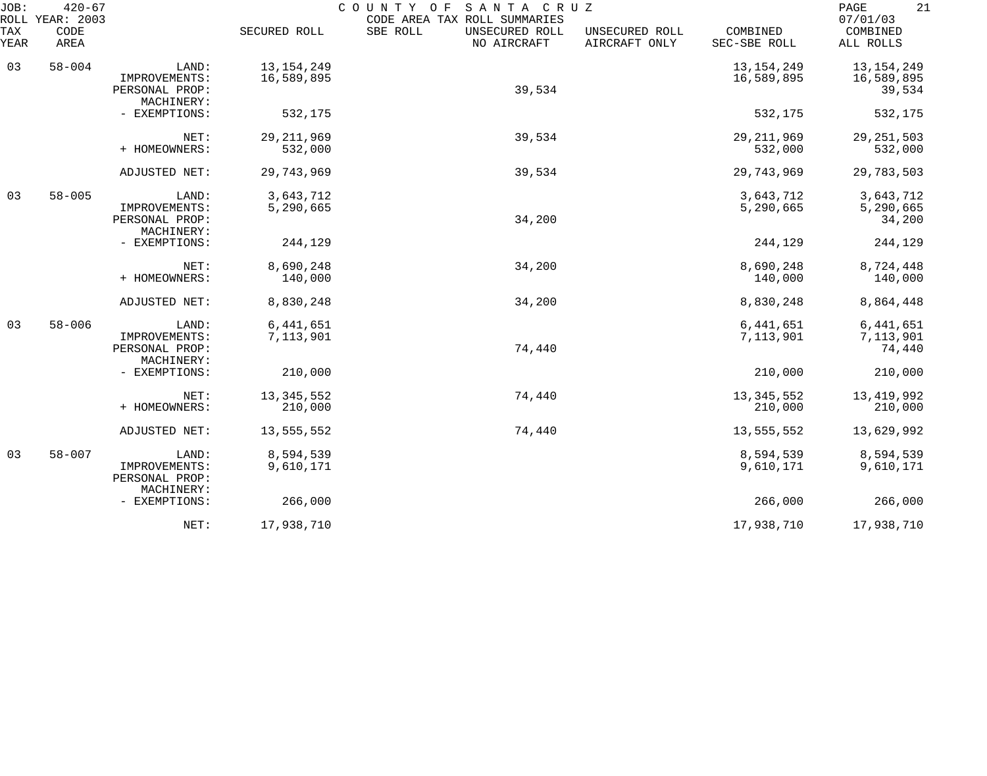| JOB:        | $420 - 67$<br>ROLL YEAR: 2003 |                                                        |                            | COUNTY OF<br>SANTA CRUZ<br>CODE AREA TAX ROLL SUMMARIES |                                 |                            | 21<br>PAGE<br>07/01/03               |
|-------------|-------------------------------|--------------------------------------------------------|----------------------------|---------------------------------------------------------|---------------------------------|----------------------------|--------------------------------------|
| TAX<br>YEAR | CODE<br>AREA                  |                                                        | SECURED ROLL               | SBE ROLL<br>UNSECURED ROLL<br>NO AIRCRAFT               | UNSECURED ROLL<br>AIRCRAFT ONLY | COMBINED<br>SEC-SBE ROLL   | COMBINED<br>ALL ROLLS                |
| 03          | $58 - 004$                    | LAND:<br>IMPROVEMENTS:<br>PERSONAL PROP:<br>MACHINERY: | 13, 154, 249<br>16,589,895 | 39,534                                                  |                                 | 13, 154, 249<br>16,589,895 | 13, 154, 249<br>16,589,895<br>39,534 |
|             |                               | - EXEMPTIONS:                                          | 532,175                    |                                                         |                                 | 532,175                    | 532,175                              |
|             |                               | NET:<br>+ HOMEOWNERS:                                  | 29, 211, 969<br>532,000    | 39,534                                                  |                                 | 29, 211, 969<br>532,000    | 29, 251, 503<br>532,000              |
|             |                               | ADJUSTED NET:                                          | 29,743,969                 | 39,534                                                  |                                 | 29,743,969                 | 29,783,503                           |
| 03          | $58 - 005$                    | LAND:<br>IMPROVEMENTS:<br>PERSONAL PROP:<br>MACHINERY: | 3,643,712<br>5,290,665     | 34,200                                                  |                                 | 3,643,712<br>5,290,665     | 3,643,712<br>5,290,665<br>34,200     |
|             |                               | - EXEMPTIONS:                                          | 244,129                    |                                                         |                                 | 244,129                    | 244,129                              |
|             |                               | NET:<br>+ HOMEOWNERS:                                  | 8,690,248<br>140,000       | 34,200                                                  |                                 | 8,690,248<br>140,000       | 8,724,448<br>140,000                 |
|             |                               | ADJUSTED NET:                                          | 8,830,248                  | 34,200                                                  |                                 | 8,830,248                  | 8,864,448                            |
| 03          | $58 - 006$                    | LAND:<br>IMPROVEMENTS:<br>PERSONAL PROP:<br>MACHINERY: | 6,441,651<br>7,113,901     | 74,440                                                  |                                 | 6,441,651<br>7,113,901     | 6,441,651<br>7,113,901<br>74,440     |
|             |                               | - EXEMPTIONS:                                          | 210,000                    |                                                         |                                 | 210,000                    | 210,000                              |
|             |                               | NET:<br>+ HOMEOWNERS:                                  | 13, 345, 552<br>210,000    | 74,440                                                  |                                 | 13, 345, 552<br>210,000    | 13,419,992<br>210,000                |
|             |                               | ADJUSTED NET:                                          | 13,555,552                 | 74,440                                                  |                                 | 13,555,552                 | 13,629,992                           |
| 03          | $58 - 007$                    | LAND:<br>IMPROVEMENTS:<br>PERSONAL PROP:<br>MACHINERY: | 8,594,539<br>9,610,171     |                                                         |                                 | 8,594,539<br>9,610,171     | 8,594,539<br>9,610,171               |
|             |                               | - EXEMPTIONS:                                          | 266,000                    |                                                         |                                 | 266,000                    | 266,000                              |
|             |                               | NET:                                                   | 17,938,710                 |                                                         |                                 | 17,938,710                 | 17,938,710                           |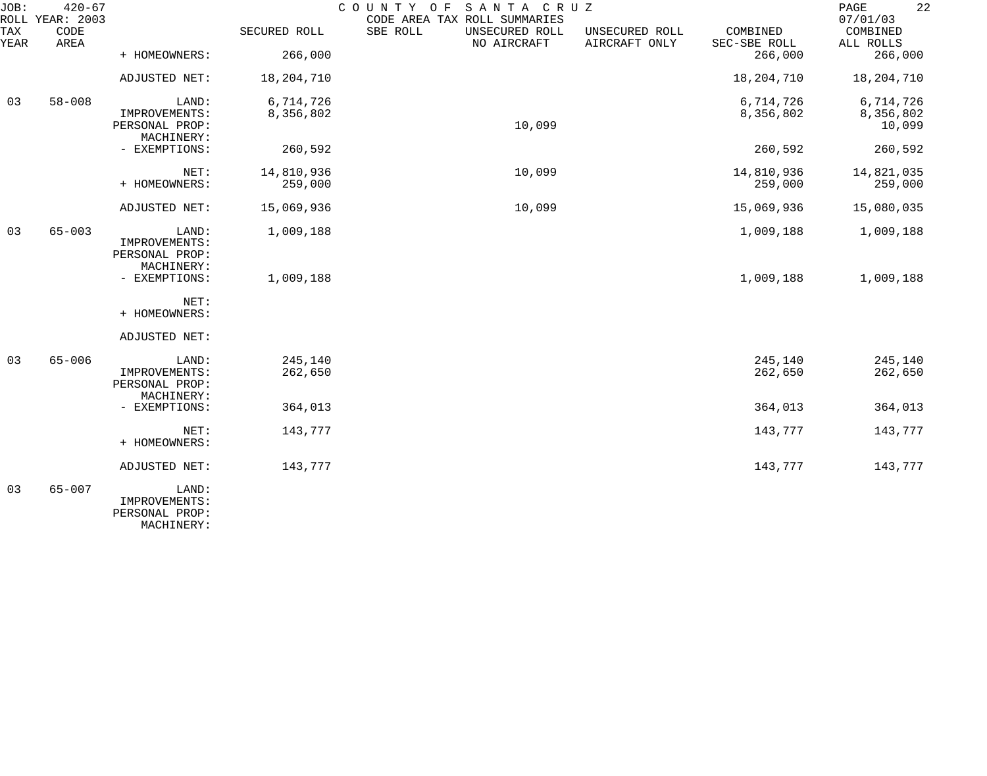| JOB:        | $420 - 67$<br>ROLL YEAR: 2003 |                                                        |                    | SANTA CRUZ<br>COUNTY OF<br>CODE AREA TAX ROLL SUMMARIES |                                 |                          | 22<br>PAGE<br>07/01/03 |
|-------------|-------------------------------|--------------------------------------------------------|--------------------|---------------------------------------------------------|---------------------------------|--------------------------|------------------------|
| TAX<br>YEAR | CODE<br>AREA                  |                                                        | SECURED ROLL       | SBE ROLL<br>UNSECURED ROLL<br>NO AIRCRAFT               | UNSECURED ROLL<br>AIRCRAFT ONLY | COMBINED<br>SEC-SBE ROLL | COMBINED<br>ALL ROLLS  |
|             |                               | + HOMEOWNERS:                                          | 266,000            |                                                         |                                 | 266,000                  | 266,000                |
|             |                               | ADJUSTED NET:                                          | 18, 204, 710       |                                                         |                                 | 18,204,710               | 18,204,710             |
| 03          | $58 - 008$                    | LAND:                                                  | 6,714,726          |                                                         |                                 | 6,714,726                | 6,714,726              |
|             |                               | IMPROVEMENTS:<br>PERSONAL PROP:<br>MACHINERY:          | 8,356,802          | 10,099                                                  |                                 | 8,356,802                | 8,356,802<br>10,099    |
|             |                               | - EXEMPTIONS:                                          | 260,592            |                                                         |                                 | 260,592                  | 260,592                |
|             |                               | NET:                                                   | 14,810,936         | 10,099                                                  |                                 | 14,810,936               | 14,821,035             |
|             |                               | + HOMEOWNERS:                                          | 259,000            |                                                         |                                 | 259,000                  | 259,000                |
|             |                               | ADJUSTED NET:                                          | 15,069,936         | 10,099                                                  |                                 | 15,069,936               | 15,080,035             |
| 03          | $65 - 003$                    | LAND:<br>IMPROVEMENTS:                                 | 1,009,188          |                                                         |                                 | 1,009,188                | 1,009,188              |
|             |                               | PERSONAL PROP:<br>MACHINERY:                           |                    |                                                         |                                 |                          |                        |
|             |                               | - EXEMPTIONS:                                          | 1,009,188          |                                                         |                                 | 1,009,188                | 1,009,188              |
|             |                               | NET:<br>+ HOMEOWNERS:                                  |                    |                                                         |                                 |                          |                        |
|             |                               | ADJUSTED NET:                                          |                    |                                                         |                                 |                          |                        |
| 03          | $65 - 006$                    | LAND:<br>IMPROVEMENTS:<br>PERSONAL PROP:<br>MACHINERY: | 245,140<br>262,650 |                                                         |                                 | 245,140<br>262,650       | 245,140<br>262,650     |
|             |                               | - EXEMPTIONS:                                          | 364,013            |                                                         |                                 | 364,013                  | 364,013                |
|             |                               | NET:<br>+ HOMEOWNERS:                                  | 143,777            |                                                         |                                 | 143,777                  | 143,777                |
|             |                               | ADJUSTED NET:                                          | 143,777            |                                                         |                                 | 143,777                  | 143,777                |
| 03          | $65 - 007$                    | LAND:<br>IMPROVEMENTS:<br>PERSONAL PROP:               |                    |                                                         |                                 |                          |                        |

MACHINERY: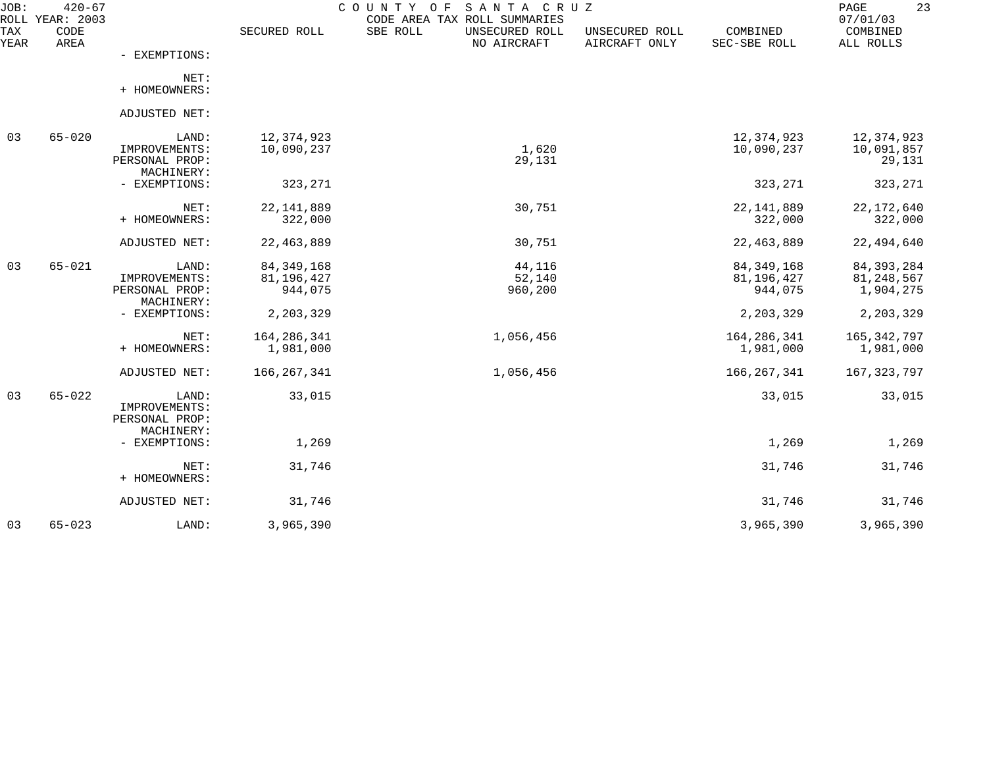| JOB:        | $420 - 67$<br>ROLL YEAR: 2003 |                              |                         | COUNTY OF<br>SANTA CRUZ<br>CODE AREA TAX ROLL SUMMARIES |                                 |                          | 23<br>PAGE<br>07/01/03  |
|-------------|-------------------------------|------------------------------|-------------------------|---------------------------------------------------------|---------------------------------|--------------------------|-------------------------|
| TAX<br>YEAR | CODE<br>AREA                  |                              | SECURED ROLL            | SBE ROLL<br>UNSECURED ROLL<br>NO AIRCRAFT               | UNSECURED ROLL<br>AIRCRAFT ONLY | COMBINED<br>SEC-SBE ROLL | COMBINED<br>ALL ROLLS   |
|             |                               | - EXEMPTIONS:                |                         |                                                         |                                 |                          |                         |
|             |                               | NET:<br>+ HOMEOWNERS:        |                         |                                                         |                                 |                          |                         |
|             |                               | ADJUSTED NET:                |                         |                                                         |                                 |                          |                         |
|             |                               |                              |                         |                                                         |                                 |                          |                         |
| 03          | $65 - 020$                    | LAND:                        | 12,374,923              |                                                         |                                 | 12,374,923               | 12,374,923              |
|             |                               | IMPROVEMENTS:                | 10,090,237              | 1,620                                                   |                                 | 10,090,237               | 10,091,857              |
|             |                               | PERSONAL PROP:<br>MACHINERY: |                         | 29,131                                                  |                                 |                          | 29,131                  |
|             |                               | - EXEMPTIONS:                | 323,271                 |                                                         |                                 | 323,271                  | 323,271                 |
|             |                               | NET:                         |                         | 30,751                                                  |                                 |                          |                         |
|             |                               | + HOMEOWNERS:                | 22, 141, 889<br>322,000 |                                                         |                                 | 22, 141, 889<br>322,000  | 22, 172, 640<br>322,000 |
|             |                               | ADJUSTED NET:                | 22, 463, 889            | 30,751                                                  |                                 | 22, 463, 889             | 22,494,640              |
|             |                               |                              |                         |                                                         |                                 |                          |                         |
| 03          | $65 - 021$                    | LAND:                        | 84, 349, 168            | 44,116                                                  |                                 | 84, 349, 168             | 84, 393, 284            |
|             |                               | IMPROVEMENTS:                | 81,196,427              | 52,140                                                  |                                 | 81,196,427               | 81,248,567              |
|             |                               | PERSONAL PROP:               | 944,075                 | 960,200                                                 |                                 | 944,075                  | 1,904,275               |
|             |                               | MACHINERY:<br>- EXEMPTIONS:  | 2,203,329               |                                                         |                                 | 2,203,329                | 2,203,329               |
|             |                               |                              |                         |                                                         |                                 |                          |                         |
|             |                               | NET:                         | 164, 286, 341           | 1,056,456                                               |                                 | 164, 286, 341            | 165,342,797             |
|             |                               | + HOMEOWNERS:                | 1,981,000               |                                                         |                                 | 1,981,000                | 1,981,000               |
|             |                               | ADJUSTED NET:                | 166, 267, 341           | 1,056,456                                               |                                 | 166, 267, 341            | 167, 323, 797           |
| 03          | $65 - 022$                    | LAND:                        | 33,015                  |                                                         |                                 | 33,015                   | 33,015                  |
|             |                               | IMPROVEMENTS:                |                         |                                                         |                                 |                          |                         |
|             |                               | PERSONAL PROP:               |                         |                                                         |                                 |                          |                         |
|             |                               | MACHINERY:                   |                         |                                                         |                                 |                          |                         |
|             |                               | - EXEMPTIONS:                | 1,269                   |                                                         |                                 | 1,269                    | 1,269                   |
|             |                               | NET:                         | 31,746                  |                                                         |                                 | 31,746                   | 31,746                  |
|             |                               | + HOMEOWNERS:                |                         |                                                         |                                 |                          |                         |
|             |                               | ADJUSTED NET:                | 31,746                  |                                                         |                                 | 31,746                   | 31,746                  |
| 03          | $65 - 023$                    | LAND:                        | 3,965,390               |                                                         |                                 | 3,965,390                | 3,965,390               |
|             |                               |                              |                         |                                                         |                                 |                          |                         |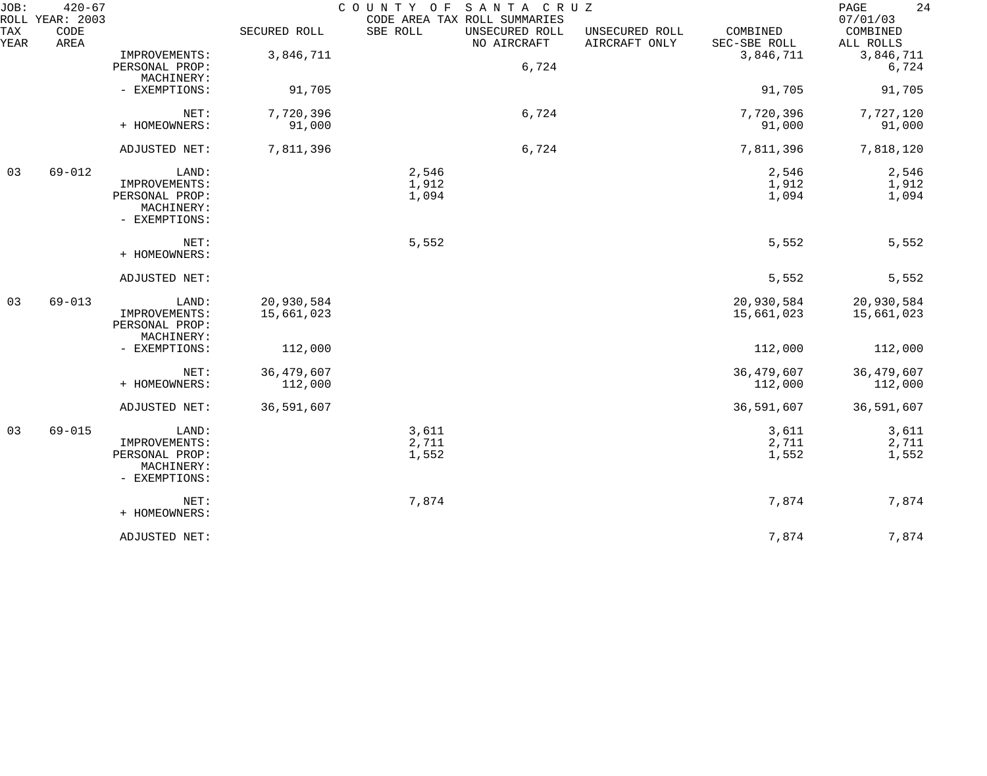| JOB:        | $420 - 67$<br>ROLL YEAR: 2003 |                                                                         |                          | COUNTY OF<br>CODE AREA TAX ROLL SUMMARIES | SANTA CRUZ                    |                                 |                          | PAGE<br>24<br>07/01/03   |
|-------------|-------------------------------|-------------------------------------------------------------------------|--------------------------|-------------------------------------------|-------------------------------|---------------------------------|--------------------------|--------------------------|
| TAX<br>YEAR | CODE<br>AREA                  |                                                                         | SECURED ROLL             | SBE ROLL                                  | UNSECURED ROLL<br>NO AIRCRAFT | UNSECURED ROLL<br>AIRCRAFT ONLY | COMBINED<br>SEC-SBE ROLL | COMBINED<br>ALL ROLLS    |
|             |                               | IMPROVEMENTS:<br>PERSONAL PROP:<br>MACHINERY:                           | 3,846,711                |                                           | 6,724                         |                                 | 3,846,711                | 3,846,711<br>6,724       |
|             |                               | - EXEMPTIONS:                                                           | 91,705                   |                                           |                               |                                 | 91,705                   | 91,705                   |
|             |                               | NET:<br>+ HOMEOWNERS:                                                   | 7,720,396<br>91,000      |                                           | 6,724                         |                                 | 7,720,396<br>91,000      | 7,727,120<br>91,000      |
|             |                               | ADJUSTED NET:                                                           | 7,811,396                |                                           | 6,724                         |                                 | 7,811,396                | 7,818,120                |
| 03          | $69 - 012$                    | LAND:<br>IMPROVEMENTS:<br>PERSONAL PROP:<br>MACHINERY:<br>- EXEMPTIONS: |                          | 2,546<br>1,912<br>1,094                   |                               |                                 | 2,546<br>1,912<br>1,094  | 2,546<br>1,912<br>1,094  |
|             |                               | NET:<br>+ HOMEOWNERS:                                                   |                          | 5,552                                     |                               |                                 | 5,552                    | 5,552                    |
|             |                               | ADJUSTED NET:                                                           |                          |                                           |                               |                                 | 5,552                    | 5,552                    |
| 03          | $69 - 013$                    | LAND:<br>IMPROVEMENTS:<br>PERSONAL PROP:<br>MACHINERY:                  | 20,930,584<br>15,661,023 |                                           |                               |                                 | 20,930,584<br>15,661,023 | 20,930,584<br>15,661,023 |
|             |                               | - EXEMPTIONS:                                                           | 112,000                  |                                           |                               |                                 | 112,000                  | 112,000                  |
|             |                               | NET:<br>+ HOMEOWNERS:                                                   | 36, 479, 607<br>112,000  |                                           |                               |                                 | 36, 479, 607<br>112,000  | 36, 479, 607<br>112,000  |
|             |                               | ADJUSTED NET:                                                           | 36,591,607               |                                           |                               |                                 | 36,591,607               | 36,591,607               |
| 03          | $69 - 015$                    | LAND:<br>IMPROVEMENTS:<br>PERSONAL PROP:<br>MACHINERY:<br>- EXEMPTIONS: |                          | 3,611<br>2,711<br>1,552                   |                               |                                 | 3,611<br>2,711<br>1,552  | 3,611<br>2,711<br>1,552  |
|             |                               | NET:<br>+ HOMEOWNERS:                                                   |                          | 7,874                                     |                               |                                 | 7,874                    | 7,874                    |
|             |                               | ADJUSTED NET:                                                           |                          |                                           |                               |                                 | 7,874                    | 7,874                    |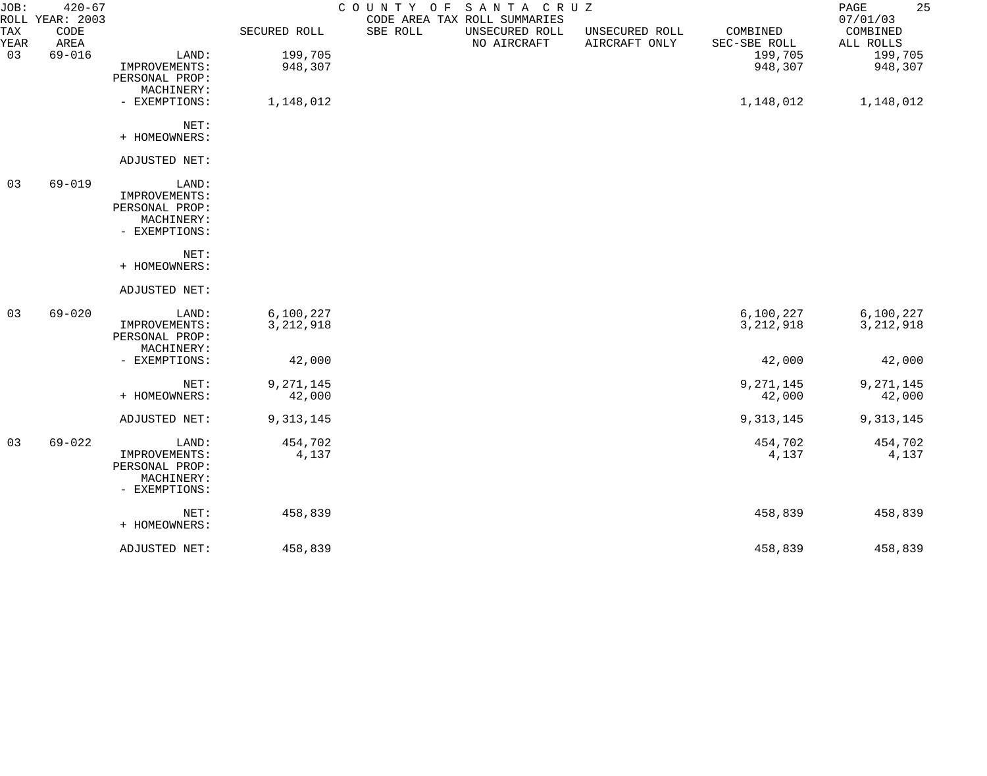| JOB:        | $420 - 67$<br>ROLL YEAR: 2003 |                |              | COUNTY OF | SANTA CRUZ<br>CODE AREA TAX ROLL SUMMARIES |                                 |                          | 25<br>PAGE<br>07/01/03 |
|-------------|-------------------------------|----------------|--------------|-----------|--------------------------------------------|---------------------------------|--------------------------|------------------------|
| TAX<br>YEAR | CODE<br>AREA                  |                | SECURED ROLL | SBE ROLL  | UNSECURED ROLL<br>NO AIRCRAFT              | UNSECURED ROLL<br>AIRCRAFT ONLY | COMBINED<br>SEC-SBE ROLL | COMBINED<br>ALL ROLLS  |
| 03          | $69 - 016$                    | LAND:          | 199,705      |           |                                            |                                 | 199,705                  | 199,705                |
|             |                               | IMPROVEMENTS:  | 948,307      |           |                                            |                                 | 948,307                  | 948,307                |
|             |                               | PERSONAL PROP: |              |           |                                            |                                 |                          |                        |
|             |                               | MACHINERY:     |              |           |                                            |                                 |                          |                        |
|             |                               | - EXEMPTIONS:  | 1,148,012    |           |                                            |                                 | 1,148,012                | 1,148,012              |
|             |                               | NET:           |              |           |                                            |                                 |                          |                        |
|             |                               | + HOMEOWNERS:  |              |           |                                            |                                 |                          |                        |
|             |                               | ADJUSTED NET:  |              |           |                                            |                                 |                          |                        |
| 03          | $69 - 019$                    | LAND:          |              |           |                                            |                                 |                          |                        |
|             |                               | IMPROVEMENTS:  |              |           |                                            |                                 |                          |                        |
|             |                               | PERSONAL PROP: |              |           |                                            |                                 |                          |                        |
|             |                               | MACHINERY:     |              |           |                                            |                                 |                          |                        |
|             |                               | - EXEMPTIONS:  |              |           |                                            |                                 |                          |                        |
|             |                               | NET:           |              |           |                                            |                                 |                          |                        |
|             |                               | + HOMEOWNERS:  |              |           |                                            |                                 |                          |                        |
|             |                               | ADJUSTED NET:  |              |           |                                            |                                 |                          |                        |
| 03          | $69 - 020$                    | LAND:          | 6,100,227    |           |                                            |                                 | 6,100,227                | 6,100,227              |
|             |                               | IMPROVEMENTS:  | 3, 212, 918  |           |                                            |                                 | 3, 212, 918              | 3, 212, 918            |
|             |                               | PERSONAL PROP: |              |           |                                            |                                 |                          |                        |
|             |                               | MACHINERY:     |              |           |                                            |                                 |                          |                        |
|             |                               | - EXEMPTIONS:  | 42,000       |           |                                            |                                 | 42,000                   | 42,000                 |
|             |                               | NET:           | 9, 271, 145  |           |                                            |                                 | 9, 271, 145              | 9,271,145              |
|             |                               | + HOMEOWNERS:  | 42,000       |           |                                            |                                 | 42,000                   | 42,000                 |
|             |                               | ADJUSTED NET:  | 9, 313, 145  |           |                                            |                                 | 9, 313, 145              | 9, 313, 145            |
| 03          | $69 - 022$                    | LAND:          | 454,702      |           |                                            |                                 | 454,702                  | 454,702                |
|             |                               | IMPROVEMENTS:  | 4,137        |           |                                            |                                 | 4,137                    | 4,137                  |
|             |                               | PERSONAL PROP: |              |           |                                            |                                 |                          |                        |
|             |                               | MACHINERY:     |              |           |                                            |                                 |                          |                        |
|             |                               | - EXEMPTIONS:  |              |           |                                            |                                 |                          |                        |
|             |                               | NET:           | 458,839      |           |                                            |                                 | 458,839                  | 458,839                |
|             |                               | + HOMEOWNERS:  |              |           |                                            |                                 |                          |                        |
|             |                               | ADJUSTED NET:  | 458,839      |           |                                            |                                 | 458,839                  | 458,839                |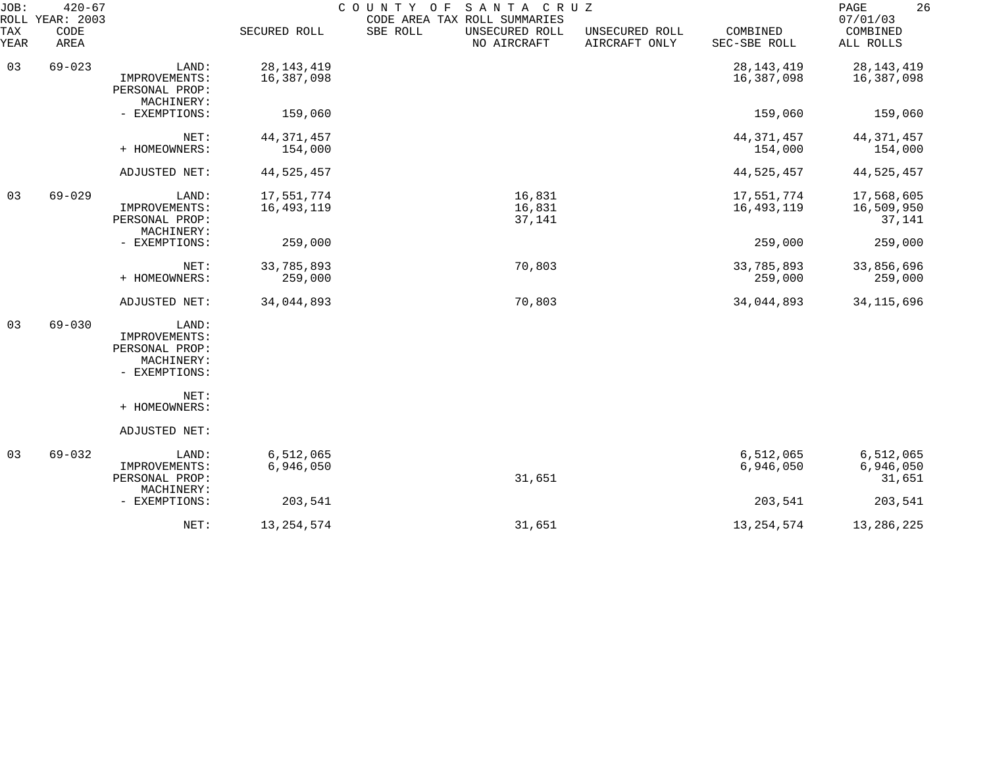| JOB:        | $420 - 67$<br>ROLL YEAR: 2003 |                                                                         |                            | COUNTY OF SANTA CRUZ<br>CODE AREA TAX ROLL SUMMARIES |                                 |                            | 26<br>PAGE<br>07/01/03             |
|-------------|-------------------------------|-------------------------------------------------------------------------|----------------------------|------------------------------------------------------|---------------------------------|----------------------------|------------------------------------|
| TAX<br>YEAR | CODE<br>AREA                  |                                                                         | SECURED ROLL               | SBE ROLL<br>UNSECURED ROLL<br>NO AIRCRAFT            | UNSECURED ROLL<br>AIRCRAFT ONLY | COMBINED<br>SEC-SBE ROLL   | COMBINED<br>ALL ROLLS              |
| 03          | $69 - 023$                    | LAND:<br>IMPROVEMENTS:<br>PERSONAL PROP:<br>MACHINERY:                  | 28, 143, 419<br>16,387,098 |                                                      |                                 | 28, 143, 419<br>16,387,098 | 28, 143, 419<br>16,387,098         |
|             |                               | - EXEMPTIONS:                                                           | 159,060                    |                                                      |                                 | 159,060                    | 159,060                            |
|             |                               | NET:<br>+ HOMEOWNERS:                                                   | 44, 371, 457<br>154,000    |                                                      |                                 | 44, 371, 457<br>154,000    | 44, 371, 457<br>154,000            |
|             |                               | ADJUSTED NET:                                                           | 44,525,457                 |                                                      |                                 | 44, 525, 457               | 44,525,457                         |
| 03          | $69 - 029$                    | LAND:<br>IMPROVEMENTS:<br>PERSONAL PROP:<br>MACHINERY:                  | 17,551,774<br>16,493,119   | 16,831<br>16,831<br>37,141                           |                                 | 17,551,774<br>16,493,119   | 17,568,605<br>16,509,950<br>37,141 |
|             |                               | - EXEMPTIONS:                                                           | 259,000                    |                                                      |                                 | 259,000                    | 259,000                            |
|             |                               | NET:<br>+ HOMEOWNERS:                                                   | 33,785,893<br>259,000      | 70,803                                               |                                 | 33,785,893<br>259,000      | 33,856,696<br>259,000              |
|             |                               | ADJUSTED NET:                                                           | 34,044,893                 | 70,803                                               |                                 | 34,044,893                 | 34, 115, 696                       |
| 03          | $69 - 030$                    | LAND:<br>IMPROVEMENTS:<br>PERSONAL PROP:<br>MACHINERY:<br>- EXEMPTIONS: |                            |                                                      |                                 |                            |                                    |
|             |                               | NET:<br>+ HOMEOWNERS:                                                   |                            |                                                      |                                 |                            |                                    |
|             |                               | ADJUSTED NET:                                                           |                            |                                                      |                                 |                            |                                    |
| 03          | $69 - 032$                    | LAND:<br>IMPROVEMENTS:<br>PERSONAL PROP:<br>MACHINERY:                  | 6,512,065<br>6,946,050     | 31,651                                               |                                 | 6,512,065<br>6,946,050     | 6,512,065<br>6,946,050<br>31,651   |
|             |                               | - EXEMPTIONS:                                                           | 203,541                    |                                                      |                                 | 203,541                    | 203,541                            |
|             |                               | NET:                                                                    | 13, 254, 574               | 31,651                                               |                                 | 13, 254, 574               | 13,286,225                         |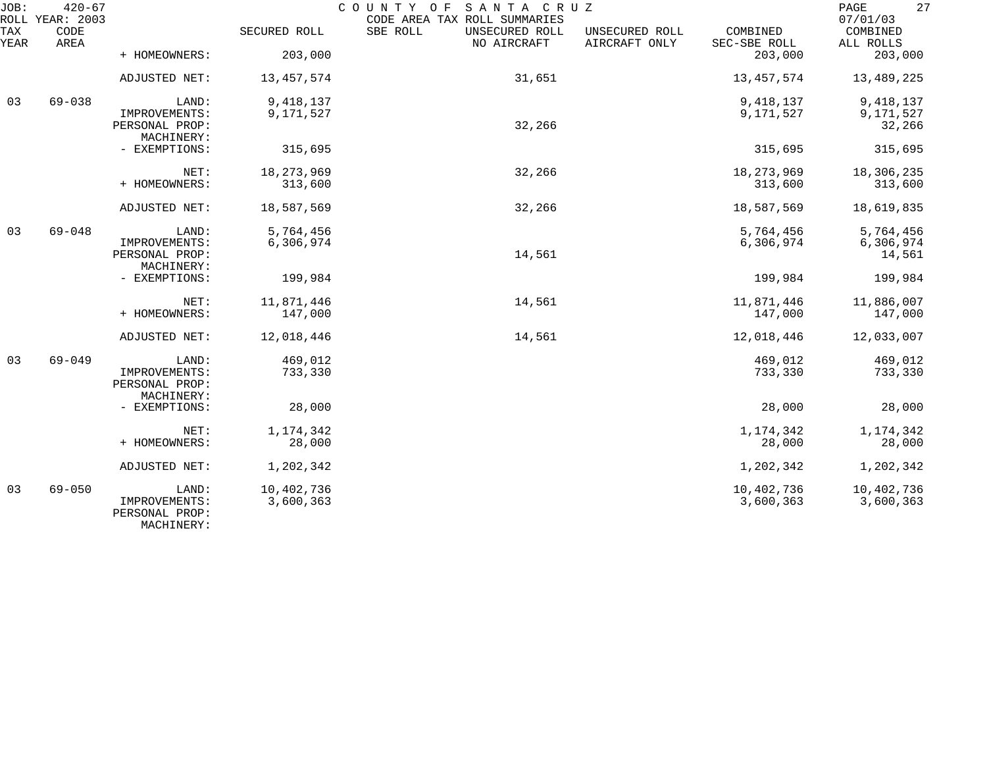| JOB:        | $420 - 67$<br>ROLL YEAR: 2003 |                                                        |                         | COUNTY<br>SANTA CRUZ<br>O F<br>CODE AREA TAX ROLL SUMMARIES |                                 |                          | 27<br>$\mathop{\mathrm{PAGE}}$<br>07/01/03 |
|-------------|-------------------------------|--------------------------------------------------------|-------------------------|-------------------------------------------------------------|---------------------------------|--------------------------|--------------------------------------------|
| TAX<br>YEAR | CODE<br>AREA                  |                                                        | SECURED ROLL            | SBE ROLL<br>UNSECURED ROLL<br>NO AIRCRAFT                   | UNSECURED ROLL<br>AIRCRAFT ONLY | COMBINED<br>SEC-SBE ROLL | COMBINED<br>ALL ROLLS                      |
|             |                               | + HOMEOWNERS:                                          | 203,000                 |                                                             |                                 | 203,000                  | 203,000                                    |
|             |                               | ADJUSTED NET:                                          | 13,457,574              | 31,651                                                      |                                 | 13, 457, 574             | 13,489,225                                 |
| 03          | $69 - 038$                    | LAND:                                                  | 9,418,137               |                                                             |                                 | 9,418,137                | 9, 418, 137                                |
|             |                               | IMPROVEMENTS:<br>PERSONAL PROP:<br>MACHINERY:          | 9,171,527               | 32,266                                                      |                                 | 9,171,527                | 9,171,527<br>32,266                        |
|             |                               | - EXEMPTIONS:                                          | 315,695                 |                                                             |                                 | 315,695                  | 315,695                                    |
|             |                               | NET:                                                   | 18, 273, 969            | 32,266                                                      |                                 | 18, 273, 969             | 18,306,235                                 |
|             |                               | + HOMEOWNERS:                                          | 313,600                 |                                                             |                                 | 313,600                  | 313,600                                    |
|             |                               | ADJUSTED NET:                                          | 18,587,569              | 32,266                                                      |                                 | 18,587,569               | 18,619,835                                 |
| 03          | $69 - 048$                    | LAND:                                                  | 5,764,456               |                                                             |                                 | 5,764,456                | 5,764,456                                  |
|             |                               | IMPROVEMENTS:<br>PERSONAL PROP:<br>MACHINERY:          | 6,306,974               | 14,561                                                      |                                 | 6,306,974                | 6,306,974<br>14,561                        |
|             |                               | - EXEMPTIONS:                                          | 199,984                 |                                                             |                                 | 199,984                  | 199,984                                    |
|             |                               | NET:<br>+ HOMEOWNERS:                                  | 11,871,446<br>147,000   | 14,561                                                      |                                 | 11,871,446<br>147,000    | 11,886,007<br>147,000                      |
|             |                               | ADJUSTED NET:                                          | 12,018,446              | 14,561                                                      |                                 | 12,018,446               | 12,033,007                                 |
| 03          | $69 - 049$                    | LAND:<br>IMPROVEMENTS:<br>PERSONAL PROP:<br>MACHINERY: | 469,012<br>733,330      |                                                             |                                 | 469,012<br>733,330       | 469,012<br>733,330                         |
|             |                               | - EXEMPTIONS:                                          | 28,000                  |                                                             |                                 | 28,000                   | 28,000                                     |
|             |                               | NET:<br>+ HOMEOWNERS:                                  | 1,174,342<br>28,000     |                                                             |                                 | 1,174,342<br>28,000      | 1, 174, 342<br>28,000                      |
|             |                               | ADJUSTED NET:                                          | 1,202,342               |                                                             |                                 | 1,202,342                | 1,202,342                                  |
| 03          | $69 - 050$                    | LAND:<br>IMPROVEMENTS:<br>PERSONAL PROP:<br>MACHINERY: | 10,402,736<br>3,600,363 |                                                             |                                 | 10,402,736<br>3,600,363  | 10,402,736<br>3,600,363                    |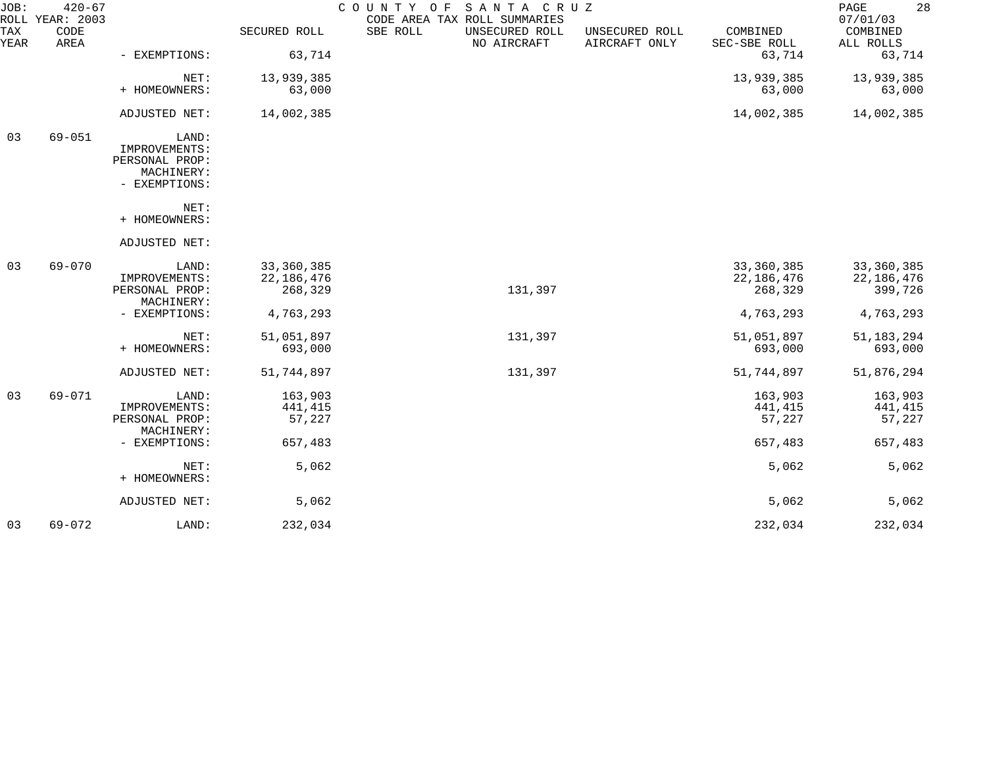| JOB:        | $420 - 67$<br>ROLL YEAR: 2003 |                                 |              | SANTA CRUZ<br>COUNTY OF<br>CODE AREA TAX ROLL SUMMARIES | 28<br>PAGE<br>07/01/03          |                          |                       |
|-------------|-------------------------------|---------------------------------|--------------|---------------------------------------------------------|---------------------------------|--------------------------|-----------------------|
| TAX<br>YEAR | CODE<br>AREA                  |                                 | SECURED ROLL | SBE ROLL<br>UNSECURED ROLL<br>NO AIRCRAFT               | UNSECURED ROLL<br>AIRCRAFT ONLY | COMBINED<br>SEC-SBE ROLL | COMBINED<br>ALL ROLLS |
|             |                               | - EXEMPTIONS:                   | 63,714       |                                                         |                                 | 63,714                   | 63,714                |
|             |                               | NET:                            | 13,939,385   |                                                         |                                 | 13,939,385               | 13,939,385            |
|             |                               | + HOMEOWNERS:                   | 63,000       |                                                         |                                 | 63,000                   | 63,000                |
|             |                               | ADJUSTED NET:                   | 14,002,385   |                                                         |                                 | 14,002,385               | 14,002,385            |
| 03          | $69 - 051$                    | LAND:                           |              |                                                         |                                 |                          |                       |
|             |                               | IMPROVEMENTS:<br>PERSONAL PROP: |              |                                                         |                                 |                          |                       |
|             |                               | MACHINERY:                      |              |                                                         |                                 |                          |                       |
|             |                               | - EXEMPTIONS:                   |              |                                                         |                                 |                          |                       |
|             |                               | NET:                            |              |                                                         |                                 |                          |                       |
|             |                               | + HOMEOWNERS:                   |              |                                                         |                                 |                          |                       |
|             |                               | ADJUSTED NET:                   |              |                                                         |                                 |                          |                       |
| 03          | $69 - 070$                    | LAND:                           | 33, 360, 385 |                                                         |                                 | 33,360,385               | 33,360,385            |
|             |                               | IMPROVEMENTS:                   | 22, 186, 476 |                                                         |                                 | 22, 186, 476             | 22,186,476            |
|             |                               | PERSONAL PROP:                  | 268,329      | 131,397                                                 |                                 | 268,329                  | 399,726               |
|             |                               | MACHINERY:<br>- EXEMPTIONS:     | 4,763,293    |                                                         |                                 | 4,763,293                | 4,763,293             |
|             |                               |                                 |              |                                                         |                                 |                          |                       |
|             |                               | NET:                            | 51,051,897   | 131,397                                                 |                                 | 51,051,897               | 51, 183, 294          |
|             |                               | + HOMEOWNERS:                   | 693,000      |                                                         |                                 | 693,000                  | 693,000               |
|             |                               | ADJUSTED NET:                   | 51,744,897   | 131,397                                                 |                                 | 51,744,897               | 51,876,294            |
| 03          | 69-071                        | LAND:                           | 163,903      |                                                         |                                 | 163,903                  | 163,903               |
|             |                               | IMPROVEMENTS:                   | 441,415      |                                                         |                                 | 441,415                  | 441,415               |
|             |                               | PERSONAL PROP:                  | 57,227       |                                                         |                                 | 57,227                   | 57,227                |
|             |                               | MACHINERY:                      |              |                                                         |                                 |                          |                       |
|             |                               | - EXEMPTIONS:                   | 657,483      |                                                         |                                 | 657,483                  | 657,483               |
|             |                               | NET:                            | 5,062        |                                                         |                                 | 5,062                    | $5,062$               |
|             |                               | + HOMEOWNERS:                   |              |                                                         |                                 |                          |                       |
|             |                               | ADJUSTED NET:                   | 5,062        |                                                         |                                 | 5,062                    | 5,062                 |
| 03          | $69 - 072$                    | LAND:                           | 232,034      |                                                         |                                 | 232,034                  | 232,034               |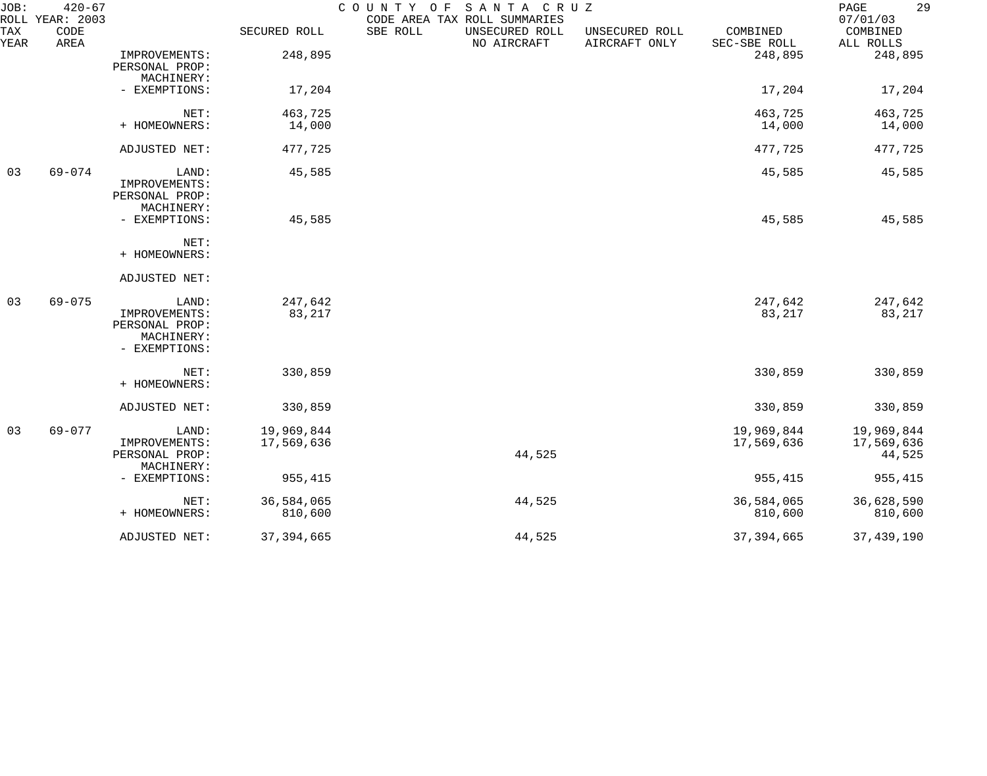| JOB:        | $420 - 67$<br>ROLL YEAR: 2003 |                                                                         |                          | COUNTY OF SANTA CRUZ<br>CODE AREA TAX ROLL SUMMARIES |                                 |                          | 29<br>PAGE<br>07/01/03             |
|-------------|-------------------------------|-------------------------------------------------------------------------|--------------------------|------------------------------------------------------|---------------------------------|--------------------------|------------------------------------|
| TAX<br>YEAR | CODE<br>AREA                  |                                                                         | SECURED ROLL             | SBE ROLL<br>UNSECURED ROLL<br>NO AIRCRAFT            | UNSECURED ROLL<br>AIRCRAFT ONLY | COMBINED<br>SEC-SBE ROLL | COMBINED<br>ALL ROLLS              |
|             |                               | IMPROVEMENTS:<br>PERSONAL PROP:<br>MACHINERY:                           | 248,895                  |                                                      |                                 | 248,895                  | 248,895                            |
|             |                               | - EXEMPTIONS:                                                           | 17,204                   |                                                      |                                 | 17,204                   | 17,204                             |
|             |                               | NET:                                                                    | 463,725                  |                                                      |                                 | 463,725                  | 463,725                            |
|             |                               | + HOMEOWNERS:                                                           | 14,000                   |                                                      |                                 | 14,000                   | 14,000                             |
|             |                               | ADJUSTED NET:                                                           | 477,725                  |                                                      |                                 | 477,725                  | 477,725                            |
| 03          | $69 - 074$                    | LAND:<br>IMPROVEMENTS:<br>PERSONAL PROP:<br>MACHINERY:                  | 45,585                   |                                                      |                                 | 45,585                   | 45,585                             |
|             |                               | - EXEMPTIONS:                                                           | 45,585                   |                                                      |                                 | 45,585                   | 45,585                             |
|             |                               | NET:<br>+ HOMEOWNERS:                                                   |                          |                                                      |                                 |                          |                                    |
|             |                               | ADJUSTED NET:                                                           |                          |                                                      |                                 |                          |                                    |
| 03          | $69 - 075$                    | LAND:<br>IMPROVEMENTS:<br>PERSONAL PROP:<br>MACHINERY:<br>- EXEMPTIONS: | 247,642<br>83,217        |                                                      |                                 | 247,642<br>83,217        | 247,642<br>83,217                  |
|             |                               | NET:<br>+ HOMEOWNERS:                                                   | 330,859                  |                                                      |                                 | 330,859                  | 330,859                            |
|             |                               | ADJUSTED NET:                                                           | 330,859                  |                                                      |                                 | 330,859                  | 330,859                            |
| 03          | 69-077                        | LAND:<br>IMPROVEMENTS:<br>PERSONAL PROP:<br>MACHINERY:                  | 19,969,844<br>17,569,636 | 44,525                                               |                                 | 19,969,844<br>17,569,636 | 19,969,844<br>17,569,636<br>44,525 |
|             |                               | - EXEMPTIONS:                                                           | 955,415                  |                                                      |                                 | 955,415                  | 955,415                            |
|             |                               | NET:<br>+ HOMEOWNERS:                                                   | 36,584,065<br>810,600    | 44,525                                               |                                 | 36,584,065<br>810,600    | 36,628,590<br>810,600              |
|             |                               | ADJUSTED NET:                                                           | 37, 394, 665             | 44,525                                               |                                 | 37, 394, 665             | 37, 439, 190                       |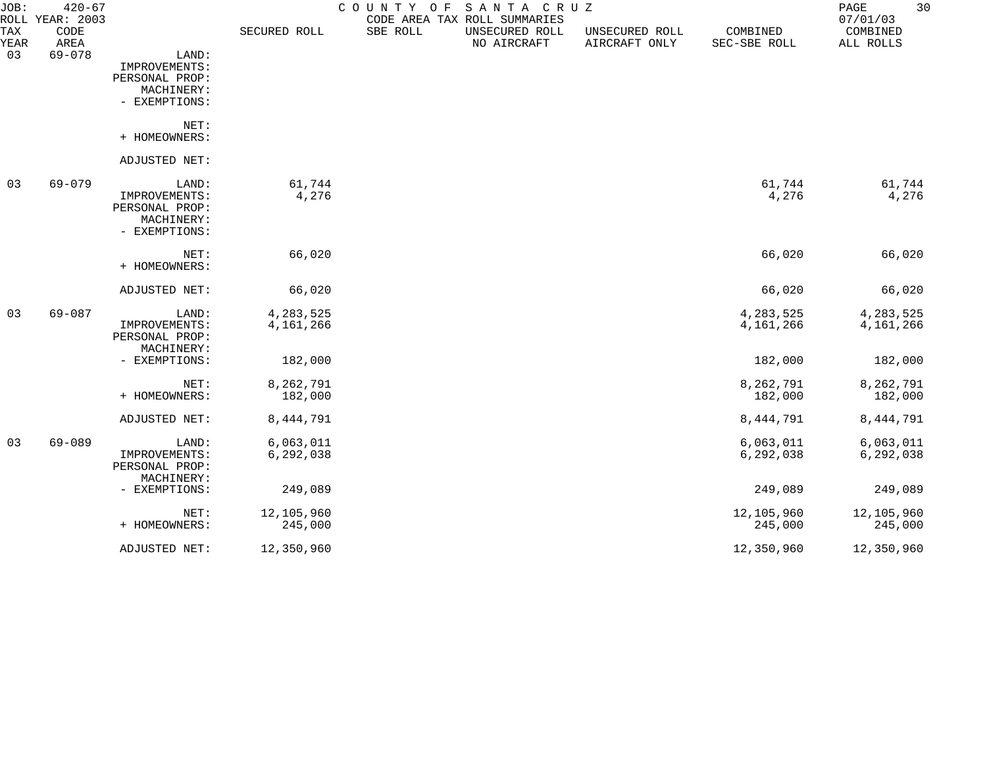| JOB:<br>ROLL | $420 - 67$<br>YEAR: 2003 |                |              | COUNTY OF | SANTA CRUZ<br>CODE AREA TAX ROLL SUMMARIES |                                 |                          | 30<br>PAGE<br>07/01/03 |
|--------------|--------------------------|----------------|--------------|-----------|--------------------------------------------|---------------------------------|--------------------------|------------------------|
| TAX<br>YEAR  | CODE<br>AREA             |                | SECURED ROLL | SBE ROLL  | UNSECURED ROLL<br>NO AIRCRAFT              | UNSECURED ROLL<br>AIRCRAFT ONLY | COMBINED<br>SEC-SBE ROLL | COMBINED<br>ALL ROLLS  |
| 03           | $69 - 078$               | LAND:          |              |           |                                            |                                 |                          |                        |
|              |                          | IMPROVEMENTS:  |              |           |                                            |                                 |                          |                        |
|              |                          | PERSONAL PROP: |              |           |                                            |                                 |                          |                        |
|              |                          | MACHINERY:     |              |           |                                            |                                 |                          |                        |
|              |                          | - EXEMPTIONS:  |              |           |                                            |                                 |                          |                        |
|              |                          | NET:           |              |           |                                            |                                 |                          |                        |
|              |                          | + HOMEOWNERS:  |              |           |                                            |                                 |                          |                        |
|              |                          | ADJUSTED NET:  |              |           |                                            |                                 |                          |                        |
| 03           | 69-079                   | LAND:          | 61,744       |           |                                            |                                 | 61,744                   | 61,744                 |
|              |                          | IMPROVEMENTS:  | 4,276        |           |                                            |                                 | 4,276                    | 4,276                  |
|              |                          | PERSONAL PROP: |              |           |                                            |                                 |                          |                        |
|              |                          | MACHINERY:     |              |           |                                            |                                 |                          |                        |
|              |                          | - EXEMPTIONS:  |              |           |                                            |                                 |                          |                        |
|              |                          | NET:           | 66,020       |           |                                            |                                 | 66,020                   | 66,020                 |
|              |                          | + HOMEOWNERS:  |              |           |                                            |                                 |                          |                        |
|              |                          | ADJUSTED NET:  | 66,020       |           |                                            |                                 | 66,020                   | 66,020                 |
| 03           | $69 - 087$               | LAND:          | 4,283,525    |           |                                            |                                 | 4,283,525                | 4,283,525              |
|              |                          | IMPROVEMENTS:  | 4,161,266    |           |                                            |                                 | 4,161,266                | 4,161,266              |
|              |                          | PERSONAL PROP: |              |           |                                            |                                 |                          |                        |
|              |                          | MACHINERY:     |              |           |                                            |                                 |                          |                        |
|              |                          | - EXEMPTIONS:  | 182,000      |           |                                            |                                 | 182,000                  | 182,000                |
|              |                          | NET:           | 8,262,791    |           |                                            |                                 | 8,262,791                | 8,262,791              |
|              |                          | + HOMEOWNERS:  | 182,000      |           |                                            |                                 | 182,000                  | 182,000                |
|              |                          | ADJUSTED NET:  | 8,444,791    |           |                                            |                                 | 8,444,791                | 8,444,791              |
| 03           | $69 - 089$               | LAND:          | 6,063,011    |           |                                            |                                 | 6,063,011                | 6,063,011              |
|              |                          | IMPROVEMENTS:  | 6,292,038    |           |                                            |                                 | 6,292,038                | 6,292,038              |
|              |                          | PERSONAL PROP: |              |           |                                            |                                 |                          |                        |
|              |                          | MACHINERY:     |              |           |                                            |                                 |                          |                        |
|              |                          | - EXEMPTIONS:  | 249,089      |           |                                            |                                 | 249,089                  | 249,089                |
|              |                          | NET:           | 12,105,960   |           |                                            |                                 | 12,105,960               | 12,105,960             |
|              |                          | + HOMEOWNERS:  | 245,000      |           |                                            |                                 | 245,000                  | 245,000                |
|              |                          | ADJUSTED NET:  | 12,350,960   |           |                                            |                                 | 12,350,960               | 12,350,960             |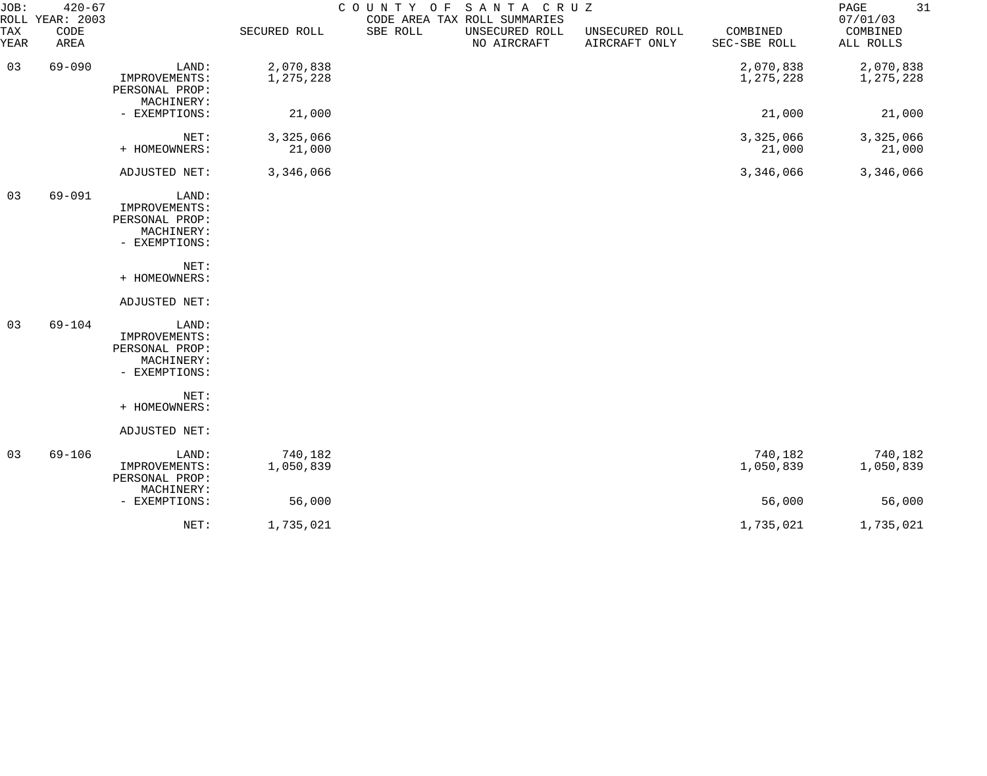| JOB:        | $420 - 67$<br>ROLL YEAR: 2003 |                                                                         |                        | COUNTY OF SANTA CRUZ | CODE AREA TAX ROLL SUMMARIES  |                                 |                          | 31<br>PAGE<br>07/01/03 |
|-------------|-------------------------------|-------------------------------------------------------------------------|------------------------|----------------------|-------------------------------|---------------------------------|--------------------------|------------------------|
| TAX<br>YEAR | CODE<br>AREA                  |                                                                         | SECURED ROLL           | SBE ROLL             | UNSECURED ROLL<br>NO AIRCRAFT | UNSECURED ROLL<br>AIRCRAFT ONLY | COMBINED<br>SEC-SBE ROLL | COMBINED<br>ALL ROLLS  |
| 03          | $69 - 090$                    | LAND:<br>IMPROVEMENTS:<br>PERSONAL PROP:<br>MACHINERY:                  | 2,070,838<br>1,275,228 |                      |                               |                                 | 2,070,838<br>1,275,228   | 2,070,838<br>1,275,228 |
|             |                               | - EXEMPTIONS:                                                           | 21,000                 |                      |                               |                                 | 21,000                   | 21,000                 |
|             |                               | NET:<br>+ HOMEOWNERS:                                                   | 3,325,066<br>21,000    |                      |                               |                                 | 3,325,066<br>21,000      | 3,325,066<br>21,000    |
|             |                               | ADJUSTED NET:                                                           | 3,346,066              |                      |                               |                                 | 3,346,066                | 3,346,066              |
| 03          | $69 - 091$                    | LAND:<br>IMPROVEMENTS:<br>PERSONAL PROP:<br>MACHINERY:<br>- EXEMPTIONS: |                        |                      |                               |                                 |                          |                        |
|             |                               | NET:<br>+ HOMEOWNERS:                                                   |                        |                      |                               |                                 |                          |                        |
|             |                               | ADJUSTED NET:                                                           |                        |                      |                               |                                 |                          |                        |
| 03          | 69-104                        | LAND:<br>IMPROVEMENTS:<br>PERSONAL PROP:<br>MACHINERY:<br>- EXEMPTIONS: |                        |                      |                               |                                 |                          |                        |
|             |                               | NET:<br>+ HOMEOWNERS:                                                   |                        |                      |                               |                                 |                          |                        |
|             |                               | ADJUSTED NET:                                                           |                        |                      |                               |                                 |                          |                        |
| 03          | $69 - 106$                    | LAND:<br>IMPROVEMENTS:<br>PERSONAL PROP:<br>MACHINERY:                  | 740,182<br>1,050,839   |                      |                               |                                 | 740,182<br>1,050,839     | 740,182<br>1,050,839   |
|             |                               | - EXEMPTIONS:                                                           | 56,000                 |                      |                               |                                 | 56,000                   | 56,000                 |
|             |                               | NET:                                                                    | 1,735,021              |                      |                               |                                 | 1,735,021                | 1,735,021              |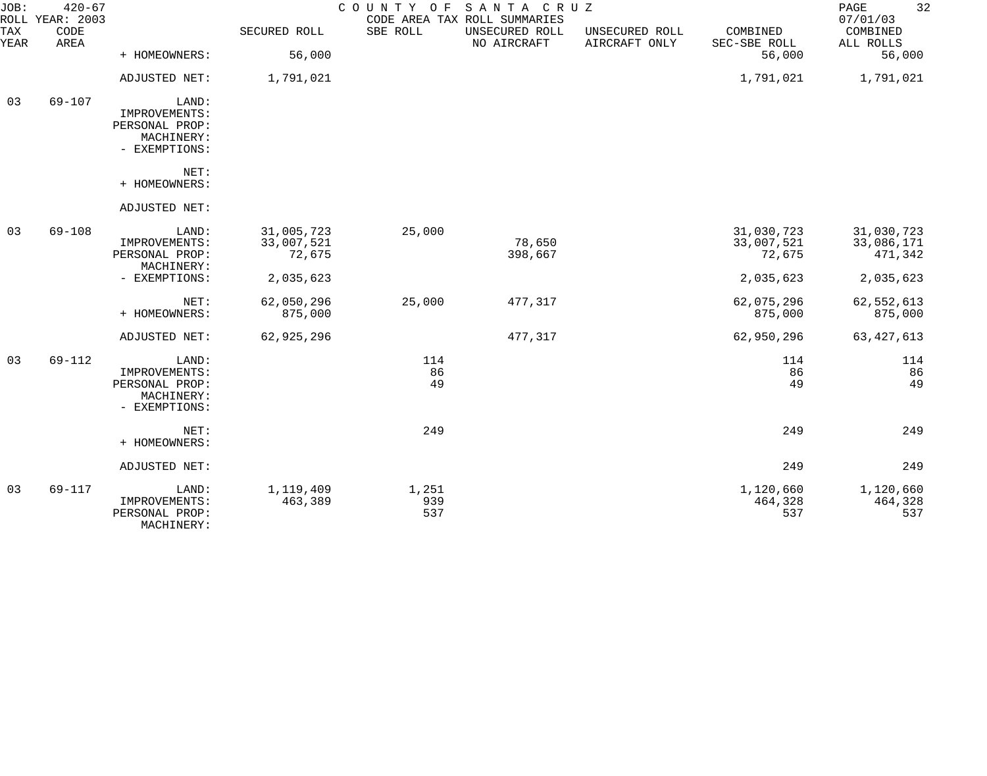| JOB:               | $420 - 67$<br>ROLL YEAR: 2003 |                                                                         |                                    | COUNTY OF           | SANTA CRUZ<br>CODE AREA TAX ROLL SUMMARIES |                                 |                                    | 32<br>PAGE<br>07/01/03              |
|--------------------|-------------------------------|-------------------------------------------------------------------------|------------------------------------|---------------------|--------------------------------------------|---------------------------------|------------------------------------|-------------------------------------|
| <b>TAX</b><br>YEAR | CODE<br>AREA                  |                                                                         | SECURED ROLL                       | SBE ROLL            | UNSECURED ROLL<br>NO AIRCRAFT              | UNSECURED ROLL<br>AIRCRAFT ONLY | COMBINED<br>SEC-SBE ROLL           | COMBINED<br>ALL ROLLS               |
|                    |                               | + HOMEOWNERS:                                                           | 56,000                             |                     |                                            |                                 | 56,000                             | 56,000                              |
|                    |                               | ADJUSTED NET:                                                           | 1,791,021                          |                     |                                            |                                 | 1,791,021                          | 1,791,021                           |
| 03                 | $69 - 107$                    | LAND:<br>IMPROVEMENTS:<br>PERSONAL PROP:<br>MACHINERY:<br>- EXEMPTIONS: |                                    |                     |                                            |                                 |                                    |                                     |
|                    |                               | NET:<br>+ HOMEOWNERS:                                                   |                                    |                     |                                            |                                 |                                    |                                     |
|                    |                               | ADJUSTED NET:                                                           |                                    |                     |                                            |                                 |                                    |                                     |
| 03                 | $69 - 108$                    | LAND:<br>IMPROVEMENTS:<br>PERSONAL PROP:<br>MACHINERY:                  | 31,005,723<br>33,007,521<br>72,675 | 25,000              | 78,650<br>398,667                          |                                 | 31,030,723<br>33,007,521<br>72,675 | 31,030,723<br>33,086,171<br>471,342 |
|                    |                               | - EXEMPTIONS:                                                           | 2,035,623                          |                     |                                            |                                 | 2,035,623                          | 2,035,623                           |
|                    |                               | NET:<br>+ HOMEOWNERS:                                                   | 62,050,296<br>875,000              | 25,000              | 477,317                                    |                                 | 62,075,296<br>875,000              | 62,552,613<br>875,000               |
|                    |                               | ADJUSTED NET:                                                           | 62,925,296                         |                     | 477,317                                    |                                 | 62,950,296                         | 63, 427, 613                        |
| 03                 | 69-112                        | LAND:<br>IMPROVEMENTS:<br>PERSONAL PROP:<br>MACHINERY:<br>- EXEMPTIONS: |                                    | 114<br>86<br>49     |                                            |                                 | 114<br>86<br>49                    | 114<br>86<br>49                     |
|                    |                               | NET:<br>+ HOMEOWNERS:                                                   |                                    | 249                 |                                            |                                 | 249                                | 249                                 |
|                    |                               | ADJUSTED NET:                                                           |                                    |                     |                                            |                                 | 249                                | 249                                 |
| 03                 | 69-117                        | LAND:<br>IMPROVEMENTS:<br>PERSONAL PROP:<br>MACHINERY:                  | 1,119,409<br>463,389               | 1,251<br>939<br>537 |                                            |                                 | 1,120,660<br>464,328<br>537        | 1,120,660<br>464,328<br>537         |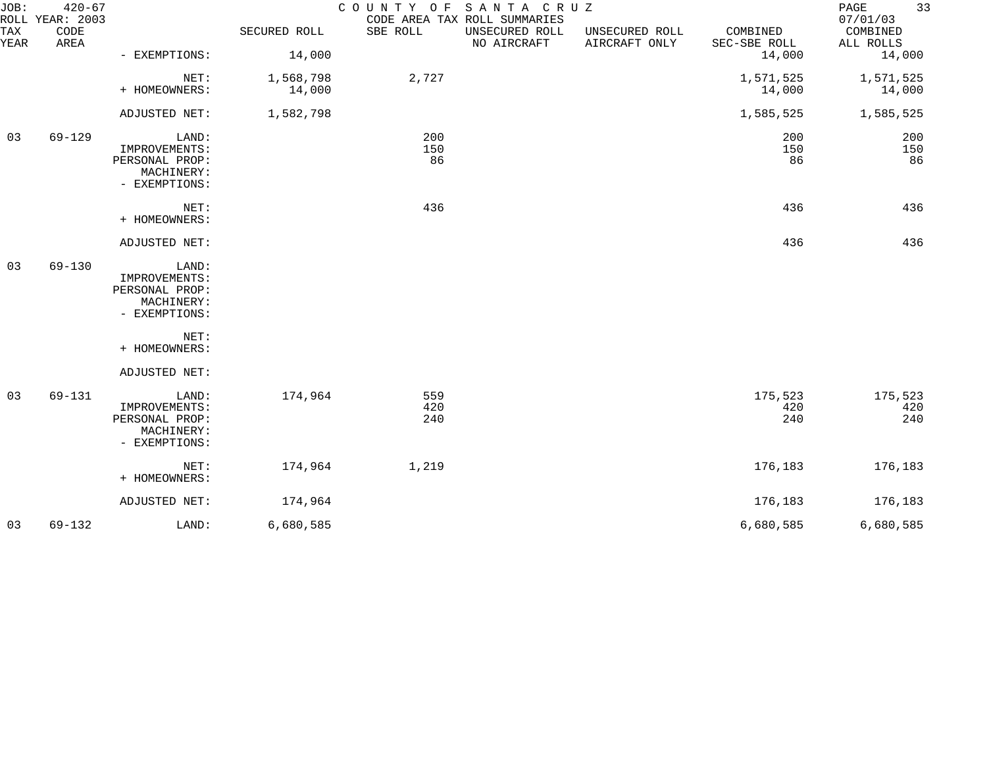| JOB:<br>TAX | $420 - 67$<br>ROLL YEAR: 2003<br>CODE |                                                                         | SECURED ROLL        | COUNTY OF SANTA CRUZ<br>SBE ROLL | CODE AREA TAX ROLL SUMMARIES<br>UNSECURED ROLL | UNSECURED ROLL | COMBINED               | 33<br>PAGE<br>07/01/03<br>COMBINED |
|-------------|---------------------------------------|-------------------------------------------------------------------------|---------------------|----------------------------------|------------------------------------------------|----------------|------------------------|------------------------------------|
| YEAR        | AREA                                  | - EXEMPTIONS:                                                           | 14,000              |                                  | NO AIRCRAFT                                    | AIRCRAFT ONLY  | SEC-SBE ROLL<br>14,000 | ALL ROLLS<br>14,000                |
|             |                                       | NET:<br>+ HOMEOWNERS:                                                   | 1,568,798<br>14,000 | 2,727                            |                                                |                | 1,571,525<br>14,000    | 1,571,525<br>14,000                |
|             |                                       | ADJUSTED NET:                                                           | 1,582,798           |                                  |                                                |                | 1,585,525              | 1,585,525                          |
| 03          | 69-129                                | LAND:<br>IMPROVEMENTS:<br>PERSONAL PROP:<br>MACHINERY:<br>- EXEMPTIONS: |                     | 200<br>150<br>86                 |                                                |                | 200<br>150<br>86       | 200<br>150<br>86                   |
|             |                                       | NET:<br>+ HOMEOWNERS:                                                   |                     | 436                              |                                                |                | 436                    | 436                                |
|             |                                       | ADJUSTED NET:                                                           |                     |                                  |                                                |                | 436                    | 436                                |
| 03          | $69 - 130$                            | LAND:<br>IMPROVEMENTS:<br>PERSONAL PROP:<br>MACHINERY:<br>- EXEMPTIONS: |                     |                                  |                                                |                |                        |                                    |
|             |                                       | NET:<br>+ HOMEOWNERS:                                                   |                     |                                  |                                                |                |                        |                                    |
|             |                                       | ADJUSTED NET:                                                           |                     |                                  |                                                |                |                        |                                    |
| 03          | 69-131                                | LAND:<br>IMPROVEMENTS:<br>PERSONAL PROP:<br>MACHINERY:<br>- EXEMPTIONS: | 174,964             | 559<br>420<br>240                |                                                |                | 175,523<br>420<br>240  | 175,523<br>420<br>240              |
|             |                                       | NET:<br>+ HOMEOWNERS:                                                   | 174,964             | 1,219                            |                                                |                | 176,183                | 176,183                            |
|             |                                       | ADJUSTED NET:                                                           | 174,964             |                                  |                                                |                | 176,183                | 176,183                            |
| 03          | $69 - 132$                            | LAND:                                                                   | 6,680,585           |                                  |                                                |                | 6,680,585              | 6,680,585                          |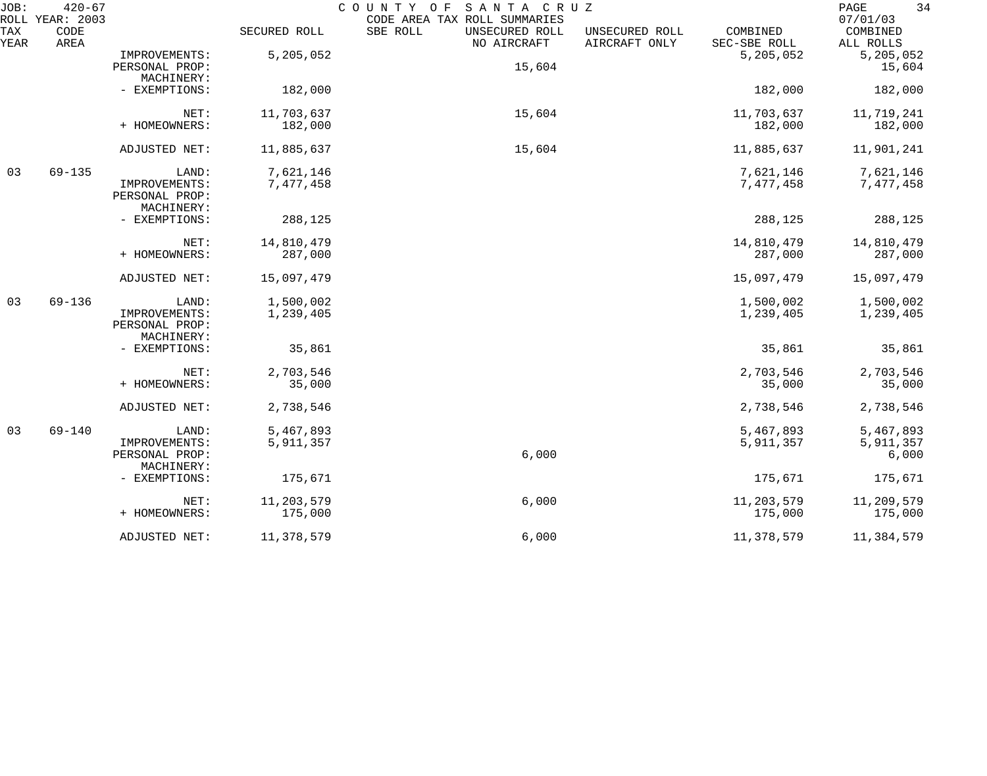| JOB:        | $420 - 67$<br>ROLL YEAR: 2003 |                                                        |                        | SANTA CRUZ<br>COUNTY OF<br>CODE AREA TAX ROLL SUMMARIES |                                 |                          | 34<br>PAGE<br>07/01/03          |
|-------------|-------------------------------|--------------------------------------------------------|------------------------|---------------------------------------------------------|---------------------------------|--------------------------|---------------------------------|
| TAX<br>YEAR | CODE<br>AREA                  |                                                        | SECURED ROLL           | SBE ROLL<br>UNSECURED ROLL<br>NO AIRCRAFT               | UNSECURED ROLL<br>AIRCRAFT ONLY | COMBINED<br>SEC-SBE ROLL | COMBINED<br>ALL ROLLS           |
|             |                               | IMPROVEMENTS:<br>PERSONAL PROP:                        | 5,205,052              | 15,604                                                  |                                 | 5,205,052                | 5,205,052<br>15,604             |
|             |                               | MACHINERY:<br>- EXEMPTIONS:                            | 182,000                |                                                         |                                 | 182,000                  | 182,000                         |
|             |                               | NET:<br>+ HOMEOWNERS:                                  | 11,703,637<br>182,000  | 15,604                                                  |                                 | 11,703,637<br>182,000    | 11,719,241<br>182,000           |
|             |                               | ADJUSTED NET:                                          | 11,885,637             | 15,604                                                  |                                 | 11,885,637               | 11,901,241                      |
| 03          | $69 - 135$                    | LAND:<br>IMPROVEMENTS:<br>PERSONAL PROP:<br>MACHINERY: | 7,621,146<br>7,477,458 |                                                         |                                 | 7,621,146<br>7,477,458   | 7,621,146<br>7,477,458          |
|             |                               | - EXEMPTIONS:                                          | 288,125                |                                                         |                                 | 288,125                  | 288,125                         |
|             |                               | NET:<br>+ HOMEOWNERS:                                  | 14,810,479<br>287,000  |                                                         |                                 | 14,810,479<br>287,000    | 14,810,479<br>287,000           |
|             |                               | ADJUSTED NET:                                          | 15,097,479             |                                                         |                                 | 15,097,479               | 15,097,479                      |
| 03          | $69 - 136$                    | LAND:<br>IMPROVEMENTS:<br>PERSONAL PROP:<br>MACHINERY: | 1,500,002<br>1,239,405 |                                                         |                                 | 1,500,002<br>1,239,405   | 1,500,002<br>1,239,405          |
|             |                               | - EXEMPTIONS:                                          | 35,861                 |                                                         |                                 | 35,861                   | 35,861                          |
|             |                               | NET:<br>+ HOMEOWNERS:                                  | 2,703,546<br>35,000    |                                                         |                                 | 2,703,546<br>35,000      | 2,703,546<br>35,000             |
|             |                               | ADJUSTED NET:                                          | 2,738,546              |                                                         |                                 | 2,738,546                | 2,738,546                       |
| 03          | $69 - 140$                    | LAND:<br>IMPROVEMENTS:<br>PERSONAL PROP:<br>MACHINERY: | 5,467,893<br>5,911,357 | 6,000                                                   |                                 | 5,467,893<br>5,911,357   | 5,467,893<br>5,911,357<br>6,000 |
|             |                               | - EXEMPTIONS:                                          | 175,671                |                                                         |                                 | 175,671                  | 175,671                         |
|             |                               | NET:<br>+ HOMEOWNERS:                                  | 11,203,579<br>175,000  | 6,000                                                   |                                 | 11,203,579<br>175,000    | 11,209,579<br>175,000           |
|             |                               | ADJUSTED NET:                                          | 11,378,579             | 6,000                                                   |                                 | 11,378,579               | 11,384,579                      |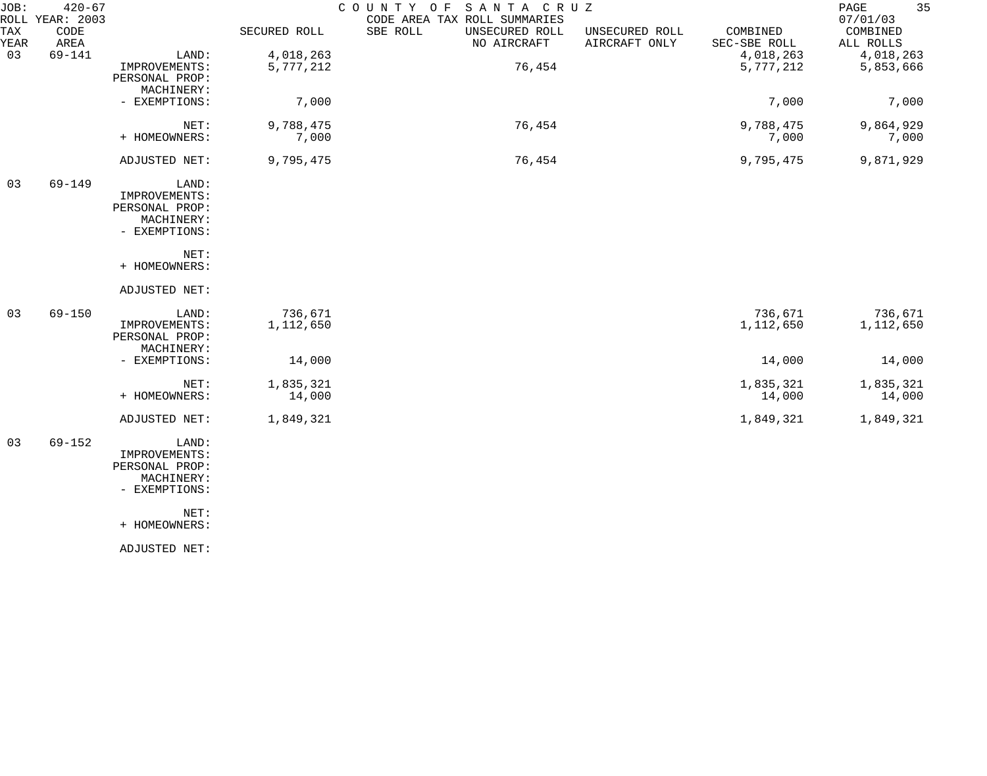| JOB:        | $420 - 67$<br>ROLL YEAR: 2003 |                                                                         |                      | COUNTY OF<br>SANTA CRUZ<br>CODE AREA TAX ROLL SUMMARIES |                                 |                          | 35<br>$\mathop{\mathrm{PAGE}}$<br>07/01/03 |
|-------------|-------------------------------|-------------------------------------------------------------------------|----------------------|---------------------------------------------------------|---------------------------------|--------------------------|--------------------------------------------|
| TAX<br>YEAR | CODE<br>AREA                  |                                                                         | SECURED ROLL         | SBE ROLL<br>UNSECURED ROLL<br>NO AIRCRAFT               | UNSECURED ROLL<br>AIRCRAFT ONLY | COMBINED<br>SEC-SBE ROLL | COMBINED<br>ALL ROLLS                      |
| 03          | $69 - 141$                    | LAND:                                                                   | 4,018,263            |                                                         |                                 | 4,018,263                | 4,018,263                                  |
|             |                               | IMPROVEMENTS:<br>PERSONAL PROP:<br>MACHINERY:                           | 5,777,212            | 76,454                                                  |                                 | 5,777,212                | 5,853,666                                  |
|             |                               | - EXEMPTIONS:                                                           | 7,000                |                                                         |                                 | 7,000                    | 7,000                                      |
|             |                               | NET:<br>+ HOMEOWNERS:                                                   | 9,788,475<br>7,000   | 76,454                                                  |                                 | 9,788,475<br>7,000       | 9,864,929<br>7,000                         |
|             |                               | ADJUSTED NET:                                                           | 9,795,475            | 76,454                                                  |                                 | 9,795,475                | 9,871,929                                  |
| 03          | $69 - 149$                    | LAND:<br>IMPROVEMENTS:<br>PERSONAL PROP:<br>MACHINERY:<br>- EXEMPTIONS: |                      |                                                         |                                 |                          |                                            |
|             |                               | NET:<br>+ HOMEOWNERS:                                                   |                      |                                                         |                                 |                          |                                            |
|             |                               | ADJUSTED NET:                                                           |                      |                                                         |                                 |                          |                                            |
| 03          | $69 - 150$                    | LAND:<br>IMPROVEMENTS:<br>PERSONAL PROP:<br>MACHINERY:                  | 736,671<br>1,112,650 |                                                         |                                 | 736,671<br>1,112,650     | 736,671<br>1,112,650                       |
|             |                               | - EXEMPTIONS:                                                           | 14,000               |                                                         |                                 | 14,000                   | 14,000                                     |
|             |                               | NET:<br>+ HOMEOWNERS:                                                   | 1,835,321<br>14,000  |                                                         |                                 | 1,835,321<br>14,000      | 1,835,321<br>14,000                        |
|             |                               | ADJUSTED NET:                                                           | 1,849,321            |                                                         |                                 | 1,849,321                | 1,849,321                                  |
| 03          | $69 - 152$                    | LAND:<br>IMPROVEMENTS:<br>PERSONAL PROP:<br>MACHINERY:<br>- EXEMPTIONS: |                      |                                                         |                                 |                          |                                            |
|             |                               | NET:                                                                    |                      |                                                         |                                 |                          |                                            |

+ HOMEOWNERS:

ADJUSTED NET: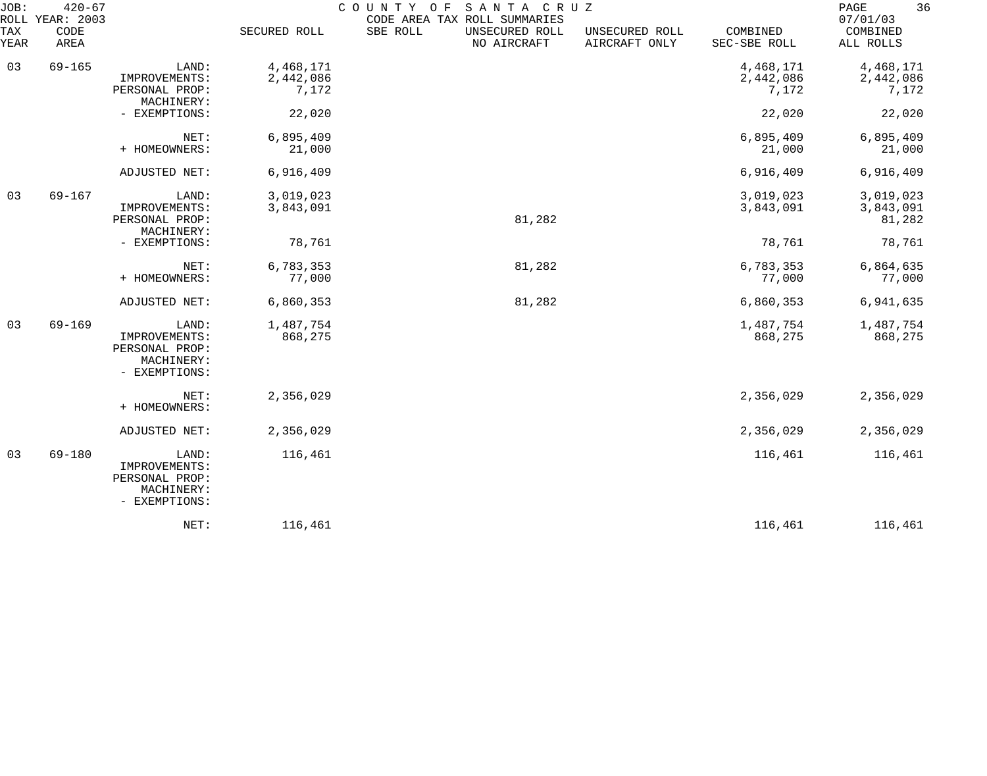| JOB:<br>TAX | $420 - 67$<br>ROLL YEAR: 2003<br>CODE |                                                                         | SECURED ROLL                    | SANTA CRUZ<br>COUNTY OF<br>CODE AREA TAX ROLL SUMMARIES<br>SBE ROLL<br>UNSECURED ROLL | UNSECURED ROLL | COMBINED                        | 36<br>$\mathop{\mathrm{PAGE}}$<br>07/01/03<br>COMBINED |
|-------------|---------------------------------------|-------------------------------------------------------------------------|---------------------------------|---------------------------------------------------------------------------------------|----------------|---------------------------------|--------------------------------------------------------|
| YEAR        | AREA                                  |                                                                         |                                 | NO AIRCRAFT                                                                           | AIRCRAFT ONLY  | SEC-SBE ROLL                    | ALL ROLLS                                              |
| 03          | $69 - 165$                            | LAND:<br>IMPROVEMENTS:<br>PERSONAL PROP:                                | 4,468,171<br>2,442,086<br>7,172 |                                                                                       |                | 4,468,171<br>2,442,086<br>7,172 | 4,468,171<br>2,442,086<br>7,172                        |
|             |                                       | MACHINERY:<br>- EXEMPTIONS:                                             | 22,020                          |                                                                                       |                | 22,020                          | 22,020                                                 |
|             |                                       | NET:<br>+ HOMEOWNERS:                                                   | 6,895,409<br>21,000             |                                                                                       |                | 6,895,409<br>21,000             | 6,895,409<br>21,000                                    |
|             |                                       | ADJUSTED NET:                                                           | 6,916,409                       |                                                                                       |                | 6,916,409                       | 6,916,409                                              |
| 03          | $69 - 167$                            | LAND:<br>IMPROVEMENTS:<br>PERSONAL PROP:<br>MACHINERY:                  | 3,019,023<br>3,843,091          | 81,282                                                                                |                | 3,019,023<br>3,843,091          | 3,019,023<br>3,843,091<br>81,282                       |
|             |                                       | - EXEMPTIONS:                                                           | 78,761                          |                                                                                       |                | 78,761                          | 78,761                                                 |
|             |                                       | NET:<br>+ HOMEOWNERS:                                                   | 6,783,353<br>77,000             | 81,282                                                                                |                | 6,783,353<br>77,000             | 6,864,635<br>77,000                                    |
|             |                                       | ADJUSTED NET:                                                           | 6,860,353                       | 81,282                                                                                |                | 6,860,353                       | 6,941,635                                              |
| 03          | $69 - 169$                            | LAND:<br>IMPROVEMENTS:<br>PERSONAL PROP:<br>MACHINERY:<br>- EXEMPTIONS: | 1,487,754<br>868,275            |                                                                                       |                | 1,487,754<br>868,275            | 1,487,754<br>868,275                                   |
|             |                                       | NET:<br>+ HOMEOWNERS:                                                   | 2,356,029                       |                                                                                       |                | 2,356,029                       | 2,356,029                                              |
|             |                                       | ADJUSTED NET:                                                           | 2,356,029                       |                                                                                       |                | 2,356,029                       | 2,356,029                                              |
| 03          | $69 - 180$                            | LAND:<br>IMPROVEMENTS:<br>PERSONAL PROP:<br>MACHINERY:<br>- EXEMPTIONS: | 116,461                         |                                                                                       |                | 116,461                         | 116,461                                                |
|             |                                       | NET:                                                                    | 116,461                         |                                                                                       |                | 116,461                         | 116,461                                                |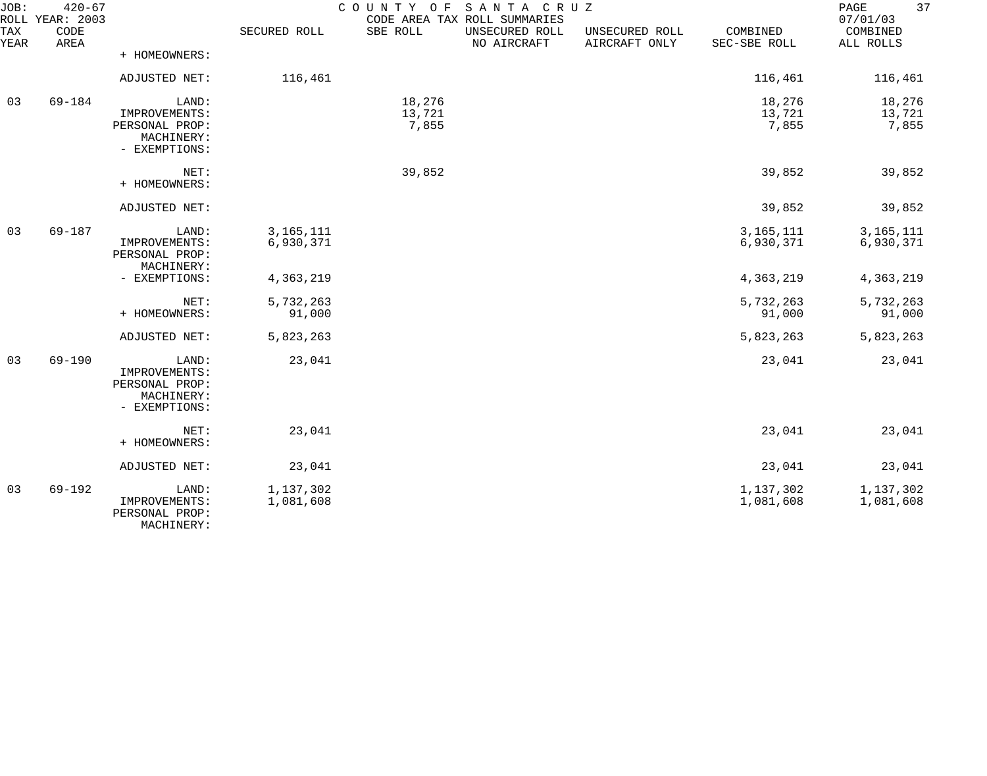| JOB:<br>ROLL | $420 - 67$<br>YEAR: 2003 |                                                                         |                          | COUNTY OF                 | SANTA CRUZ<br>CODE AREA TAX ROLL SUMMARIES |                                 |                           | 37<br>PAGE<br>07/01/03    |
|--------------|--------------------------|-------------------------------------------------------------------------|--------------------------|---------------------------|--------------------------------------------|---------------------------------|---------------------------|---------------------------|
| TAX<br>YEAR  | CODE<br>AREA             |                                                                         | SECURED ROLL             | SBE ROLL                  | UNSECURED ROLL<br>NO AIRCRAFT              | UNSECURED ROLL<br>AIRCRAFT ONLY | COMBINED<br>SEC-SBE ROLL  | COMBINED<br>ALL ROLLS     |
|              |                          | + HOMEOWNERS:                                                           |                          |                           |                                            |                                 |                           |                           |
|              |                          | ADJUSTED NET:                                                           | 116,461                  |                           |                                            |                                 | 116,461                   | 116,461                   |
| 03           | 69-184                   | LAND:<br>IMPROVEMENTS:<br>PERSONAL PROP:<br>MACHINERY:<br>- EXEMPTIONS: |                          | 18,276<br>13,721<br>7,855 |                                            |                                 | 18,276<br>13,721<br>7,855 | 18,276<br>13,721<br>7,855 |
|              |                          | NET:<br>+ HOMEOWNERS:                                                   |                          | 39,852                    |                                            |                                 | 39,852                    | 39,852                    |
|              |                          | ADJUSTED NET:                                                           |                          |                           |                                            |                                 | 39,852                    | 39,852                    |
| 03           | $69 - 187$               | LAND:<br>IMPROVEMENTS:<br>PERSONAL PROP:<br>MACHINERY:                  | 3, 165, 111<br>6,930,371 |                           |                                            |                                 | 3, 165, 111<br>6,930,371  | 3, 165, 111<br>6,930,371  |
|              |                          | - EXEMPTIONS:                                                           | 4,363,219                |                           |                                            |                                 | 4,363,219                 | 4,363,219                 |
|              |                          | NET:<br>+ HOMEOWNERS:                                                   | 5,732,263<br>91,000      |                           |                                            |                                 | 5,732,263<br>91,000       | 5,732,263<br>91,000       |
|              |                          | ADJUSTED NET:                                                           | 5,823,263                |                           |                                            |                                 | 5,823,263                 | 5,823,263                 |
| 03           | $69 - 190$               | LAND:<br>IMPROVEMENTS:<br>PERSONAL PROP:<br>MACHINERY:<br>- EXEMPTIONS: | 23,041                   |                           |                                            |                                 | 23,041                    | 23,041                    |
|              |                          | NET:<br>+ HOMEOWNERS:                                                   | 23,041                   |                           |                                            |                                 | 23,041                    | 23,041                    |
|              |                          | ADJUSTED NET:                                                           | 23,041                   |                           |                                            |                                 | 23,041                    | 23,041                    |
| 03           | 69-192                   | LAND:<br>IMPROVEMENTS:<br>PERSONAL PROP:<br>MACHINERY:                  | 1,137,302<br>1,081,608   |                           |                                            |                                 | 1,137,302<br>1,081,608    | 1,137,302<br>1,081,608    |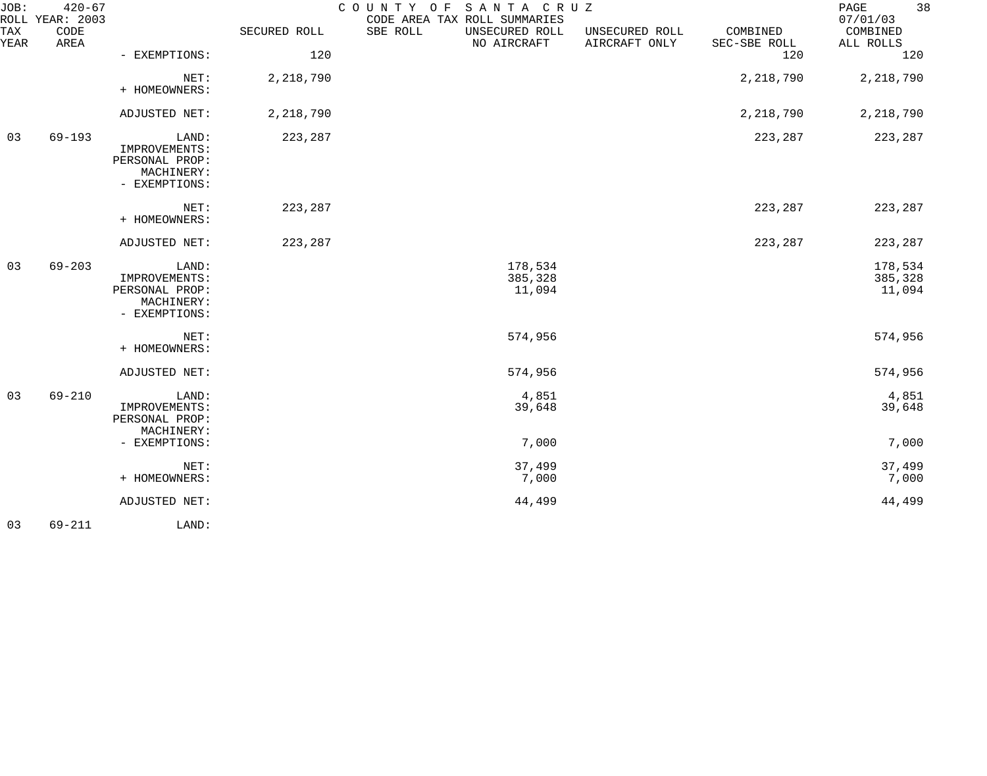| JOB:        | $420 - 67$<br>ROLL YEAR: 2003 |                                                                         |              | SANTA CRUZ<br>COUNTY OF<br>CODE AREA TAX ROLL SUMMARIES |                                 |                          | 38<br>PAGE<br>07/01/03       |
|-------------|-------------------------------|-------------------------------------------------------------------------|--------------|---------------------------------------------------------|---------------------------------|--------------------------|------------------------------|
| TAX<br>YEAR | CODE<br>AREA                  |                                                                         | SECURED ROLL | SBE ROLL<br>UNSECURED ROLL<br>NO AIRCRAFT               | UNSECURED ROLL<br>AIRCRAFT ONLY | COMBINED<br>SEC-SBE ROLL | COMBINED<br>ALL ROLLS        |
|             |                               | - EXEMPTIONS:                                                           | 120          |                                                         |                                 | 120                      | 120                          |
|             |                               | NET:<br>+ HOMEOWNERS:                                                   | 2, 218, 790  |                                                         |                                 | 2,218,790                | 2, 218, 790                  |
|             |                               | ADJUSTED NET:                                                           | 2,218,790    |                                                         |                                 | 2,218,790                | 2, 218, 790                  |
| 03          | $69 - 193$                    | LAND:<br>IMPROVEMENTS:<br>PERSONAL PROP:<br>MACHINERY:<br>- EXEMPTIONS: | 223,287      |                                                         |                                 | 223,287                  | 223,287                      |
|             |                               | NET:<br>+ HOMEOWNERS:                                                   | 223,287      |                                                         |                                 | 223,287                  | 223,287                      |
|             |                               | ADJUSTED NET:                                                           | 223,287      |                                                         |                                 | 223,287                  | 223,287                      |
| 03          | $69 - 203$                    | LAND:<br>IMPROVEMENTS:<br>PERSONAL PROP:<br>MACHINERY:<br>- EXEMPTIONS: |              | 178,534<br>385,328<br>11,094                            |                                 |                          | 178,534<br>385,328<br>11,094 |
|             |                               | NET:<br>+ HOMEOWNERS:                                                   |              | 574,956                                                 |                                 |                          | 574,956                      |
|             |                               | ADJUSTED NET:                                                           |              | 574,956                                                 |                                 |                          | 574,956                      |
| 03          | $69 - 210$                    | LAND:<br>IMPROVEMENTS:<br>PERSONAL PROP:<br>MACHINERY:                  |              | 4,851<br>39,648                                         |                                 |                          | 4,851<br>39,648              |
|             |                               | - EXEMPTIONS:                                                           |              | 7,000                                                   |                                 |                          | 7,000                        |
|             |                               | NET:<br>+ HOMEOWNERS:                                                   |              | 37,499<br>7,000                                         |                                 |                          | 37,499<br>7,000              |
|             |                               | ADJUSTED NET:                                                           |              | 44,499                                                  |                                 |                          | 44,499                       |
| 03          | $69 - 211$                    | LAND:                                                                   |              |                                                         |                                 |                          |                              |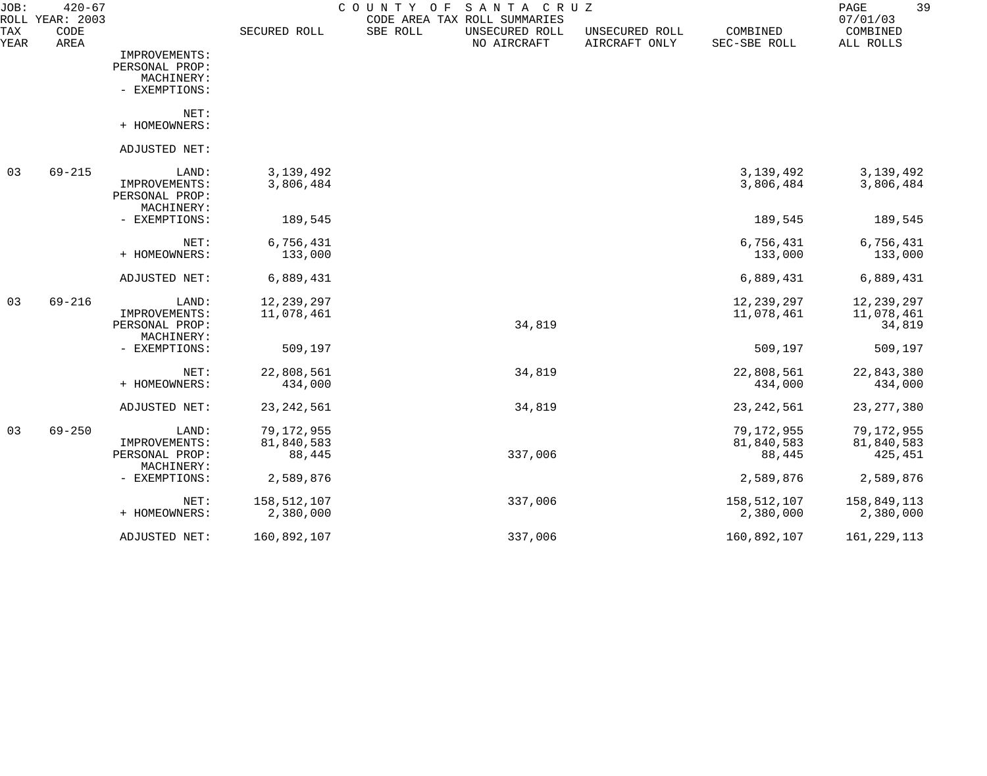| JOB:        | $420 - 67$<br>ROLL YEAR: 2003 |                              |              | COUNTY<br>O F<br>SANTA CRUZ<br>CODE AREA TAX ROLL SUMMARIES |                                 |                          | 39<br>PAGE<br>07/01/03 |
|-------------|-------------------------------|------------------------------|--------------|-------------------------------------------------------------|---------------------------------|--------------------------|------------------------|
| TAX<br>YEAR | CODE<br>AREA                  |                              | SECURED ROLL | SBE ROLL<br>UNSECURED ROLL<br>NO AIRCRAFT                   | UNSECURED ROLL<br>AIRCRAFT ONLY | COMBINED<br>SEC-SBE ROLL | COMBINED<br>ALL ROLLS  |
|             |                               | IMPROVEMENTS:                |              |                                                             |                                 |                          |                        |
|             |                               | PERSONAL PROP:               |              |                                                             |                                 |                          |                        |
|             |                               | MACHINERY:                   |              |                                                             |                                 |                          |                        |
|             |                               | - EXEMPTIONS:                |              |                                                             |                                 |                          |                        |
|             |                               | NET:                         |              |                                                             |                                 |                          |                        |
|             |                               | + HOMEOWNERS:                |              |                                                             |                                 |                          |                        |
|             |                               | ADJUSTED NET:                |              |                                                             |                                 |                          |                        |
| 03          | $69 - 215$                    | LAND:                        | 3, 139, 492  |                                                             |                                 | 3, 139, 492              | 3, 139, 492            |
|             |                               | IMPROVEMENTS:                | 3,806,484    |                                                             |                                 | 3,806,484                | 3,806,484              |
|             |                               | PERSONAL PROP:               |              |                                                             |                                 |                          |                        |
|             |                               | MACHINERY:<br>- EXEMPTIONS:  | 189,545      |                                                             |                                 | 189,545                  | 189,545                |
|             |                               |                              |              |                                                             |                                 |                          |                        |
|             |                               | NET:                         | 6,756,431    |                                                             |                                 | 6,756,431                | 6,756,431              |
|             |                               | + HOMEOWNERS:                | 133,000      |                                                             |                                 | 133,000                  | 133,000                |
|             |                               | ADJUSTED NET:                | 6,889,431    |                                                             |                                 | 6,889,431                | 6,889,431              |
| 03          | $69 - 216$                    | LAND:                        | 12, 239, 297 |                                                             |                                 | 12,239,297               | 12,239,297             |
|             |                               | IMPROVEMENTS:                | 11,078,461   |                                                             |                                 | 11,078,461               | 11,078,461             |
|             |                               | PERSONAL PROP:               |              | 34,819                                                      |                                 |                          | 34,819                 |
|             |                               | MACHINERY:<br>- EXEMPTIONS:  | 509,197      |                                                             |                                 | 509,197                  | 509,197                |
|             |                               |                              |              |                                                             |                                 |                          |                        |
|             |                               | NET:                         | 22,808,561   | 34,819                                                      |                                 | 22,808,561               | 22,843,380             |
|             |                               | + HOMEOWNERS:                | 434,000      |                                                             |                                 | 434,000                  | 434,000                |
|             |                               | ADJUSTED NET:                | 23, 242, 561 | 34,819                                                      |                                 | 23, 242, 561             | 23, 277, 380           |
| 03          | $69 - 250$                    | LAND:                        | 79,172,955   |                                                             |                                 | 79,172,955               | 79,172,955             |
|             |                               | IMPROVEMENTS:                | 81,840,583   |                                                             |                                 | 81,840,583               | 81,840,583             |
|             |                               | PERSONAL PROP:<br>MACHINERY: | 88,445       | 337,006                                                     |                                 | 88,445                   | 425,451                |
|             |                               | - EXEMPTIONS:                | 2,589,876    |                                                             |                                 | 2,589,876                | 2,589,876              |
|             |                               | NET:                         | 158,512,107  | 337,006                                                     |                                 | 158,512,107              | 158,849,113            |
|             |                               | + HOMEOWNERS:                | 2,380,000    |                                                             |                                 | 2,380,000                | 2,380,000              |
|             |                               | ADJUSTED NET:                | 160,892,107  | 337,006                                                     |                                 | 160,892,107              | 161, 229, 113          |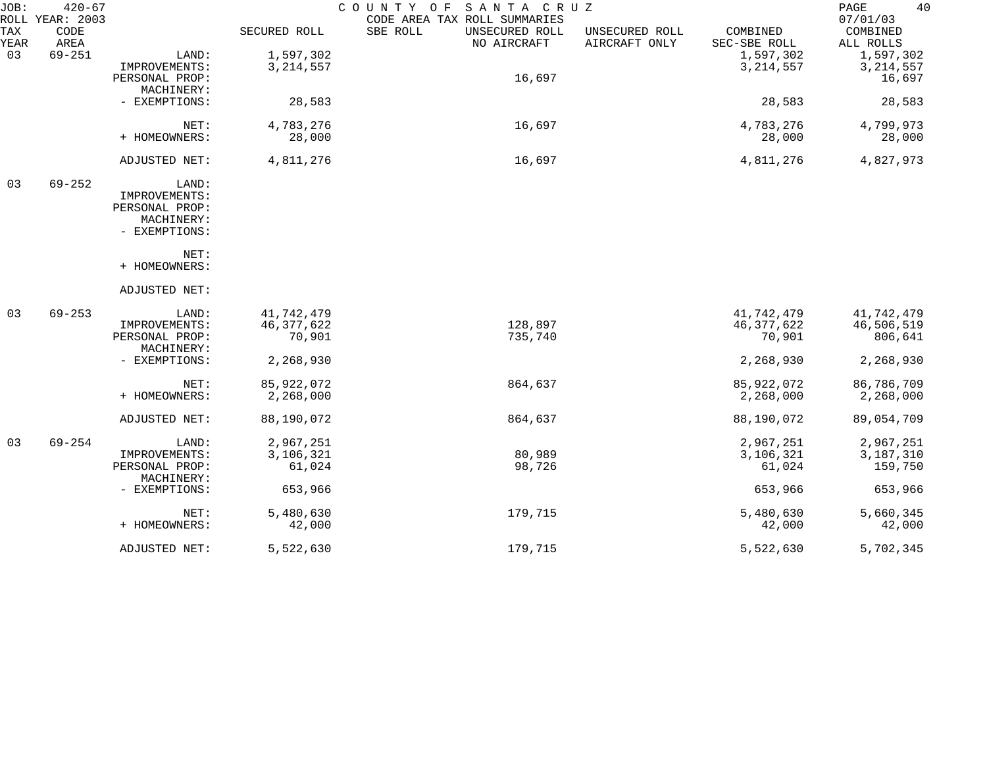| JOB:        | $420 - 67$<br>ROLL YEAR: 2003 |                              |              | COUNTY OF<br>SANTA CRUZ<br>CODE AREA TAX ROLL SUMMARIES |                                 |                          | 40<br>PAGE<br>07/01/03 |
|-------------|-------------------------------|------------------------------|--------------|---------------------------------------------------------|---------------------------------|--------------------------|------------------------|
| TAX<br>YEAR | CODE<br>AREA                  |                              | SECURED ROLL | SBE ROLL<br>UNSECURED ROLL<br>NO AIRCRAFT               | UNSECURED ROLL<br>AIRCRAFT ONLY | COMBINED<br>SEC-SBE ROLL | COMBINED<br>ALL ROLLS  |
| 03          | $69 - 251$                    | LAND:                        | 1,597,302    |                                                         |                                 | 1,597,302                | 1,597,302              |
|             |                               | IMPROVEMENTS:                | 3, 214, 557  |                                                         |                                 | 3, 214, 557              | 3, 214, 557            |
|             |                               | PERSONAL PROP:               |              | 16,697                                                  |                                 |                          | 16,697                 |
|             |                               | MACHINERY:                   |              |                                                         |                                 |                          |                        |
|             |                               | - EXEMPTIONS:                | 28,583       |                                                         |                                 | 28,583                   | 28,583                 |
|             |                               | NET:                         | 4,783,276    | 16,697                                                  |                                 | 4,783,276                | 4,799,973              |
|             |                               | + HOMEOWNERS:                | 28,000       |                                                         |                                 | 28,000                   | 28,000                 |
|             |                               | ADJUSTED NET:                | 4,811,276    | 16,697                                                  |                                 | 4,811,276                | 4,827,973              |
| 03          | $69 - 252$                    | LAND:                        |              |                                                         |                                 |                          |                        |
|             |                               | IMPROVEMENTS:                |              |                                                         |                                 |                          |                        |
|             |                               | PERSONAL PROP:               |              |                                                         |                                 |                          |                        |
|             |                               | MACHINERY:                   |              |                                                         |                                 |                          |                        |
|             |                               | - EXEMPTIONS:                |              |                                                         |                                 |                          |                        |
|             |                               | NET:                         |              |                                                         |                                 |                          |                        |
|             |                               | + HOMEOWNERS:                |              |                                                         |                                 |                          |                        |
|             |                               | ADJUSTED NET:                |              |                                                         |                                 |                          |                        |
| 03          | $69 - 253$                    | LAND:                        | 41,742,479   |                                                         |                                 | 41,742,479               | 41,742,479             |
|             |                               | IMPROVEMENTS:                | 46, 377, 622 | 128,897                                                 |                                 | 46, 377, 622             | 46,506,519             |
|             |                               | PERSONAL PROP:               | 70,901       | 735,740                                                 |                                 | 70,901                   | 806,641                |
|             |                               | MACHINERY:                   |              |                                                         |                                 |                          |                        |
|             |                               | - EXEMPTIONS:                | 2,268,930    |                                                         |                                 | 2,268,930                | 2,268,930              |
|             |                               | NET:                         | 85, 922, 072 | 864,637                                                 |                                 | 85, 922, 072             | 86,786,709             |
|             |                               | + HOMEOWNERS:                | 2,268,000    |                                                         |                                 | 2,268,000                | 2,268,000              |
|             |                               | ADJUSTED NET:                | 88,190,072   | 864,637                                                 |                                 | 88,190,072               | 89,054,709             |
| 03          | $69 - 254$                    | LAND:                        | 2,967,251    |                                                         |                                 | 2,967,251                | 2,967,251              |
|             |                               | IMPROVEMENTS:                | 3,106,321    | 80,989                                                  |                                 | 3,106,321                | 3,187,310              |
|             |                               | PERSONAL PROP:<br>MACHINERY: | 61,024       | 98,726                                                  |                                 | 61,024                   | 159,750                |
|             |                               | - EXEMPTIONS:                | 653,966      |                                                         |                                 | 653,966                  | 653,966                |
|             |                               | NET:                         | 5,480,630    | 179,715                                                 |                                 | 5,480,630                | 5,660,345              |
|             |                               | + HOMEOWNERS:                | 42,000       |                                                         |                                 | 42,000                   | 42,000                 |
|             |                               | ADJUSTED NET:                | 5,522,630    | 179,715                                                 |                                 | 5,522,630                | 5,702,345              |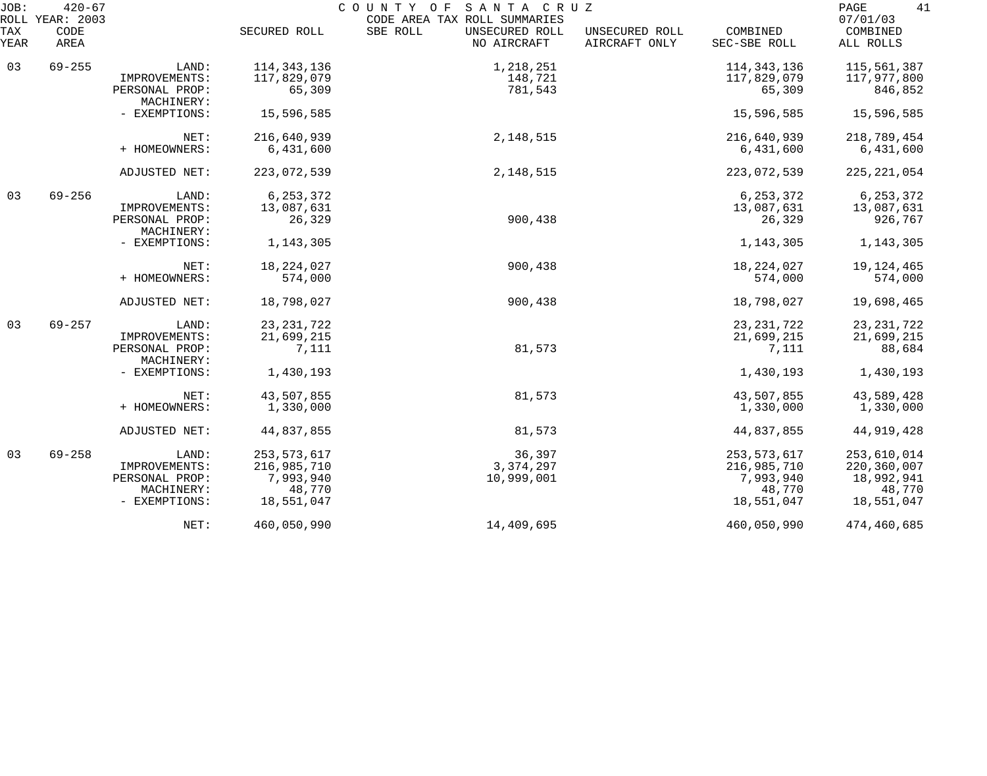| JOB:        | $420 - 67$<br>ROLL YEAR: 2003 |                              |               | COUNTY OF SANTA CRUZ<br>CODE AREA TAX ROLL SUMMARIES |                                 |                          | 41<br>PAGE<br>07/01/03 |
|-------------|-------------------------------|------------------------------|---------------|------------------------------------------------------|---------------------------------|--------------------------|------------------------|
| TAX<br>YEAR | CODE<br>AREA                  |                              | SECURED ROLL  | SBE ROLL<br>UNSECURED ROLL<br>NO AIRCRAFT            | UNSECURED ROLL<br>AIRCRAFT ONLY | COMBINED<br>SEC-SBE ROLL | COMBINED<br>ALL ROLLS  |
| 03          | $69 - 255$                    | LAND:                        | 114, 343, 136 | 1,218,251                                            |                                 | 114, 343, 136            | 115,561,387            |
|             |                               | IMPROVEMENTS:                | 117,829,079   | 148,721                                              |                                 | 117,829,079              | 117,977,800            |
|             |                               | PERSONAL PROP:<br>MACHINERY: | 65,309        | 781,543                                              |                                 | 65,309                   | 846,852                |
|             |                               | - EXEMPTIONS:                | 15,596,585    |                                                      |                                 | 15,596,585               | 15,596,585             |
|             |                               | NET:                         | 216,640,939   | 2, 148, 515                                          |                                 | 216,640,939              | 218,789,454            |
|             |                               | + HOMEOWNERS:                | 6,431,600     |                                                      |                                 | 6,431,600                | 6,431,600              |
|             |                               | ADJUSTED NET:                | 223,072,539   | 2, 148, 515                                          |                                 | 223,072,539              | 225, 221, 054          |
| 03          | $69 - 256$                    | LAND:                        | 6, 253, 372   |                                                      |                                 | 6, 253, 372              | 6, 253, 372            |
|             |                               | IMPROVEMENTS:                | 13,087,631    |                                                      |                                 | 13,087,631               | 13,087,631             |
|             |                               | PERSONAL PROP:<br>MACHINERY: | 26,329        | 900,438                                              |                                 | 26,329                   | 926,767                |
|             |                               | - EXEMPTIONS:                | 1,143,305     |                                                      |                                 | 1,143,305                | 1,143,305              |
|             |                               | NET:                         | 18, 224, 027  | 900,438                                              |                                 | 18, 224, 027             | 19, 124, 465           |
|             |                               | + HOMEOWNERS:                | 574,000       |                                                      |                                 | 574,000                  | 574,000                |
|             |                               | ADJUSTED NET:                | 18,798,027    | 900,438                                              |                                 | 18,798,027               | 19,698,465             |
| 03          | $69 - 257$                    | LAND:                        | 23, 231, 722  |                                                      |                                 | 23, 231, 722             | 23, 231, 722           |
|             |                               | IMPROVEMENTS:                | 21,699,215    |                                                      |                                 | 21,699,215               | 21,699,215             |
|             |                               | PERSONAL PROP:<br>MACHINERY: | 7,111         | 81,573                                               |                                 | 7,111                    | 88,684                 |
|             |                               | - EXEMPTIONS:                | 1,430,193     |                                                      |                                 | 1,430,193                | 1,430,193              |
|             |                               | NET:                         | 43,507,855    | 81,573                                               |                                 | 43,507,855               | 43,589,428             |
|             |                               | + HOMEOWNERS:                | 1,330,000     |                                                      |                                 | 1,330,000                | 1,330,000              |
|             |                               | ADJUSTED NET:                | 44,837,855    | 81,573                                               |                                 | 44,837,855               | 44, 919, 428           |
| 03          | $69 - 258$                    | LAND:                        | 253, 573, 617 | 36,397                                               |                                 | 253, 573, 617            | 253,610,014            |
|             |                               | IMPROVEMENTS:                | 216,985,710   | 3, 374, 297                                          |                                 | 216,985,710              | 220,360,007            |
|             |                               | PERSONAL PROP:               | 7,993,940     | 10,999,001                                           |                                 | 7,993,940                | 18,992,941             |
|             |                               | MACHINERY:                   | 48,770        |                                                      |                                 | 48,770                   | 48,770                 |
|             |                               | - EXEMPTIONS:                | 18,551,047    |                                                      |                                 | 18,551,047               | 18,551,047             |
|             |                               | NET:                         | 460,050,990   | 14,409,695                                           |                                 | 460,050,990              | 474,460,685            |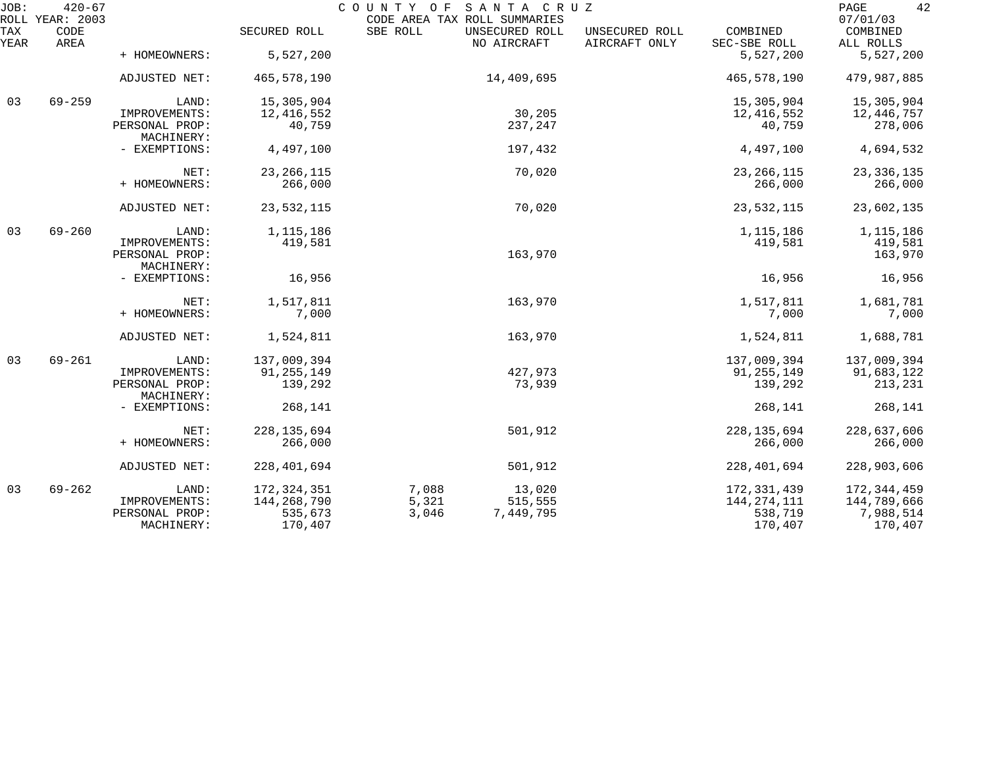| JOB:        | $420 - 67$<br>ROLL YEAR: 2003 | COUNTY OF<br>SANTA CRUZ<br>CODE AREA TAX ROLL SUMMARIES |               |                                           |                                 |                          |                                   |  |  |  |
|-------------|-------------------------------|---------------------------------------------------------|---------------|-------------------------------------------|---------------------------------|--------------------------|-----------------------------------|--|--|--|
| TAX<br>YEAR | CODE<br>AREA                  |                                                         | SECURED ROLL  | SBE ROLL<br>UNSECURED ROLL<br>NO AIRCRAFT | UNSECURED ROLL<br>AIRCRAFT ONLY | COMBINED<br>SEC-SBE ROLL | 07/01/03<br>COMBINED<br>ALL ROLLS |  |  |  |
|             |                               | + HOMEOWNERS:                                           | 5,527,200     |                                           |                                 | 5,527,200                | 5,527,200                         |  |  |  |
|             |                               | ADJUSTED NET:                                           | 465,578,190   |                                           | 14,409,695                      | 465,578,190              | 479,987,885                       |  |  |  |
| 03          | $69 - 259$                    | LAND:                                                   | 15,305,904    |                                           |                                 | 15,305,904               | 15,305,904                        |  |  |  |
|             |                               | IMPROVEMENTS:                                           | 12, 416, 552  |                                           | 30,205                          | 12,416,552               | 12,446,757                        |  |  |  |
|             |                               | PERSONAL PROP:<br>MACHINERY:                            | 40,759        |                                           | 237,247                         | 40,759                   | 278,006                           |  |  |  |
|             |                               | - EXEMPTIONS:                                           | 4,497,100     |                                           | 197,432                         | 4,497,100                | 4,694,532                         |  |  |  |
|             |                               | NET:                                                    | 23, 266, 115  |                                           | 70,020                          | 23, 266, 115             | 23, 336, 135                      |  |  |  |
|             |                               | + HOMEOWNERS:                                           | 266,000       |                                           |                                 | 266,000                  | 266,000                           |  |  |  |
|             |                               | ADJUSTED NET:                                           | 23,532,115    |                                           | 70,020                          | 23, 532, 115             | 23,602,135                        |  |  |  |
| 03          | $69 - 260$                    | LAND:                                                   | 1, 115, 186   |                                           |                                 | 1, 115, 186              | 1,115,186                         |  |  |  |
|             |                               | IMPROVEMENTS:                                           | 419,581       |                                           |                                 | 419,581                  | 419,581                           |  |  |  |
|             |                               | PERSONAL PROP:                                          |               |                                           | 163,970                         |                          | 163,970                           |  |  |  |
|             |                               | MACHINERY:                                              |               |                                           |                                 |                          |                                   |  |  |  |
|             |                               | - EXEMPTIONS:                                           | 16,956        |                                           |                                 | 16,956                   | 16,956                            |  |  |  |
|             |                               | NET:                                                    | 1,517,811     |                                           | 163,970                         | 1,517,811                | 1,681,781                         |  |  |  |
|             |                               | + HOMEOWNERS:                                           | 7,000         |                                           |                                 | 7,000                    | 7,000                             |  |  |  |
|             |                               | ADJUSTED NET:                                           | 1,524,811     |                                           | 163,970                         | 1,524,811                | 1,688,781                         |  |  |  |
| 03          | $69 - 261$                    | LAND:                                                   | 137,009,394   |                                           |                                 | 137,009,394              | 137,009,394                       |  |  |  |
|             |                               | IMPROVEMENTS:                                           | 91, 255, 149  |                                           | 427,973                         | 91, 255, 149             | 91,683,122                        |  |  |  |
|             |                               | PERSONAL PROP:<br>MACHINERY:                            | 139,292       |                                           | 73,939                          | 139,292                  | 213,231                           |  |  |  |
|             |                               | - EXEMPTIONS:                                           | 268,141       |                                           |                                 | 268,141                  | 268,141                           |  |  |  |
|             |                               | NET:                                                    | 228, 135, 694 |                                           | 501,912                         | 228, 135, 694            | 228,637,606                       |  |  |  |
|             |                               | + HOMEOWNERS:                                           | 266,000       |                                           |                                 | 266,000                  | 266,000                           |  |  |  |
|             |                               | ADJUSTED NET:                                           | 228, 401, 694 |                                           | 501,912                         | 228,401,694              | 228,903,606                       |  |  |  |
| 03          | $69 - 262$                    | LAND:                                                   | 172, 324, 351 | 7,088                                     | 13,020                          | 172, 331, 439            | 172, 344, 459                     |  |  |  |
|             |                               | IMPROVEMENTS:                                           | 144,268,790   | 5,321                                     | 515,555                         | 144, 274, 111            | 144,789,666                       |  |  |  |
|             |                               | PERSONAL PROP:                                          | 535,673       | 3,046                                     | 7,449,795                       | 538,719                  | 7,988,514                         |  |  |  |
|             |                               | MACHINERY:                                              | 170,407       |                                           |                                 | 170,407                  | 170,407                           |  |  |  |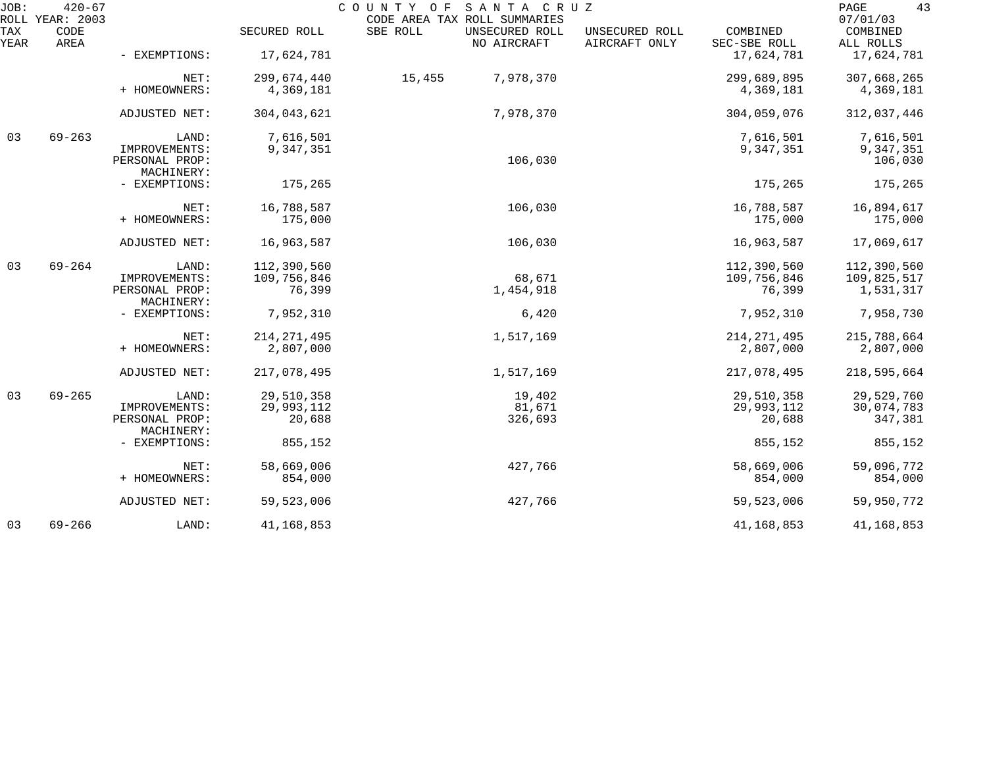| JOB:        | $420 - 67$<br>ROLL YEAR: 2003 |                                 |                        | SANTA CRUZ<br>COUNTY OF<br>CODE AREA TAX ROLL SUMMARIES |                                 |                          | 43<br>PAGE<br>07/01/03   |
|-------------|-------------------------------|---------------------------------|------------------------|---------------------------------------------------------|---------------------------------|--------------------------|--------------------------|
| TAX<br>YEAR | CODE<br>AREA                  |                                 | SECURED ROLL           | SBE ROLL<br>UNSECURED ROLL<br>NO AIRCRAFT               | UNSECURED ROLL<br>AIRCRAFT ONLY | COMBINED<br>SEC-SBE ROLL | COMBINED<br>ALL ROLLS    |
|             |                               | - EXEMPTIONS:                   | 17,624,781             |                                                         |                                 | 17,624,781               | 17,624,781               |
|             |                               | NET:                            | 299,674,440            | 15,455<br>7,978,370                                     |                                 | 299,689,895              | 307,668,265              |
|             |                               | + HOMEOWNERS:                   | 4,369,181              |                                                         |                                 | 4,369,181                | 4,369,181                |
|             |                               | ADJUSTED NET:                   | 304,043,621            | 7,978,370                                               |                                 | 304,059,076              | 312,037,446              |
| 03          | $69 - 263$                    | LAND:<br>IMPROVEMENTS:          | 7,616,501<br>9,347,351 |                                                         |                                 | 7,616,501<br>9,347,351   | 7,616,501<br>9,347,351   |
|             |                               | PERSONAL PROP:                  |                        | 106,030                                                 |                                 |                          | 106,030                  |
|             |                               | MACHINERY:<br>- EXEMPTIONS:     | 175,265                |                                                         |                                 | 175,265                  | 175,265                  |
|             |                               | NET:                            | 16,788,587             | 106,030                                                 |                                 | 16,788,587               | 16,894,617               |
|             |                               | + HOMEOWNERS:                   | 175,000                |                                                         |                                 | 175,000                  | 175,000                  |
|             |                               | ADJUSTED NET:                   | 16,963,587             | 106,030                                                 |                                 | 16,963,587               | 17,069,617               |
| 03          | $69 - 264$                    | LAND:                           | 112,390,560            |                                                         |                                 | 112,390,560              | 112,390,560              |
|             |                               | IMPROVEMENTS:<br>PERSONAL PROP: | 109,756,846<br>76,399  | 68,671<br>1,454,918                                     |                                 | 109,756,846<br>76,399    | 109,825,517<br>1,531,317 |
|             |                               | MACHINERY:                      |                        |                                                         |                                 |                          |                          |
|             |                               | - EXEMPTIONS:                   | 7,952,310              | 6,420                                                   |                                 | 7,952,310                | 7,958,730                |
|             |                               | NET:                            | 214, 271, 495          | 1,517,169                                               |                                 | 214, 271, 495            | 215,788,664              |
|             |                               | + HOMEOWNERS:                   | 2,807,000              |                                                         |                                 | 2,807,000                | 2,807,000                |
|             |                               | ADJUSTED NET:                   | 217,078,495            | 1,517,169                                               |                                 | 217,078,495              | 218,595,664              |
| 03          | $69 - 265$                    | LAND:                           | 29,510,358             | 19,402                                                  |                                 | 29,510,358               | 29,529,760               |
|             |                               | IMPROVEMENTS:                   | 29,993,112             | 81,671                                                  |                                 | 29,993,112               | 30,074,783               |
|             |                               | PERSONAL PROP:                  | 20,688                 | 326,693                                                 |                                 | 20,688                   | 347,381                  |
|             |                               | MACHINERY:                      |                        |                                                         |                                 |                          |                          |
|             |                               | - EXEMPTIONS:                   | 855,152                |                                                         |                                 | 855,152                  | 855,152                  |
|             |                               | NET:                            | 58,669,006             | 427,766                                                 |                                 | 58,669,006               | 59,096,772               |
|             |                               | + HOMEOWNERS:                   | 854,000                |                                                         |                                 | 854,000                  | 854,000                  |
|             |                               | ADJUSTED NET:                   | 59,523,006             | 427,766                                                 |                                 | 59,523,006               | 59,950,772               |
| 03          | $69 - 266$                    | LAND:                           | 41,168,853             |                                                         |                                 | 41, 168, 853             | 41,168,853               |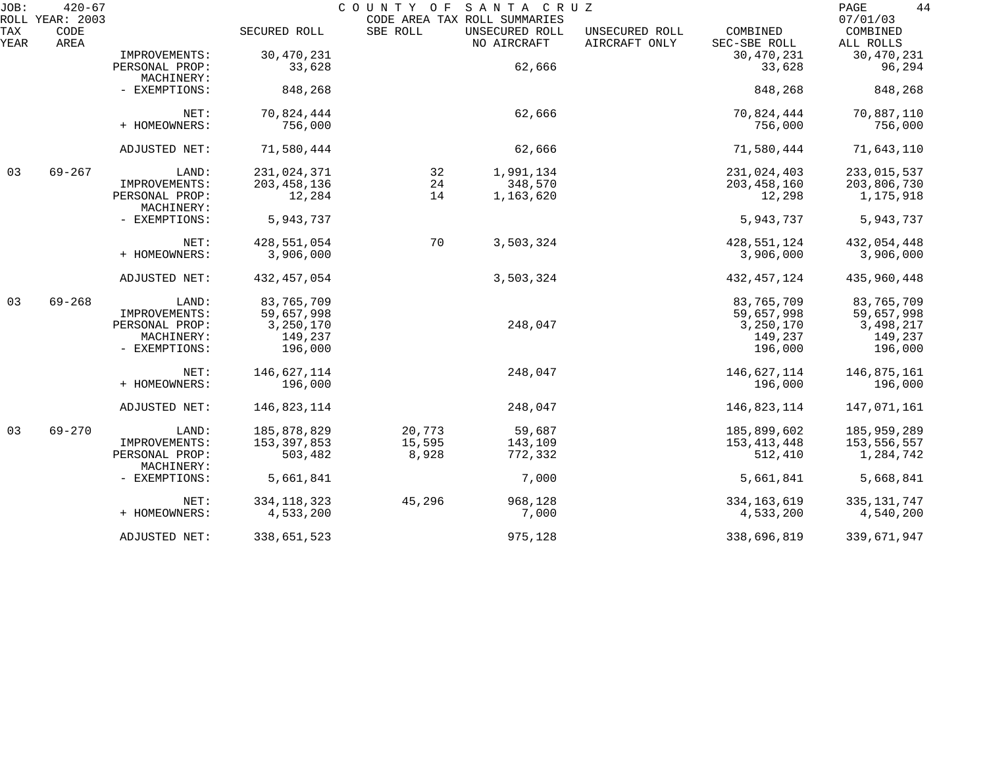| JOB:        | $420 - 67$<br>ROLL YEAR: 2003 |                              |               | COUNTY OF | SANTA CRUZ<br>CODE AREA TAX ROLL SUMMARIES |                                 |                          | 44<br>PAGE<br>07/01/03 |
|-------------|-------------------------------|------------------------------|---------------|-----------|--------------------------------------------|---------------------------------|--------------------------|------------------------|
| TAX<br>YEAR | CODE<br>AREA                  |                              | SECURED ROLL  | SBE ROLL  | UNSECURED ROLL<br>NO AIRCRAFT              | UNSECURED ROLL<br>AIRCRAFT ONLY | COMBINED<br>SEC-SBE ROLL | COMBINED<br>ALL ROLLS  |
|             |                               | IMPROVEMENTS:                | 30,470,231    |           |                                            |                                 | 30,470,231               | 30,470,231             |
|             |                               | PERSONAL PROP:<br>MACHINERY: | 33,628        |           | 62,666                                     |                                 | 33,628                   | 96,294                 |
|             |                               | - EXEMPTIONS:                | 848,268       |           |                                            |                                 | 848,268                  | 848,268                |
|             |                               | NET:                         | 70,824,444    |           | 62,666                                     |                                 | 70,824,444               | 70,887,110             |
|             |                               | + HOMEOWNERS:                | 756,000       |           |                                            |                                 | 756,000                  | 756,000                |
|             |                               | ADJUSTED NET:                | 71,580,444    |           | 62,666                                     |                                 | 71,580,444               | 71,643,110             |
| 03          | $69 - 267$                    | LAND:                        | 231,024,371   | 32        | 1,991,134                                  |                                 | 231,024,403              | 233,015,537            |
|             |                               | IMPROVEMENTS:                | 203, 458, 136 | 24        | 348,570                                    |                                 | 203, 458, 160            | 203,806,730            |
|             |                               | PERSONAL PROP:<br>MACHINERY: | 12,284        | 14        | 1,163,620                                  |                                 | 12,298                   | 1,175,918              |
|             |                               | - EXEMPTIONS:                | 5,943,737     |           |                                            |                                 | 5,943,737                | 5,943,737              |
|             |                               | NET:                         | 428,551,054   | 70        | 3,503,324                                  |                                 | 428,551,124              | 432,054,448            |
|             |                               | + HOMEOWNERS:                | 3,906,000     |           |                                            |                                 | 3,906,000                | 3,906,000              |
|             |                               | ADJUSTED NET:                | 432, 457, 054 |           | 3,503,324                                  |                                 | 432, 457, 124            | 435,960,448            |
| 03          | $69 - 268$                    | LAND:                        | 83,765,709    |           |                                            |                                 | 83,765,709               | 83,765,709             |
|             |                               | IMPROVEMENTS:                | 59,657,998    |           |                                            |                                 | 59,657,998               | 59,657,998             |
|             |                               | PERSONAL PROP:               | 3,250,170     |           | 248,047                                    |                                 | 3,250,170                | 3,498,217              |
|             |                               | MACHINERY:                   | 149,237       |           |                                            |                                 | 149,237                  | 149,237                |
|             |                               | - EXEMPTIONS:                | 196,000       |           |                                            |                                 | 196,000                  | 196,000                |
|             |                               | NET:                         | 146,627,114   |           | 248,047                                    |                                 | 146,627,114              | 146,875,161            |
|             |                               | + HOMEOWNERS:                | 196,000       |           |                                            |                                 | 196,000                  | 196,000                |
|             |                               | ADJUSTED NET:                | 146,823,114   |           | 248,047                                    |                                 | 146,823,114              | 147,071,161            |
| 03          | $69 - 270$                    | LAND:                        | 185,878,829   | 20,773    | 59,687                                     |                                 | 185,899,602              | 185,959,289            |
|             |                               | IMPROVEMENTS:                | 153, 397, 853 | 15,595    | 143,109                                    |                                 | 153, 413, 448            | 153,556,557            |
|             |                               | PERSONAL PROP:<br>MACHINERY: | 503,482       | 8,928     | 772,332                                    |                                 | 512,410                  | 1,284,742              |
|             |                               | - EXEMPTIONS:                | 5,661,841     |           | 7,000                                      |                                 | 5,661,841                | 5,668,841              |
|             |                               | NET:                         | 334, 118, 323 | 45,296    | 968,128                                    |                                 | 334, 163, 619            | 335, 131, 747          |
|             |                               | + HOMEOWNERS:                | 4,533,200     |           | 7,000                                      |                                 | 4,533,200                | 4,540,200              |
|             |                               | ADJUSTED NET:                | 338,651,523   |           | 975,128                                    |                                 | 338,696,819              | 339,671,947            |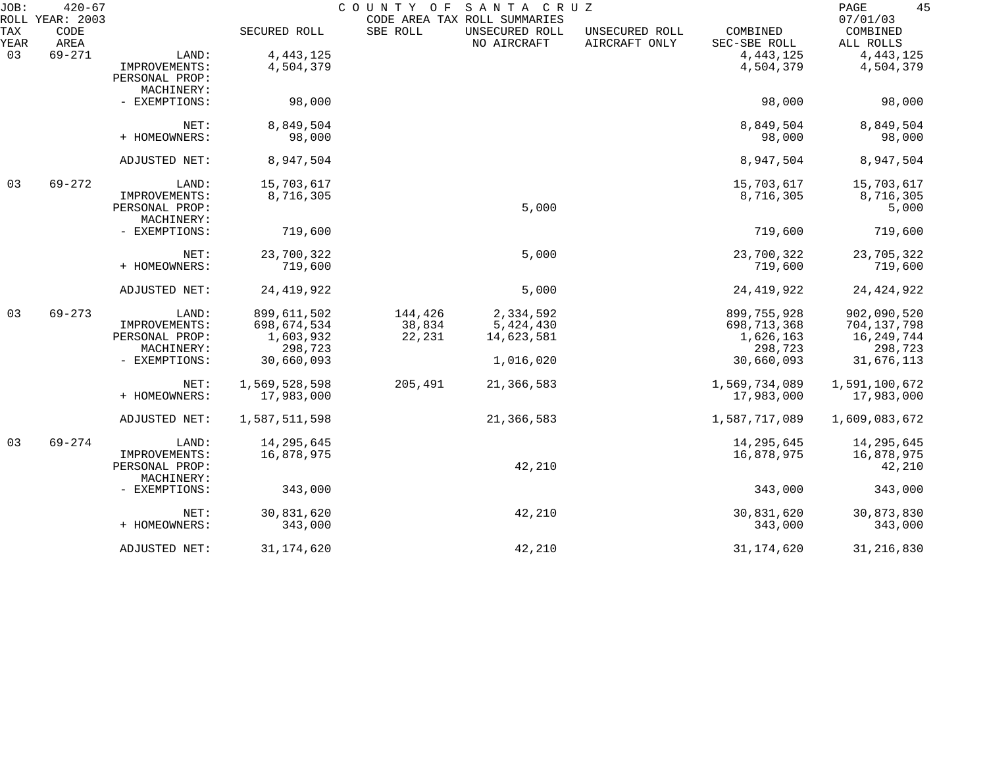| JOB:        | $420 - 67$<br>ROLL YEAR: 2003 |                              |               | COUNTY OF | SANTA CRUZ<br>CODE AREA TAX ROLL SUMMARIES |                                 |                          | 45<br>PAGE<br>07/01/03 |
|-------------|-------------------------------|------------------------------|---------------|-----------|--------------------------------------------|---------------------------------|--------------------------|------------------------|
| TAX<br>YEAR | CODE<br>AREA                  |                              | SECURED ROLL  | SBE ROLL  | UNSECURED ROLL<br>NO AIRCRAFT              | UNSECURED ROLL<br>AIRCRAFT ONLY | COMBINED<br>SEC-SBE ROLL | COMBINED<br>ALL ROLLS  |
| 03          | $69 - 271$                    | LAND:                        | 4, 443, 125   |           |                                            |                                 | 4, 443, 125              | 4, 443, 125            |
|             |                               | IMPROVEMENTS:                | 4,504,379     |           |                                            |                                 | 4,504,379                | 4,504,379              |
|             |                               | PERSONAL PROP:               |               |           |                                            |                                 |                          |                        |
|             |                               | MACHINERY:                   |               |           |                                            |                                 |                          |                        |
|             |                               | - EXEMPTIONS:                | 98,000        |           |                                            |                                 | 98,000                   | 98,000                 |
|             |                               | NET:                         | 8,849,504     |           |                                            |                                 | 8,849,504                | 8,849,504              |
|             |                               | + HOMEOWNERS:                | 98,000        |           |                                            |                                 | 98,000                   | 98,000                 |
|             |                               | ADJUSTED NET:                | 8,947,504     |           |                                            |                                 | 8,947,504                | 8,947,504              |
| 03          | $69 - 272$                    | LAND:                        | 15,703,617    |           |                                            |                                 | 15,703,617               | 15,703,617             |
|             |                               | IMPROVEMENTS:                | 8,716,305     |           |                                            |                                 | 8,716,305                | 8,716,305              |
|             |                               | PERSONAL PROP:               |               |           | 5,000                                      |                                 |                          | 5,000                  |
|             |                               | MACHINERY:                   |               |           |                                            |                                 |                          |                        |
|             |                               | - EXEMPTIONS:                | 719,600       |           |                                            |                                 | 719,600                  | 719,600                |
|             |                               | NET:                         | 23,700,322    |           | 5,000                                      |                                 | 23,700,322               | 23,705,322             |
|             |                               | + HOMEOWNERS:                | 719,600       |           |                                            |                                 | 719,600                  | 719,600                |
|             |                               | ADJUSTED NET:                | 24, 419, 922  |           | 5,000                                      |                                 | 24, 419, 922             | 24, 424, 922           |
| 03          | $69 - 273$                    | LAND:                        | 899,611,502   | 144,426   | 2,334,592                                  |                                 | 899,755,928              | 902,090,520            |
|             |                               | IMPROVEMENTS:                | 698,674,534   | 38,834    | 5,424,430                                  |                                 | 698,713,368              | 704, 137, 798          |
|             |                               | PERSONAL PROP:               | 1,603,932     | 22,231    | 14,623,581                                 |                                 | 1,626,163                | 16, 249, 744           |
|             |                               | MACHINERY:                   | 298,723       |           |                                            |                                 | 298,723                  | 298,723                |
|             |                               | - EXEMPTIONS:                | 30,660,093    |           | 1,016,020                                  |                                 | 30,660,093               | 31,676,113             |
|             |                               | NET:                         | 1,569,528,598 | 205,491   | 21,366,583                                 |                                 | 1,569,734,089            | 1,591,100,672          |
|             |                               | + HOMEOWNERS:                | 17,983,000    |           |                                            |                                 | 17,983,000               | 17,983,000             |
|             |                               | ADJUSTED NET:                | 1,587,511,598 |           | 21,366,583                                 |                                 | 1,587,717,089            | 1,609,083,672          |
| 03          | $69 - 274$                    | LAND:                        | 14,295,645    |           |                                            |                                 | 14, 295, 645             | 14,295,645             |
|             |                               | IMPROVEMENTS:                | 16,878,975    |           |                                            |                                 | 16,878,975               | 16,878,975             |
|             |                               | PERSONAL PROP:<br>MACHINERY: |               |           | 42,210                                     |                                 |                          | 42,210                 |
|             |                               | - EXEMPTIONS:                | 343,000       |           |                                            |                                 | 343,000                  | 343,000                |
|             |                               | NET:                         | 30,831,620    |           | 42,210                                     |                                 | 30,831,620               | 30,873,830             |
|             |                               | + HOMEOWNERS:                | 343,000       |           |                                            |                                 | 343,000                  | 343,000                |
|             |                               | ADJUSTED NET:                | 31, 174, 620  |           | 42,210                                     |                                 | 31, 174, 620             | 31, 216, 830           |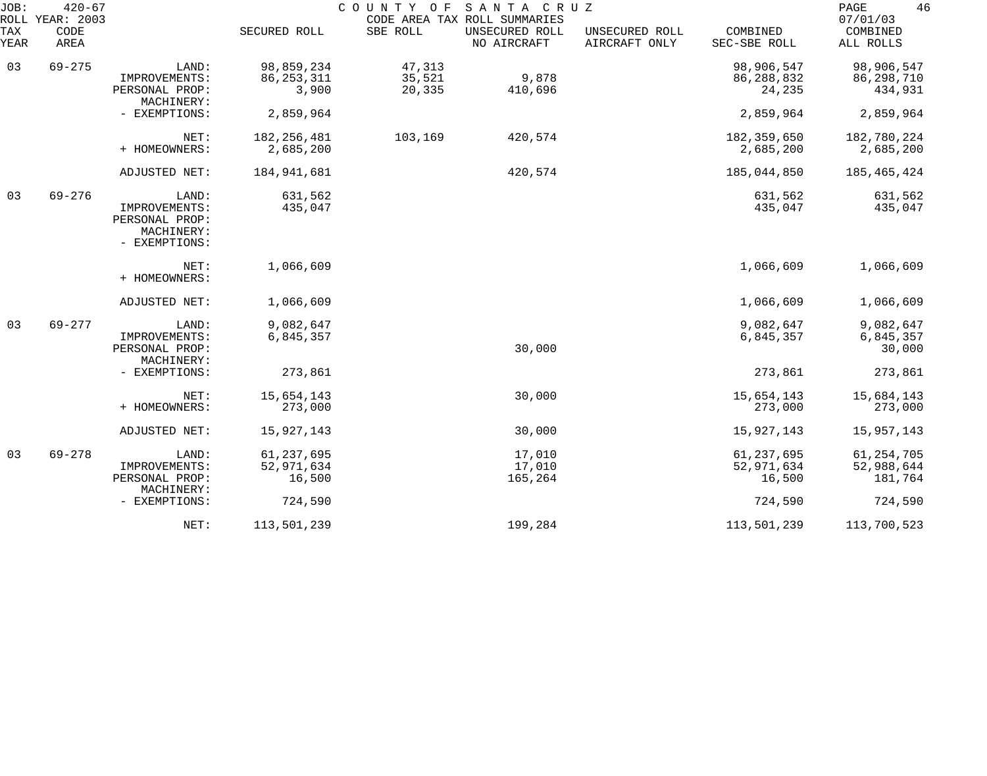| JOB:<br>ROLL | $420 - 67$<br>YEAR: 2003 |                                                                |               | COUNTY OF | SANTA CRUZ<br>CODE AREA TAX ROLL SUMMARIES |                                 |                          | 46<br>PAGE<br>07/01/03 |
|--------------|--------------------------|----------------------------------------------------------------|---------------|-----------|--------------------------------------------|---------------------------------|--------------------------|------------------------|
| TAX<br>YEAR  | CODE<br>AREA             |                                                                | SECURED ROLL  | SBE ROLL  | UNSECURED ROLL<br>NO AIRCRAFT              | UNSECURED ROLL<br>AIRCRAFT ONLY | COMBINED<br>SEC-SBE ROLL | COMBINED<br>ALL ROLLS  |
| 03           | $69 - 275$               | LAND:                                                          | 98,859,234    | 47,313    |                                            |                                 | 98,906,547               | 98,906,547             |
|              |                          | IMPROVEMENTS:                                                  | 86, 253, 311  | 35,521    | 9,878                                      |                                 | 86, 288, 832             | 86,298,710             |
|              |                          | PERSONAL PROP:                                                 | 3,900         | 20,335    | 410,696                                    |                                 | 24,235                   | 434,931                |
|              |                          | MACHINERY:<br>- EXEMPTIONS:                                    | 2,859,964     |           |                                            |                                 | 2,859,964                | 2,859,964              |
|              |                          |                                                                |               |           |                                            |                                 |                          |                        |
|              |                          | NET:                                                           | 182, 256, 481 | 103,169   | 420,574                                    |                                 | 182, 359, 650            | 182,780,224            |
|              |                          | + HOMEOWNERS:                                                  | 2,685,200     |           |                                            |                                 | 2,685,200                | 2,685,200              |
|              |                          | ADJUSTED NET:                                                  | 184, 941, 681 |           | 420,574                                    |                                 | 185,044,850              | 185,465,424            |
| 03           | $69 - 276$               | LAND:                                                          | 631,562       |           |                                            |                                 | 631,562                  | 631,562                |
|              |                          | IMPROVEMENTS:<br>PERSONAL PROP:<br>MACHINERY:<br>- EXEMPTIONS: | 435,047       |           |                                            |                                 | 435,047                  | 435,047                |
|              |                          | NET:                                                           | 1,066,609     |           |                                            |                                 | 1,066,609                | 1,066,609              |
|              |                          | + HOMEOWNERS:                                                  |               |           |                                            |                                 |                          |                        |
|              |                          | ADJUSTED NET:                                                  | 1,066,609     |           |                                            |                                 | 1,066,609                | 1,066,609              |
| 03           | $69 - 277$               | LAND:                                                          | 9,082,647     |           |                                            |                                 | 9,082,647                | 9,082,647              |
|              |                          | IMPROVEMENTS:                                                  | 6,845,357     |           |                                            |                                 | 6,845,357                | 6,845,357              |
|              |                          | PERSONAL PROP:<br>MACHINERY:                                   |               |           | 30,000                                     |                                 |                          | 30,000                 |
|              |                          | - EXEMPTIONS:                                                  | 273,861       |           |                                            |                                 | 273,861                  | 273,861                |
|              |                          | NET:                                                           | 15,654,143    |           | 30,000                                     |                                 | 15,654,143               | 15,684,143             |
|              |                          | + HOMEOWNERS:                                                  | 273,000       |           |                                            |                                 | 273,000                  | 273,000                |
|              |                          | ADJUSTED NET:                                                  | 15,927,143    |           | 30,000                                     |                                 | 15,927,143               | 15,957,143             |
| 03           | $69 - 278$               | LAND:                                                          | 61, 237, 695  |           | 17,010                                     |                                 | 61, 237, 695             | 61, 254, 705           |
|              |                          | IMPROVEMENTS:                                                  | 52,971,634    |           | 17,010                                     |                                 | 52,971,634               | 52,988,644             |
|              |                          | PERSONAL PROP:                                                 | 16,500        |           | 165,264                                    |                                 | 16,500                   | 181,764                |
|              |                          | MACHINERY:                                                     |               |           |                                            |                                 |                          |                        |
|              |                          | - EXEMPTIONS:                                                  | 724,590       |           |                                            |                                 | 724,590                  | 724,590                |
|              |                          | NET:                                                           | 113,501,239   |           | 199,284                                    |                                 | 113,501,239              | 113,700,523            |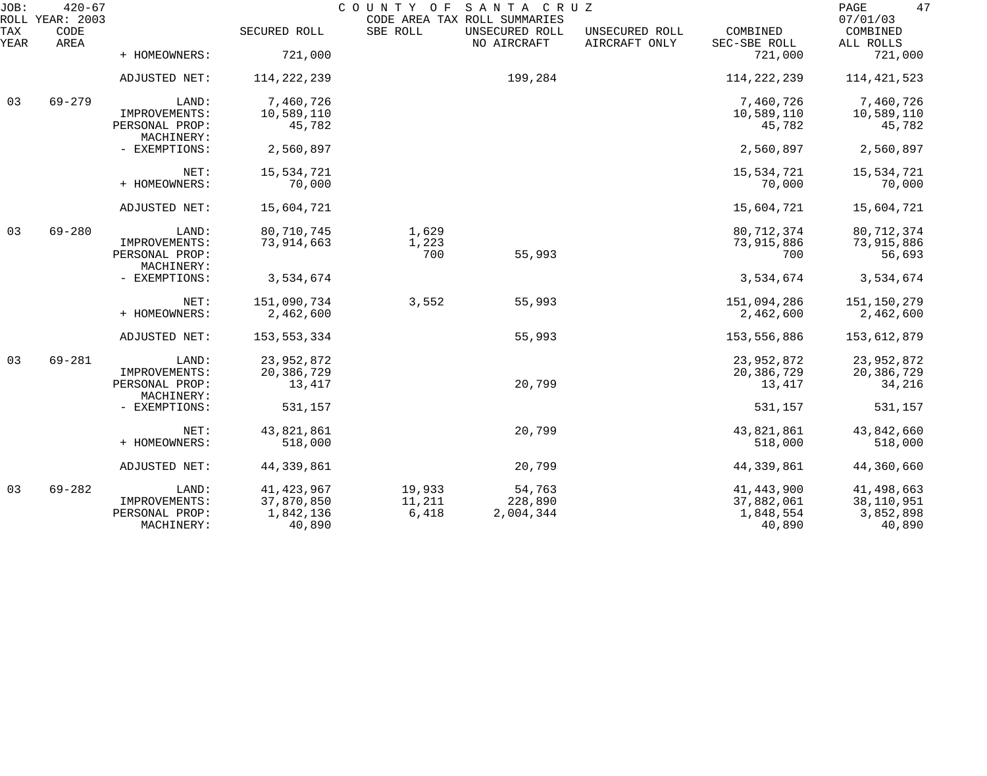| JOB:        | $420 - 67$<br>ROLL YEAR: 2003 |                                               |                         | COUNTY OF       | SANTA CRUZ<br>CODE AREA TAX ROLL SUMMARIES |                                 |                          | 47<br>PAGE<br>07/01/03    |
|-------------|-------------------------------|-----------------------------------------------|-------------------------|-----------------|--------------------------------------------|---------------------------------|--------------------------|---------------------------|
| TAX<br>YEAR | CODE<br>AREA                  |                                               | SECURED ROLL            | SBE ROLL        | UNSECURED ROLL<br>NO AIRCRAFT              | UNSECURED ROLL<br>AIRCRAFT ONLY | COMBINED<br>SEC-SBE ROLL | COMBINED<br>ALL ROLLS     |
|             |                               | + HOMEOWNERS:                                 | 721,000                 |                 |                                            |                                 | 721,000                  | 721,000                   |
|             |                               | ADJUSTED NET:                                 | 114, 222, 239           |                 | 199,284                                    |                                 | 114, 222, 239            | 114, 421, 523             |
| 03          | $69 - 279$                    | LAND:                                         | 7,460,726               |                 |                                            |                                 | 7,460,726                | 7,460,726                 |
|             |                               | IMPROVEMENTS:<br>PERSONAL PROP:<br>MACHINERY: | 10,589,110<br>45,782    |                 |                                            |                                 | 10,589,110<br>45,782     | 10,589,110<br>45,782      |
|             |                               | - EXEMPTIONS:                                 | 2,560,897               |                 |                                            |                                 | 2,560,897                | 2,560,897                 |
|             |                               | NET:                                          | 15,534,721              |                 |                                            |                                 | 15,534,721               | 15,534,721                |
|             |                               | + HOMEOWNERS:                                 | 70,000                  |                 |                                            |                                 | 70,000                   | 70,000                    |
|             |                               | ADJUSTED NET:                                 | 15,604,721              |                 |                                            |                                 | 15,604,721               | 15,604,721                |
| 03          | $69 - 280$                    | LAND:                                         | 80,710,745              | 1,629           |                                            |                                 | 80, 712, 374             | 80,712,374                |
|             |                               | IMPROVEMENTS:<br>PERSONAL PROP:<br>MACHINERY: | 73,914,663              | 1,223<br>700    | 55,993                                     |                                 | 73,915,886<br>700        | 73,915,886<br>56,693      |
|             |                               | - EXEMPTIONS:                                 | 3,534,674               |                 |                                            |                                 | 3,534,674                | 3,534,674                 |
|             |                               | NET:                                          | 151,090,734             | 3,552           | 55,993                                     |                                 | 151,094,286              | 151,150,279               |
|             |                               | + HOMEOWNERS:                                 | 2,462,600               |                 |                                            |                                 | 2,462,600                | 2,462,600                 |
|             |                               | ADJUSTED NET:                                 | 153,553,334             |                 | 55,993                                     |                                 | 153,556,886              | 153,612,879               |
| 03          | $69 - 281$                    | LAND:                                         | 23,952,872              |                 |                                            |                                 | 23,952,872               | 23,952,872                |
|             |                               | IMPROVEMENTS:<br>PERSONAL PROP:               | 20,386,729<br>13,417    |                 | 20,799                                     |                                 | 20,386,729<br>13,417     | 20,386,729<br>34,216      |
|             |                               | MACHINERY:                                    |                         |                 |                                            |                                 |                          |                           |
|             |                               | - EXEMPTIONS:                                 | 531,157                 |                 |                                            |                                 | 531,157                  | 531,157                   |
|             |                               | NET:                                          | 43,821,861              |                 | 20,799                                     |                                 | 43,821,861               | 43,842,660                |
|             |                               | + HOMEOWNERS:                                 | 518,000                 |                 |                                            |                                 | 518,000                  | 518,000                   |
|             |                               | ADJUSTED NET:                                 | 44,339,861              |                 | 20,799                                     |                                 | 44, 339, 861             | 44,360,660                |
| 03          | $69 - 282$                    | LAND:                                         | 41, 423, 967            | 19,933          | 54,763                                     |                                 | 41, 443, 900             | 41,498,663                |
|             |                               | IMPROVEMENTS:<br>PERSONAL PROP:               | 37,870,850<br>1,842,136 | 11,211<br>6,418 | 228,890<br>2,004,344                       |                                 | 37,882,061<br>1,848,554  | 38, 110, 951<br>3,852,898 |
|             |                               | MACHINERY:                                    | 40,890                  |                 |                                            |                                 | 40,890                   | 40,890                    |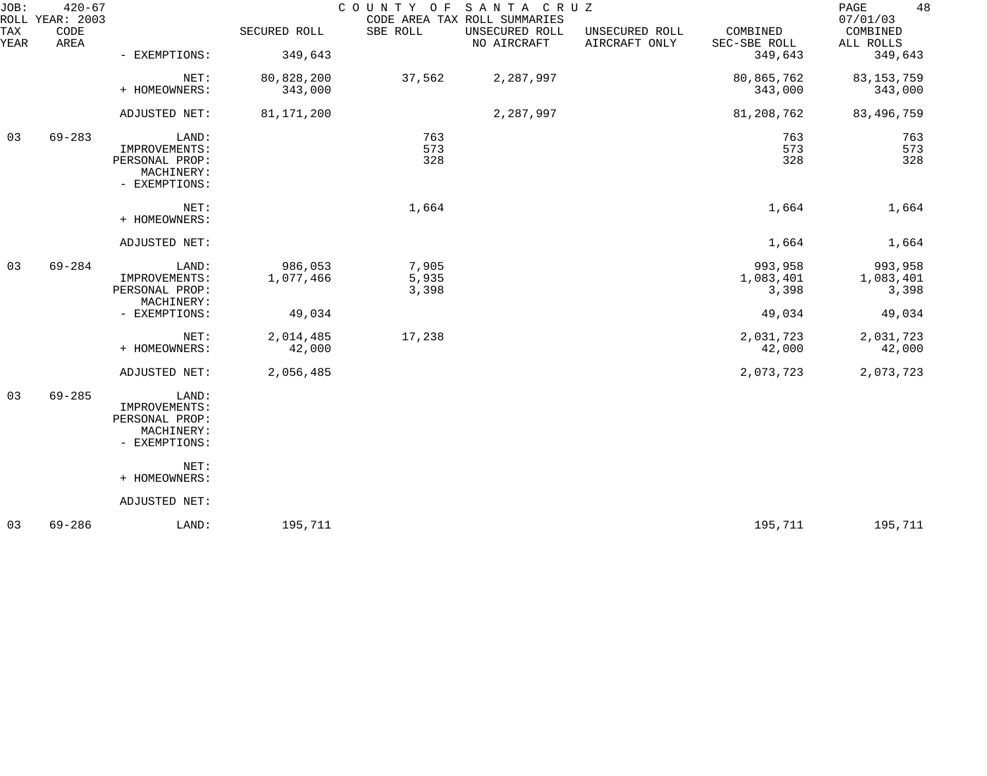| $420 - 67$   |                                                                         |                             |                         |                               |                                 |                               | 48<br>PAGE<br>07/01/03        |
|--------------|-------------------------------------------------------------------------|-----------------------------|-------------------------|-------------------------------|---------------------------------|-------------------------------|-------------------------------|
| CODE<br>AREA |                                                                         | SECURED ROLL                | SBE ROLL                | UNSECURED ROLL<br>NO AIRCRAFT | UNSECURED ROLL<br>AIRCRAFT ONLY | COMBINED<br>SEC-SBE ROLL      | COMBINED<br>ALL ROLLS         |
|              |                                                                         |                             |                         |                               |                                 |                               | 349,643                       |
|              | NET:<br>+ HOMEOWNERS:                                                   | 80,828,200<br>343,000       | 37,562                  | 2,287,997                     |                                 | 80,865,762<br>343,000         | 83, 153, 759<br>343,000       |
|              | ADJUSTED NET:                                                           | 81,171,200                  |                         | 2,287,997                     |                                 | 81,208,762                    | 83,496,759                    |
| $69 - 283$   | LAND:<br>IMPROVEMENTS:<br>PERSONAL PROP:<br>MACHINERY:<br>- EXEMPTIONS: |                             | 763<br>573<br>328       |                               |                                 | 763<br>573<br>328             | 763<br>573<br>328             |
|              | NET:<br>+ HOMEOWNERS:                                                   |                             | 1,664                   |                               |                                 | 1,664                         | 1,664                         |
|              | ADJUSTED NET:                                                           |                             |                         |                               |                                 | 1,664                         | 1,664                         |
| $69 - 284$   | LAND:<br>IMPROVEMENTS:<br>PERSONAL PROP:                                | 986,053<br>1,077,466        | 7,905<br>5,935<br>3,398 |                               |                                 | 993,958<br>1,083,401<br>3,398 | 993,958<br>1,083,401<br>3,398 |
|              | - EXEMPTIONS:                                                           | 49,034                      |                         |                               |                                 | 49,034                        | 49,034                        |
|              | NET:<br>+ HOMEOWNERS:                                                   | 2,014,485<br>42,000         | 17,238                  |                               |                                 | 2,031,723<br>42,000           | 2,031,723<br>42,000           |
|              | ADJUSTED NET:                                                           | 2,056,485                   |                         |                               |                                 | 2,073,723                     | 2,073,723                     |
| $69 - 285$   | LAND:<br>IMPROVEMENTS:<br>PERSONAL PROP:<br>MACHINERY:<br>- EXEMPTIONS: |                             |                         |                               |                                 |                               |                               |
|              | NET:<br>+ HOMEOWNERS:                                                   |                             |                         |                               |                                 |                               |                               |
|              | ADJUSTED NET:                                                           |                             |                         |                               |                                 |                               |                               |
| $69 - 286$   | LAND:                                                                   | 195,711                     |                         |                               |                                 | 195,711                       | 195,711                       |
|              | ROLL YEAR: 2003                                                         | - EXEMPTIONS:<br>MACHINERY: | 349,643                 | COUNTY OF                     | CODE AREA TAX ROLL SUMMARIES    | SANTA CRUZ                    | 349,643                       |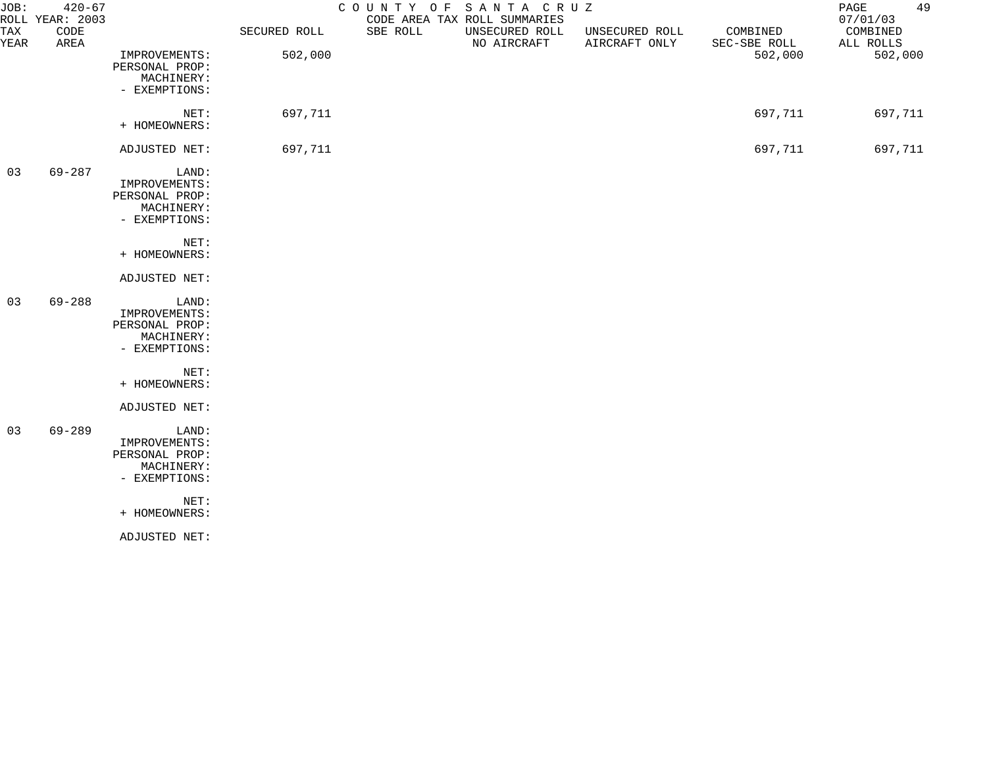| JOB:        | $420 - 67$<br>ROLL YEAR: 2003 |                                                                         |              | COUNTY OF | SANTA CRUZ<br>CODE AREA TAX ROLL SUMMARIES |                                 |                          | 49<br>PAGE<br>07/01/03 |
|-------------|-------------------------------|-------------------------------------------------------------------------|--------------|-----------|--------------------------------------------|---------------------------------|--------------------------|------------------------|
| TAX<br>YEAR | CODE<br>AREA                  |                                                                         | SECURED ROLL | SBE ROLL  | UNSECURED ROLL<br>NO AIRCRAFT              | UNSECURED ROLL<br>AIRCRAFT ONLY | COMBINED<br>SEC-SBE ROLL | COMBINED<br>ALL ROLLS  |
|             |                               | IMPROVEMENTS:<br>PERSONAL PROP:<br>MACHINERY:<br>- EXEMPTIONS:          | 502,000      |           |                                            |                                 | 502,000                  | 502,000                |
|             |                               | NET:<br>+ HOMEOWNERS:                                                   | 697,711      |           |                                            |                                 | 697,711                  | 697,711                |
|             |                               | ADJUSTED NET:                                                           | 697,711      |           |                                            |                                 | 697,711                  | 697,711                |
| 03          | 69-287                        | LAND:<br>IMPROVEMENTS:<br>PERSONAL PROP:<br>MACHINERY:<br>- EXEMPTIONS: |              |           |                                            |                                 |                          |                        |
|             |                               | NET:<br>+ HOMEOWNERS:                                                   |              |           |                                            |                                 |                          |                        |
|             |                               | ADJUSTED NET:                                                           |              |           |                                            |                                 |                          |                        |
| 03          | $69 - 288$                    | LAND:<br>IMPROVEMENTS:<br>PERSONAL PROP:<br>MACHINERY:<br>- EXEMPTIONS: |              |           |                                            |                                 |                          |                        |
|             |                               | NET:<br>+ HOMEOWNERS:                                                   |              |           |                                            |                                 |                          |                        |
|             |                               | ADJUSTED NET:                                                           |              |           |                                            |                                 |                          |                        |
| 03          | $69 - 289$                    | LAND:<br>IMPROVEMENTS:<br>PERSONAL PROP:<br>MACHINERY:<br>- EXEMPTIONS: |              |           |                                            |                                 |                          |                        |
|             |                               | NET:<br>+ HOMEOWNERS:                                                   |              |           |                                            |                                 |                          |                        |
|             |                               | ADJUSTED NET:                                                           |              |           |                                            |                                 |                          |                        |
|             |                               |                                                                         |              |           |                                            |                                 |                          |                        |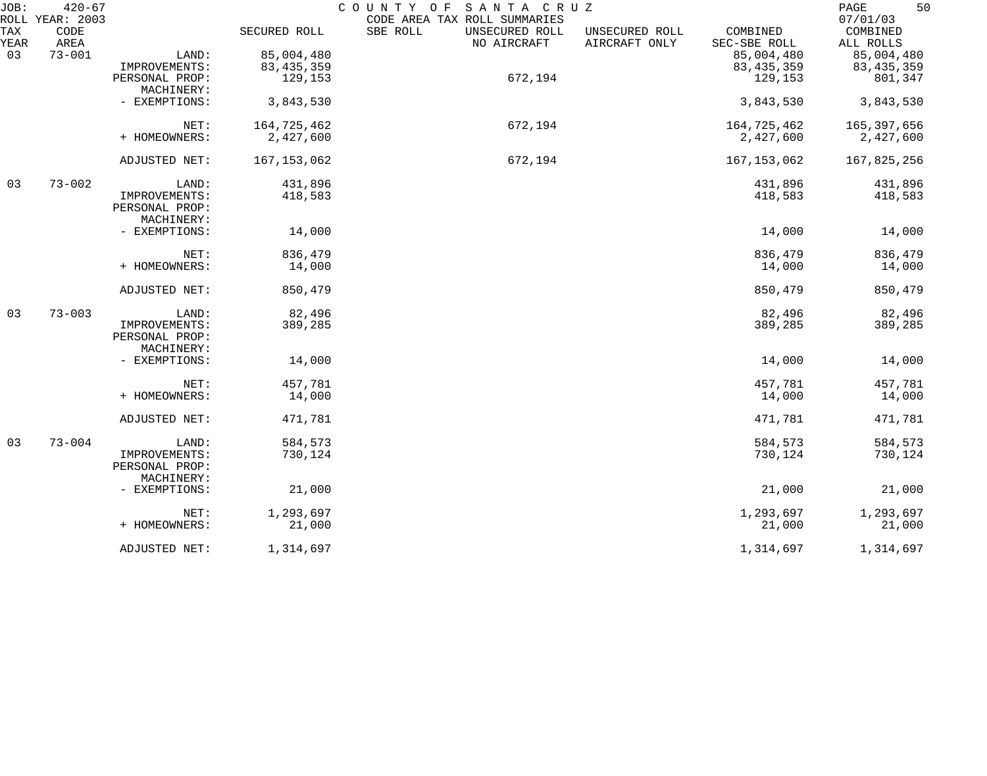| JOB:        | $420 - 67$<br>ROLL YEAR: 2003 |                                 |               | COUNTY OF SANTA CRUZ<br>CODE AREA TAX ROLL SUMMARIES |                               |                                 |                          | 50<br>PAGE<br>07/01/03 |
|-------------|-------------------------------|---------------------------------|---------------|------------------------------------------------------|-------------------------------|---------------------------------|--------------------------|------------------------|
| TAX<br>YEAR | CODE<br>AREA                  |                                 | SECURED ROLL  | SBE ROLL                                             | UNSECURED ROLL<br>NO AIRCRAFT | UNSECURED ROLL<br>AIRCRAFT ONLY | COMBINED<br>SEC-SBE ROLL | COMBINED<br>ALL ROLLS  |
| 03          | $73 - 001$                    | LAND:                           | 85,004,480    |                                                      |                               |                                 | 85,004,480               | 85,004,480             |
|             |                               | IMPROVEMENTS:                   | 83, 435, 359  |                                                      |                               |                                 | 83, 435, 359             | 83, 435, 359           |
|             |                               | PERSONAL PROP:                  | 129,153       |                                                      | 672,194                       |                                 |                          | 801,347                |
|             |                               | MACHINERY:                      |               |                                                      |                               |                                 | 129,153                  |                        |
|             |                               | - EXEMPTIONS:                   | 3,843,530     |                                                      |                               |                                 | 3,843,530                | 3,843,530              |
|             |                               | NET:                            | 164,725,462   |                                                      | 672,194                       |                                 | 164,725,462              | 165, 397, 656          |
|             |                               | + HOMEOWNERS:                   | 2,427,600     |                                                      |                               |                                 | 2,427,600                | 2,427,600              |
|             |                               | ADJUSTED NET:                   | 167, 153, 062 |                                                      | 672,194                       |                                 | 167, 153, 062            | 167,825,256            |
| 03          | $73 - 002$                    | LAND:                           | 431,896       |                                                      |                               |                                 | 431,896                  | 431,896                |
|             |                               | IMPROVEMENTS:                   | 418,583       |                                                      |                               |                                 | 418,583                  | 418,583                |
|             |                               | PERSONAL PROP:                  |               |                                                      |                               |                                 |                          |                        |
|             |                               | MACHINERY:                      |               |                                                      |                               |                                 |                          |                        |
|             |                               | - EXEMPTIONS:                   | 14,000        |                                                      |                               |                                 | 14,000                   | 14,000                 |
|             |                               | NET:                            | 836,479       |                                                      |                               |                                 | 836,479                  | 836,479                |
|             |                               | + HOMEOWNERS:                   | 14,000        |                                                      |                               |                                 | 14,000                   | 14,000                 |
|             |                               | ADJUSTED NET:                   | 850,479       |                                                      |                               |                                 | 850,479                  | 850,479                |
| 03          | $73 - 003$                    | LAND:                           | 82,496        |                                                      |                               |                                 | 82,496                   | 82,496                 |
|             |                               | IMPROVEMENTS:<br>PERSONAL PROP: | 389,285       |                                                      |                               |                                 | 389,285                  | 389,285                |
|             |                               | MACHINERY:                      |               |                                                      |                               |                                 |                          |                        |
|             |                               | - EXEMPTIONS:                   | 14,000        |                                                      |                               |                                 | 14,000                   | 14,000                 |
|             |                               | NET:                            | 457,781       |                                                      |                               |                                 | 457,781                  | 457,781                |
|             |                               | + HOMEOWNERS:                   | 14,000        |                                                      |                               |                                 | 14,000                   | 14,000                 |
|             |                               | ADJUSTED NET:                   | 471,781       |                                                      |                               |                                 | 471,781                  | 471,781                |
| 03          | $73 - 004$                    | LAND:                           | 584,573       |                                                      |                               |                                 | 584,573                  | 584,573                |
|             |                               | IMPROVEMENTS:                   | 730,124       |                                                      |                               |                                 | 730,124                  | 730,124                |
|             |                               | PERSONAL PROP:<br>MACHINERY:    |               |                                                      |                               |                                 |                          |                        |
|             |                               | - EXEMPTIONS:                   | 21,000        |                                                      |                               |                                 | 21,000                   | 21,000                 |
|             |                               | NET:                            | 1,293,697     |                                                      |                               |                                 | 1,293,697                | 1,293,697              |
|             |                               | + HOMEOWNERS:                   | 21,000        |                                                      |                               |                                 | 21,000                   | 21,000                 |
|             |                               | ADJUSTED NET:                   | 1,314,697     |                                                      |                               |                                 | 1,314,697                | 1,314,697              |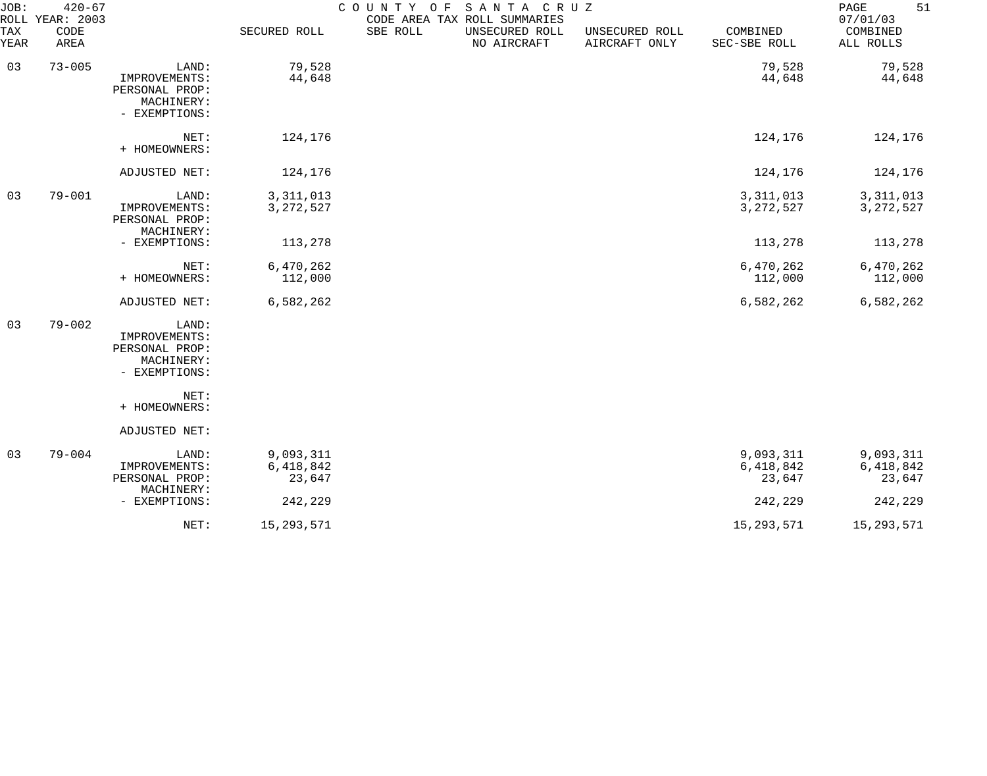| JOB:<br>ROLL | $420 - 67$<br>YEAR: 2003 |                                                                         |                                  | COUNTY OF | SANTA CRUZ<br>CODE AREA TAX ROLL SUMMARIES |                                 |                                  | 51<br>PAGE<br>07/01/03           |
|--------------|--------------------------|-------------------------------------------------------------------------|----------------------------------|-----------|--------------------------------------------|---------------------------------|----------------------------------|----------------------------------|
| TAX<br>YEAR  | CODE<br>AREA             |                                                                         | SECURED ROLL                     | SBE ROLL  | UNSECURED ROLL<br>NO AIRCRAFT              | UNSECURED ROLL<br>AIRCRAFT ONLY | COMBINED<br>SEC-SBE ROLL         | COMBINED<br>ALL ROLLS            |
| 03           | $73 - 005$               | LAND:<br>IMPROVEMENTS:<br>PERSONAL PROP:<br>MACHINERY:<br>- EXEMPTIONS: | 79,528<br>44,648                 |           |                                            |                                 | 79,528<br>44,648                 | 79,528<br>44,648                 |
|              |                          | NET:<br>+ HOMEOWNERS:                                                   | 124,176                          |           |                                            |                                 | 124,176                          | 124,176                          |
|              |                          | ADJUSTED NET:                                                           | 124,176                          |           |                                            |                                 | 124,176                          | 124,176                          |
| 03           | $79 - 001$               | LAND:<br>IMPROVEMENTS:<br>PERSONAL PROP:<br>MACHINERY:                  | 3, 311, 013<br>3, 272, 527       |           |                                            |                                 | 3, 311, 013<br>3, 272, 527       | 3, 311, 013<br>3, 272, 527       |
|              |                          | - EXEMPTIONS:                                                           | 113,278                          |           |                                            |                                 | 113,278                          | 113,278                          |
|              |                          | NET:<br>+ HOMEOWNERS:                                                   | 6,470,262<br>112,000             |           |                                            |                                 | 6,470,262<br>112,000             | 6,470,262<br>112,000             |
|              |                          | ADJUSTED NET:                                                           | 6,582,262                        |           |                                            |                                 | 6,582,262                        | 6,582,262                        |
| 03           | $79 - 002$               | LAND:<br>IMPROVEMENTS:<br>PERSONAL PROP:<br>MACHINERY:<br>- EXEMPTIONS: |                                  |           |                                            |                                 |                                  |                                  |
|              |                          | NET:<br>+ HOMEOWNERS:                                                   |                                  |           |                                            |                                 |                                  |                                  |
|              |                          | ADJUSTED NET:                                                           |                                  |           |                                            |                                 |                                  |                                  |
| 03           | $79 - 004$               | LAND:<br>IMPROVEMENTS:<br>PERSONAL PROP:<br>MACHINERY:                  | 9,093,311<br>6,418,842<br>23,647 |           |                                            |                                 | 9,093,311<br>6,418,842<br>23,647 | 9,093,311<br>6,418,842<br>23,647 |
|              |                          | - EXEMPTIONS:                                                           | 242,229                          |           |                                            |                                 | 242,229                          | 242,229                          |
|              |                          | NET:                                                                    | 15, 293, 571                     |           |                                            |                                 | 15, 293, 571                     | 15, 293, 571                     |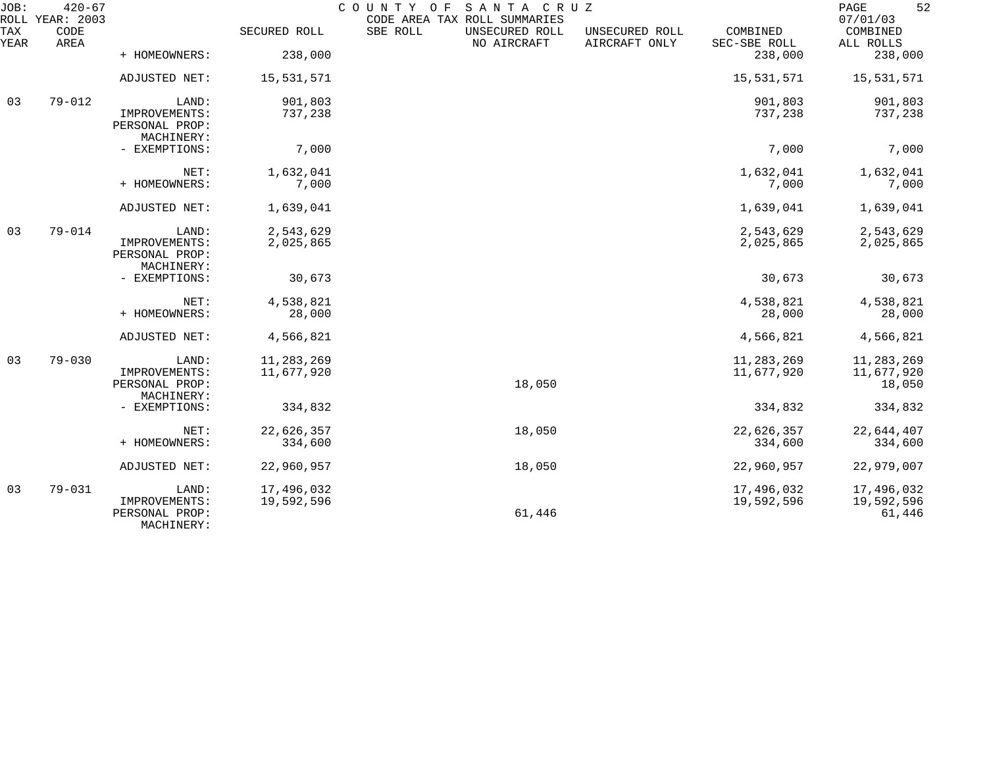| JOB:        | $420 - 67$<br>ROLL YEAR: 2003 |                                               |              | COUNTY OF<br>CODE AREA TAX ROLL SUMMARIES | SANTA CRUZ                    |                                 |                          | 52<br>PAGE<br>07/01/03 |
|-------------|-------------------------------|-----------------------------------------------|--------------|-------------------------------------------|-------------------------------|---------------------------------|--------------------------|------------------------|
| TAX<br>YEAR | CODE<br>AREA                  |                                               | SECURED ROLL | SBE ROLL                                  | UNSECURED ROLL<br>NO AIRCRAFT | UNSECURED ROLL<br>AIRCRAFT ONLY | COMBINED<br>SEC-SBE ROLL | COMBINED<br>ALL ROLLS  |
|             |                               | + HOMEOWNERS:                                 | 238,000      |                                           |                               |                                 | 238,000                  | 238,000                |
|             |                               | ADJUSTED NET:                                 | 15,531,571   |                                           |                               |                                 | 15,531,571               | 15,531,571             |
| 03          | $79 - 012$                    | LAND:                                         | 901,803      |                                           |                               |                                 | 901,803                  | 901,803                |
|             |                               | IMPROVEMENTS:<br>PERSONAL PROP:<br>MACHINERY: | 737,238      |                                           |                               |                                 | 737,238                  | 737,238                |
|             |                               | - EXEMPTIONS:                                 | 7,000        |                                           |                               |                                 | 7,000                    | 7,000                  |
|             |                               | NET:                                          | 1,632,041    |                                           |                               |                                 | 1,632,041                | 1,632,041              |
|             |                               | + HOMEOWNERS:                                 | 7,000        |                                           |                               |                                 | 7,000                    | 7,000                  |
|             |                               | ADJUSTED NET:                                 | 1,639,041    |                                           |                               |                                 | 1,639,041                | 1,639,041              |
| 03          | $79 - 014$                    | LAND:                                         | 2,543,629    |                                           |                               |                                 | 2,543,629                | 2,543,629              |
|             |                               | IMPROVEMENTS:<br>PERSONAL PROP:<br>MACHINERY: | 2,025,865    |                                           |                               |                                 | 2,025,865                | 2,025,865              |
|             |                               | - EXEMPTIONS:                                 | 30,673       |                                           |                               |                                 | 30,673                   | 30,673                 |
|             |                               | NET:                                          | 4,538,821    |                                           |                               |                                 | 4,538,821                | 4,538,821              |
|             |                               | + HOMEOWNERS:                                 | 28,000       |                                           |                               |                                 | 28,000                   | 28,000                 |
|             |                               | ADJUSTED NET:                                 | 4,566,821    |                                           |                               |                                 | 4,566,821                | 4,566,821              |
| 03          | $79 - 030$                    | LAND:                                         | 11, 283, 269 |                                           |                               |                                 | 11, 283, 269             | 11,283,269             |
|             |                               | IMPROVEMENTS:<br>PERSONAL PROP:               | 11,677,920   |                                           | 18,050                        |                                 | 11,677,920               | 11,677,920<br>18,050   |
|             |                               | MACHINERY:                                    |              |                                           |                               |                                 |                          |                        |
|             |                               | - EXEMPTIONS:                                 | 334,832      |                                           |                               |                                 | 334,832                  | 334,832                |
|             |                               | NET:                                          | 22,626,357   |                                           | 18,050                        |                                 | 22,626,357               | 22,644,407             |
|             |                               | + HOMEOWNERS:                                 | 334,600      |                                           |                               |                                 | 334,600                  | 334,600                |
|             |                               | ADJUSTED NET:                                 | 22,960,957   |                                           | 18,050                        |                                 | 22,960,957               | 22,979,007             |
| 03          | $79 - 031$                    | LAND:                                         | 17,496,032   |                                           |                               |                                 | 17,496,032               | 17,496,032             |
|             |                               | IMPROVEMENTS:<br>PERSONAL PROP:<br>MACHINERY: | 19,592,596   |                                           | 61,446                        |                                 | 19,592,596               | 19,592,596<br>61,446   |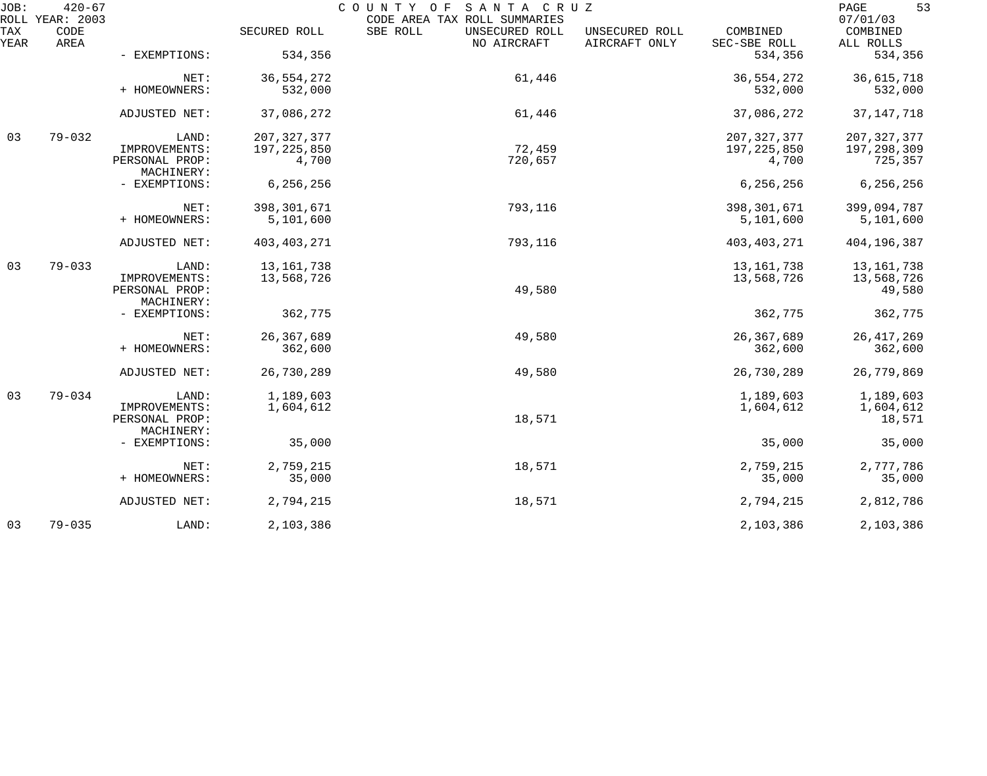| JOB:        | $420 - 67$<br>ROLL YEAR: 2003 |                              |               | COUNTY OF SANTA CRUZ<br>CODE AREA TAX ROLL SUMMARIES |                                 |                          | 53<br>PAGE<br>07/01/03 |
|-------------|-------------------------------|------------------------------|---------------|------------------------------------------------------|---------------------------------|--------------------------|------------------------|
| TAX<br>YEAR | CODE<br>AREA                  |                              | SECURED ROLL  | SBE ROLL<br>UNSECURED ROLL<br>NO AIRCRAFT            | UNSECURED ROLL<br>AIRCRAFT ONLY | COMBINED<br>SEC-SBE ROLL | COMBINED<br>ALL ROLLS  |
|             |                               | - EXEMPTIONS:                | 534,356       |                                                      |                                 | 534,356                  | 534,356                |
|             |                               | NET:                         | 36, 554, 272  | 61,446                                               |                                 | 36, 554, 272             | 36,615,718             |
|             |                               | + HOMEOWNERS:                | 532,000       |                                                      |                                 | 532,000                  | 532,000                |
|             |                               | ADJUSTED NET:                | 37,086,272    | 61,446                                               |                                 | 37,086,272               | 37, 147, 718           |
| 03          | $79 - 032$                    | LAND:                        | 207, 327, 377 |                                                      |                                 | 207, 327, 377            | 207, 327, 377          |
|             |                               | IMPROVEMENTS:                | 197, 225, 850 | 72,459                                               |                                 | 197, 225, 850            | 197,298,309            |
|             |                               | PERSONAL PROP:<br>MACHINERY: | 4,700         | 720,657                                              |                                 | 4,700                    | 725,357                |
|             |                               | - EXEMPTIONS:                | 6,256,256     |                                                      |                                 | 6, 256, 256              | 6,256,256              |
|             |                               | NET:                         | 398, 301, 671 | 793,116                                              |                                 | 398,301,671              | 399,094,787            |
|             |                               | + HOMEOWNERS:                | 5,101,600     |                                                      |                                 | 5,101,600                | 5,101,600              |
|             |                               |                              |               |                                                      |                                 |                          |                        |
|             |                               | ADJUSTED NET:                | 403, 403, 271 | 793,116                                              |                                 | 403, 403, 271            | 404,196,387            |
| 03          | $79 - 033$                    | LAND:                        | 13, 161, 738  |                                                      |                                 | 13, 161, 738             | 13, 161, 738           |
|             |                               | IMPROVEMENTS:                | 13,568,726    |                                                      |                                 | 13,568,726               | 13,568,726             |
|             |                               | PERSONAL PROP:               |               | 49,580                                               |                                 |                          | 49,580                 |
|             |                               | MACHINERY:                   |               |                                                      |                                 |                          |                        |
|             |                               | - EXEMPTIONS:                | 362,775       |                                                      |                                 | 362,775                  | 362,775                |
|             |                               |                              |               |                                                      |                                 |                          |                        |
|             |                               | NET:                         | 26, 367, 689  | 49,580                                               |                                 | 26, 367, 689             | 26, 417, 269           |
|             |                               | + HOMEOWNERS:                | 362,600       |                                                      |                                 | 362,600                  | 362,600                |
|             |                               | ADJUSTED NET:                | 26,730,289    | 49,580                                               |                                 | 26,730,289               | 26,779,869             |
| 03          | $79 - 034$                    | LAND:                        | 1,189,603     |                                                      |                                 | 1,189,603                | 1,189,603              |
|             |                               | IMPROVEMENTS:                | 1,604,612     |                                                      |                                 | 1,604,612                | 1,604,612              |
|             |                               | PERSONAL PROP:               |               | 18,571                                               |                                 |                          | 18,571                 |
|             |                               | MACHINERY:                   |               |                                                      |                                 |                          |                        |
|             |                               | - EXEMPTIONS:                | 35,000        |                                                      |                                 | 35,000                   | 35,000                 |
|             |                               | NET:                         | 2,759,215     | 18,571                                               |                                 | 2,759,215                | 2,777,786              |
|             |                               | + HOMEOWNERS:                | 35,000        |                                                      |                                 | 35,000                   | 35,000                 |
|             |                               | ADJUSTED NET:                | 2,794,215     | 18,571                                               |                                 | 2,794,215                | 2,812,786              |
| 03          | $79 - 035$                    | LAND:                        | 2,103,386     |                                                      |                                 | 2,103,386                | 2,103,386              |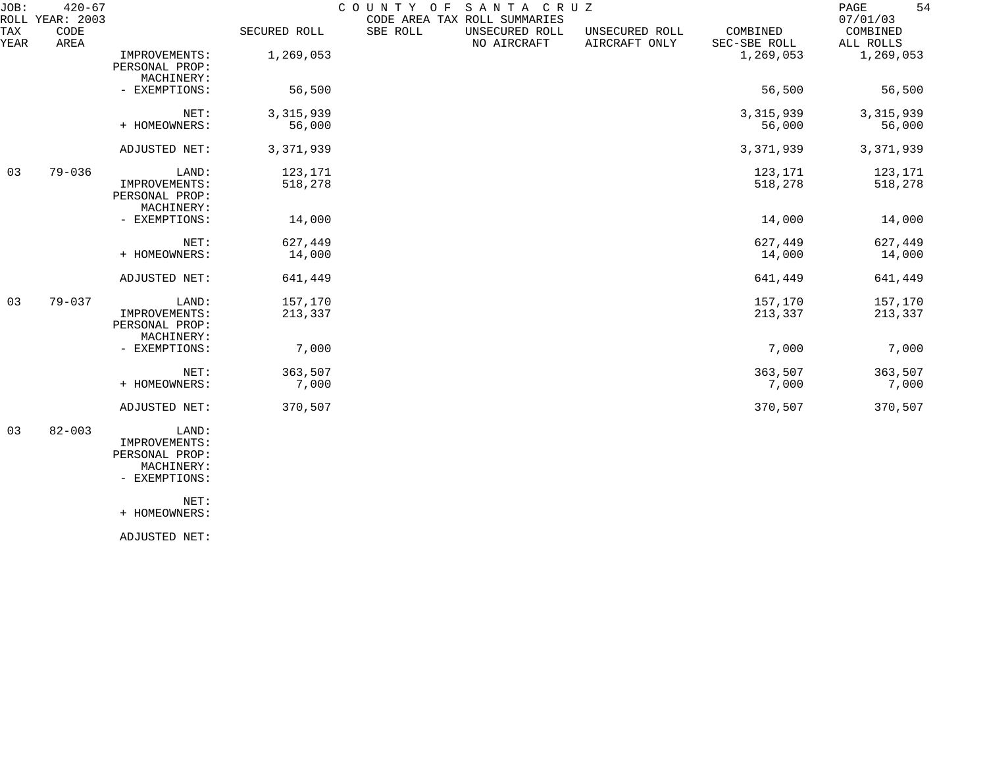| JOB:        | $420 - 67$<br>ROLL YEAR: 2003 |                                                        |                    | COUNTY OF<br>CODE AREA TAX ROLL SUMMARIES | SANTA CRUZ                    |                                 |                          | 54<br>PAGE<br>07/01/03 |
|-------------|-------------------------------|--------------------------------------------------------|--------------------|-------------------------------------------|-------------------------------|---------------------------------|--------------------------|------------------------|
| TAX<br>YEAR | CODE<br>AREA                  |                                                        | SECURED ROLL       | SBE ROLL                                  | UNSECURED ROLL<br>NO AIRCRAFT | UNSECURED ROLL<br>AIRCRAFT ONLY | COMBINED<br>SEC-SBE ROLL | COMBINED<br>ALL ROLLS  |
|             |                               | IMPROVEMENTS:<br>PERSONAL PROP:<br>MACHINERY:          | 1,269,053          |                                           |                               |                                 | 1,269,053                | 1,269,053              |
|             |                               | - EXEMPTIONS:                                          | 56,500             |                                           |                               |                                 | 56,500                   | 56,500                 |
|             |                               | NET:                                                   | 3, 315, 939        |                                           |                               |                                 | 3, 315, 939              | 3, 315, 939            |
|             |                               | + HOMEOWNERS:                                          | 56,000             |                                           |                               |                                 | 56,000                   | 56,000                 |
|             |                               | ADJUSTED NET:                                          | 3,371,939          |                                           |                               |                                 | 3,371,939                | 3, 371, 939            |
| 03          | $79 - 036$                    | LAND:<br>IMPROVEMENTS:<br>PERSONAL PROP:<br>MACHINERY: | 123,171<br>518,278 |                                           |                               |                                 | 123,171<br>518,278       | 123,171<br>518,278     |
|             |                               | - EXEMPTIONS:                                          | 14,000             |                                           |                               |                                 | 14,000                   | 14,000                 |
|             |                               | NET:<br>+ HOMEOWNERS:                                  | 627,449<br>14,000  |                                           |                               |                                 | 627,449<br>14,000        | 627,449<br>14,000      |
|             |                               | ADJUSTED NET:                                          | 641,449            |                                           |                               |                                 | 641,449                  | 641,449                |
| 03          | $79 - 037$                    | LAND:<br>IMPROVEMENTS:<br>PERSONAL PROP:<br>MACHINERY: | 157,170<br>213,337 |                                           |                               |                                 | 157,170<br>213,337       | 157,170<br>213,337     |
|             |                               | - EXEMPTIONS:                                          | 7,000              |                                           |                               |                                 | 7,000                    | 7,000                  |
|             |                               | NET:<br>+ HOMEOWNERS:                                  | 363,507<br>7,000   |                                           |                               |                                 | 363,507<br>7,000         | 363,507<br>7,000       |
|             |                               | ADJUSTED NET:                                          | 370,507            |                                           |                               |                                 | 370,507                  | 370,507                |
| 03          | $82 - 003$                    | LAND:<br>IMPROVEMENTS:<br>PERSONAL PROP:               |                    |                                           |                               |                                 |                          |                        |

 MACHINERY: - EXEMPTIONS:

NET:

+ HOMEOWNERS:

ADJUSTED NET: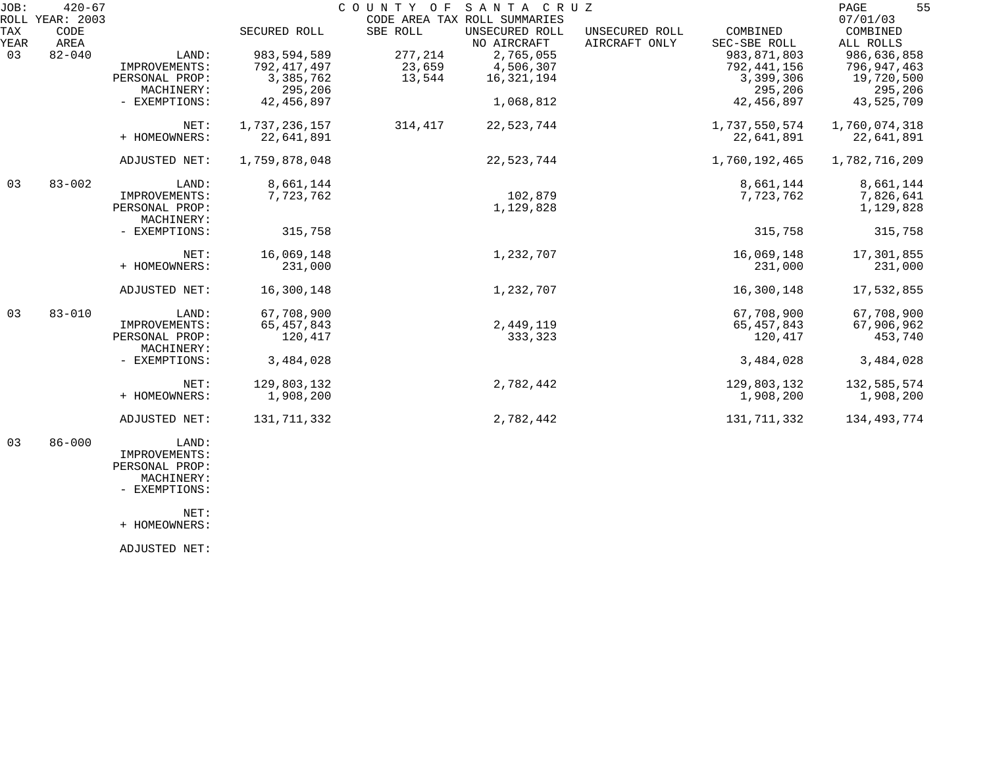| JOB: | $420 - 67$      |                |               | COUNTY OF SANTA CRUZ |                              |                |               | 55<br>PAGE    |
|------|-----------------|----------------|---------------|----------------------|------------------------------|----------------|---------------|---------------|
|      | ROLL YEAR: 2003 |                |               |                      | CODE AREA TAX ROLL SUMMARIES |                |               | 07/01/03      |
| TAX  | CODE            |                | SECURED ROLL  | SBE ROLL             | UNSECURED ROLL               | UNSECURED ROLL | COMBINED      | COMBINED      |
| YEAR | AREA            |                |               |                      | NO AIRCRAFT                  | AIRCRAFT ONLY  | SEC-SBE ROLL  | ALL ROLLS     |
| 03   | $82 - 040$      | LAND:          | 983, 594, 589 | 277,214              | 2,765,055                    |                | 983, 871, 803 | 986,636,858   |
|      |                 | IMPROVEMENTS:  | 792, 417, 497 | 23,659               | 4,506,307                    |                | 792, 441, 156 | 796,947,463   |
|      |                 | PERSONAL PROP: | 3,385,762     | 13,544               | 16,321,194                   |                | 3,399,306     | 19,720,500    |
|      |                 | MACHINERY:     | 295,206       |                      |                              |                | 295,206       | 295,206       |
|      |                 | - EXEMPTIONS:  | 42, 456, 897  |                      | 1,068,812                    |                | 42,456,897    | 43,525,709    |
|      |                 | NET:           | 1,737,236,157 | 314,417              | 22,523,744                   |                | 1,737,550,574 | 1,760,074,318 |
|      |                 | + HOMEOWNERS:  | 22,641,891    |                      |                              |                | 22,641,891    | 22,641,891    |
|      |                 | ADJUSTED NET:  | 1,759,878,048 |                      | 22,523,744                   |                | 1,760,192,465 | 1,782,716,209 |
| 03   | $83 - 002$      | LAND:          | 8,661,144     |                      |                              |                | 8,661,144     | 8,661,144     |
|      |                 | IMPROVEMENTS:  | 7,723,762     |                      | 102,879                      |                | 7,723,762     | 7,826,641     |
|      |                 | PERSONAL PROP: |               |                      | 1,129,828                    |                |               | 1,129,828     |
|      |                 | MACHINERY:     |               |                      |                              |                |               |               |
|      |                 | - EXEMPTIONS:  | 315,758       |                      |                              |                | 315,758       | 315,758       |
|      |                 | NET:           | 16,069,148    |                      | 1,232,707                    |                | 16,069,148    | 17,301,855    |
|      |                 | + HOMEOWNERS:  | 231,000       |                      |                              |                | 231,000       | 231,000       |
|      |                 | ADJUSTED NET:  | 16,300,148    |                      | 1,232,707                    |                | 16,300,148    | 17,532,855    |
| 03   | $83 - 010$      | LAND:          | 67,708,900    |                      |                              |                | 67,708,900    | 67,708,900    |
|      |                 | IMPROVEMENTS:  | 65, 457, 843  |                      | 2,449,119                    |                | 65, 457, 843  | 67,906,962    |
|      |                 | PERSONAL PROP: | 120,417       |                      | 333,323                      |                | 120,417       | 453,740       |
|      |                 | MACHINERY:     |               |                      |                              |                |               |               |
|      |                 | - EXEMPTIONS:  | 3,484,028     |                      |                              |                | 3,484,028     | 3,484,028     |
|      |                 | NET:           | 129,803,132   |                      | 2,782,442                    |                | 129,803,132   | 132,585,574   |
|      |                 | + HOMEOWNERS:  | 1,908,200     |                      |                              |                | 1,908,200     | 1,908,200     |
|      |                 |                |               |                      |                              |                |               |               |
|      |                 | ADJUSTED NET:  | 131,711,332   |                      | 2,782,442                    |                | 131,711,332   | 134,493,774   |
|      |                 |                |               |                      |                              |                |               |               |

 03 86-000 LAND: IMPROVEMENTS: PERSONAL PROP: MACHINERY:

- EXEMPTIONS:

NET:

+ HOMEOWNERS:

ADJUSTED NET: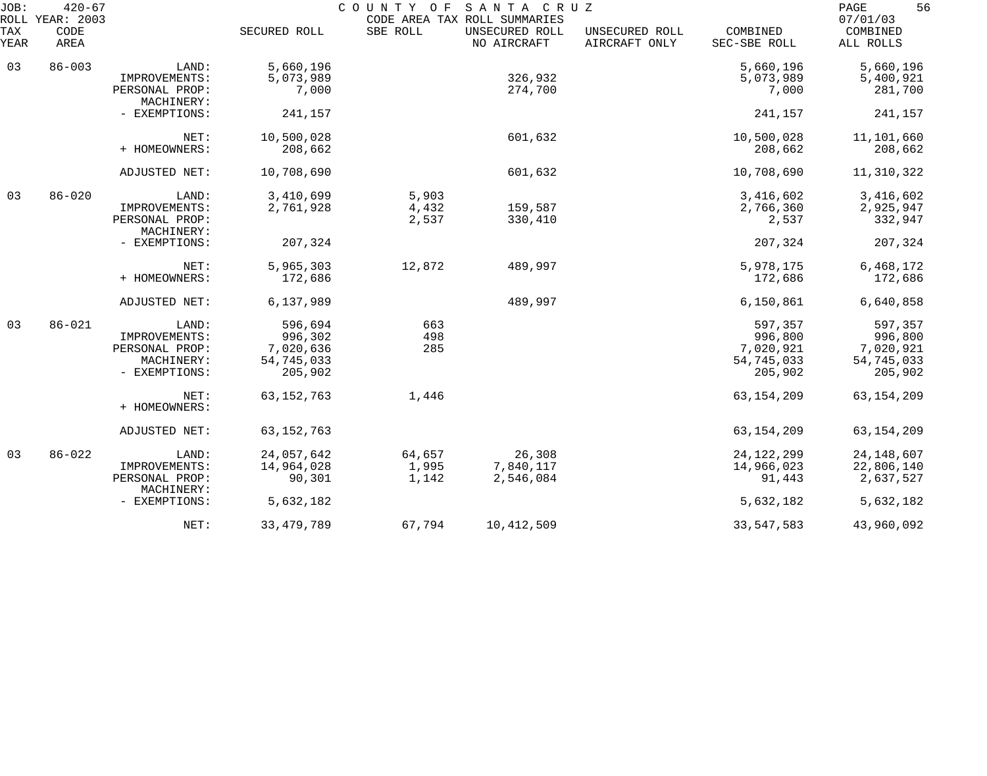| JOB:        | $420 - 67$<br>ROLL YEAR: 2003 |                              |              | COUNTY OF | SANTA CRUZ<br>CODE AREA TAX ROLL SUMMARIES |                                 |                          | 56<br>PAGE<br>07/01/03 |
|-------------|-------------------------------|------------------------------|--------------|-----------|--------------------------------------------|---------------------------------|--------------------------|------------------------|
| TAX<br>YEAR | CODE<br>AREA                  |                              | SECURED ROLL | SBE ROLL  | UNSECURED ROLL<br>NO AIRCRAFT              | UNSECURED ROLL<br>AIRCRAFT ONLY | COMBINED<br>SEC-SBE ROLL | COMBINED<br>ALL ROLLS  |
| 03          | $86 - 003$                    | LAND:                        | 5,660,196    |           |                                            |                                 | 5,660,196                | 5,660,196              |
|             |                               | IMPROVEMENTS:                | 5,073,989    |           | 326,932                                    |                                 | 5,073,989                | 5,400,921              |
|             |                               | PERSONAL PROP:<br>MACHINERY: | 7,000        |           | 274,700                                    |                                 | 7,000                    | 281,700                |
|             |                               | - EXEMPTIONS:                | 241,157      |           |                                            |                                 | 241,157                  | 241,157                |
|             |                               | NET:                         | 10,500,028   |           | 601,632                                    |                                 | 10,500,028               | 11,101,660             |
|             |                               | + HOMEOWNERS:                | 208,662      |           |                                            |                                 | 208,662                  | 208,662                |
|             |                               | ADJUSTED NET:                | 10,708,690   |           | 601,632                                    |                                 | 10,708,690               | 11,310,322             |
| 03          | $86 - 020$                    | LAND:                        | 3,410,699    | 5,903     |                                            |                                 | 3,416,602                | 3,416,602              |
|             |                               | IMPROVEMENTS:                | 2,761,928    | 4,432     | 159,587                                    |                                 | 2,766,360                | 2,925,947              |
|             |                               | PERSONAL PROP:<br>MACHINERY: |              | 2,537     | 330,410                                    |                                 | 2,537                    | 332,947                |
|             |                               | - EXEMPTIONS:                | 207,324      |           |                                            |                                 | 207,324                  | 207,324                |
|             |                               | NET:                         | 5,965,303    | 12,872    | 489,997                                    |                                 | 5,978,175                | 6,468,172              |
|             |                               | + HOMEOWNERS:                | 172,686      |           |                                            |                                 | 172,686                  | 172,686                |
|             |                               | ADJUSTED NET:                | 6,137,989    |           | 489,997                                    |                                 | 6,150,861                | 6,640,858              |
| 03          | $86 - 021$                    | LAND:                        | 596,694      | 663       |                                            |                                 | 597,357                  | 597,357                |
|             |                               | IMPROVEMENTS:                | 996,302      | 498       |                                            |                                 | 996,800                  | 996,800                |
|             |                               | PERSONAL PROP:               | 7,020,636    | 285       |                                            |                                 | 7,020,921                | 7,020,921              |
|             |                               | MACHINERY:                   | 54,745,033   |           |                                            |                                 | 54,745,033               | 54,745,033             |
|             |                               | - EXEMPTIONS:                | 205,902      |           |                                            |                                 | 205,902                  | 205,902                |
|             |                               | NET:                         | 63, 152, 763 | 1,446     |                                            |                                 | 63, 154, 209             | 63, 154, 209           |
|             |                               | + HOMEOWNERS:                |              |           |                                            |                                 |                          |                        |
|             |                               | ADJUSTED NET:                | 63, 152, 763 |           |                                            |                                 | 63, 154, 209             | 63, 154, 209           |
| 03          | $86 - 022$                    | LAND:                        | 24,057,642   | 64,657    | 26,308                                     |                                 | 24, 122, 299             | 24, 148, 607           |
|             |                               | IMPROVEMENTS:                | 14,964,028   | 1,995     | 7,840,117                                  |                                 | 14,966,023               | 22,806,140             |
|             |                               | PERSONAL PROP:<br>MACHINERY: | 90,301       | 1,142     | 2,546,084                                  |                                 | 91,443                   | 2,637,527              |
|             |                               | - EXEMPTIONS:                | 5,632,182    |           |                                            |                                 | 5,632,182                | 5,632,182              |
|             |                               | NET:                         | 33, 479, 789 | 67,794    | 10,412,509                                 |                                 | 33, 547, 583             | 43,960,092             |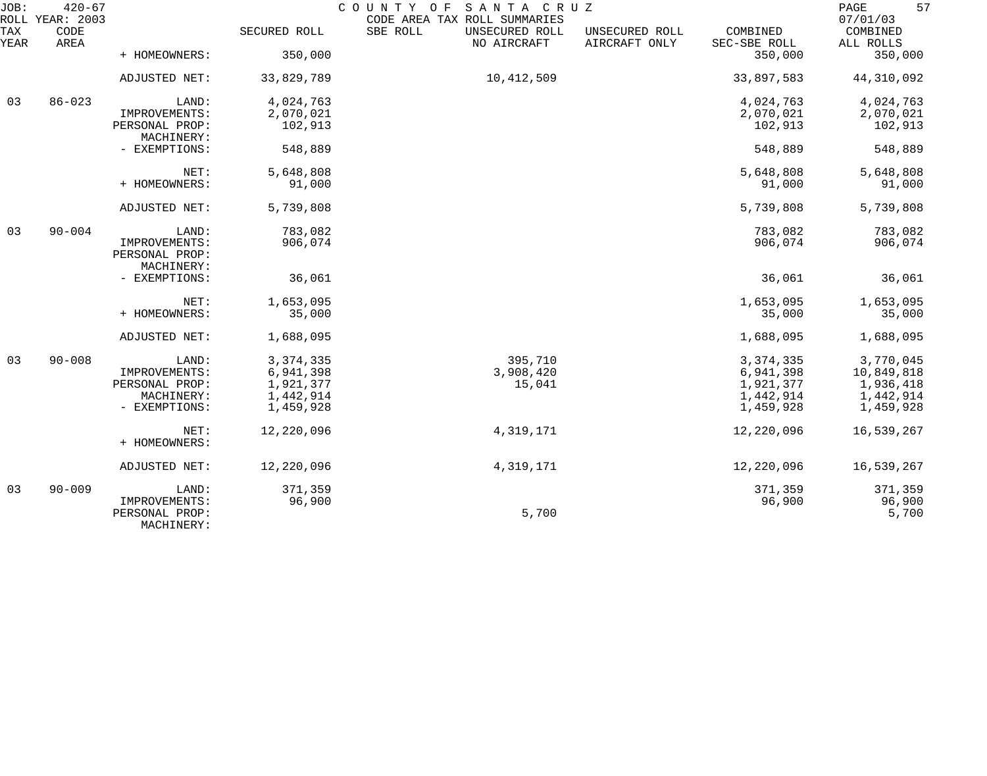| JOB:        | $420 - 67$<br>ROLL YEAR: 2003 |                                               |              | COUNTY OF<br>SANTA CRUZ<br>CODE AREA TAX ROLL SUMMARIES |                                 |                          | 57<br>PAGE<br>07/01/03 |
|-------------|-------------------------------|-----------------------------------------------|--------------|---------------------------------------------------------|---------------------------------|--------------------------|------------------------|
| TAX<br>YEAR | CODE<br>AREA                  |                                               | SECURED ROLL | SBE ROLL<br>UNSECURED ROLL<br>NO AIRCRAFT               | UNSECURED ROLL<br>AIRCRAFT ONLY | COMBINED<br>SEC-SBE ROLL | COMBINED<br>ALL ROLLS  |
|             |                               | + HOMEOWNERS:                                 | 350,000      |                                                         |                                 | 350,000                  | 350,000                |
|             |                               | ADJUSTED NET:                                 | 33,829,789   | 10,412,509                                              |                                 | 33,897,583               | 44,310,092             |
| 03          | $86 - 023$                    | LAND:                                         | 4,024,763    |                                                         |                                 | 4,024,763                | 4,024,763              |
|             |                               | IMPROVEMENTS:                                 | 2,070,021    |                                                         |                                 | 2,070,021                | 2,070,021              |
|             |                               | PERSONAL PROP:<br>MACHINERY:                  | 102,913      |                                                         |                                 | 102,913                  | 102,913                |
|             |                               | - EXEMPTIONS:                                 | 548,889      |                                                         |                                 | 548,889                  | 548,889                |
|             |                               | NET:                                          | 5,648,808    |                                                         |                                 | 5,648,808                | 5,648,808              |
|             |                               | + HOMEOWNERS:                                 | 91,000       |                                                         |                                 | 91,000                   | 91,000                 |
|             |                               | ADJUSTED NET:                                 | 5,739,808    |                                                         |                                 | 5,739,808                | 5,739,808              |
| 03          | $90 - 004$                    | LAND:                                         | 783,082      |                                                         |                                 | 783,082                  | 783,082                |
|             |                               | IMPROVEMENTS:<br>PERSONAL PROP:<br>MACHINERY: | 906,074      |                                                         |                                 | 906,074                  | 906,074                |
|             |                               | - EXEMPTIONS:                                 | 36,061       |                                                         |                                 | 36,061                   | 36,061                 |
|             |                               | NET:                                          | 1,653,095    |                                                         |                                 | 1,653,095                | 1,653,095              |
|             |                               | + HOMEOWNERS:                                 | 35,000       |                                                         |                                 | 35,000                   | 35,000                 |
|             |                               | ADJUSTED NET:                                 | 1,688,095    |                                                         |                                 | 1,688,095                | 1,688,095              |
| 03          | $90 - 008$                    | LAND:                                         | 3, 374, 335  | 395,710                                                 |                                 | 3, 374, 335              | 3,770,045              |
|             |                               | IMPROVEMENTS:                                 | 6,941,398    | 3,908,420                                               |                                 | 6,941,398                | 10,849,818             |
|             |                               | PERSONAL PROP:                                | 1,921,377    | 15,041                                                  |                                 | 1,921,377                | 1,936,418              |
|             |                               | MACHINERY:                                    | 1,442,914    |                                                         |                                 | 1,442,914                | 1,442,914              |
|             |                               | - EXEMPTIONS:                                 | 1,459,928    |                                                         |                                 | 1,459,928                | 1,459,928              |
|             |                               | NET:                                          | 12,220,096   | 4,319,171                                               |                                 | 12,220,096               | 16,539,267             |
|             |                               | + HOMEOWNERS:                                 |              |                                                         |                                 |                          |                        |
|             |                               | ADJUSTED NET:                                 | 12,220,096   | 4,319,171                                               |                                 | 12,220,096               | 16,539,267             |
| 03          | $90 - 009$                    | LAND:                                         | 371,359      |                                                         |                                 | 371,359                  | 371,359                |
|             |                               | IMPROVEMENTS:<br>PERSONAL PROP:<br>MACHINERY: | 96,900       | 5,700                                                   |                                 | 96,900                   | 96,900<br>5,700        |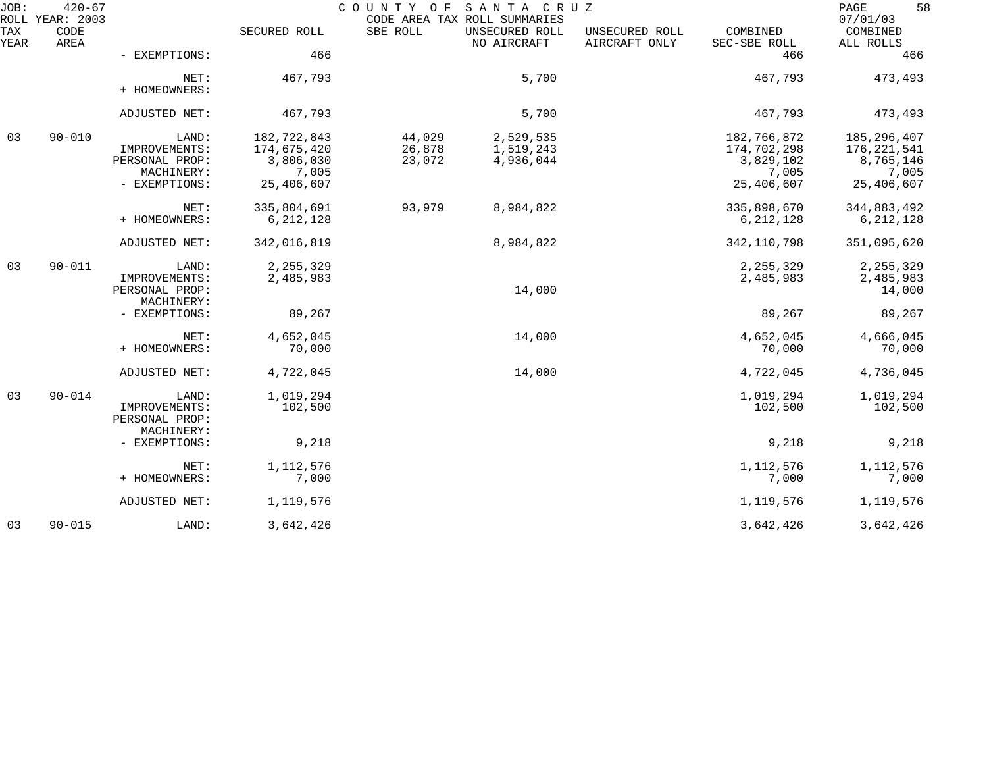| JOB:        | $420 - 67$<br>ROLL YEAR: 2003 |                                                                         |                                                                | COUNTY OF                  | SANTA CRUZ<br>CODE AREA TAX ROLL SUMMARIES |                                 |                                                                | 58<br>PAGE<br>07/01/03                                             |
|-------------|-------------------------------|-------------------------------------------------------------------------|----------------------------------------------------------------|----------------------------|--------------------------------------------|---------------------------------|----------------------------------------------------------------|--------------------------------------------------------------------|
| TAX<br>YEAR | CODE<br>AREA                  |                                                                         | SECURED ROLL                                                   | SBE ROLL                   | UNSECURED ROLL<br>NO AIRCRAFT              | UNSECURED ROLL<br>AIRCRAFT ONLY | COMBINED<br>SEC-SBE ROLL                                       | COMBINED<br>ALL ROLLS                                              |
|             |                               | - EXEMPTIONS:                                                           | 466                                                            |                            |                                            |                                 | 466                                                            | 466                                                                |
|             |                               | NET:<br>+ HOMEOWNERS:                                                   | 467,793                                                        |                            | 5,700                                      |                                 | 467,793                                                        | 473,493                                                            |
|             |                               | ADJUSTED NET:                                                           | 467,793                                                        |                            | 5,700                                      |                                 | 467,793                                                        | 473,493                                                            |
| 03          | $90 - 010$                    | LAND:<br>IMPROVEMENTS:<br>PERSONAL PROP:<br>MACHINERY:<br>- EXEMPTIONS: | 182,722,843<br>174,675,420<br>3,806,030<br>7,005<br>25,406,607 | 44,029<br>26,878<br>23,072 | 2,529,535<br>1,519,243<br>4,936,044        |                                 | 182,766,872<br>174,702,298<br>3,829,102<br>7,005<br>25,406,607 | 185, 296, 407<br>176, 221, 541<br>8,765,146<br>7,005<br>25,406,607 |
|             |                               | NET:<br>+ HOMEOWNERS:                                                   | 335,804,691<br>6, 212, 128                                     | 93,979                     | 8,984,822                                  |                                 | 335,898,670<br>6, 212, 128                                     | 344,883,492<br>6, 212, 128                                         |
|             |                               | ADJUSTED NET:                                                           | 342,016,819                                                    |                            | 8,984,822                                  |                                 | 342, 110, 798                                                  | 351,095,620                                                        |
| 03          | $90 - 011$                    | LAND:<br>IMPROVEMENTS:<br>PERSONAL PROP:<br>MACHINERY:                  | 2, 255, 329<br>2,485,983                                       |                            | 14,000                                     |                                 | 2, 255, 329<br>2,485,983                                       | 2, 255, 329<br>2,485,983<br>14,000                                 |
|             |                               | - EXEMPTIONS:                                                           | 89,267                                                         |                            |                                            |                                 | 89,267                                                         | 89,267                                                             |
|             |                               | NET:<br>+ HOMEOWNERS:                                                   | 4,652,045<br>70,000                                            |                            | 14,000                                     |                                 | 4,652,045<br>70,000                                            | 4,666,045<br>70,000                                                |
|             |                               | ADJUSTED NET:                                                           | 4,722,045                                                      |                            | 14,000                                     |                                 | 4,722,045                                                      | 4,736,045                                                          |
| 03          | $90 - 014$                    | LAND:<br>IMPROVEMENTS:<br>PERSONAL PROP:                                | 1,019,294<br>102,500                                           |                            |                                            |                                 | 1,019,294<br>102,500                                           | 1,019,294<br>102,500                                               |
|             |                               | MACHINERY:<br>- EXEMPTIONS:                                             | 9,218                                                          |                            |                                            |                                 | 9,218                                                          | 9,218                                                              |
|             |                               | NET:<br>+ HOMEOWNERS:                                                   | 1,112,576<br>7,000                                             |                            |                                            |                                 | 1,112,576<br>7,000                                             | 1,112,576<br>7,000                                                 |
|             |                               | ADJUSTED NET:                                                           | 1,119,576                                                      |                            |                                            |                                 | 1,119,576                                                      | 1,119,576                                                          |
| 03          | $90 - 015$                    | LAND:                                                                   | 3,642,426                                                      |                            |                                            |                                 | 3,642,426                                                      | 3,642,426                                                          |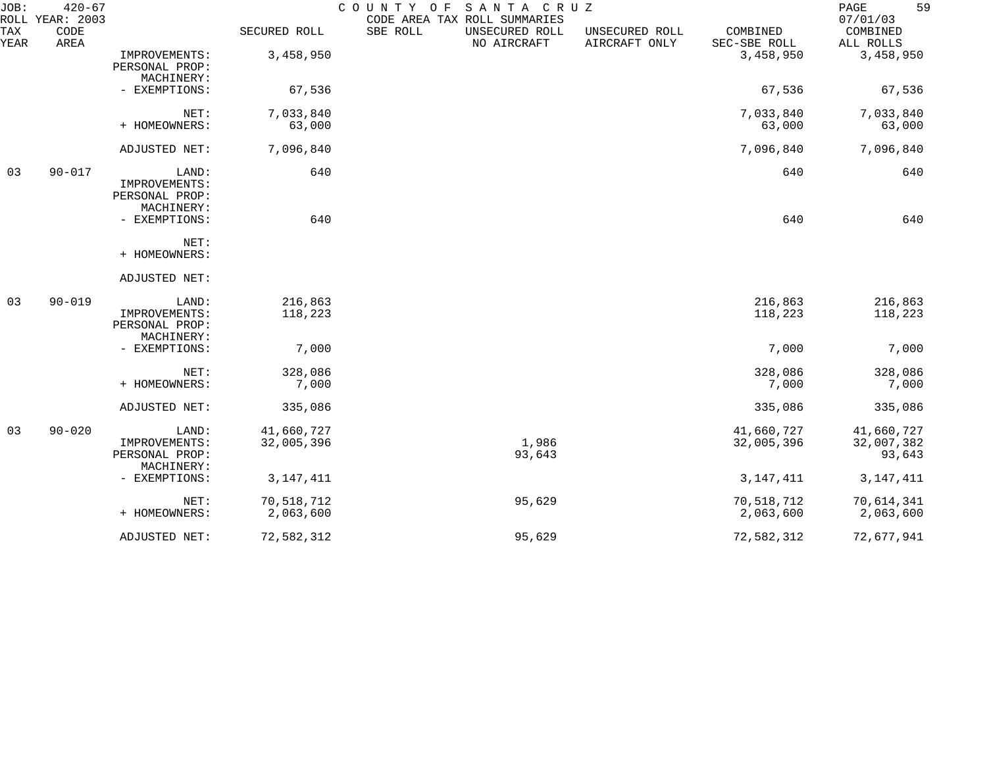| JOB:        | $420 - 67$<br>ROLL YEAR: 2003 |                                                        |                          | COUNTY OF | SANTA CRUZ<br>CODE AREA TAX ROLL SUMMARIES |                                 |                          | 59<br>PAGE<br>07/01/03             |
|-------------|-------------------------------|--------------------------------------------------------|--------------------------|-----------|--------------------------------------------|---------------------------------|--------------------------|------------------------------------|
| TAX<br>YEAR | CODE<br>AREA                  |                                                        | SECURED ROLL             | SBE ROLL  | UNSECURED ROLL<br>NO AIRCRAFT              | UNSECURED ROLL<br>AIRCRAFT ONLY | COMBINED<br>SEC-SBE ROLL | COMBINED<br>ALL ROLLS              |
|             |                               | IMPROVEMENTS:<br>PERSONAL PROP:<br>MACHINERY:          | 3,458,950                |           |                                            |                                 | 3,458,950                | 3,458,950                          |
|             |                               | - EXEMPTIONS:                                          | 67,536                   |           |                                            |                                 | 67,536                   | 67,536                             |
|             |                               | NET:<br>+ HOMEOWNERS:                                  | 7,033,840<br>63,000      |           |                                            |                                 | 7,033,840<br>63,000      | 7,033,840<br>63,000                |
|             |                               | ADJUSTED NET:                                          | 7,096,840                |           |                                            |                                 | 7,096,840                | 7,096,840                          |
| 03          | $90 - 017$                    | LAND:<br>IMPROVEMENTS:<br>PERSONAL PROP:<br>MACHINERY: | 640                      |           |                                            |                                 | 640                      | 640                                |
|             |                               | - EXEMPTIONS:                                          | 640                      |           |                                            |                                 | 640                      | 640                                |
|             |                               | NET:<br>+ HOMEOWNERS:                                  |                          |           |                                            |                                 |                          |                                    |
|             |                               | ADJUSTED NET:                                          |                          |           |                                            |                                 |                          |                                    |
| 03          | $90 - 019$                    | LAND:<br>IMPROVEMENTS:<br>PERSONAL PROP:<br>MACHINERY: | 216,863<br>118,223       |           |                                            |                                 | 216,863<br>118,223       | 216,863<br>118,223                 |
|             |                               | - EXEMPTIONS:                                          | 7,000                    |           |                                            |                                 | 7,000                    | 7,000                              |
|             |                               | NET:<br>+ HOMEOWNERS:                                  | 328,086<br>7,000         |           |                                            |                                 | 328,086<br>7,000         | 328,086<br>7,000                   |
|             |                               | ADJUSTED NET:                                          | 335,086                  |           |                                            |                                 | 335,086                  | 335,086                            |
| 03          | $90 - 020$                    | LAND:<br>IMPROVEMENTS:<br>PERSONAL PROP:<br>MACHINERY: | 41,660,727<br>32,005,396 |           | 1,986<br>93,643                            |                                 | 41,660,727<br>32,005,396 | 41,660,727<br>32,007,382<br>93,643 |
|             |                               | - EXEMPTIONS:                                          | 3, 147, 411              |           |                                            |                                 | 3, 147, 411              | 3, 147, 411                        |
|             |                               | NET:<br>+ HOMEOWNERS:                                  | 70,518,712<br>2,063,600  |           | 95,629                                     |                                 | 70,518,712<br>2,063,600  | 70,614,341<br>2,063,600            |
|             |                               | ADJUSTED NET:                                          | 72,582,312               |           | 95,629                                     |                                 | 72,582,312               | 72,677,941                         |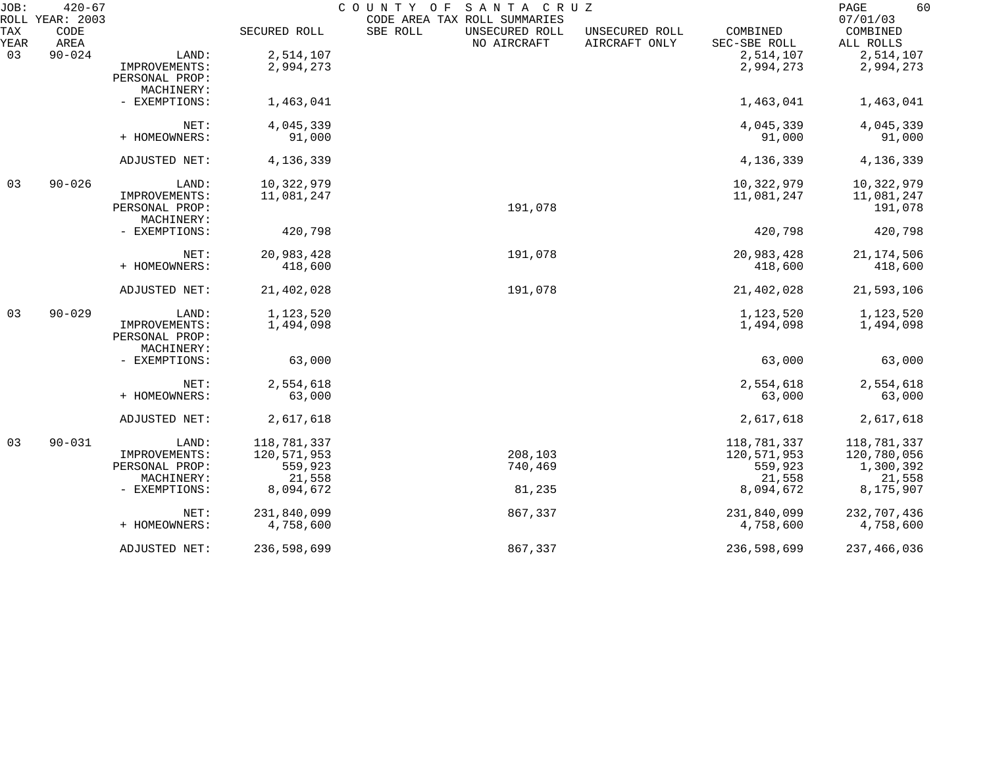| JOB:        | $420 - 67$<br>ROLL YEAR: 2003 |                |              | COUNTY OF<br>SANTA CRUZ<br>CODE AREA TAX ROLL SUMMARIES |                                                             | 60<br>PAGE<br>07/01/03 |
|-------------|-------------------------------|----------------|--------------|---------------------------------------------------------|-------------------------------------------------------------|------------------------|
| TAX<br>YEAR | CODE<br>AREA                  |                | SECURED ROLL | SBE ROLL<br>UNSECURED ROLL<br>NO AIRCRAFT               | COMBINED<br>UNSECURED ROLL<br>AIRCRAFT ONLY<br>SEC-SBE ROLL | COMBINED<br>ALL ROLLS  |
| 03          | $90 - 024$                    | LAND:          | 2,514,107    |                                                         | 2,514,107                                                   | 2,514,107              |
|             |                               | IMPROVEMENTS:  | 2,994,273    |                                                         | 2,994,273                                                   | 2,994,273              |
|             |                               | PERSONAL PROP: |              |                                                         |                                                             |                        |
|             |                               | MACHINERY:     |              |                                                         |                                                             |                        |
|             |                               | - EXEMPTIONS:  | 1,463,041    |                                                         | 1,463,041                                                   | 1,463,041              |
|             |                               | NET:           | 4,045,339    |                                                         | 4,045,339                                                   | 4,045,339              |
|             |                               | + HOMEOWNERS:  | 91,000       |                                                         | 91,000                                                      | 91,000                 |
|             |                               | ADJUSTED NET:  | 4,136,339    |                                                         | 4,136,339                                                   | 4,136,339              |
| 03          | $90 - 026$                    | LAND:          | 10,322,979   |                                                         | 10,322,979                                                  | 10,322,979             |
|             |                               | IMPROVEMENTS:  | 11,081,247   |                                                         | 11,081,247                                                  | 11,081,247             |
|             |                               | PERSONAL PROP: |              | 191,078                                                 |                                                             | 191,078                |
|             |                               | MACHINERY:     |              |                                                         |                                                             |                        |
|             |                               | - EXEMPTIONS:  | 420,798      |                                                         | 420,798                                                     | 420,798                |
|             |                               | NET:           | 20,983,428   | 191,078                                                 | 20,983,428                                                  | 21, 174, 506           |
|             |                               | + HOMEOWNERS:  | 418,600      |                                                         | 418,600                                                     | 418,600                |
|             |                               | ADJUSTED NET:  | 21,402,028   | 191,078                                                 | 21,402,028                                                  | 21,593,106             |
| 03          | $90 - 029$                    | LAND:          | 1,123,520    |                                                         | 1,123,520                                                   | 1,123,520              |
|             |                               | IMPROVEMENTS:  | 1,494,098    |                                                         | 1,494,098                                                   | 1,494,098              |
|             |                               | PERSONAL PROP: |              |                                                         |                                                             |                        |
|             |                               | MACHINERY:     |              |                                                         |                                                             |                        |
|             |                               | - EXEMPTIONS:  | 63,000       |                                                         | 63,000                                                      | 63,000                 |
|             |                               | NET:           | 2,554,618    |                                                         | 2,554,618                                                   | 2,554,618              |
|             |                               | + HOMEOWNERS:  | 63,000       |                                                         | 63,000                                                      | 63,000                 |
|             |                               | ADJUSTED NET:  | 2,617,618    |                                                         | 2,617,618                                                   | 2,617,618              |
| 03          | $90 - 031$                    | LAND:          | 118,781,337  |                                                         | 118,781,337                                                 | 118,781,337            |
|             |                               | IMPROVEMENTS:  | 120,571,953  | 208,103                                                 | 120,571,953                                                 | 120,780,056            |
|             |                               | PERSONAL PROP: | 559,923      | 740,469                                                 | 559,923                                                     | 1,300,392              |
|             |                               | MACHINERY:     | 21,558       |                                                         | 21,558                                                      | 21,558                 |
|             |                               | - EXEMPTIONS:  | 8,094,672    | 81,235                                                  | 8,094,672                                                   | 8,175,907              |
|             |                               | NET:           | 231,840,099  | 867,337                                                 | 231,840,099                                                 | 232,707,436            |
|             |                               | + HOMEOWNERS:  | 4,758,600    |                                                         | 4,758,600                                                   | 4,758,600              |
|             |                               | ADJUSTED NET:  | 236,598,699  | 867,337                                                 | 236,598,699                                                 | 237,466,036            |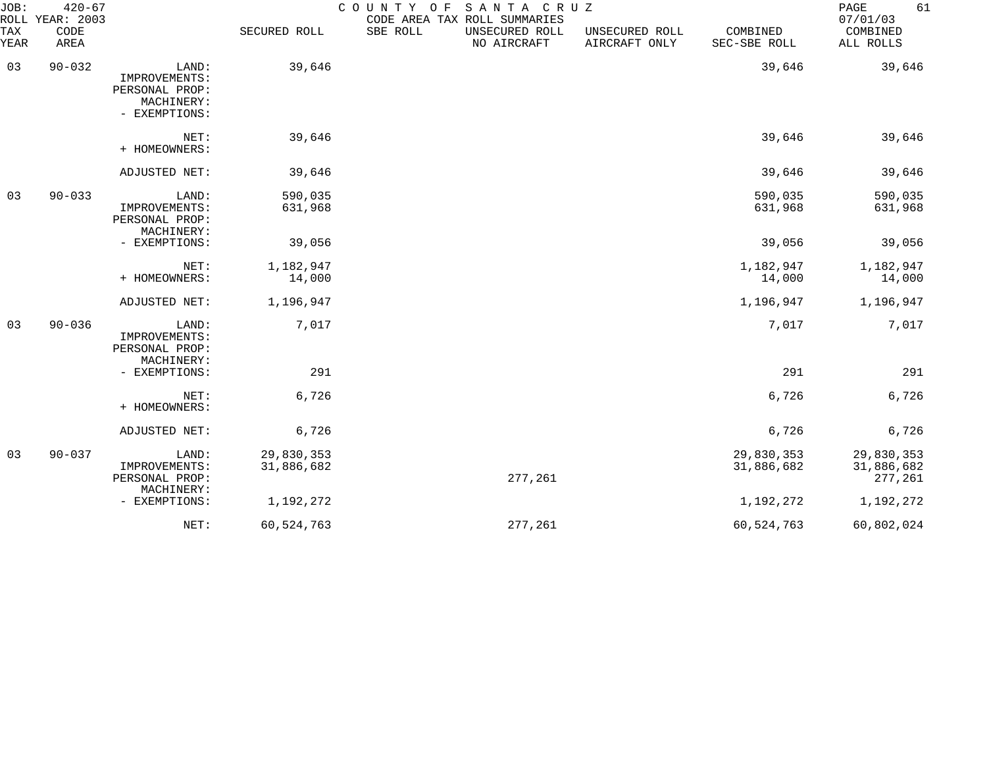| JOB:<br>ROLL | $420 - 67$<br>YEAR: 2003 |                                                                         |                          | COUNTY OF | SANTA CRUZ<br>CODE AREA TAX ROLL SUMMARIES |                                 |                          | 61<br>PAGE<br>07/01/03              |
|--------------|--------------------------|-------------------------------------------------------------------------|--------------------------|-----------|--------------------------------------------|---------------------------------|--------------------------|-------------------------------------|
| TAX<br>YEAR  | CODE<br>AREA             |                                                                         | SECURED ROLL             | SBE ROLL  | UNSECURED ROLL<br>NO AIRCRAFT              | UNSECURED ROLL<br>AIRCRAFT ONLY | COMBINED<br>SEC-SBE ROLL | COMBINED<br>ALL ROLLS               |
| 03           | $90 - 032$               | LAND:<br>IMPROVEMENTS:<br>PERSONAL PROP:<br>MACHINERY:<br>- EXEMPTIONS: | 39,646                   |           |                                            |                                 | 39,646                   | 39,646                              |
|              |                          | NET:<br>+ HOMEOWNERS:                                                   | 39,646                   |           |                                            |                                 | 39,646                   | 39,646                              |
|              |                          | ADJUSTED NET:                                                           | 39,646                   |           |                                            |                                 | 39,646                   | 39,646                              |
| 03           | $90 - 033$               | LAND:<br>IMPROVEMENTS:<br>PERSONAL PROP:<br>MACHINERY:                  | 590,035<br>631,968       |           |                                            |                                 | 590,035<br>631,968       | 590,035<br>631,968                  |
|              |                          | - EXEMPTIONS:                                                           | 39,056                   |           |                                            |                                 | 39,056                   | 39,056                              |
|              |                          | NET:<br>+ HOMEOWNERS:                                                   | 1,182,947<br>14,000      |           |                                            |                                 | 1,182,947<br>14,000      | 1,182,947<br>14,000                 |
|              |                          | ADJUSTED NET:                                                           | 1,196,947                |           |                                            |                                 | 1,196,947                | 1,196,947                           |
| 03           | $90 - 036$               | LAND:<br>IMPROVEMENTS:<br>PERSONAL PROP:<br>MACHINERY:                  | 7,017                    |           |                                            |                                 | 7,017                    | 7,017                               |
|              |                          | - EXEMPTIONS:                                                           | 291                      |           |                                            |                                 | 291                      | 291                                 |
|              |                          | NET:<br>+ HOMEOWNERS:                                                   | 6,726                    |           |                                            |                                 | 6,726                    | 6,726                               |
|              |                          | ADJUSTED NET:                                                           | 6,726                    |           |                                            |                                 | 6,726                    | 6,726                               |
| 03           | $90 - 037$               | LAND:<br>IMPROVEMENTS:<br>PERSONAL PROP:<br>MACHINERY:                  | 29,830,353<br>31,886,682 |           | 277,261                                    |                                 | 29,830,353<br>31,886,682 | 29,830,353<br>31,886,682<br>277,261 |
|              |                          | - EXEMPTIONS:                                                           | 1,192,272                |           |                                            |                                 | 1,192,272                | 1,192,272                           |
|              |                          | NET:                                                                    | 60,524,763               |           | 277,261                                    |                                 | 60,524,763               | 60,802,024                          |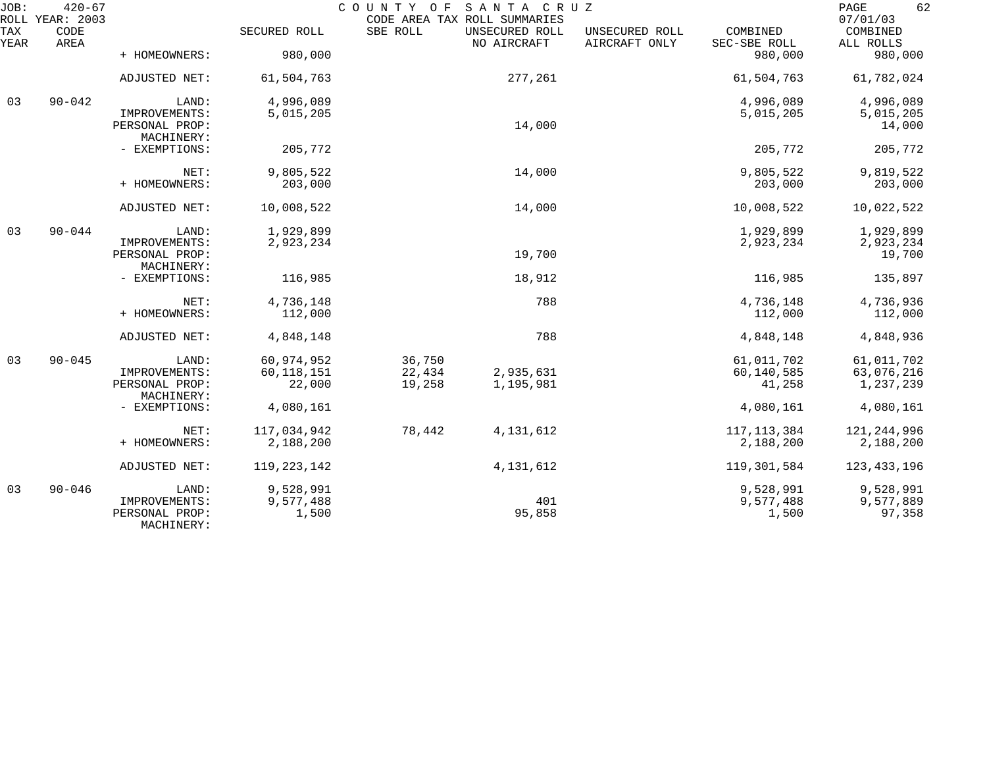| JOB:        | $420 - 67$<br>ROLL YEAR: 2003 |                                               |                        | COUNTY OF<br>CODE AREA TAX ROLL SUMMARIES | SANTA CRUZ                    |                                 |                          | 62<br>$\mathop{\mathrm{PAGE}}$<br>07/01/03 |
|-------------|-------------------------------|-----------------------------------------------|------------------------|-------------------------------------------|-------------------------------|---------------------------------|--------------------------|--------------------------------------------|
| TAX<br>YEAR | CODE<br>AREA                  |                                               | SECURED ROLL           | SBE ROLL                                  | UNSECURED ROLL<br>NO AIRCRAFT | UNSECURED ROLL<br>AIRCRAFT ONLY | COMBINED<br>SEC-SBE ROLL | COMBINED<br>ALL ROLLS                      |
|             |                               | + HOMEOWNERS:                                 | 980,000                |                                           |                               |                                 | 980,000                  | 980,000                                    |
|             |                               | ADJUSTED NET:                                 | 61,504,763             |                                           | 277,261                       |                                 | 61,504,763               | 61,782,024                                 |
| 03          | $90 - 042$                    | LAND:                                         | 4,996,089              |                                           |                               |                                 | 4,996,089                | 4,996,089                                  |
|             |                               | IMPROVEMENTS:<br>PERSONAL PROP:<br>MACHINERY: | 5,015,205              |                                           | 14,000                        |                                 | 5,015,205                | 5,015,205<br>14,000                        |
|             |                               | - EXEMPTIONS:                                 | 205,772                |                                           |                               |                                 | 205,772                  | 205,772                                    |
|             |                               | NET:                                          | 9,805,522              |                                           | 14,000                        |                                 | 9,805,522                | 9,819,522                                  |
|             |                               | + HOMEOWNERS:                                 | 203,000                |                                           |                               |                                 | 203,000                  | 203,000                                    |
|             |                               | ADJUSTED NET:                                 | 10,008,522             |                                           | 14,000                        |                                 | 10,008,522               | 10,022,522                                 |
| 03          | $90 - 044$                    | LAND:                                         | 1,929,899              |                                           |                               |                                 | 1,929,899                | 1,929,899                                  |
|             |                               | IMPROVEMENTS:<br>PERSONAL PROP:<br>MACHINERY: | 2,923,234              |                                           | 19,700                        |                                 | 2,923,234                | 2,923,234<br>19,700                        |
|             |                               | - EXEMPTIONS:                                 | 116,985                |                                           | 18,912                        |                                 | 116,985                  | 135,897                                    |
|             |                               | NET:                                          | 4,736,148              |                                           | 788                           |                                 | 4,736,148                | 4,736,936                                  |
|             |                               | + HOMEOWNERS:                                 | 112,000                |                                           |                               |                                 | 112,000                  | 112,000                                    |
|             |                               | ADJUSTED NET:                                 | 4,848,148              |                                           | 788                           |                                 | 4,848,148                | 4,848,936                                  |
| 03          | $90 - 045$                    | LAND:                                         | 60,974,952             | 36,750                                    |                               |                                 | 61,011,702               | 61,011,702                                 |
|             |                               | IMPROVEMENTS:<br>PERSONAL PROP:               | 60, 118, 151<br>22,000 | 22,434<br>19,258                          | 2,935,631<br>1,195,981        |                                 | 60,140,585<br>41,258     | 63,076,216<br>1,237,239                    |
|             |                               | MACHINERY:                                    |                        |                                           |                               |                                 |                          |                                            |
|             |                               | - EXEMPTIONS:                                 | 4,080,161              |                                           |                               |                                 | 4,080,161                | 4,080,161                                  |
|             |                               | NET:                                          | 117,034,942            | 78,442                                    | 4, 131, 612                   |                                 | 117, 113, 384            | 121,244,996                                |
|             |                               | + HOMEOWNERS:                                 | 2,188,200              |                                           |                               |                                 | 2,188,200                | 2,188,200                                  |
|             |                               | ADJUSTED NET:                                 | 119, 223, 142          |                                           | 4, 131, 612                   |                                 | 119,301,584              | 123, 433, 196                              |
| 03          | $90 - 046$                    | LAND:                                         | 9,528,991              |                                           |                               |                                 | 9,528,991                | 9,528,991                                  |
|             |                               | IMPROVEMENTS:<br>PERSONAL PROP:<br>MACHINERY: | 9,577,488<br>1,500     |                                           | 401<br>95,858                 |                                 | 9,577,488<br>1,500       | 9,577,889<br>97,358                        |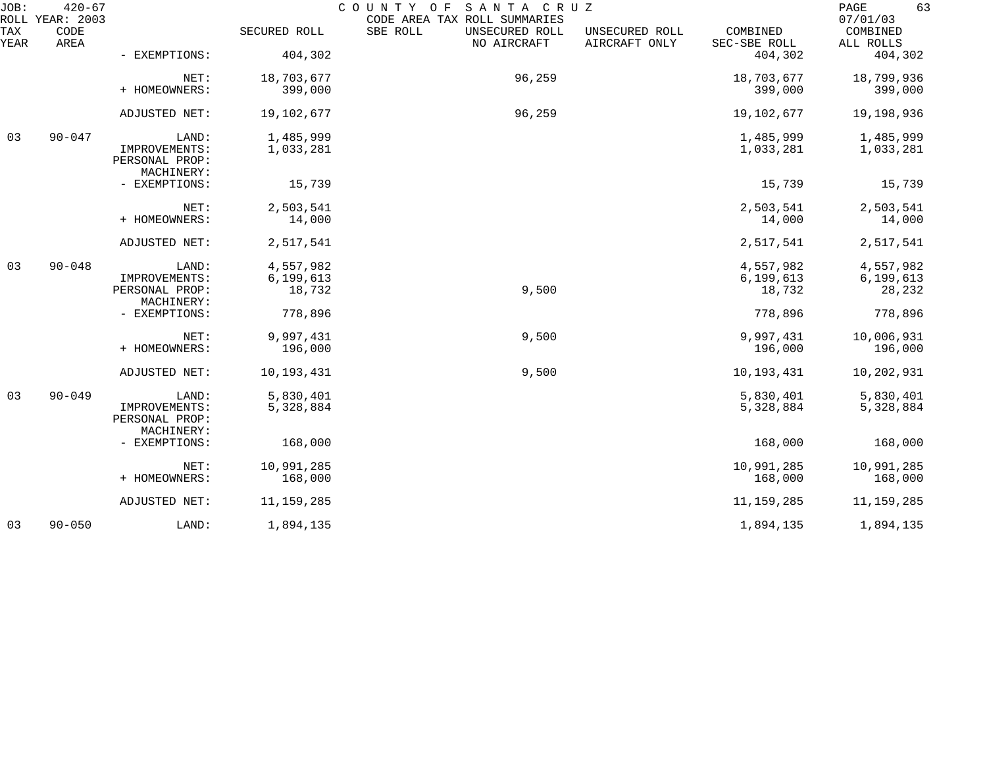| JOB:        | $420 - 67$<br>ROLL YEAR: 2003 |                                               |              | SANTA CRUZ<br>COUNTY OF<br>CODE AREA TAX ROLL SUMMARIES |                                 |                          | 63<br>PAGE<br>07/01/03 |
|-------------|-------------------------------|-----------------------------------------------|--------------|---------------------------------------------------------|---------------------------------|--------------------------|------------------------|
| TAX<br>YEAR | CODE<br>AREA                  |                                               | SECURED ROLL | SBE ROLL<br>UNSECURED ROLL<br>NO AIRCRAFT               | UNSECURED ROLL<br>AIRCRAFT ONLY | COMBINED<br>SEC-SBE ROLL | COMBINED<br>ALL ROLLS  |
|             |                               | - EXEMPTIONS:                                 | 404,302      |                                                         |                                 | 404,302                  | 404,302                |
|             |                               | NET:                                          | 18,703,677   | 96,259                                                  |                                 | 18,703,677               | 18,799,936             |
|             |                               | + HOMEOWNERS:                                 | 399,000      |                                                         |                                 | 399,000                  | 399,000                |
|             |                               | ADJUSTED NET:                                 | 19,102,677   | 96,259                                                  |                                 | 19,102,677               | 19,198,936             |
| 03          | $90 - 047$                    | LAND:                                         | 1,485,999    |                                                         |                                 | 1,485,999                | 1,485,999              |
|             |                               | IMPROVEMENTS:<br>PERSONAL PROP:<br>MACHINERY: | 1,033,281    |                                                         |                                 | 1,033,281                | 1,033,281              |
|             |                               | - EXEMPTIONS:                                 | 15,739       |                                                         |                                 | 15,739                   | 15,739                 |
|             |                               | NET:                                          | 2,503,541    |                                                         |                                 | 2,503,541                | 2,503,541              |
|             |                               | + HOMEOWNERS:                                 | 14,000       |                                                         |                                 | 14,000                   | 14,000                 |
|             |                               | ADJUSTED NET:                                 | 2,517,541    |                                                         |                                 | 2,517,541                | 2,517,541              |
| 03          | $90 - 048$                    | LAND:                                         | 4,557,982    |                                                         |                                 | 4,557,982                | 4,557,982              |
|             |                               | IMPROVEMENTS:                                 | 6, 199, 613  |                                                         |                                 | 6, 199, 613              | 6,199,613              |
|             |                               | PERSONAL PROP:<br>MACHINERY:                  | 18,732       | 9,500                                                   |                                 | 18,732                   | 28,232                 |
|             |                               | - EXEMPTIONS:                                 | 778,896      |                                                         |                                 | 778,896                  | 778,896                |
|             |                               | NET:                                          | 9,997,431    | 9,500                                                   |                                 | 9,997,431                | 10,006,931             |
|             |                               | + HOMEOWNERS:                                 | 196,000      |                                                         |                                 | 196,000                  | 196,000                |
|             |                               | ADJUSTED NET:                                 | 10,193,431   | 9,500                                                   |                                 | 10,193,431               | 10,202,931             |
| 03          | $90 - 049$                    | LAND:                                         | 5,830,401    |                                                         |                                 | 5,830,401                | 5,830,401              |
|             |                               | IMPROVEMENTS:<br>PERSONAL PROP:<br>MACHINERY: | 5,328,884    |                                                         |                                 | 5,328,884                | 5,328,884              |
|             |                               | - EXEMPTIONS:                                 | 168,000      |                                                         |                                 | 168,000                  | 168,000                |
|             |                               | NET:                                          | 10,991,285   |                                                         |                                 | 10,991,285               | 10,991,285             |
|             |                               | + HOMEOWNERS:                                 | 168,000      |                                                         |                                 | 168,000                  | 168,000                |
|             |                               | ADJUSTED NET:                                 | 11, 159, 285 |                                                         |                                 | 11, 159, 285             | 11,159,285             |
| 03          | $90 - 050$                    | LAND:                                         | 1,894,135    |                                                         |                                 | 1,894,135                | 1,894,135              |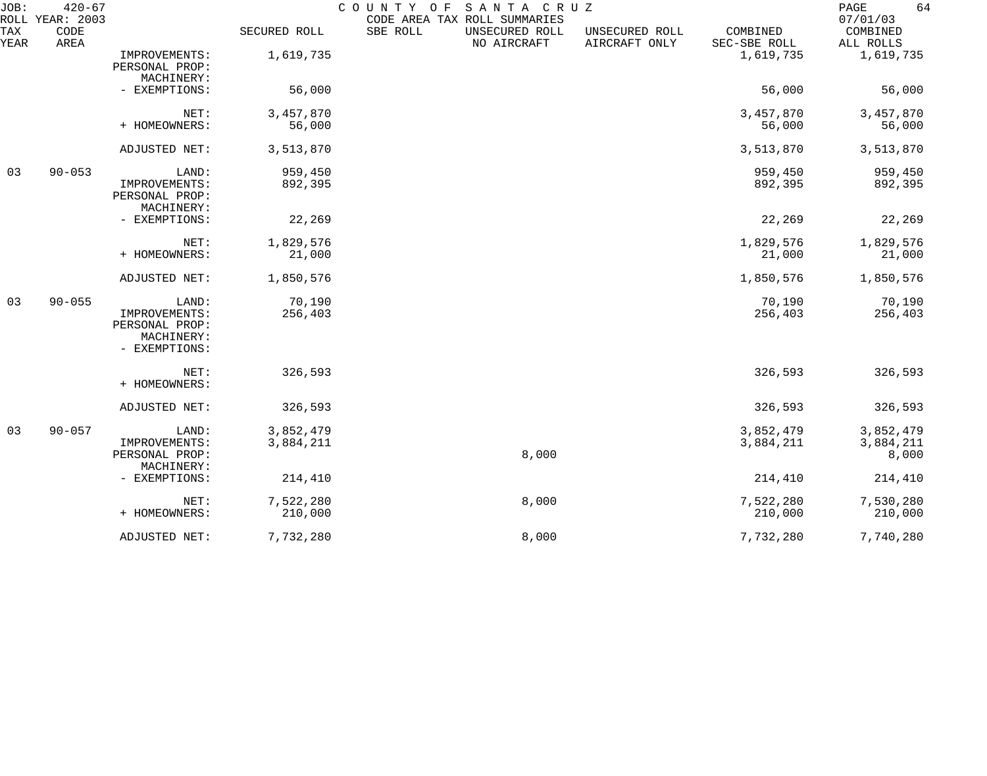| JOB:        | $420 - 67$<br>ROLL YEAR: 2003 |                                                                         |                        | COUNTY OF | SANTA CRUZ<br>CODE AREA TAX ROLL SUMMARIES |                                 |                          | 64<br>PAGE<br>07/01/03          |
|-------------|-------------------------------|-------------------------------------------------------------------------|------------------------|-----------|--------------------------------------------|---------------------------------|--------------------------|---------------------------------|
| TAX<br>YEAR | CODE<br>AREA                  |                                                                         | SECURED ROLL           | SBE ROLL  | UNSECURED ROLL<br>NO AIRCRAFT              | UNSECURED ROLL<br>AIRCRAFT ONLY | COMBINED<br>SEC-SBE ROLL | COMBINED<br>ALL ROLLS           |
|             |                               | IMPROVEMENTS:<br>PERSONAL PROP:<br>MACHINERY:                           | 1,619,735              |           |                                            |                                 | 1,619,735                | 1,619,735                       |
|             |                               | - EXEMPTIONS:                                                           | 56,000                 |           |                                            |                                 | 56,000                   | 56,000                          |
|             |                               | NET:<br>+ HOMEOWNERS:                                                   | 3,457,870<br>56,000    |           |                                            |                                 | 3,457,870<br>56,000      | 3,457,870<br>56,000             |
|             |                               | ADJUSTED NET:                                                           | 3,513,870              |           |                                            |                                 | 3,513,870                | 3,513,870                       |
| 03          | $90 - 053$                    | LAND:<br>IMPROVEMENTS:<br>PERSONAL PROP:<br>MACHINERY:                  | 959,450<br>892,395     |           |                                            |                                 | 959,450<br>892,395       | 959,450<br>892,395              |
|             |                               | - EXEMPTIONS:                                                           | 22,269                 |           |                                            |                                 | 22,269                   | 22,269                          |
|             |                               | NET:<br>+ HOMEOWNERS:                                                   | 1,829,576<br>21,000    |           |                                            |                                 | 1,829,576<br>21,000      | 1,829,576<br>21,000             |
|             |                               | ADJUSTED NET:                                                           | 1,850,576              |           |                                            |                                 | 1,850,576                | 1,850,576                       |
| 03          | $90 - 055$                    | LAND:<br>IMPROVEMENTS:<br>PERSONAL PROP:<br>MACHINERY:<br>- EXEMPTIONS: | 70,190<br>256,403      |           |                                            |                                 | 70,190<br>256,403        | 70,190<br>256,403               |
|             |                               | NET:<br>+ HOMEOWNERS:                                                   | 326,593                |           |                                            |                                 | 326,593                  | 326,593                         |
|             |                               | ADJUSTED NET:                                                           | 326,593                |           |                                            |                                 | 326,593                  | 326,593                         |
| 03          | $90 - 057$                    | LAND:<br>IMPROVEMENTS:<br>PERSONAL PROP:<br>MACHINERY:                  | 3,852,479<br>3,884,211 |           | 8,000                                      |                                 | 3,852,479<br>3,884,211   | 3,852,479<br>3,884,211<br>8,000 |
|             |                               | - EXEMPTIONS:                                                           | 214,410                |           |                                            |                                 | 214,410                  | 214,410                         |
|             |                               | NET:<br>+ HOMEOWNERS:                                                   | 7,522,280<br>210,000   |           | 8,000                                      |                                 | 7,522,280<br>210,000     | 7,530,280<br>210,000            |
|             |                               | ADJUSTED NET:                                                           | 7,732,280              |           | 8,000                                      |                                 | 7,732,280                | 7,740,280                       |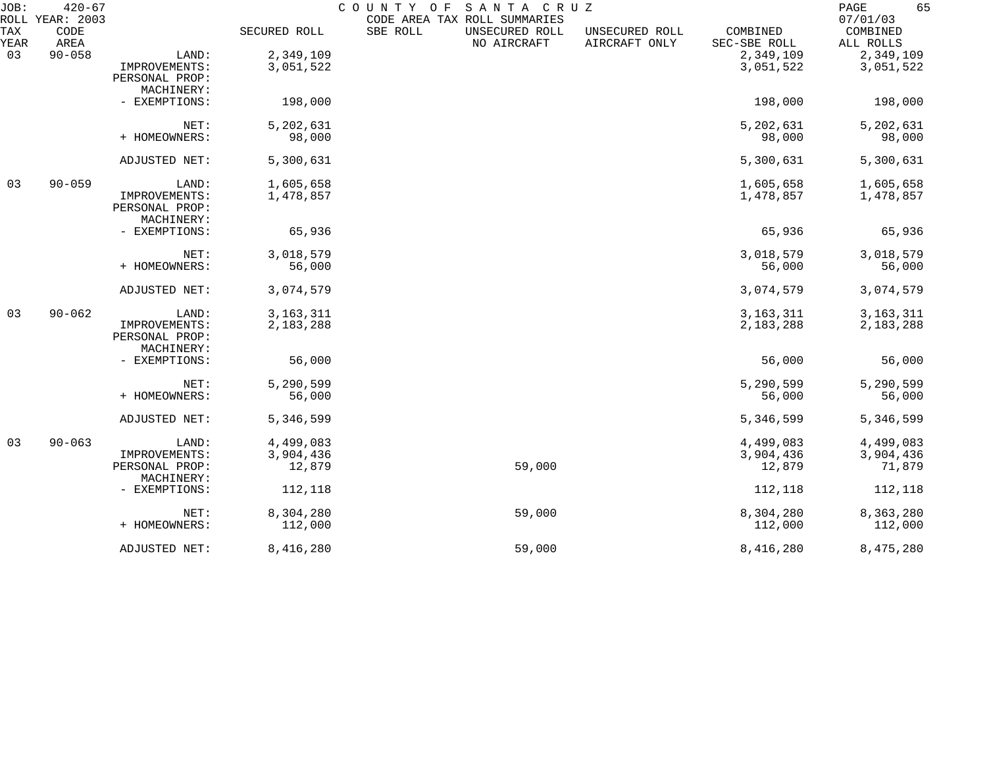| JOB:        | $420 - 67$<br>ROLL YEAR: 2003 |                              |              | COUNTY OF<br>SANTA CRUZ<br>CODE AREA TAX ROLL SUMMARIES |                                 |                          | 65<br>PAGE<br>07/01/03 |
|-------------|-------------------------------|------------------------------|--------------|---------------------------------------------------------|---------------------------------|--------------------------|------------------------|
| TAX<br>YEAR | CODE<br>AREA                  |                              | SECURED ROLL | SBE ROLL<br>UNSECURED ROLL<br>NO AIRCRAFT               | UNSECURED ROLL<br>AIRCRAFT ONLY | COMBINED<br>SEC-SBE ROLL | COMBINED<br>ALL ROLLS  |
| 03          | $90 - 058$                    | LAND:                        | 2,349,109    |                                                         |                                 | 2,349,109                | 2,349,109              |
|             |                               | IMPROVEMENTS:                | 3,051,522    |                                                         |                                 | 3,051,522                | 3,051,522              |
|             |                               | PERSONAL PROP:               |              |                                                         |                                 |                          |                        |
|             |                               | MACHINERY:                   |              |                                                         |                                 |                          |                        |
|             |                               | - EXEMPTIONS:                | 198,000      |                                                         |                                 | 198,000                  | 198,000                |
|             |                               | NET:                         | 5,202,631    |                                                         |                                 | 5,202,631                | 5,202,631              |
|             |                               | + HOMEOWNERS:                | 98,000       |                                                         |                                 | 98,000                   | 98,000                 |
|             |                               | ADJUSTED NET:                | 5,300,631    |                                                         |                                 | 5,300,631                | 5,300,631              |
| 03          | $90 - 059$                    | LAND:                        | 1,605,658    |                                                         |                                 | 1,605,658                | 1,605,658              |
|             |                               | IMPROVEMENTS:                | 1,478,857    |                                                         |                                 | 1,478,857                | 1,478,857              |
|             |                               | PERSONAL PROP:               |              |                                                         |                                 |                          |                        |
|             |                               | MACHINERY:                   |              |                                                         |                                 |                          |                        |
|             |                               | - EXEMPTIONS:                | 65,936       |                                                         |                                 | 65,936                   | 65,936                 |
|             |                               | NET:                         | 3,018,579    |                                                         |                                 | 3,018,579                | 3,018,579              |
|             |                               | + HOMEOWNERS:                | 56,000       |                                                         |                                 | 56,000                   | 56,000                 |
|             |                               | ADJUSTED NET:                | 3,074,579    |                                                         |                                 | 3,074,579                | 3,074,579              |
| 03          | $90 - 062$                    | LAND:                        | 3, 163, 311  |                                                         |                                 | 3, 163, 311              | 3, 163, 311            |
|             |                               | IMPROVEMENTS:                | 2,183,288    |                                                         |                                 | 2,183,288                | 2,183,288              |
|             |                               | PERSONAL PROP:               |              |                                                         |                                 |                          |                        |
|             |                               | MACHINERY:                   |              |                                                         |                                 |                          |                        |
|             |                               | - EXEMPTIONS:                | 56,000       |                                                         |                                 | 56,000                   | 56,000                 |
|             |                               | NET:                         | 5,290,599    |                                                         |                                 | 5,290,599                | 5,290,599              |
|             |                               | + HOMEOWNERS:                | 56,000       |                                                         |                                 | 56,000                   | 56,000                 |
|             |                               | ADJUSTED NET:                | 5,346,599    |                                                         |                                 | 5,346,599                | 5,346,599              |
| 03          | $90 - 063$                    | LAND:                        | 4,499,083    |                                                         |                                 | 4,499,083                | 4,499,083              |
|             |                               | IMPROVEMENTS:                | 3,904,436    |                                                         |                                 | 3,904,436                | 3,904,436              |
|             |                               | PERSONAL PROP:<br>MACHINERY: | 12,879       | 59,000                                                  |                                 | 12,879                   | 71,879                 |
|             |                               | - EXEMPTIONS:                | 112,118      |                                                         |                                 | 112,118                  | 112,118                |
|             |                               | NET:                         | 8,304,280    | 59,000                                                  |                                 | 8,304,280                | 8,363,280              |
|             |                               | + HOMEOWNERS:                | 112,000      |                                                         |                                 | 112,000                  | 112,000                |
|             |                               | ADJUSTED NET:                | 8,416,280    | 59,000                                                  |                                 | 8,416,280                | 8,475,280              |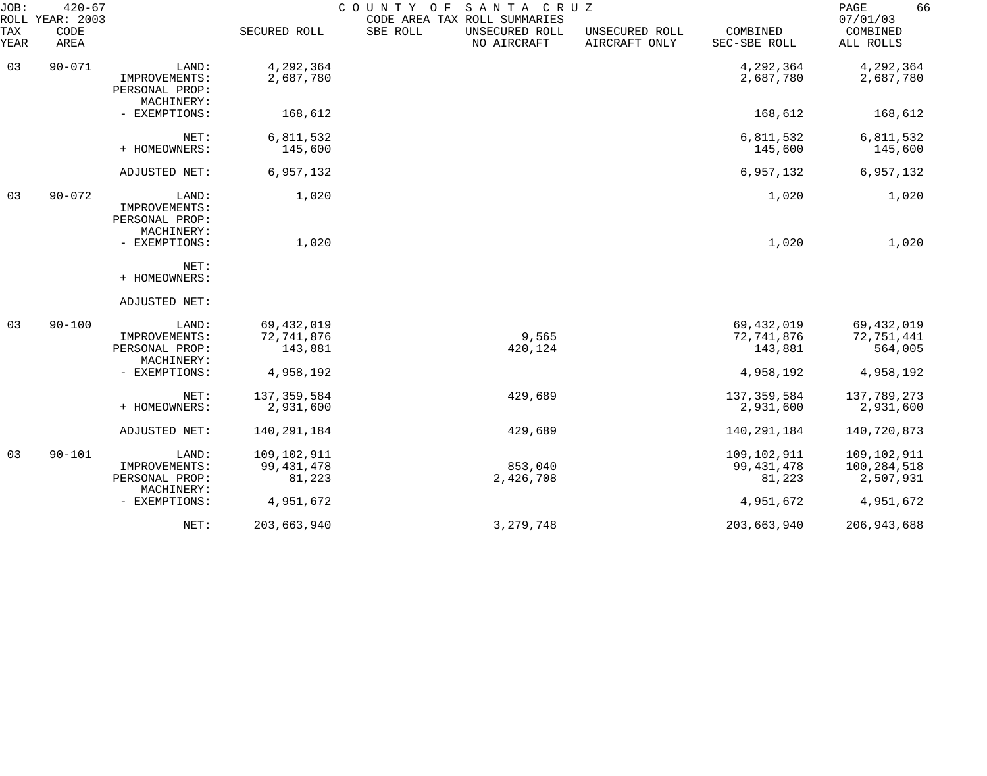| JOB:<br>ROLL | $420 - 67$<br>YEAR: 2003 |                                                        |                                       | COUNTY<br>O F | SANTA CRUZ<br>CODE AREA TAX ROLL SUMMARIES |                                 |                                       | PAGE<br>66<br>07/01/03                    |
|--------------|--------------------------|--------------------------------------------------------|---------------------------------------|---------------|--------------------------------------------|---------------------------------|---------------------------------------|-------------------------------------------|
| TAX<br>YEAR  | CODE<br>AREA             |                                                        | SECURED ROLL                          | SBE ROLL      | UNSECURED ROLL<br>NO AIRCRAFT              | UNSECURED ROLL<br>AIRCRAFT ONLY | COMBINED<br>SEC-SBE ROLL              | COMBINED<br>ALL ROLLS                     |
| 03           | $90 - 071$               | LAND:<br>IMPROVEMENTS:<br>PERSONAL PROP:<br>MACHINERY: | 4,292,364<br>2,687,780                |               |                                            |                                 | 4,292,364<br>2,687,780                | 4,292,364<br>2,687,780                    |
|              |                          | - EXEMPTIONS:                                          | 168,612                               |               |                                            |                                 | 168,612                               | 168,612                                   |
|              |                          | NET:<br>+ HOMEOWNERS:                                  | 6,811,532<br>145,600                  |               |                                            |                                 | 6,811,532<br>145,600                  | 6,811,532<br>145,600                      |
|              |                          | ADJUSTED NET:                                          | 6,957,132                             |               |                                            |                                 | 6,957,132                             | 6,957,132                                 |
| 03           | $90 - 072$               | LAND:<br>IMPROVEMENTS:<br>PERSONAL PROP:<br>MACHINERY: | 1,020                                 |               |                                            |                                 | 1,020                                 | 1,020                                     |
|              |                          | - EXEMPTIONS:                                          | 1,020                                 |               |                                            |                                 | 1,020                                 | 1,020                                     |
|              |                          | NET:<br>+ HOMEOWNERS:                                  |                                       |               |                                            |                                 |                                       |                                           |
|              |                          | ADJUSTED NET:                                          |                                       |               |                                            |                                 |                                       |                                           |
| 03           | $90 - 100$               | LAND:<br>IMPROVEMENTS:<br>PERSONAL PROP:<br>MACHINERY: | 69, 432, 019<br>72,741,876<br>143,881 |               | 9,565<br>420,124                           |                                 | 69, 432, 019<br>72,741,876<br>143,881 | 69, 432, 019<br>72,751,441<br>564,005     |
|              |                          | - EXEMPTIONS:                                          | 4,958,192                             |               |                                            |                                 | 4,958,192                             | 4,958,192                                 |
|              |                          | NET:<br>+ HOMEOWNERS:                                  | 137, 359, 584<br>2,931,600            |               | 429,689                                    |                                 | 137,359,584<br>2,931,600              | 137,789,273<br>2,931,600                  |
|              |                          | ADJUSTED NET:                                          | 140, 291, 184                         |               | 429,689                                    |                                 | 140,291,184                           | 140,720,873                               |
| 03           | $90 - 101$               | LAND:<br>IMPROVEMENTS:<br>PERSONAL PROP:               | 109,102,911<br>99, 431, 478<br>81,223 |               | 853,040<br>2,426,708                       |                                 | 109,102,911<br>99, 431, 478<br>81,223 | 109,102,911<br>100, 284, 518<br>2,507,931 |
|              |                          | MACHINERY:<br>- EXEMPTIONS:                            | 4,951,672                             |               |                                            |                                 | 4,951,672                             | 4,951,672                                 |
|              |                          | NET:                                                   | 203,663,940                           |               | 3, 279, 748                                |                                 | 203,663,940                           | 206, 943, 688                             |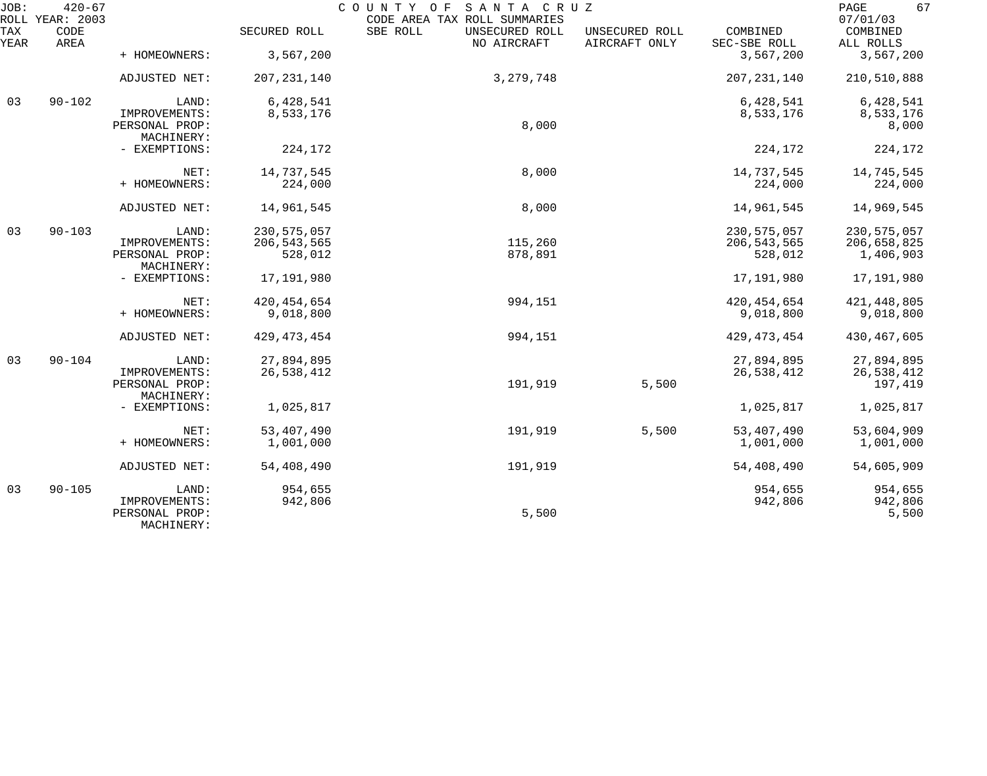| JOB:        | $420 - 67$<br>ROLL YEAR: 2003 |                                               |                          | SANTA CRUZ<br>COUNTY OF<br>CODE AREA TAX ROLL SUMMARIES |                                 |                          | 67<br>PAGE<br>07/01/03   |
|-------------|-------------------------------|-----------------------------------------------|--------------------------|---------------------------------------------------------|---------------------------------|--------------------------|--------------------------|
| TAX<br>YEAR | CODE<br>AREA                  |                                               | SECURED ROLL             | SBE ROLL<br>UNSECURED ROLL<br>NO AIRCRAFT               | UNSECURED ROLL<br>AIRCRAFT ONLY | COMBINED<br>SEC-SBE ROLL | COMBINED<br>ALL ROLLS    |
|             |                               | + HOMEOWNERS:                                 | 3,567,200                |                                                         |                                 | 3,567,200                | 3,567,200                |
|             |                               | ADJUSTED NET:                                 | 207, 231, 140            | 3, 279, 748                                             |                                 | 207, 231, 140            | 210,510,888              |
| 03          | $90 - 102$                    | LAND:                                         | 6,428,541                |                                                         |                                 | 6,428,541                | 6,428,541                |
|             |                               | IMPROVEMENTS:<br>PERSONAL PROP:<br>MACHINERY: | 8,533,176                | 8,000                                                   |                                 | 8,533,176                | 8,533,176<br>8,000       |
|             |                               | - EXEMPTIONS:                                 | 224,172                  |                                                         |                                 | 224,172                  | 224,172                  |
|             |                               | NET:                                          | 14,737,545               | 8,000                                                   |                                 | 14,737,545               | 14,745,545               |
|             |                               | + HOMEOWNERS:                                 | 224,000                  |                                                         |                                 | 224,000                  | 224,000                  |
|             |                               | ADJUSTED NET:                                 | 14,961,545               | 8,000                                                   |                                 | 14,961,545               | 14,969,545               |
| 03          | $90 - 103$                    | LAND:                                         | 230, 575, 057            |                                                         |                                 | 230, 575, 057            | 230, 575, 057            |
|             |                               | IMPROVEMENTS:<br>PERSONAL PROP:               | 206, 543, 565<br>528,012 | 115,260<br>878,891                                      |                                 | 206, 543, 565<br>528,012 | 206,658,825<br>1,406,903 |
|             |                               | MACHINERY:                                    |                          |                                                         |                                 |                          |                          |
|             |                               | - EXEMPTIONS:                                 | 17,191,980               |                                                         |                                 | 17,191,980               | 17,191,980               |
|             |                               | NET:                                          | 420, 454, 654            | 994,151                                                 |                                 | 420, 454, 654            | 421, 448, 805            |
|             |                               | + HOMEOWNERS:                                 | 9,018,800                |                                                         |                                 | 9,018,800                | 9,018,800                |
|             |                               | ADJUSTED NET:                                 | 429, 473, 454            | 994,151                                                 |                                 | 429, 473, 454            | 430, 467, 605            |
| 03          | $90 - 104$                    | LAND:                                         | 27,894,895               |                                                         |                                 | 27,894,895               | 27,894,895               |
|             |                               | IMPROVEMENTS:<br>PERSONAL PROP:               | 26,538,412               | 191,919                                                 | 5,500                           | 26,538,412               | 26,538,412<br>197,419    |
|             |                               | MACHINERY:                                    |                          |                                                         |                                 |                          |                          |
|             |                               | - EXEMPTIONS:                                 | 1,025,817                |                                                         |                                 | 1,025,817                | 1,025,817                |
|             |                               | NET:                                          | 53, 407, 490             | 191,919                                                 | 5,500                           | 53, 407, 490             | 53,604,909               |
|             |                               | + HOMEOWNERS:                                 | 1,001,000                |                                                         |                                 | 1,001,000                | 1,001,000                |
|             |                               | ADJUSTED NET:                                 | 54,408,490               | 191,919                                                 |                                 | 54,408,490               | 54,605,909               |
| 03          | $90 - 105$                    | LAND:                                         | 954,655                  |                                                         |                                 | 954,655                  | 954,655                  |
|             |                               | IMPROVEMENTS:<br>PERSONAL PROP:<br>MACHINERY: | 942,806                  | 5,500                                                   |                                 | 942,806                  | 942,806<br>5,500         |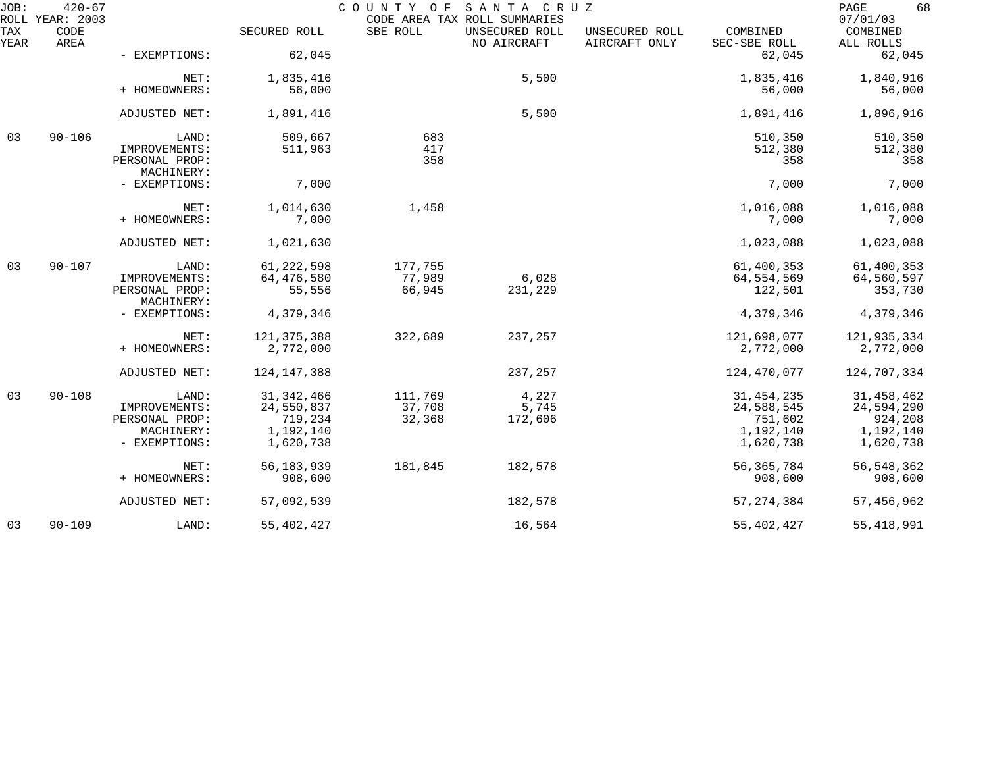| JOB:        | $420 - 67$<br>ROLL YEAR: 2003 |                                 |               | COUNTY OF  | SANTA CRUZ<br>CODE AREA TAX ROLL SUMMARIES |                                 |                          | 68<br>PAGE<br>07/01/03 |
|-------------|-------------------------------|---------------------------------|---------------|------------|--------------------------------------------|---------------------------------|--------------------------|------------------------|
| TAX<br>YEAR | CODE<br>AREA                  |                                 | SECURED ROLL  | SBE ROLL   | UNSECURED ROLL<br>NO AIRCRAFT              | UNSECURED ROLL<br>AIRCRAFT ONLY | COMBINED<br>SEC-SBE ROLL | COMBINED<br>ALL ROLLS  |
|             |                               | - EXEMPTIONS:                   | 62,045        |            |                                            |                                 | 62,045                   | 62,045                 |
|             |                               | NET:                            | 1,835,416     |            | 5,500                                      |                                 | 1,835,416                | 1,840,916              |
|             |                               | + HOMEOWNERS:                   | 56,000        |            |                                            |                                 | 56,000                   | 56,000                 |
|             |                               | ADJUSTED NET:                   | 1,891,416     |            | 5,500                                      |                                 | 1,891,416                | 1,896,916              |
| 03          | $90 - 106$                    | LAND:                           | 509,667       | 683        |                                            |                                 | 510,350                  | 510,350                |
|             |                               | IMPROVEMENTS:<br>PERSONAL PROP: | 511,963       | 417<br>358 |                                            |                                 | 512,380<br>358           | 512,380<br>358         |
|             |                               | MACHINERY:                      |               |            |                                            |                                 |                          |                        |
|             |                               | - EXEMPTIONS:                   | 7,000         |            |                                            |                                 | 7,000                    | 7,000                  |
|             |                               | NET:                            | 1,014,630     | 1,458      |                                            |                                 | 1,016,088                | 1,016,088              |
|             |                               | + HOMEOWNERS:                   | 7,000         |            |                                            |                                 | 7,000                    | 7,000                  |
|             |                               | ADJUSTED NET:                   | 1,021,630     |            |                                            |                                 | 1,023,088                | 1,023,088              |
| 03          | $90 - 107$                    | LAND:                           | 61, 222, 598  | 177,755    |                                            |                                 | 61,400,353               | 61,400,353             |
|             |                               | IMPROVEMENTS:                   | 64,476,580    | 77,989     | 6,028                                      |                                 | 64,554,569               | 64,560,597             |
|             |                               | PERSONAL PROP:<br>MACHINERY:    | 55,556        | 66,945     | 231,229                                    |                                 | 122,501                  | 353,730                |
|             |                               | - EXEMPTIONS:                   | 4,379,346     |            |                                            |                                 | 4,379,346                | 4,379,346              |
|             |                               | NET:                            | 121, 375, 388 | 322,689    | 237,257                                    |                                 | 121,698,077              | 121,935,334            |
|             |                               | + HOMEOWNERS:                   | 2,772,000     |            |                                            |                                 | 2,772,000                | 2,772,000              |
|             |                               | ADJUSTED NET:                   | 124, 147, 388 |            | 237,257                                    |                                 | 124,470,077              | 124,707,334            |
| 03          | $90 - 108$                    | LAND:                           | 31, 342, 466  | 111,769    | 4,227                                      |                                 | 31, 454, 235             | 31,458,462             |
|             |                               | IMPROVEMENTS:                   | 24,550,837    | 37,708     | 5,745                                      |                                 | 24,588,545               | 24,594,290             |
|             |                               | PERSONAL PROP:                  | 719,234       | 32,368     | 172,606                                    |                                 | 751,602                  | 924,208                |
|             |                               | MACHINERY:                      | 1,192,140     |            |                                            |                                 | 1,192,140                | 1,192,140              |
|             |                               | - EXEMPTIONS:                   | 1,620,738     |            |                                            |                                 | 1,620,738                | 1,620,738              |
|             |                               | NET:                            | 56, 183, 939  | 181,845    | 182,578                                    |                                 | 56, 365, 784             | 56, 548, 362           |
|             |                               | + HOMEOWNERS:                   | 908,600       |            |                                            |                                 | 908,600                  | 908,600                |
|             |                               | ADJUSTED NET:                   | 57,092,539    |            | 182,578                                    |                                 | 57, 274, 384             | 57,456,962             |
| 03          | $90 - 109$                    | LAND:                           | 55, 402, 427  |            | 16,564                                     |                                 | 55, 402, 427             | 55, 418, 991           |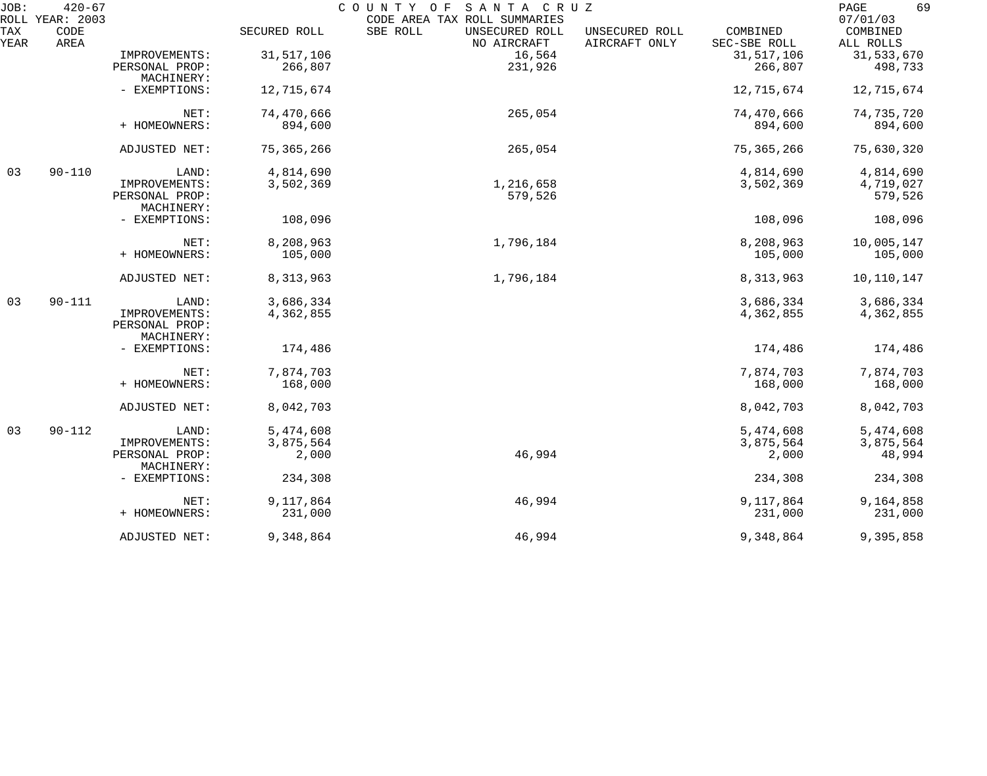| JOB:        | $420 - 67$                      |                                               |              | COUNTY OF<br>SANTA CRUZ                                                   |                                 |                          | 69<br>PAGE                        |
|-------------|---------------------------------|-----------------------------------------------|--------------|---------------------------------------------------------------------------|---------------------------------|--------------------------|-----------------------------------|
| TAX<br>YEAR | ROLL YEAR: 2003<br>CODE<br>AREA |                                               | SECURED ROLL | CODE AREA TAX ROLL SUMMARIES<br>SBE ROLL<br>UNSECURED ROLL<br>NO AIRCRAFT | UNSECURED ROLL<br>AIRCRAFT ONLY | COMBINED<br>SEC-SBE ROLL | 07/01/03<br>COMBINED<br>ALL ROLLS |
|             |                                 | IMPROVEMENTS:                                 | 31, 517, 106 | 16,564                                                                    |                                 | 31, 517, 106             | 31,533,670                        |
|             |                                 | PERSONAL PROP:<br>MACHINERY:                  | 266,807      | 231,926                                                                   |                                 | 266,807                  | 498,733                           |
|             |                                 | - EXEMPTIONS:                                 | 12,715,674   |                                                                           |                                 | 12,715,674               | 12,715,674                        |
|             |                                 | NET:                                          | 74,470,666   | 265,054                                                                   |                                 | 74,470,666               | 74,735,720                        |
|             |                                 | + HOMEOWNERS:                                 | 894,600      |                                                                           |                                 | 894,600                  | 894,600                           |
|             |                                 | ADJUSTED NET:                                 | 75, 365, 266 | 265,054                                                                   |                                 | 75, 365, 266             | 75,630,320                        |
| 03          | $90 - 110$                      | LAND:                                         | 4,814,690    |                                                                           |                                 | 4,814,690                | 4,814,690                         |
|             |                                 | IMPROVEMENTS:                                 | 3,502,369    | 1,216,658                                                                 |                                 | 3,502,369                | 4,719,027                         |
|             |                                 | PERSONAL PROP:<br>MACHINERY:                  |              | 579,526                                                                   |                                 |                          | 579,526                           |
|             |                                 | - EXEMPTIONS:                                 | 108,096      |                                                                           |                                 | 108,096                  | 108,096                           |
|             |                                 | NET:                                          | 8,208,963    | 1,796,184                                                                 |                                 | 8,208,963                | 10,005,147                        |
|             |                                 | + HOMEOWNERS:                                 | 105,000      |                                                                           |                                 | 105,000                  | 105,000                           |
|             |                                 | ADJUSTED NET:                                 | 8,313,963    | 1,796,184                                                                 |                                 | 8,313,963                | 10,110,147                        |
| 03          | $90 - 111$                      | LAND:                                         | 3,686,334    |                                                                           |                                 | 3,686,334                | 3,686,334                         |
|             |                                 | IMPROVEMENTS:<br>PERSONAL PROP:<br>MACHINERY: | 4,362,855    |                                                                           |                                 | 4,362,855                | 4,362,855                         |
|             |                                 | - EXEMPTIONS:                                 | 174,486      |                                                                           |                                 | 174,486                  | 174,486                           |
|             |                                 | NET:                                          | 7,874,703    |                                                                           |                                 | 7,874,703                | 7,874,703                         |
|             |                                 | + HOMEOWNERS:                                 | 168,000      |                                                                           |                                 | 168,000                  | 168,000                           |
|             |                                 | ADJUSTED NET:                                 | 8,042,703    |                                                                           |                                 | 8,042,703                | 8,042,703                         |
| 03          | $90 - 112$                      | LAND:                                         | 5,474,608    |                                                                           |                                 | 5,474,608                | 5,474,608                         |
|             |                                 | IMPROVEMENTS:                                 | 3,875,564    |                                                                           |                                 | 3,875,564                | 3,875,564                         |
|             |                                 | PERSONAL PROP:<br>MACHINERY:                  | 2,000        | 46,994                                                                    |                                 | 2,000                    | 48,994                            |
|             |                                 | - EXEMPTIONS:                                 | 234,308      |                                                                           |                                 | 234,308                  | 234,308                           |
|             |                                 | NET:                                          | 9,117,864    | 46,994                                                                    |                                 | 9,117,864                | 9,164,858                         |
|             |                                 | + HOMEOWNERS:                                 | 231,000      |                                                                           |                                 | 231,000                  | 231,000                           |
|             |                                 | ADJUSTED NET:                                 | 9,348,864    | 46,994                                                                    |                                 | 9,348,864                | 9,395,858                         |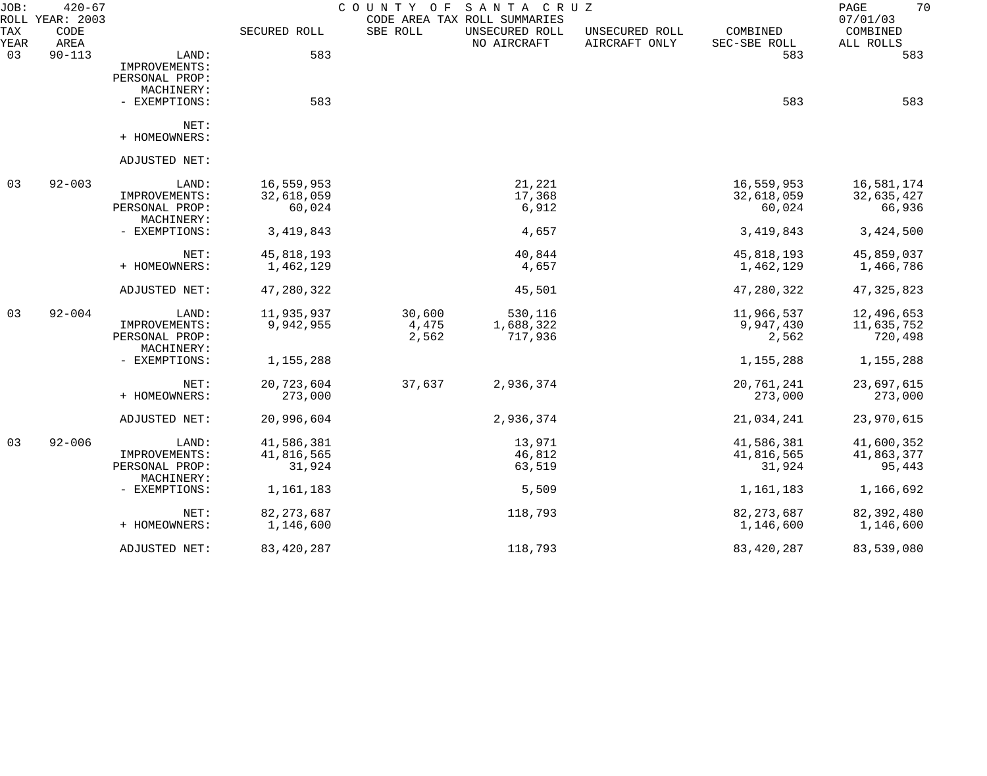| JOB:        | $420 - 67$<br>ROLL YEAR: 2003 |                              |              | COUNTY OF | SANTA CRUZ<br>CODE AREA TAX ROLL SUMMARIES |                                 |                          | 70<br>PAGE<br>07/01/03 |
|-------------|-------------------------------|------------------------------|--------------|-----------|--------------------------------------------|---------------------------------|--------------------------|------------------------|
| TAX<br>YEAR | CODE<br>AREA                  |                              | SECURED ROLL | SBE ROLL  | UNSECURED ROLL<br>NO AIRCRAFT              | UNSECURED ROLL<br>AIRCRAFT ONLY | COMBINED<br>SEC-SBE ROLL | COMBINED<br>ALL ROLLS  |
| 03          | $90 - 113$                    | LAND:                        | 583          |           |                                            |                                 | 583                      | 583                    |
|             |                               | IMPROVEMENTS:                |              |           |                                            |                                 |                          |                        |
|             |                               | PERSONAL PROP:               |              |           |                                            |                                 |                          |                        |
|             |                               | MACHINERY:                   |              |           |                                            |                                 |                          |                        |
|             |                               | - EXEMPTIONS:                | 583          |           |                                            |                                 | 583                      | 583                    |
|             |                               | NET:                         |              |           |                                            |                                 |                          |                        |
|             |                               | + HOMEOWNERS:                |              |           |                                            |                                 |                          |                        |
|             |                               | ADJUSTED NET:                |              |           |                                            |                                 |                          |                        |
| 03          | $92 - 003$                    | LAND:                        | 16,559,953   |           | 21,221                                     |                                 | 16,559,953               | 16,581,174             |
|             |                               | IMPROVEMENTS:                | 32,618,059   |           | 17,368                                     |                                 | 32,618,059               | 32,635,427             |
|             |                               | PERSONAL PROP:               | 60,024       |           | 6,912                                      |                                 | 60,024                   | 66,936                 |
|             |                               | MACHINERY:                   |              |           |                                            |                                 |                          |                        |
|             |                               | - EXEMPTIONS:                | 3, 419, 843  |           | 4,657                                      |                                 | 3, 419, 843              | 3,424,500              |
|             |                               | NET:                         | 45,818,193   |           | 40,844                                     |                                 | 45,818,193               | 45,859,037             |
|             |                               | + HOMEOWNERS:                | 1,462,129    |           | 4,657                                      |                                 | 1,462,129                | 1,466,786              |
|             |                               | ADJUSTED NET:                | 47,280,322   |           | 45,501                                     |                                 | 47,280,322               | 47, 325, 823           |
| 03          | $92 - 004$                    | LAND:                        | 11,935,937   | 30,600    | 530,116                                    |                                 | 11,966,537               | 12,496,653             |
|             |                               | IMPROVEMENTS:                | 9,942,955    | 4,475     | 1,688,322                                  |                                 | 9,947,430                | 11,635,752             |
|             |                               | PERSONAL PROP:               |              | 2,562     | 717,936                                    |                                 | 2,562                    | 720,498                |
|             |                               | MACHINERY:                   |              |           |                                            |                                 |                          |                        |
|             |                               | - EXEMPTIONS:                | 1,155,288    |           |                                            |                                 | 1,155,288                | 1,155,288              |
|             |                               | NET:                         | 20,723,604   | 37,637    | 2,936,374                                  |                                 | 20,761,241               | 23,697,615             |
|             |                               | + HOMEOWNERS:                | 273,000      |           |                                            |                                 | 273,000                  | 273,000                |
|             |                               | ADJUSTED NET:                | 20,996,604   |           | 2,936,374                                  |                                 | 21,034,241               | 23,970,615             |
| 03          | $92 - 006$                    | LAND:                        | 41,586,381   |           | 13,971                                     |                                 | 41,586,381               | 41,600,352             |
|             |                               | IMPROVEMENTS:                | 41,816,565   |           | 46,812                                     |                                 | 41,816,565               | 41,863,377             |
|             |                               | PERSONAL PROP:<br>MACHINERY: | 31,924       |           | 63,519                                     |                                 | 31,924                   | 95,443                 |
|             |                               | - EXEMPTIONS:                | 1,161,183    |           | 5,509                                      |                                 | 1,161,183                | 1,166,692              |
|             |                               | NET:                         | 82, 273, 687 |           | 118,793                                    |                                 | 82, 273, 687             | 82, 392, 480           |
|             |                               | + HOMEOWNERS:                | 1,146,600    |           |                                            |                                 | 1,146,600                | 1,146,600              |
|             |                               | ADJUSTED NET:                | 83, 420, 287 |           | 118,793                                    |                                 | 83, 420, 287             | 83,539,080             |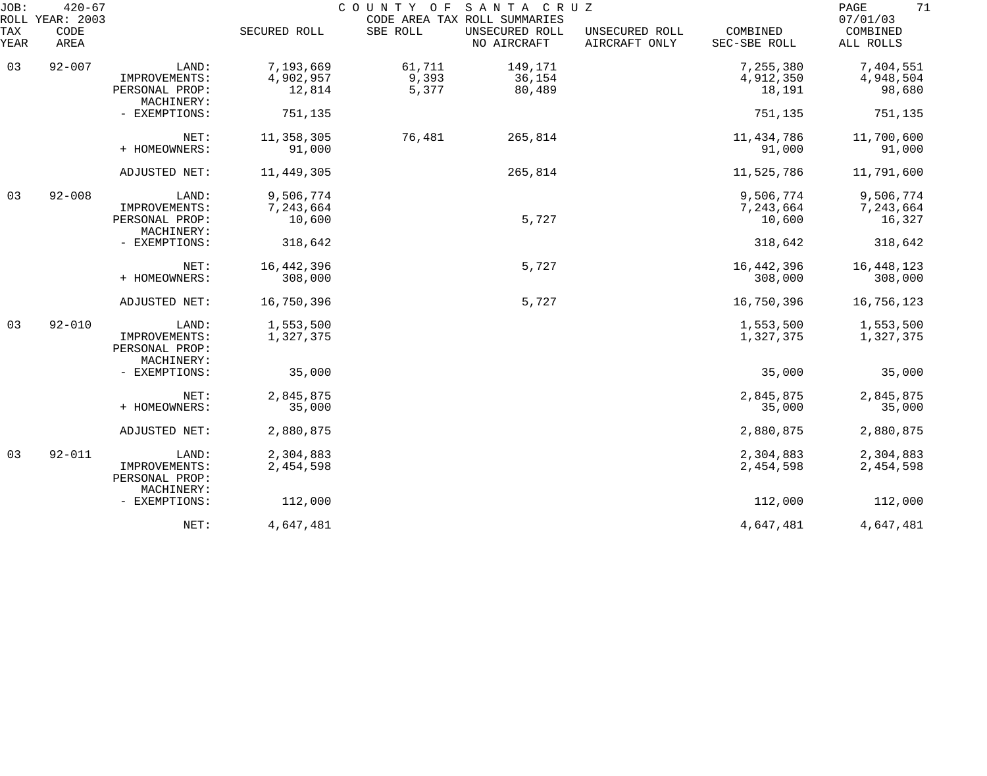| JOB:        | $420 - 67$<br>ROLL YEAR: 2003 |                                                        |                                  | COUNTY OF      | SANTA CRUZ<br>CODE AREA TAX ROLL SUMMARIES |                                 |                                  | 71<br>PAGE<br>07/01/03           |
|-------------|-------------------------------|--------------------------------------------------------|----------------------------------|----------------|--------------------------------------------|---------------------------------|----------------------------------|----------------------------------|
| TAX<br>YEAR | CODE<br>AREA                  |                                                        | SECURED ROLL                     | SBE ROLL       | UNSECURED ROLL<br>NO AIRCRAFT              | UNSECURED ROLL<br>AIRCRAFT ONLY | COMBINED<br>SEC-SBE ROLL         | COMBINED<br>ALL ROLLS            |
| 03          | $92 - 007$                    | LAND:                                                  | 7,193,669                        | 61,711         | 149,171                                    |                                 | 7,255,380                        | 7,404,551                        |
|             |                               | IMPROVEMENTS:<br>PERSONAL PROP:<br>MACHINERY:          | 4,902,957<br>12,814              | 9,393<br>5,377 | 36,154<br>80,489                           |                                 | 4,912,350<br>18,191              | 4,948,504<br>98,680              |
|             |                               | - EXEMPTIONS:                                          | 751,135                          |                |                                            |                                 | 751,135                          | 751,135                          |
|             |                               | NET:<br>+ HOMEOWNERS:                                  | 11,358,305<br>91,000             | 76,481         | 265,814                                    |                                 | 11,434,786<br>91,000             | 11,700,600<br>91,000             |
|             |                               | ADJUSTED NET:                                          | 11,449,305                       |                | 265,814                                    |                                 | 11,525,786                       | 11,791,600                       |
| 03          | $92 - 008$                    | LAND:<br>IMPROVEMENTS:<br>PERSONAL PROP:               | 9,506,774<br>7,243,664<br>10,600 |                | 5,727                                      |                                 | 9,506,774<br>7,243,664<br>10,600 | 9,506,774<br>7,243,664<br>16,327 |
|             |                               | MACHINERY:<br>- EXEMPTIONS:                            | 318,642                          |                |                                            |                                 | 318,642                          | 318,642                          |
|             |                               | NET:<br>+ HOMEOWNERS:                                  | 16, 442, 396<br>308,000          |                | 5,727                                      |                                 | 16, 442, 396<br>308,000          | 16,448,123<br>308,000            |
|             |                               | ADJUSTED NET:                                          | 16,750,396                       |                | 5,727                                      |                                 | 16,750,396                       | 16,756,123                       |
| 03          | $92 - 010$                    | LAND:<br>IMPROVEMENTS:<br>PERSONAL PROP:<br>MACHINERY: | 1,553,500<br>1,327,375           |                |                                            |                                 | 1,553,500<br>1,327,375           | 1,553,500<br>1,327,375           |
|             |                               | - EXEMPTIONS:                                          | 35,000                           |                |                                            |                                 | 35,000                           | 35,000                           |
|             |                               | NET:<br>+ HOMEOWNERS:                                  | 2,845,875<br>35,000              |                |                                            |                                 | 2,845,875<br>35,000              | 2,845,875<br>35,000              |
|             |                               | ADJUSTED NET:                                          | 2,880,875                        |                |                                            |                                 | 2,880,875                        | 2,880,875                        |
| 03          | $92 - 011$                    | LAND:<br>IMPROVEMENTS:<br>PERSONAL PROP:<br>MACHINERY: | 2,304,883<br>2,454,598           |                |                                            |                                 | 2,304,883<br>2,454,598           | 2,304,883<br>2,454,598           |
|             |                               | - EXEMPTIONS:                                          | 112,000                          |                |                                            |                                 | 112,000                          | 112,000                          |
|             |                               | NET:                                                   | 4,647,481                        |                |                                            |                                 | 4,647,481                        | 4,647,481                        |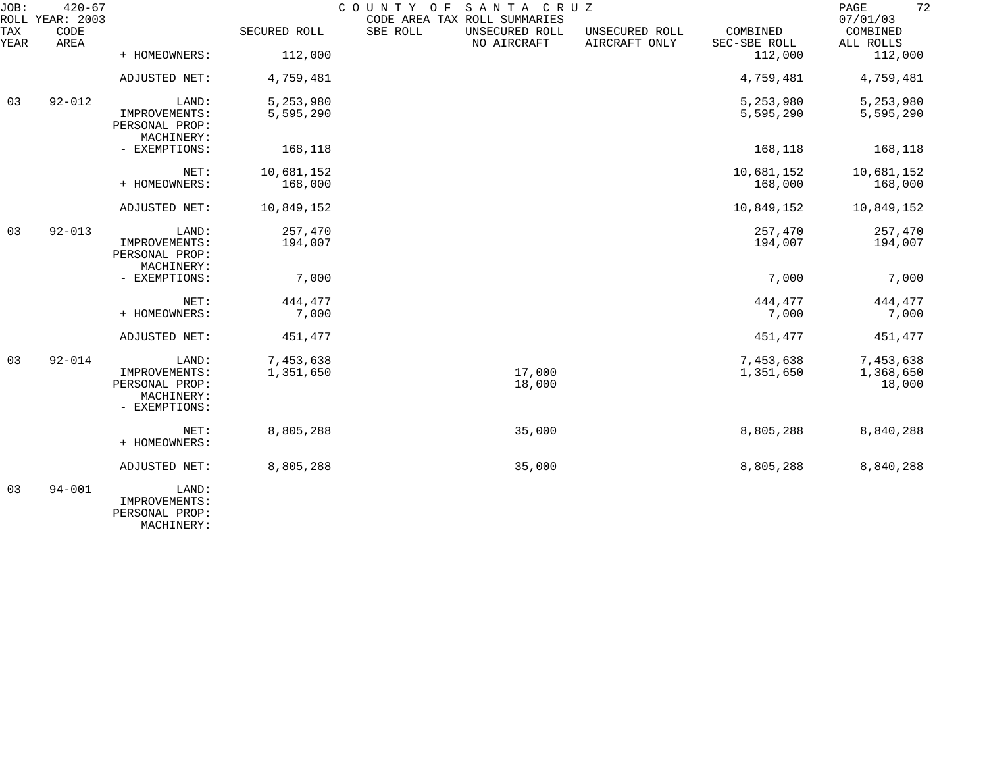| JOB:        | $420 - 67$<br>ROLL YEAR: 2003 |                                               |              | COUNTY OF<br>CODE AREA TAX ROLL SUMMARIES | SANTA CRUZ                    |                                 |                          | 72<br>PAGE<br>07/01/03 |
|-------------|-------------------------------|-----------------------------------------------|--------------|-------------------------------------------|-------------------------------|---------------------------------|--------------------------|------------------------|
| TAX<br>YEAR | CODE<br>AREA                  |                                               | SECURED ROLL | SBE ROLL                                  | UNSECURED ROLL<br>NO AIRCRAFT | UNSECURED ROLL<br>AIRCRAFT ONLY | COMBINED<br>SEC-SBE ROLL | COMBINED<br>ALL ROLLS  |
|             |                               | + HOMEOWNERS:                                 | 112,000      |                                           |                               |                                 | 112,000                  | 112,000                |
|             |                               | ADJUSTED NET:                                 | 4,759,481    |                                           |                               |                                 | 4,759,481                | 4,759,481              |
| 03          | $92 - 012$                    | LAND:                                         | 5,253,980    |                                           |                               |                                 | 5,253,980                | 5,253,980              |
|             |                               | IMPROVEMENTS:<br>PERSONAL PROP:<br>MACHINERY: | 5,595,290    |                                           |                               |                                 | 5,595,290                | 5,595,290              |
|             |                               | - EXEMPTIONS:                                 | 168,118      |                                           |                               |                                 | 168,118                  | 168,118                |
|             |                               | NET:                                          | 10,681,152   |                                           |                               |                                 | 10,681,152               | 10,681,152             |
|             |                               | + HOMEOWNERS:                                 | 168,000      |                                           |                               |                                 | 168,000                  | 168,000                |
|             |                               | ADJUSTED NET:                                 | 10,849,152   |                                           |                               |                                 | 10,849,152               | 10,849,152             |
| 03          | $92 - 013$                    | LAND:                                         | 257,470      |                                           |                               |                                 | 257,470                  | 257,470                |
|             |                               | IMPROVEMENTS:<br>PERSONAL PROP:<br>MACHINERY: | 194,007      |                                           |                               |                                 | 194,007                  | 194,007                |
|             |                               | - EXEMPTIONS:                                 | 7,000        |                                           |                               |                                 | 7,000                    | 7,000                  |
|             |                               | NET:                                          | 444,477      |                                           |                               |                                 | 444,477                  | 444,477                |
|             |                               | + HOMEOWNERS:                                 | 7,000        |                                           |                               |                                 | 7,000                    | 7,000                  |
|             |                               | ADJUSTED NET:                                 | 451,477      |                                           |                               |                                 | 451,477                  | 451,477                |
| 03          | $92 - 014$                    | LAND:                                         | 7,453,638    |                                           |                               |                                 | 7,453,638                | 7,453,638              |
|             |                               | IMPROVEMENTS:                                 | 1,351,650    |                                           | 17,000                        |                                 | 1,351,650                | 1,368,650              |
|             |                               | PERSONAL PROP:<br>MACHINERY:                  |              |                                           | 18,000                        |                                 |                          | 18,000                 |
|             |                               | - EXEMPTIONS:                                 |              |                                           |                               |                                 |                          |                        |
|             |                               | NET:                                          | 8,805,288    |                                           | 35,000                        |                                 | 8,805,288                | 8,840,288              |
|             |                               | + HOMEOWNERS:                                 |              |                                           |                               |                                 |                          |                        |
|             |                               | <b>ADJUSTED NET:</b>                          | 8,805,288    |                                           | 35,000                        |                                 | 8,805,288                | 8,840,288              |
| 03          | $94 - 001$                    | LAND:                                         |              |                                           |                               |                                 |                          |                        |
|             |                               | IMPROVEMENTS:<br>PERSONAL PROP:               |              |                                           |                               |                                 |                          |                        |

MACHINERY: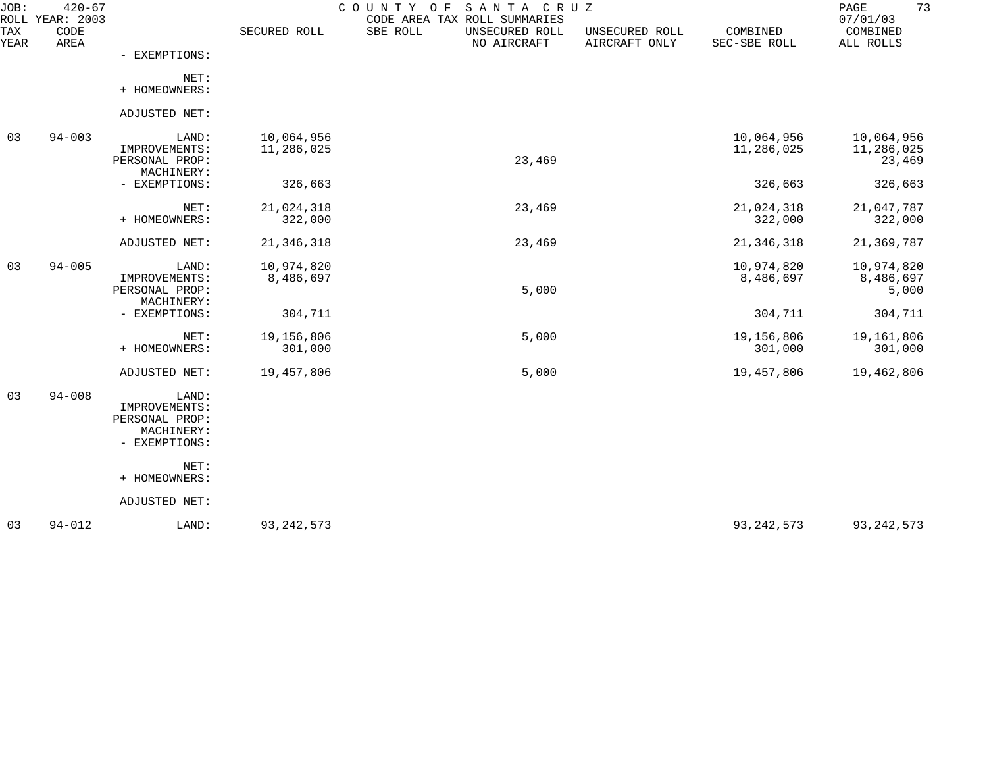| JOB:<br>ROLL | $420 - 67$<br>YEAR: 2003 |                                                                         |                          | SANTA CRUZ<br>COUNTY<br>O F<br>CODE AREA TAX ROLL SUMMARIES |                                 |                          | 73<br>PAGE<br>07/01/03             |
|--------------|--------------------------|-------------------------------------------------------------------------|--------------------------|-------------------------------------------------------------|---------------------------------|--------------------------|------------------------------------|
| TAX<br>YEAR  | CODE<br>AREA             |                                                                         | SECURED ROLL             | SBE ROLL<br>UNSECURED ROLL<br>NO AIRCRAFT                   | UNSECURED ROLL<br>AIRCRAFT ONLY | COMBINED<br>SEC-SBE ROLL | COMBINED<br>ALL ROLLS              |
|              |                          | - EXEMPTIONS:                                                           |                          |                                                             |                                 |                          |                                    |
|              |                          | NET:<br>+ HOMEOWNERS:                                                   |                          |                                                             |                                 |                          |                                    |
|              |                          | ADJUSTED NET:                                                           |                          |                                                             |                                 |                          |                                    |
| 03           | $94 - 003$               | LAND:<br>IMPROVEMENTS:<br>PERSONAL PROP:<br>MACHINERY:                  | 10,064,956<br>11,286,025 | 23,469                                                      |                                 | 10,064,956<br>11,286,025 | 10,064,956<br>11,286,025<br>23,469 |
|              |                          | - EXEMPTIONS:                                                           | 326,663                  |                                                             |                                 | 326,663                  | 326,663                            |
|              |                          | NET:<br>+ HOMEOWNERS:                                                   | 21,024,318<br>322,000    | 23,469                                                      |                                 | 21,024,318<br>322,000    | 21,047,787<br>322,000              |
|              |                          | ADJUSTED NET:                                                           | 21, 346, 318             | 23,469                                                      |                                 | 21, 346, 318             | 21,369,787                         |
| 03           | $94 - 005$               | LAND:<br>IMPROVEMENTS:<br>PERSONAL PROP:<br>MACHINERY:                  | 10,974,820<br>8,486,697  | 5,000                                                       |                                 | 10,974,820<br>8,486,697  | 10,974,820<br>8,486,697<br>5,000   |
|              |                          | - EXEMPTIONS:                                                           | 304,711                  |                                                             |                                 | 304,711                  | 304,711                            |
|              |                          | NET:<br>+ HOMEOWNERS:                                                   | 19,156,806<br>301,000    | 5,000                                                       |                                 | 19,156,806<br>301,000    | 19,161,806<br>301,000              |
|              |                          | ADJUSTED NET:                                                           | 19,457,806               | 5,000                                                       |                                 | 19,457,806               | 19,462,806                         |
| 03           | $94 - 008$               | LAND:<br>IMPROVEMENTS:<br>PERSONAL PROP:<br>MACHINERY:<br>- EXEMPTIONS: |                          |                                                             |                                 |                          |                                    |
|              |                          | NET:<br>+ HOMEOWNERS:                                                   |                          |                                                             |                                 |                          |                                    |
|              |                          | ADJUSTED NET:                                                           |                          |                                                             |                                 |                          |                                    |
| 03           | $94 - 012$               | LAND:                                                                   | 93, 242, 573             |                                                             |                                 | 93, 242, 573             | 93, 242, 573                       |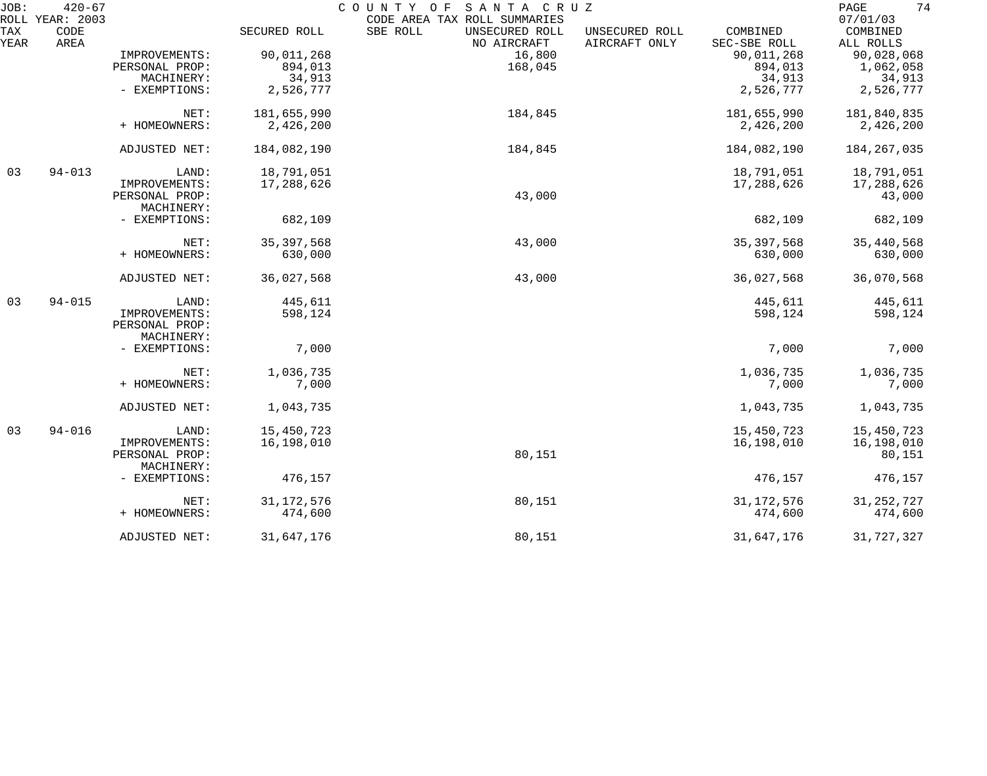| JOB:        | $420 - 67$<br>ROLL YEAR: 2003 |                                               |              | COUNTY OF SANTA CRUZ<br>CODE AREA TAX ROLL SUMMARIES |                                 |                          | 74<br>PAGE<br>07/01/03 |
|-------------|-------------------------------|-----------------------------------------------|--------------|------------------------------------------------------|---------------------------------|--------------------------|------------------------|
| TAX<br>YEAR | CODE<br>AREA                  |                                               | SECURED ROLL | SBE ROLL<br>UNSECURED ROLL<br>NO AIRCRAFT            | UNSECURED ROLL<br>AIRCRAFT ONLY | COMBINED<br>SEC-SBE ROLL | COMBINED<br>ALL ROLLS  |
|             |                               | IMPROVEMENTS:                                 | 90,011,268   | 16,800                                               |                                 | 90,011,268               | 90,028,068             |
|             |                               | PERSONAL PROP:                                | 894,013      | 168,045                                              |                                 | 894,013                  | 1,062,058              |
|             |                               | MACHINERY:                                    | 34,913       |                                                      |                                 | 34,913                   | 34,913                 |
|             |                               | - EXEMPTIONS:                                 | 2,526,777    |                                                      |                                 | 2,526,777                | 2,526,777              |
|             |                               | NET:                                          | 181,655,990  | 184,845                                              |                                 | 181,655,990              | 181,840,835            |
|             |                               | + HOMEOWNERS:                                 | 2,426,200    |                                                      |                                 | 2,426,200                | 2,426,200              |
|             |                               | ADJUSTED NET:                                 | 184,082,190  | 184,845                                              |                                 | 184,082,190              | 184, 267, 035          |
| 03          | $94 - 013$                    | LAND:                                         | 18,791,051   |                                                      |                                 | 18,791,051               | 18,791,051             |
|             |                               | IMPROVEMENTS:                                 | 17,288,626   |                                                      |                                 | 17,288,626               | 17,288,626             |
|             |                               | PERSONAL PROP:<br>MACHINERY:                  |              | 43,000                                               |                                 |                          | 43,000                 |
|             |                               | - EXEMPTIONS:                                 | 682,109      |                                                      |                                 | 682,109                  | 682,109                |
|             |                               | NET:                                          | 35, 397, 568 | 43,000                                               |                                 | 35, 397, 568             | 35,440,568             |
|             |                               | + HOMEOWNERS:                                 | 630,000      |                                                      |                                 | 630,000                  | 630,000                |
|             |                               | ADJUSTED NET:                                 | 36,027,568   | 43,000                                               |                                 | 36,027,568               | 36,070,568             |
| 03          | $94 - 015$                    | LAND:                                         | 445,611      |                                                      |                                 | 445,611                  | 445,611                |
|             |                               | IMPROVEMENTS:<br>PERSONAL PROP:<br>MACHINERY: | 598,124      |                                                      |                                 | 598,124                  | 598,124                |
|             |                               | - EXEMPTIONS:                                 | 7,000        |                                                      |                                 | 7,000                    | 7,000                  |
|             |                               | NET:                                          | 1,036,735    |                                                      |                                 | 1,036,735                | 1,036,735              |
|             |                               | + HOMEOWNERS:                                 | 7,000        |                                                      |                                 | 7,000                    | 7,000                  |
|             |                               | ADJUSTED NET:                                 | 1,043,735    |                                                      |                                 | 1,043,735                | 1,043,735              |
| 03          | $94 - 016$                    | LAND:                                         | 15,450,723   |                                                      |                                 | 15,450,723               | 15,450,723             |
|             |                               | IMPROVEMENTS:<br>PERSONAL PROP:               | 16,198,010   | 80,151                                               |                                 | 16,198,010               | 16,198,010<br>80,151   |
|             |                               | MACHINERY:<br>- EXEMPTIONS:                   | 476,157      |                                                      |                                 | 476,157                  | 476,157                |
|             |                               | NET:                                          | 31, 172, 576 | 80,151                                               |                                 | 31, 172, 576             | 31, 252, 727           |
|             |                               | + HOMEOWNERS:                                 | 474,600      |                                                      |                                 | 474,600                  | 474,600                |
|             |                               | ADJUSTED NET:                                 | 31,647,176   | 80,151                                               |                                 | 31,647,176               | 31,727,327             |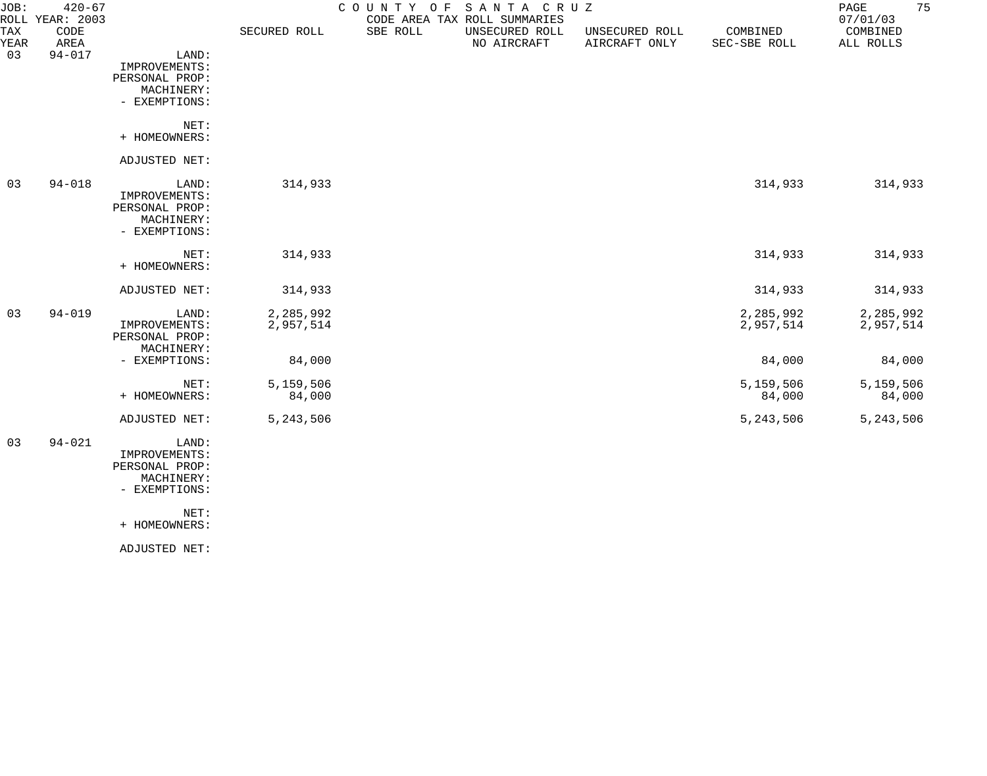| JOB:        | $420 - 67$<br>ROLL YEAR: 2003 |                              |              | COUNTY OF | SANTA CRUZ<br>CODE AREA TAX ROLL SUMMARIES |                                 |                          | 75<br>PAGE<br>07/01/03 |
|-------------|-------------------------------|------------------------------|--------------|-----------|--------------------------------------------|---------------------------------|--------------------------|------------------------|
| TAX<br>YEAR | CODE<br>AREA                  |                              | SECURED ROLL | SBE ROLL  | UNSECURED ROLL<br>NO AIRCRAFT              | UNSECURED ROLL<br>AIRCRAFT ONLY | COMBINED<br>SEC-SBE ROLL | COMBINED<br>ALL ROLLS  |
| 03          | $94 - 017$                    | LAND:                        |              |           |                                            |                                 |                          |                        |
|             |                               | IMPROVEMENTS:                |              |           |                                            |                                 |                          |                        |
|             |                               | PERSONAL PROP:               |              |           |                                            |                                 |                          |                        |
|             |                               | MACHINERY:                   |              |           |                                            |                                 |                          |                        |
|             |                               | - EXEMPTIONS:                |              |           |                                            |                                 |                          |                        |
|             |                               | NET:                         |              |           |                                            |                                 |                          |                        |
|             |                               | + HOMEOWNERS:                |              |           |                                            |                                 |                          |                        |
|             |                               | ADJUSTED NET:                |              |           |                                            |                                 |                          |                        |
| 03          | $94 - 018$                    | LAND:                        | 314,933      |           |                                            |                                 | 314,933                  | 314,933                |
|             |                               | IMPROVEMENTS:                |              |           |                                            |                                 |                          |                        |
|             |                               | PERSONAL PROP:               |              |           |                                            |                                 |                          |                        |
|             |                               | MACHINERY:<br>- EXEMPTIONS:  |              |           |                                            |                                 |                          |                        |
|             |                               |                              |              |           |                                            |                                 |                          |                        |
|             |                               | NET:                         | 314,933      |           |                                            |                                 | 314,933                  | 314,933                |
|             |                               | + HOMEOWNERS:                |              |           |                                            |                                 |                          |                        |
|             |                               | ADJUSTED NET:                | 314,933      |           |                                            |                                 | 314,933                  | 314,933                |
| 03          | $94 - 019$                    | LAND:                        | 2,285,992    |           |                                            |                                 | 2,285,992                | 2,285,992              |
|             |                               | IMPROVEMENTS:                | 2,957,514    |           |                                            |                                 | 2,957,514                | 2,957,514              |
|             |                               | PERSONAL PROP:<br>MACHINERY: |              |           |                                            |                                 |                          |                        |
|             |                               | - EXEMPTIONS:                | 84,000       |           |                                            |                                 | 84,000                   | 84,000                 |
|             |                               | NET:                         | 5,159,506    |           |                                            |                                 | 5,159,506                | 5,159,506              |
|             |                               | + HOMEOWNERS:                | 84,000       |           |                                            |                                 | 84,000                   | 84,000                 |
|             |                               | ADJUSTED NET:                | 5,243,506    |           |                                            |                                 | 5,243,506                | 5, 243, 506            |
| 03          | $94 - 021$                    | LAND:                        |              |           |                                            |                                 |                          |                        |
|             |                               | IMPROVEMENTS:                |              |           |                                            |                                 |                          |                        |
|             |                               | PERSONAL PROP:               |              |           |                                            |                                 |                          |                        |
|             |                               | MACHINERY:                   |              |           |                                            |                                 |                          |                        |

- EXEMPTIONS:

NET:

+ HOMEOWNERS:

ADJUSTED NET: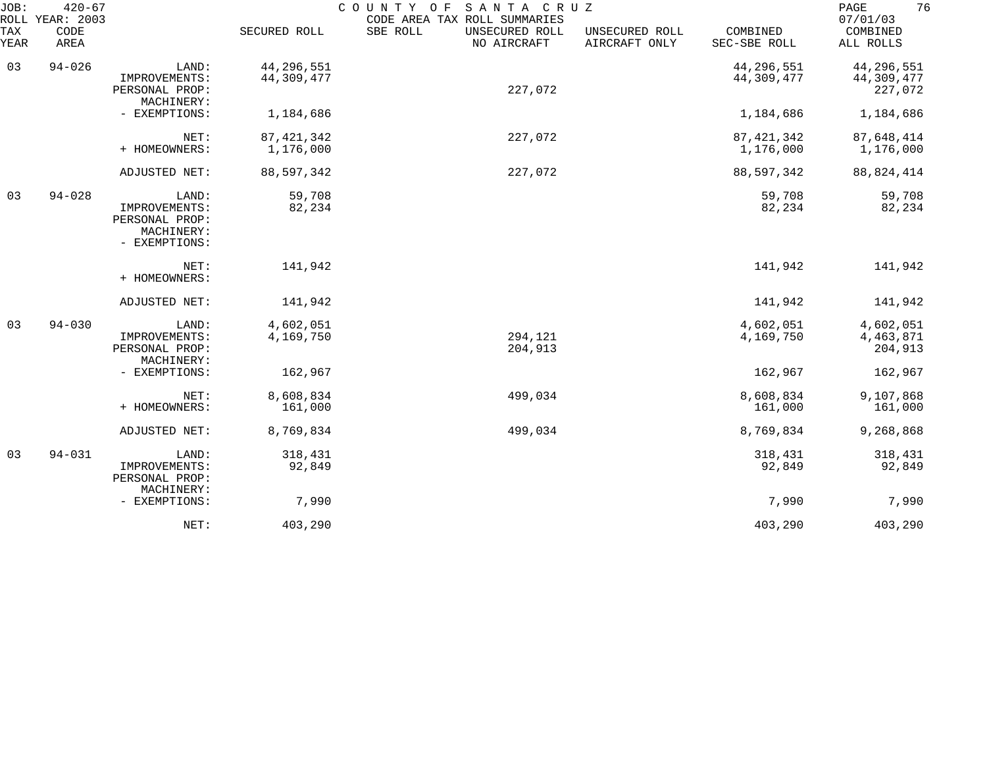| JOB:        | $420 - 67$<br>ROLL YEAR: 2003 |                                                                         |                           | SANTA CRUZ<br>COUNTY OF<br>CODE AREA TAX ROLL SUMMARIES |                                 |                            | 76<br>PAGE<br>07/01/03              |
|-------------|-------------------------------|-------------------------------------------------------------------------|---------------------------|---------------------------------------------------------|---------------------------------|----------------------------|-------------------------------------|
| TAX<br>YEAR | CODE<br>AREA                  |                                                                         | SECURED ROLL              | SBE ROLL<br>UNSECURED ROLL<br>NO AIRCRAFT               | UNSECURED ROLL<br>AIRCRAFT ONLY | COMBINED<br>SEC-SBE ROLL   | COMBINED<br>ALL ROLLS               |
| 03          | $94 - 026$                    | LAND:<br>IMPROVEMENTS:<br>PERSONAL PROP:<br>MACHINERY:                  | 44,296,551<br>44,309,477  | 227,072                                                 |                                 | 44, 296, 551<br>44,309,477 | 44,296,551<br>44,309,477<br>227,072 |
|             |                               | - EXEMPTIONS:                                                           | 1,184,686                 |                                                         |                                 | 1,184,686                  | 1,184,686                           |
|             |                               | NET:<br>+ HOMEOWNERS:                                                   | 87, 421, 342<br>1,176,000 | 227,072                                                 |                                 | 87, 421, 342<br>1,176,000  | 87,648,414<br>1,176,000             |
|             |                               | ADJUSTED NET:                                                           | 88,597,342                | 227,072                                                 |                                 | 88,597,342                 | 88, 824, 414                        |
| 03          | $94 - 028$                    | LAND:<br>IMPROVEMENTS:<br>PERSONAL PROP:<br>MACHINERY:<br>- EXEMPTIONS: | 59,708<br>82,234          |                                                         |                                 | 59,708<br>82,234           | 59,708<br>82,234                    |
|             |                               | NET:<br>+ HOMEOWNERS:                                                   | 141,942                   |                                                         |                                 | 141,942                    | 141,942                             |
|             |                               | ADJUSTED NET:                                                           | 141,942                   |                                                         |                                 | 141,942                    | 141,942                             |
| 03          | $94 - 030$                    | LAND:<br>IMPROVEMENTS:<br>PERSONAL PROP:<br>MACHINERY:                  | 4,602,051<br>4,169,750    | 294,121<br>204,913                                      |                                 | 4,602,051<br>4,169,750     | 4,602,051<br>4, 463, 871<br>204,913 |
|             |                               | - EXEMPTIONS:                                                           | 162,967                   |                                                         |                                 | 162,967                    | 162,967                             |
|             |                               | NET:<br>+ HOMEOWNERS:                                                   | 8,608,834<br>161,000      | 499,034                                                 |                                 | 8,608,834<br>161,000       | 9,107,868<br>161,000                |
|             |                               | ADJUSTED NET:                                                           | 8,769,834                 | 499,034                                                 |                                 | 8,769,834                  | 9,268,868                           |
| 03          | $94 - 031$                    | LAND:<br>IMPROVEMENTS:<br>PERSONAL PROP:<br>MACHINERY:                  | 318,431<br>92,849         |                                                         |                                 | 318,431<br>92,849          | 318,431<br>92,849                   |
|             |                               | - EXEMPTIONS:                                                           | 7,990                     |                                                         |                                 | 7,990                      | 7,990                               |
|             |                               | NET:                                                                    | 403,290                   |                                                         |                                 | 403,290                    | 403,290                             |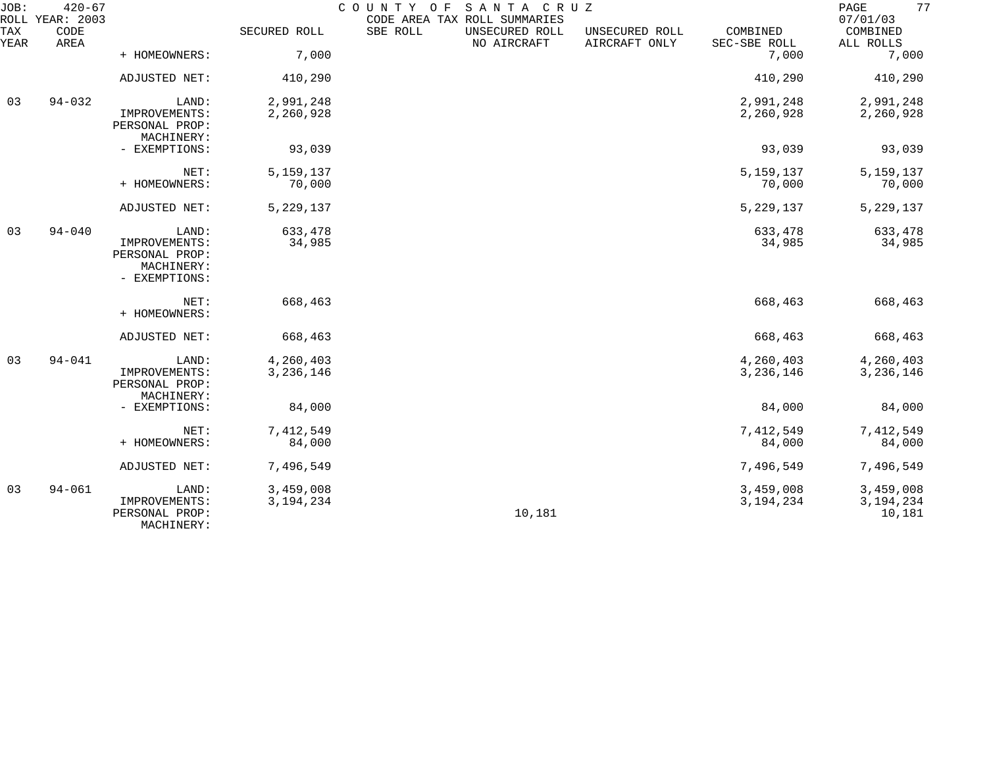| JOB:        | $420 - 67$<br>ROLL YEAR: 2003 |                                               |                   | COUNTY OF<br>CODE AREA TAX ROLL SUMMARIES | SANTA CRUZ                    |                                 |                          | 77<br>PAGE<br>07/01/03 |
|-------------|-------------------------------|-----------------------------------------------|-------------------|-------------------------------------------|-------------------------------|---------------------------------|--------------------------|------------------------|
| TAX<br>YEAR | CODE<br>AREA                  |                                               | SECURED ROLL      | SBE ROLL                                  | UNSECURED ROLL<br>NO AIRCRAFT | UNSECURED ROLL<br>AIRCRAFT ONLY | COMBINED<br>SEC-SBE ROLL | COMBINED<br>ALL ROLLS  |
|             |                               | + HOMEOWNERS:                                 | 7,000             |                                           |                               |                                 | 7,000                    | 7,000                  |
|             |                               | ADJUSTED NET:                                 | 410,290           |                                           |                               |                                 | 410,290                  | 410,290                |
| 03          | $94 - 032$                    | LAND:                                         | 2,991,248         |                                           |                               |                                 | 2,991,248                | 2,991,248              |
|             |                               | IMPROVEMENTS:<br>PERSONAL PROP:<br>MACHINERY: | 2,260,928         |                                           |                               |                                 | 2,260,928                | 2,260,928              |
|             |                               | - EXEMPTIONS:                                 | 93,039            |                                           |                               |                                 | 93,039                   | 93,039                 |
|             |                               | NET:                                          | 5, 159, 137       |                                           |                               |                                 | 5,159,137                | 5, 159, 137            |
|             |                               | + HOMEOWNERS:                                 | 70,000            |                                           |                               |                                 | 70,000                   | 70,000                 |
|             |                               | ADJUSTED NET:                                 | 5,229,137         |                                           |                               |                                 | 5, 229, 137              | 5, 229, 137            |
| 03          | $94 - 040$                    | LAND:<br>IMPROVEMENTS:                        | 633,478<br>34,985 |                                           |                               |                                 | 633,478<br>34,985        | 633,478<br>34,985      |
|             |                               | PERSONAL PROP:<br>MACHINERY:                  |                   |                                           |                               |                                 |                          |                        |
|             |                               | - EXEMPTIONS:                                 |                   |                                           |                               |                                 |                          |                        |
|             |                               | NET:<br>+ HOMEOWNERS:                         | 668,463           |                                           |                               |                                 | 668,463                  | 668,463                |
|             |                               | ADJUSTED NET:                                 | 668,463           |                                           |                               |                                 | 668,463                  | 668,463                |
| 03          | $94 - 041$                    | LAND:                                         | 4,260,403         |                                           |                               |                                 | 4,260,403                | 4,260,403              |
|             |                               | IMPROVEMENTS:<br>PERSONAL PROP:<br>MACHINERY: | 3,236,146         |                                           |                               |                                 | 3,236,146                | 3, 236, 146            |
|             |                               | - EXEMPTIONS:                                 | 84,000            |                                           |                               |                                 | 84,000                   | 84,000                 |
|             |                               | NET:                                          | 7,412,549         |                                           |                               |                                 | 7,412,549                | 7,412,549              |
|             |                               | + HOMEOWNERS:                                 | 84,000            |                                           |                               |                                 | 84,000                   | 84,000                 |
|             |                               | ADJUSTED NET:                                 | 7,496,549         |                                           |                               |                                 | 7,496,549                | 7,496,549              |
| 03          | $94 - 061$                    | LAND:                                         | 3,459,008         |                                           |                               |                                 | 3,459,008                | 3,459,008              |
|             |                               | IMPROVEMENTS:<br>PERSONAL PROP:<br>MACHINERY: | 3, 194, 234       |                                           | 10,181                        |                                 | 3, 194, 234              | 3, 194, 234<br>10,181  |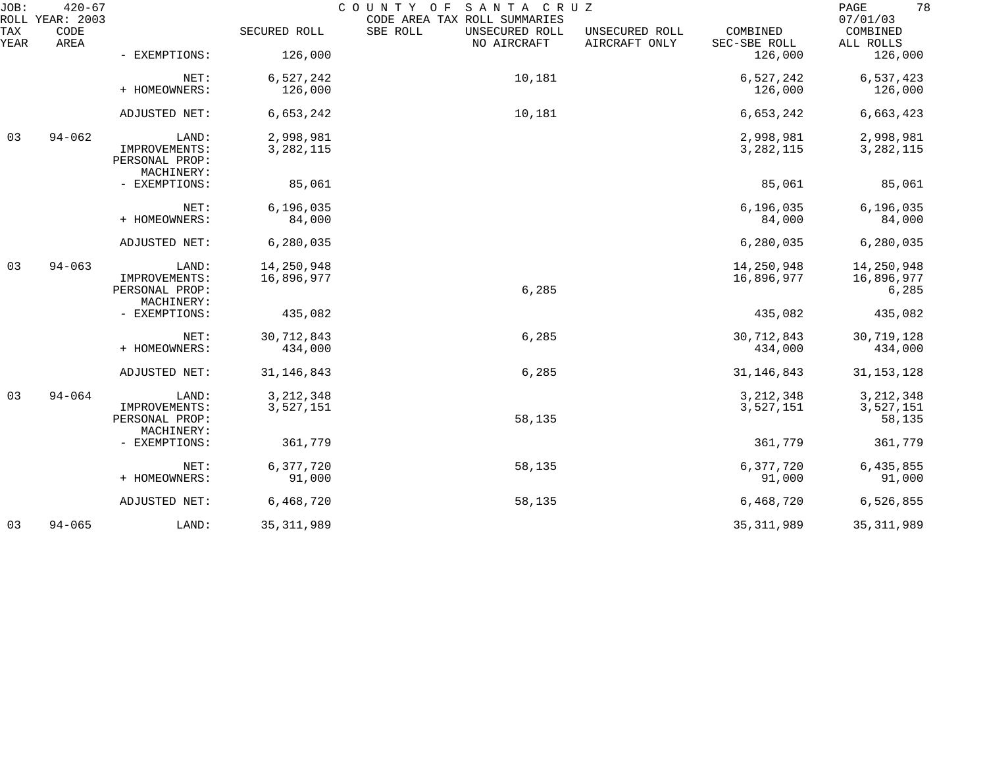| JOB:        | $420 - 67$<br>ROLL YEAR: 2003 |                                               |                          | COUNTY OF SANTA CRUZ<br>CODE AREA TAX ROLL SUMMARIES |                                 |                          | 78<br>PAGE<br>07/01/03   |
|-------------|-------------------------------|-----------------------------------------------|--------------------------|------------------------------------------------------|---------------------------------|--------------------------|--------------------------|
| TAX<br>YEAR | CODE<br>AREA                  |                                               | SECURED ROLL             | SBE ROLL<br>UNSECURED ROLL<br>NO AIRCRAFT            | UNSECURED ROLL<br>AIRCRAFT ONLY | COMBINED<br>SEC-SBE ROLL | COMBINED<br>ALL ROLLS    |
|             |                               | - EXEMPTIONS:                                 | 126,000                  |                                                      |                                 | 126,000                  | 126,000                  |
|             |                               | NET:                                          | 6,527,242                | 10,181                                               |                                 | 6,527,242                | 6,537,423                |
|             |                               | + HOMEOWNERS:                                 | 126,000                  |                                                      |                                 | 126,000                  | 126,000                  |
|             |                               | ADJUSTED NET:                                 | 6,653,242                | 10,181                                               |                                 | 6,653,242                | 6,663,423                |
| 03          | $94 - 062$                    | LAND:                                         | 2,998,981                |                                                      |                                 | 2,998,981                | 2,998,981                |
|             |                               | IMPROVEMENTS:<br>PERSONAL PROP:<br>MACHINERY: | 3, 282, 115              |                                                      |                                 | 3, 282, 115              | 3, 282, 115              |
|             |                               | - EXEMPTIONS:                                 | 85,061                   |                                                      |                                 | 85,061                   | 85,061                   |
|             |                               | NET:                                          | 6, 196, 035              |                                                      |                                 | 6, 196, 035              | 6, 196, 035              |
|             |                               | + HOMEOWNERS:                                 | 84,000                   |                                                      |                                 | 84,000                   | 84,000                   |
|             |                               | ADJUSTED NET:                                 | 6, 280, 035              |                                                      |                                 | 6,280,035                | 6,280,035                |
| 03          | $94 - 063$                    | LAND:                                         | 14,250,948               |                                                      |                                 | 14,250,948               | 14,250,948               |
|             |                               | IMPROVEMENTS:<br>PERSONAL PROP:<br>MACHINERY: | 16,896,977               | 6,285                                                |                                 | 16,896,977               | 16,896,977<br>6,285      |
|             |                               | - EXEMPTIONS:                                 | 435,082                  |                                                      |                                 | 435,082                  | 435,082                  |
|             |                               | NET:<br>+ HOMEOWNERS:                         | 30, 712, 843<br>434,000  | 6,285                                                |                                 | 30,712,843<br>434,000    | 30,719,128<br>434,000    |
|             |                               | ADJUSTED NET:                                 | 31, 146, 843             | 6,285                                                |                                 | 31, 146, 843             | 31, 153, 128             |
|             |                               |                                               |                          |                                                      |                                 |                          |                          |
| 03          | $94 - 064$                    | LAND:<br>IMPROVEMENTS:                        | 3, 212, 348<br>3,527,151 |                                                      |                                 | 3, 212, 348<br>3,527,151 | 3, 212, 348<br>3,527,151 |
|             |                               | PERSONAL PROP:<br>MACHINERY:                  |                          | 58,135                                               |                                 |                          | 58,135                   |
|             |                               | - EXEMPTIONS:                                 | 361,779                  |                                                      |                                 | 361,779                  | 361,779                  |
|             |                               | NET:                                          | 6,377,720                | 58,135                                               |                                 | 6,377,720                | 6,435,855                |
|             |                               | + HOMEOWNERS:                                 | 91,000                   |                                                      |                                 | 91,000                   | 91,000                   |
|             |                               | ADJUSTED NET:                                 | 6,468,720                | 58,135                                               |                                 | 6,468,720                | 6,526,855                |
| 03          | $94 - 065$                    | LAND:                                         | 35, 311, 989             |                                                      |                                 | 35, 311, 989             | 35, 311, 989             |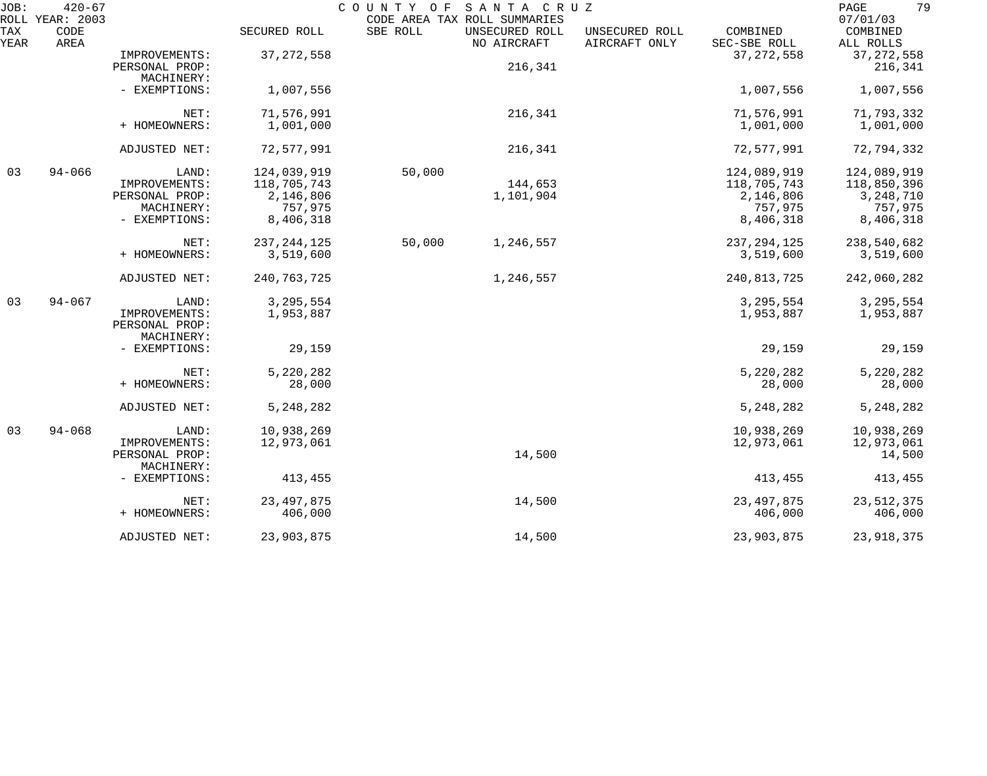| JOB:        | $420 - 67$<br>ROLL YEAR: 2003 |                                               |               | COUNTY OF | SANTA CRUZ<br>CODE AREA TAX ROLL SUMMARIES |                                 |                          | 79<br>PAGE<br>07/01/03  |
|-------------|-------------------------------|-----------------------------------------------|---------------|-----------|--------------------------------------------|---------------------------------|--------------------------|-------------------------|
| TAX<br>YEAR | CODE<br>AREA                  |                                               | SECURED ROLL  | SBE ROLL  | UNSECURED ROLL<br>NO AIRCRAFT              | UNSECURED ROLL<br>AIRCRAFT ONLY | COMBINED<br>SEC-SBE ROLL | COMBINED<br>ALL ROLLS   |
|             |                               | IMPROVEMENTS:<br>PERSONAL PROP:               | 37, 272, 558  |           | 216,341                                    |                                 | 37, 272, 558             | 37, 272, 558<br>216,341 |
|             |                               | MACHINERY:                                    |               |           |                                            |                                 |                          |                         |
|             |                               | - EXEMPTIONS:                                 | 1,007,556     |           |                                            |                                 | 1,007,556                | 1,007,556               |
|             |                               | NET:                                          | 71,576,991    |           | 216,341                                    |                                 | 71,576,991               | 71,793,332              |
|             |                               | + HOMEOWNERS:                                 | 1,001,000     |           |                                            |                                 | 1,001,000                | 1,001,000               |
|             |                               | ADJUSTED NET:                                 | 72,577,991    |           | 216,341                                    |                                 | 72,577,991               | 72,794,332              |
| 03          | $94 - 066$                    | LAND:                                         | 124,039,919   | 50,000    |                                            |                                 | 124,089,919              | 124,089,919             |
|             |                               | IMPROVEMENTS:                                 | 118,705,743   |           | 144,653                                    |                                 | 118,705,743              | 118,850,396             |
|             |                               | PERSONAL PROP:                                | 2,146,806     |           | 1,101,904                                  |                                 | 2,146,806                | 3, 248, 710             |
|             |                               | MACHINERY:                                    | 757,975       |           |                                            |                                 | 757,975                  | 757,975                 |
|             |                               | - EXEMPTIONS:                                 | 8,406,318     |           |                                            |                                 | 8,406,318                | 8,406,318               |
|             |                               | NET:                                          | 237, 244, 125 | 50,000    | 1,246,557                                  |                                 | 237, 294, 125            | 238,540,682             |
|             |                               | + HOMEOWNERS:                                 | 3,519,600     |           |                                            |                                 | 3,519,600                | 3,519,600               |
|             |                               | ADJUSTED NET:                                 | 240, 763, 725 |           | 1,246,557                                  |                                 | 240,813,725              | 242,060,282             |
| 03          | $94 - 067$                    | LAND:                                         | 3, 295, 554   |           |                                            |                                 | 3, 295, 554              | 3, 295, 554             |
|             |                               | IMPROVEMENTS:<br>PERSONAL PROP:<br>MACHINERY: | 1,953,887     |           |                                            |                                 | 1,953,887                | 1,953,887               |
|             |                               | - EXEMPTIONS:                                 | 29,159        |           |                                            |                                 | 29,159                   | 29,159                  |
|             |                               | NET:                                          | 5,220,282     |           |                                            |                                 | 5,220,282                | 5,220,282               |
|             |                               | + HOMEOWNERS:                                 | 28,000        |           |                                            |                                 | 28,000                   | 28,000                  |
|             |                               | ADJUSTED NET:                                 | 5,248,282     |           |                                            |                                 | 5, 248, 282              | 5, 248, 282             |
| 03          | $94 - 068$                    | LAND:                                         | 10,938,269    |           |                                            |                                 | 10,938,269               | 10,938,269              |
|             |                               | IMPROVEMENTS:                                 | 12,973,061    |           |                                            |                                 | 12,973,061               | 12,973,061              |
|             |                               | PERSONAL PROP:                                |               |           | 14,500                                     |                                 |                          | 14,500                  |
|             |                               | MACHINERY:                                    |               |           |                                            |                                 |                          |                         |
|             |                               | - EXEMPTIONS:                                 | 413,455       |           |                                            |                                 | 413,455                  | 413,455                 |
|             |                               | NET:                                          | 23, 497, 875  |           | 14,500                                     |                                 | 23, 497, 875             | 23, 512, 375            |
|             |                               | + HOMEOWNERS:                                 | 406,000       |           |                                            |                                 | 406,000                  | 406,000                 |
|             |                               | ADJUSTED NET:                                 | 23,903,875    |           | 14,500                                     |                                 | 23,903,875               | 23,918,375              |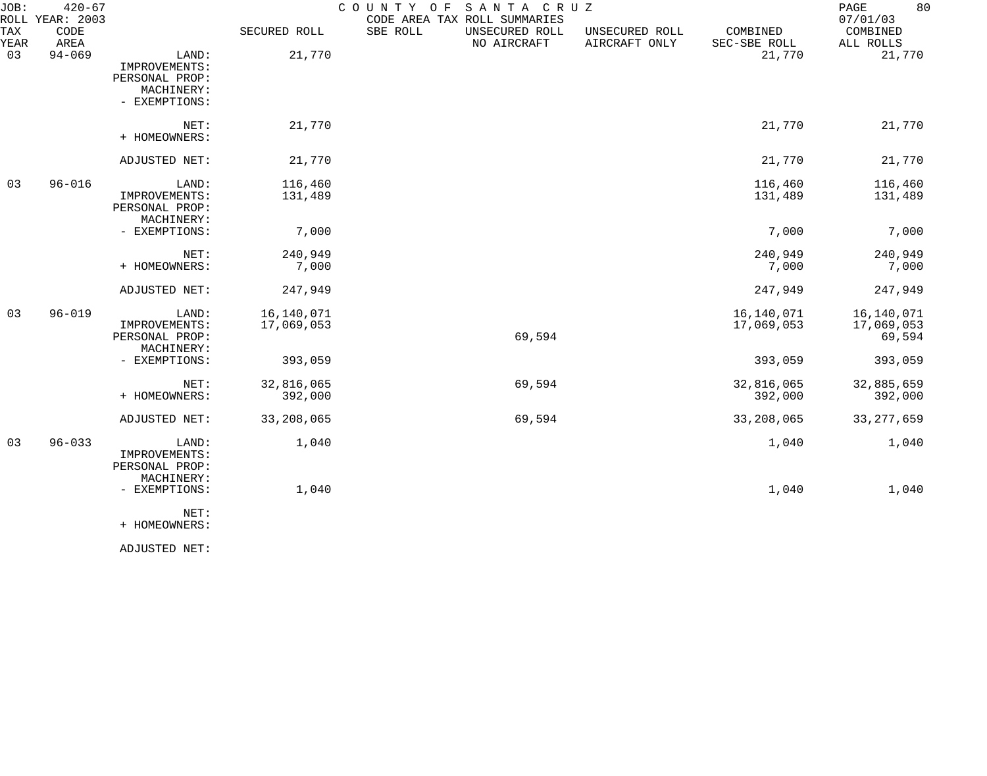| JOB:        | $420 - 67$<br>ROLL YEAR: 2003 |                                                                         |                          | SANTA CRUZ<br>COUNTY OF<br>CODE AREA TAX ROLL SUMMARIES |                                 |                          | 80<br>PAGE<br>07/01/03             |
|-------------|-------------------------------|-------------------------------------------------------------------------|--------------------------|---------------------------------------------------------|---------------------------------|--------------------------|------------------------------------|
| TAX<br>YEAR | CODE<br>AREA                  |                                                                         | SECURED ROLL             | SBE ROLL<br>UNSECURED ROLL<br>NO AIRCRAFT               | UNSECURED ROLL<br>AIRCRAFT ONLY | COMBINED<br>SEC-SBE ROLL | COMBINED<br>ALL ROLLS              |
| 03          | $94 - 069$                    | LAND:<br>IMPROVEMENTS:<br>PERSONAL PROP:<br>MACHINERY:<br>- EXEMPTIONS: | 21,770                   |                                                         |                                 | 21,770                   | 21,770                             |
|             |                               | NET:<br>+ HOMEOWNERS:                                                   | 21,770                   |                                                         |                                 | 21,770                   | 21,770                             |
|             |                               | ADJUSTED NET:                                                           | 21,770                   |                                                         |                                 | 21,770                   | 21,770                             |
| 03          | $96 - 016$                    | LAND:<br>IMPROVEMENTS:<br>PERSONAL PROP:<br>MACHINERY:                  | 116,460<br>131,489       |                                                         |                                 | 116,460<br>131,489       | 116,460<br>131,489                 |
|             |                               | - EXEMPTIONS:                                                           | 7,000                    |                                                         |                                 | 7,000                    | 7,000                              |
|             |                               | NET:<br>+ HOMEOWNERS:                                                   | 240,949<br>7,000         |                                                         |                                 | 240,949<br>7,000         | 240,949<br>7,000                   |
|             |                               | ADJUSTED NET:                                                           | 247,949                  |                                                         |                                 | 247,949                  | 247,949                            |
| 03          | $96 - 019$                    | LAND:<br>IMPROVEMENTS:<br>PERSONAL PROP:<br>MACHINERY:                  | 16,140,071<br>17,069,053 | 69,594                                                  |                                 | 16,140,071<br>17,069,053 | 16,140,071<br>17,069,053<br>69,594 |
|             |                               | - EXEMPTIONS:                                                           | 393,059                  |                                                         |                                 | 393,059                  | 393,059                            |
|             |                               | NET:<br>+ HOMEOWNERS:                                                   | 32,816,065<br>392,000    | 69,594                                                  |                                 | 32,816,065<br>392,000    | 32,885,659<br>392,000              |
|             |                               | ADJUSTED NET:                                                           | 33, 208, 065             | 69,594                                                  |                                 | 33,208,065               | 33, 277, 659                       |
| 03          | $96 - 033$                    | LAND:<br>IMPROVEMENTS:<br>PERSONAL PROP:<br>MACHINERY:                  | 1,040                    |                                                         |                                 | 1,040                    | 1,040                              |
|             |                               | - EXEMPTIONS:                                                           | 1,040                    |                                                         |                                 | 1,040                    | 1,040                              |
|             |                               | NET:                                                                    |                          |                                                         |                                 |                          |                                    |

+ HOMEOWNERS:

ADJUSTED NET: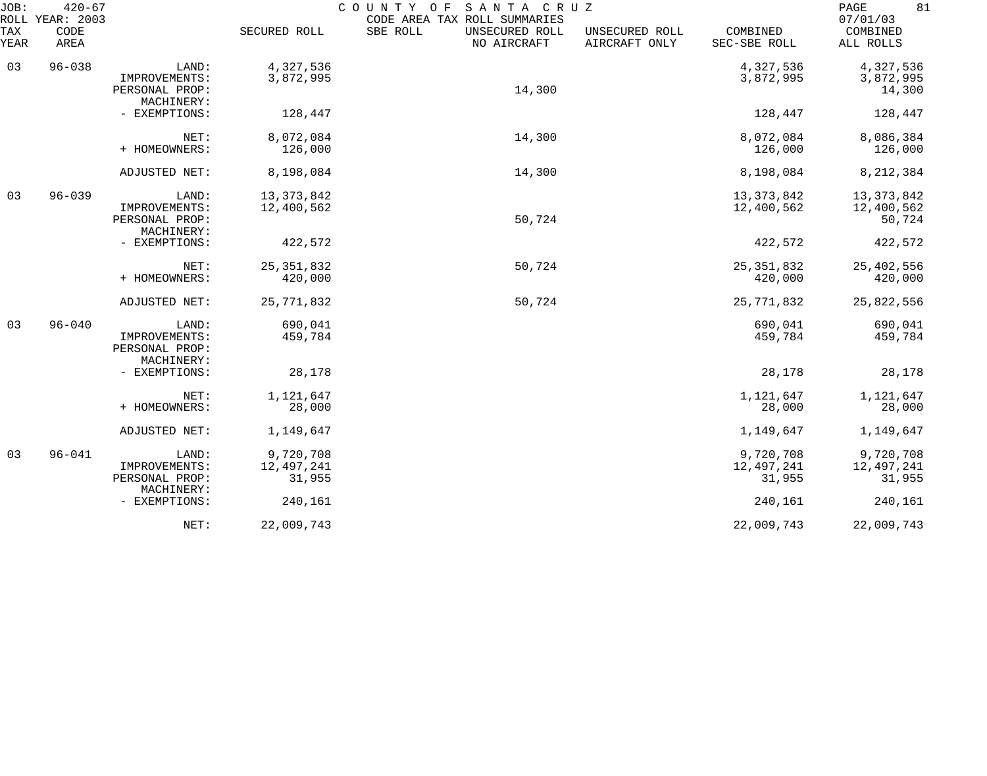| JOB:        | $420 - 67$<br>ROLL YEAR: 2003 |                                                        |                                   | COUNTY OF<br>SANTA CRUZ<br>CODE AREA TAX ROLL SUMMARIES |                                 |                                   | 81<br>PAGE<br>07/01/03               |
|-------------|-------------------------------|--------------------------------------------------------|-----------------------------------|---------------------------------------------------------|---------------------------------|-----------------------------------|--------------------------------------|
| TAX<br>YEAR | CODE<br>AREA                  |                                                        | SECURED ROLL                      | SBE ROLL<br>UNSECURED ROLL<br>NO AIRCRAFT               | UNSECURED ROLL<br>AIRCRAFT ONLY | COMBINED<br>SEC-SBE ROLL          | COMBINED<br>ALL ROLLS                |
| 03          | $96 - 038$                    | LAND:<br>IMPROVEMENTS:<br>PERSONAL PROP:<br>MACHINERY: | 4,327,536<br>3,872,995            | 14,300                                                  |                                 | 4,327,536<br>3,872,995            | 4,327,536<br>3,872,995<br>14,300     |
|             |                               | - EXEMPTIONS:                                          | 128,447                           |                                                         |                                 | 128,447                           | 128,447                              |
|             |                               | NET:<br>+ HOMEOWNERS:                                  | 8,072,084<br>126,000              | 14,300                                                  |                                 | 8,072,084<br>126,000              | 8,086,384<br>126,000                 |
|             |                               | ADJUSTED NET:                                          | 8,198,084                         | 14,300                                                  |                                 | 8,198,084                         | 8, 212, 384                          |
| 03          | $96 - 039$                    | LAND:<br>IMPROVEMENTS:<br>PERSONAL PROP:<br>MACHINERY: | 13, 373, 842<br>12,400,562        | 50,724                                                  |                                 | 13, 373, 842<br>12,400,562        | 13, 373, 842<br>12,400,562<br>50,724 |
|             |                               | - EXEMPTIONS:                                          | 422,572                           |                                                         |                                 | 422,572                           | 422,572                              |
|             |                               | NET:<br>+ HOMEOWNERS:                                  | 25, 351, 832<br>420,000           | 50,724                                                  |                                 | 25, 351, 832<br>420,000           | 25,402,556<br>420,000                |
|             |                               | ADJUSTED NET:                                          | 25,771,832                        | 50,724                                                  |                                 | 25,771,832                        | 25,822,556                           |
| 03          | $96 - 040$                    | LAND:<br>IMPROVEMENTS:<br>PERSONAL PROP:<br>MACHINERY: | 690,041<br>459,784                |                                                         |                                 | 690,041<br>459,784                | 690,041<br>459,784                   |
|             |                               | - EXEMPTIONS:                                          | 28,178                            |                                                         |                                 | 28,178                            | 28,178                               |
|             |                               | NET:<br>+ HOMEOWNERS:                                  | 1,121,647<br>28,000               |                                                         |                                 | 1,121,647<br>28,000               | 1,121,647<br>28,000                  |
|             |                               | ADJUSTED NET:                                          | 1,149,647                         |                                                         |                                 | 1,149,647                         | 1,149,647                            |
| 03          | $96 - 041$                    | LAND:<br>IMPROVEMENTS:<br>PERSONAL PROP:               | 9,720,708<br>12,497,241<br>31,955 |                                                         |                                 | 9,720,708<br>12,497,241<br>31,955 | 9,720,708<br>12,497,241<br>31,955    |
|             |                               | MACHINERY:<br>- EXEMPTIONS:                            | 240,161                           |                                                         |                                 | 240,161                           | 240,161                              |
|             |                               | NET:                                                   | 22,009,743                        |                                                         |                                 | 22,009,743                        | 22,009,743                           |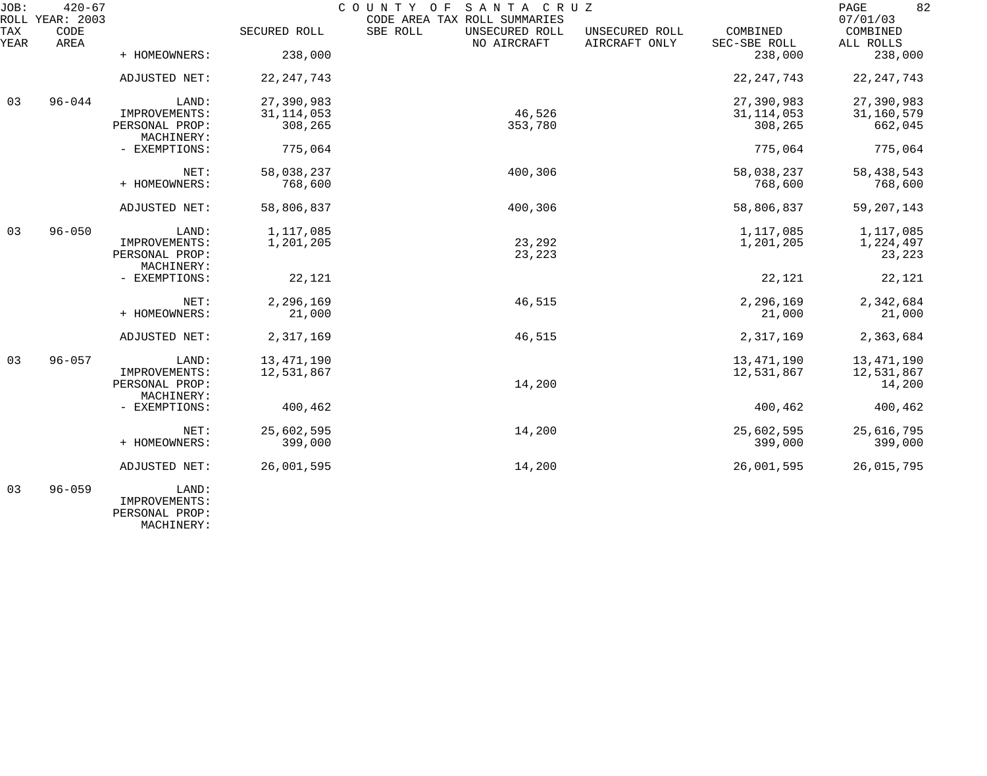| JOB:        | $420 - 67$<br>ROLL YEAR: 2003 |                              |              | COUNTY OF SANTA CRUZ<br>CODE AREA TAX ROLL SUMMARIES |                                 |                          | 82<br>PAGE<br>07/01/03 |
|-------------|-------------------------------|------------------------------|--------------|------------------------------------------------------|---------------------------------|--------------------------|------------------------|
| TAX<br>YEAR | CODE<br>AREA                  |                              | SECURED ROLL | SBE ROLL<br>UNSECURED ROLL<br>NO AIRCRAFT            | UNSECURED ROLL<br>AIRCRAFT ONLY | COMBINED<br>SEC-SBE ROLL | COMBINED<br>ALL ROLLS  |
|             |                               | + HOMEOWNERS:                | 238,000      |                                                      |                                 | 238,000                  | 238,000                |
|             |                               | ADJUSTED NET:                | 22, 247, 743 |                                                      |                                 | 22, 247, 743             | 22, 247, 743           |
| 03          | $96 - 044$                    | LAND:                        | 27,390,983   |                                                      |                                 | 27,390,983               | 27,390,983             |
|             |                               | IMPROVEMENTS:                | 31, 114, 053 | 46,526                                               |                                 | 31, 114, 053             | 31,160,579             |
|             |                               | PERSONAL PROP:<br>MACHINERY: | 308,265      | 353,780                                              |                                 | 308,265                  | 662,045                |
|             |                               | - EXEMPTIONS:                | 775,064      |                                                      |                                 | 775,064                  | 775,064                |
|             |                               | NET:                         | 58,038,237   | 400,306                                              |                                 | 58,038,237               | 58, 438, 543           |
|             |                               | + HOMEOWNERS:                | 768,600      |                                                      |                                 | 768,600                  | 768,600                |
|             |                               | ADJUSTED NET:                | 58,806,837   | 400,306                                              |                                 | 58,806,837               | 59, 207, 143           |
| 03          | $96 - 050$                    | LAND:                        | 1,117,085    |                                                      |                                 | 1,117,085                | 1,117,085              |
|             |                               | IMPROVEMENTS:                | 1,201,205    | 23,292                                               |                                 | 1,201,205                | 1,224,497              |
|             |                               | PERSONAL PROP:<br>MACHINERY: |              | 23,223                                               |                                 |                          | 23,223                 |
|             |                               | - EXEMPTIONS:                | 22,121       |                                                      |                                 | 22,121                   | 22,121                 |
|             |                               | NET:                         | 2,296,169    | 46,515                                               |                                 | 2,296,169                | 2,342,684              |
|             |                               | + HOMEOWNERS:                | 21,000       |                                                      |                                 | 21,000                   | 21,000                 |
|             |                               | ADJUSTED NET:                | 2,317,169    | 46,515                                               |                                 | 2,317,169                | 2,363,684              |
| 03          | $96 - 057$                    | LAND:                        | 13, 471, 190 |                                                      |                                 | 13, 471, 190             | 13,471,190             |
|             |                               | IMPROVEMENTS:                | 12,531,867   |                                                      |                                 | 12,531,867               | 12,531,867             |
|             |                               | PERSONAL PROP:               |              | 14,200                                               |                                 |                          | 14,200                 |
|             |                               | MACHINERY:                   |              |                                                      |                                 |                          |                        |
|             |                               | - EXEMPTIONS:                | 400,462      |                                                      |                                 | 400,462                  | 400,462                |
|             |                               | NET:                         | 25,602,595   | 14,200                                               |                                 | 25,602,595               | 25,616,795             |
|             |                               | + HOMEOWNERS:                | 399,000      |                                                      |                                 | 399,000                  | 399,000                |
|             |                               | ADJUSTED NET:                | 26,001,595   | 14,200                                               |                                 | 26,001,595               | 26,015,795             |
| 03          | $96 - 059$                    | LAND:                        |              |                                                      |                                 |                          |                        |

 IMPROVEMENTS: PERSONAL PROP: MACHINERY: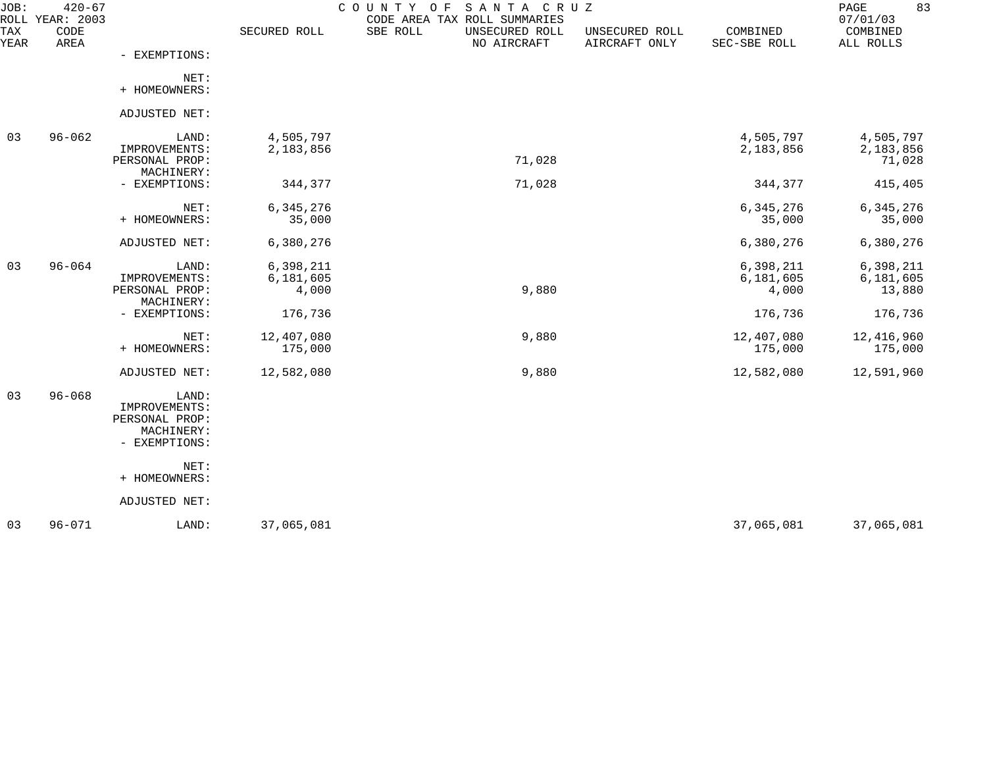| JOB:                      | $420 - 67$<br>ROLL YEAR: 2003 |                                 |              | SANTA CRUZ<br>COUNTY<br>O F<br>CODE AREA TAX ROLL SUMMARIES |                                 |                          | 83<br>PAGE<br>07/01/03 |
|---------------------------|-------------------------------|---------------------------------|--------------|-------------------------------------------------------------|---------------------------------|--------------------------|------------------------|
| <b>TAX</b><br><b>YEAR</b> | CODE<br>AREA                  |                                 | SECURED ROLL | SBE ROLL<br>UNSECURED ROLL<br>NO AIRCRAFT                   | UNSECURED ROLL<br>AIRCRAFT ONLY | COMBINED<br>SEC-SBE ROLL | COMBINED<br>ALL ROLLS  |
|                           |                               | - EXEMPTIONS:                   |              |                                                             |                                 |                          |                        |
|                           |                               | NET:                            |              |                                                             |                                 |                          |                        |
|                           |                               | + HOMEOWNERS:                   |              |                                                             |                                 |                          |                        |
|                           |                               | ADJUSTED NET:                   |              |                                                             |                                 |                          |                        |
| 03                        | $96 - 062$                    | LAND:                           | 4,505,797    |                                                             |                                 | 4,505,797                | 4,505,797              |
|                           |                               | IMPROVEMENTS:<br>PERSONAL PROP: | 2,183,856    | 71,028                                                      |                                 | 2,183,856                | 2,183,856<br>71,028    |
|                           |                               | MACHINERY:                      |              |                                                             |                                 |                          |                        |
|                           |                               | - EXEMPTIONS:                   | 344,377      | 71,028                                                      |                                 | 344,377                  | 415,405                |
|                           |                               | NET:                            | 6,345,276    |                                                             |                                 | 6,345,276                | 6, 345, 276            |
|                           |                               | + HOMEOWNERS:                   | 35,000       |                                                             |                                 | 35,000                   | 35,000                 |
|                           |                               | ADJUSTED NET:                   | 6,380,276    |                                                             |                                 | 6,380,276                | 6,380,276              |
| 03                        | $96 - 064$                    | LAND:                           | 6,398,211    |                                                             |                                 | 6,398,211                | 6,398,211              |
|                           |                               | IMPROVEMENTS:                   | 6,181,605    |                                                             |                                 | 6,181,605                | 6,181,605              |
|                           |                               | PERSONAL PROP:<br>MACHINERY:    | 4,000        | 9,880                                                       |                                 | 4,000                    | 13,880                 |
|                           |                               | - EXEMPTIONS:                   | 176,736      |                                                             |                                 | 176,736                  | 176,736                |
|                           |                               | NET:                            | 12,407,080   | 9,880                                                       |                                 | 12,407,080               | 12,416,960             |
|                           |                               | + HOMEOWNERS:                   | 175,000      |                                                             |                                 | 175,000                  | 175,000                |
|                           |                               | ADJUSTED NET:                   | 12,582,080   | 9,880                                                       |                                 | 12,582,080               | 12,591,960             |
| 03                        | $96 - 068$                    | LAND:                           |              |                                                             |                                 |                          |                        |
|                           |                               | IMPROVEMENTS:                   |              |                                                             |                                 |                          |                        |
|                           |                               | PERSONAL PROP:                  |              |                                                             |                                 |                          |                        |
|                           |                               | MACHINERY:<br>- EXEMPTIONS:     |              |                                                             |                                 |                          |                        |
|                           |                               | NET:                            |              |                                                             |                                 |                          |                        |
|                           |                               | + HOMEOWNERS:                   |              |                                                             |                                 |                          |                        |
|                           |                               | ADJUSTED NET:                   |              |                                                             |                                 |                          |                        |
| 03                        | $96 - 071$                    | LAND:                           | 37,065,081   |                                                             |                                 | 37,065,081               | 37,065,081             |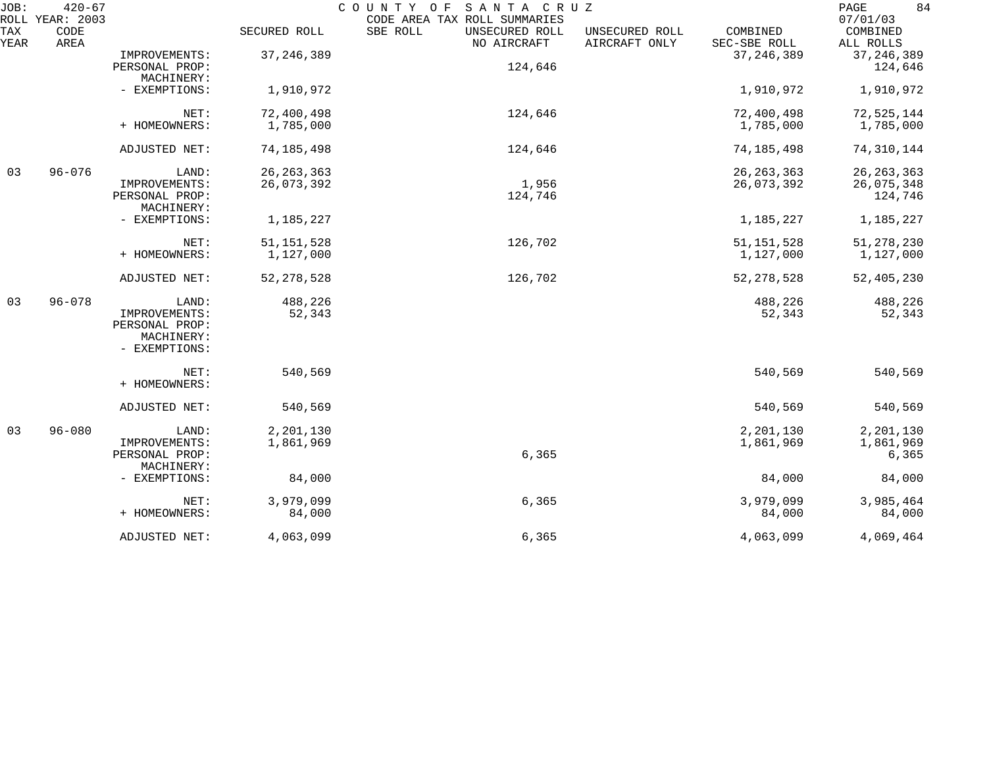| JOB:        | $420 - 67$<br>ROLL YEAR: 2003 |                                                                         |                            | COUNTY OF<br>SANTA CRUZ<br>CODE AREA TAX ROLL SUMMARIES |                                 |                            | 84<br>$\mathop{\mathrm{PAGE}}$<br>07/01/03 |
|-------------|-------------------------------|-------------------------------------------------------------------------|----------------------------|---------------------------------------------------------|---------------------------------|----------------------------|--------------------------------------------|
| TAX<br>YEAR | CODE<br>AREA                  |                                                                         | SECURED ROLL               | SBE ROLL<br>UNSECURED ROLL<br>NO AIRCRAFT               | UNSECURED ROLL<br>AIRCRAFT ONLY | COMBINED<br>SEC-SBE ROLL   | COMBINED<br>ALL ROLLS                      |
|             |                               | IMPROVEMENTS:<br>PERSONAL PROP:<br>MACHINERY:                           | 37, 246, 389               | 124,646                                                 |                                 | 37, 246, 389               | 37, 246, 389<br>124,646                    |
|             |                               | - EXEMPTIONS:                                                           | 1,910,972                  |                                                         |                                 | 1,910,972                  | 1,910,972                                  |
|             |                               | NET:<br>+ HOMEOWNERS:                                                   | 72,400,498<br>1,785,000    | 124,646                                                 |                                 | 72,400,498<br>1,785,000    | 72,525,144<br>1,785,000                    |
|             |                               | ADJUSTED NET:                                                           | 74, 185, 498               | 124,646                                                 |                                 | 74, 185, 498               | 74,310,144                                 |
| 03          | $96 - 076$                    | LAND:<br>IMPROVEMENTS:<br>PERSONAL PROP:<br>MACHINERY:                  | 26, 263, 363<br>26,073,392 | 1,956<br>124,746                                        |                                 | 26, 263, 363<br>26,073,392 | 26, 263, 363<br>26,075,348<br>124,746      |
|             |                               | - EXEMPTIONS:                                                           | 1,185,227                  |                                                         |                                 | 1,185,227                  | 1,185,227                                  |
|             |                               | NET:<br>+ HOMEOWNERS:                                                   | 51, 151, 528<br>1,127,000  | 126,702                                                 |                                 | 51, 151, 528<br>1,127,000  | 51, 278, 230<br>1,127,000                  |
|             |                               | ADJUSTED NET:                                                           | 52, 278, 528               | 126,702                                                 |                                 | 52, 278, 528               | 52,405,230                                 |
| 03          | $96 - 078$                    | LAND:<br>IMPROVEMENTS:<br>PERSONAL PROP:<br>MACHINERY:<br>- EXEMPTIONS: | 488,226<br>52,343          |                                                         |                                 | 488,226<br>52,343          | 488,226<br>52,343                          |
|             |                               | NET:<br>+ HOMEOWNERS:                                                   | 540,569                    |                                                         |                                 | 540,569                    | 540,569                                    |
|             |                               | ADJUSTED NET:                                                           | 540,569                    |                                                         |                                 | 540,569                    | 540,569                                    |
| 03          | $96 - 080$                    | LAND:<br>IMPROVEMENTS:<br>PERSONAL PROP:<br>MACHINERY:                  | 2,201,130<br>1,861,969     | 6,365                                                   |                                 | 2,201,130<br>1,861,969     | 2,201,130<br>1,861,969<br>6,365            |
|             |                               | - EXEMPTIONS:                                                           | 84,000                     |                                                         |                                 | 84,000                     | 84,000                                     |
|             |                               | NET:<br>+ HOMEOWNERS:                                                   | 3,979,099<br>84,000        | 6,365                                                   |                                 | 3,979,099<br>84,000        | 3,985,464<br>84,000                        |
|             |                               | ADJUSTED NET:                                                           | 4,063,099                  | 6,365                                                   |                                 | 4,063,099                  | 4,069,464                                  |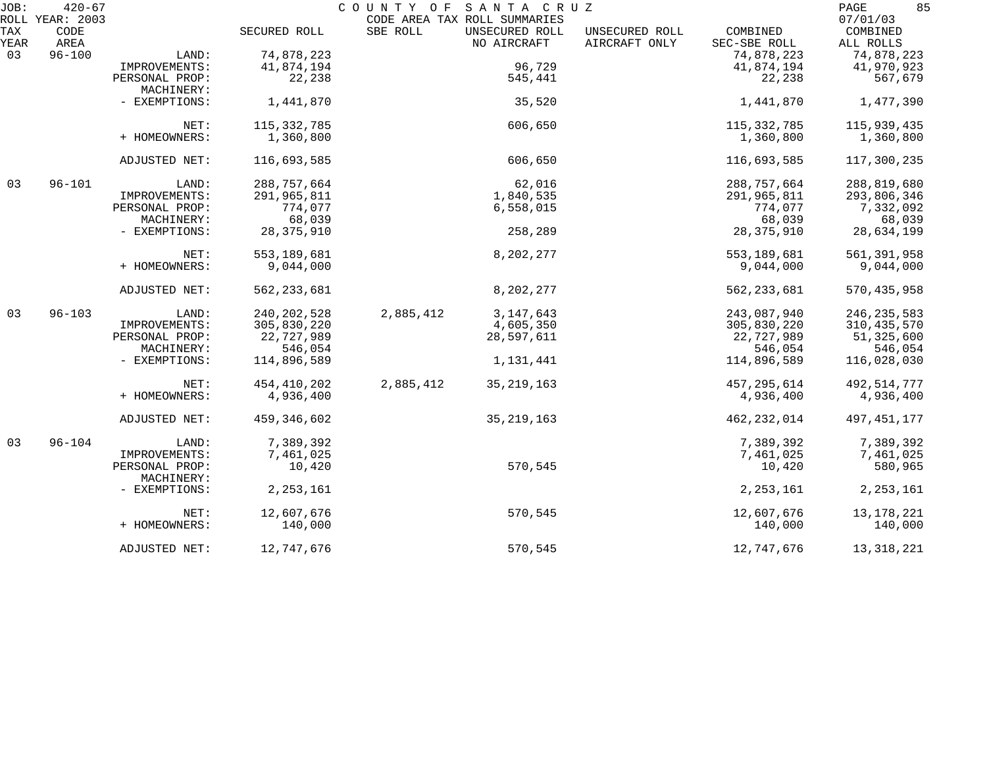| JOB: | $420 - 67$<br>ROLL YEAR: 2003 |                             |               | COUNTY OF | SANTA CRUZ<br>CODE AREA TAX ROLL SUMMARIES |                |               | 85<br>PAGE<br>07/01/03 |
|------|-------------------------------|-----------------------------|---------------|-----------|--------------------------------------------|----------------|---------------|------------------------|
| TAX  | CODE                          |                             | SECURED ROLL  | SBE ROLL  | UNSECURED ROLL                             | UNSECURED ROLL | COMBINED      | COMBINED               |
| YEAR | AREA                          |                             |               |           | NO AIRCRAFT                                | AIRCRAFT ONLY  | SEC-SBE ROLL  | ALL ROLLS              |
| 03   | $96 - 100$                    | LAND:                       | 74,878,223    |           |                                            |                | 74,878,223    | 74,878,223             |
|      |                               | IMPROVEMENTS:               | 41,874,194    |           | 96,729                                     |                | 41,874,194    | 41,970,923             |
|      |                               | PERSONAL PROP:              | 22,238        |           | 545,441                                    |                | 22,238        | 567,679                |
|      |                               | MACHINERY:                  |               |           |                                            |                |               |                        |
|      |                               | - EXEMPTIONS:               | 1,441,870     |           | 35,520                                     |                | 1,441,870     | 1,477,390              |
|      |                               | NET:                        | 115, 332, 785 |           | 606,650                                    |                | 115, 332, 785 | 115,939,435            |
|      |                               | + HOMEOWNERS:               | 1,360,800     |           |                                            |                | 1,360,800     | 1,360,800              |
|      |                               | ADJUSTED NET:               | 116,693,585   |           | 606,650                                    |                | 116,693,585   | 117,300,235            |
| 03   | $96 - 101$                    | LAND:                       | 288,757,664   |           | 62,016                                     |                | 288,757,664   | 288,819,680            |
|      |                               | IMPROVEMENTS:               | 291,965,811   |           | 1,840,535                                  |                | 291,965,811   | 293,806,346            |
|      |                               | PERSONAL PROP:              | 774,077       |           | 6,558,015                                  |                | 774,077       | 7,332,092              |
|      |                               | MACHINERY:                  | 68,039        |           |                                            |                | 68,039        | 68,039                 |
|      |                               | - EXEMPTIONS:               | 28, 375, 910  |           | 258,289                                    |                | 28, 375, 910  | 28,634,199             |
|      |                               | NET:                        | 553, 189, 681 |           | 8,202,277                                  |                | 553, 189, 681 | 561,391,958            |
|      |                               | + HOMEOWNERS:               | 9,044,000     |           |                                            |                | 9,044,000     | 9,044,000              |
|      |                               | ADJUSTED NET:               | 562, 233, 681 |           | 8,202,277                                  |                | 562, 233, 681 | 570, 435, 958          |
| 03   | $96 - 103$                    | LAND:                       | 240, 202, 528 | 2,885,412 | 3, 147, 643                                |                | 243,087,940   | 246, 235, 583          |
|      |                               | IMPROVEMENTS:               | 305,830,220   |           | 4,605,350                                  |                | 305,830,220   | 310, 435, 570          |
|      |                               | PERSONAL PROP:              | 22,727,989    |           | 28,597,611                                 |                | 22,727,989    | 51,325,600             |
|      |                               | MACHINERY:                  | 546,054       |           |                                            |                | 546,054       | 546,054                |
|      |                               | - EXEMPTIONS:               | 114,896,589   |           | 1,131,441                                  |                | 114,896,589   | 116,028,030            |
|      |                               | NET:                        | 454, 410, 202 | 2,885,412 | 35, 219, 163                               |                | 457,295,614   | 492,514,777            |
|      |                               | + HOMEOWNERS:               | 4,936,400     |           |                                            |                | 4,936,400     | 4,936,400              |
|      |                               | ADJUSTED NET:               | 459,346,602   |           | 35, 219, 163                               |                | 462,232,014   | 497, 451, 177          |
| 03   | $96 - 104$                    | LAND:                       | 7,389,392     |           |                                            |                | 7,389,392     | 7,389,392              |
|      |                               | IMPROVEMENTS:               | 7,461,025     |           |                                            |                | 7,461,025     | 7,461,025              |
|      |                               | PERSONAL PROP:              | 10,420        |           | 570,545                                    |                | 10,420        | 580,965                |
|      |                               | MACHINERY:<br>- EXEMPTIONS: | 2, 253, 161   |           |                                            |                | 2, 253, 161   | 2, 253, 161            |
|      |                               | NET:                        | 12,607,676    |           | 570,545                                    |                | 12,607,676    | 13, 178, 221           |
|      |                               | + HOMEOWNERS:               | 140,000       |           |                                            |                | 140,000       | 140,000                |
|      |                               | ADJUSTED NET:               | 12,747,676    |           | 570,545                                    |                | 12,747,676    | 13, 318, 221           |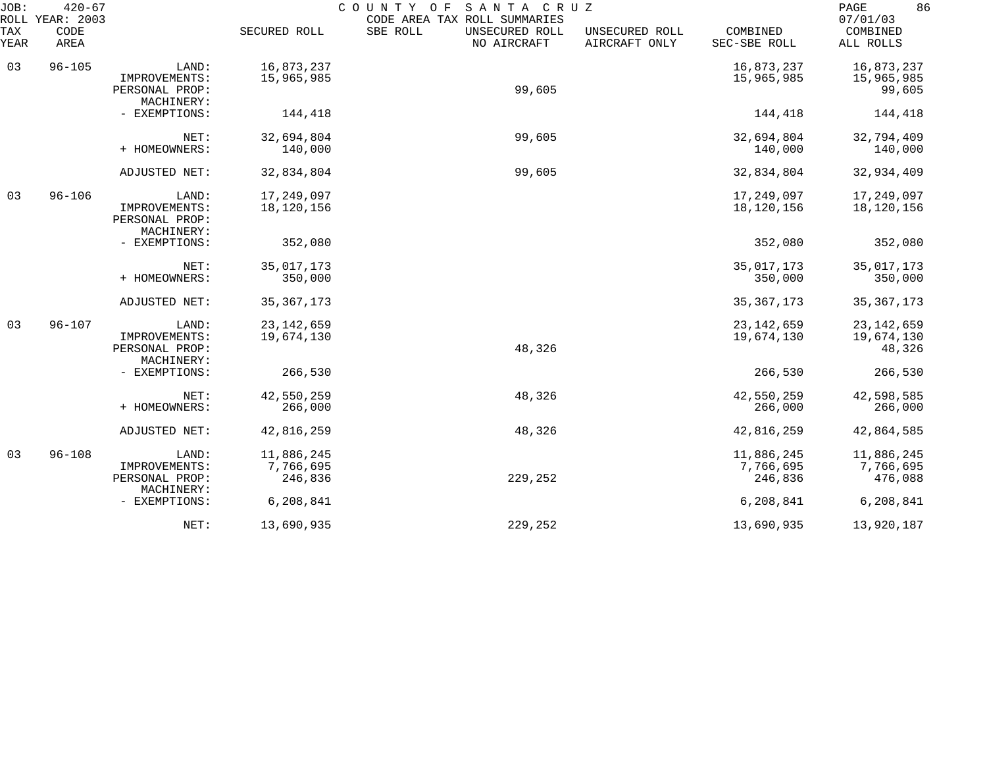| $420 - 67$<br>JOB:<br>ROLL YEAR: 2003 |              |                                                        |                                    | COUNTY OF<br>SANTA CRUZ<br>CODE AREA TAX ROLL SUMMARIES | 86<br>PAGE<br>07/01/03          |                                    |                                      |
|---------------------------------------|--------------|--------------------------------------------------------|------------------------------------|---------------------------------------------------------|---------------------------------|------------------------------------|--------------------------------------|
| TAX<br>YEAR                           | CODE<br>AREA |                                                        | SECURED ROLL                       | SBE ROLL<br>UNSECURED ROLL<br>NO AIRCRAFT               | UNSECURED ROLL<br>AIRCRAFT ONLY | COMBINED<br>SEC-SBE ROLL           | COMBINED<br>ALL ROLLS                |
| 03                                    | $96 - 105$   | LAND:<br>IMPROVEMENTS:<br>PERSONAL PROP:<br>MACHINERY: | 16,873,237<br>15,965,985           | 99,605                                                  |                                 | 16,873,237<br>15,965,985           | 16,873,237<br>15,965,985<br>99,605   |
|                                       |              | - EXEMPTIONS:                                          | 144,418                            |                                                         |                                 | 144,418                            | 144,418                              |
|                                       |              | NET:<br>+ HOMEOWNERS:                                  | 32,694,804<br>140,000              | 99,605                                                  |                                 | 32,694,804<br>140,000              | 32,794,409<br>140,000                |
|                                       |              | ADJUSTED NET:                                          | 32,834,804                         | 99,605                                                  |                                 | 32,834,804                         | 32,934,409                           |
| 03                                    | $96 - 106$   | LAND:<br>IMPROVEMENTS:<br>PERSONAL PROP:<br>MACHINERY: | 17,249,097<br>18,120,156           |                                                         |                                 | 17,249,097<br>18,120,156           | 17,249,097<br>18,120,156             |
|                                       |              | - EXEMPTIONS:                                          | 352,080                            |                                                         |                                 | 352,080                            | 352,080                              |
|                                       |              | NET:<br>+ HOMEOWNERS:                                  | 35,017,173<br>350,000              |                                                         |                                 | 35,017,173<br>350,000              | 35,017,173<br>350,000                |
|                                       |              | ADJUSTED NET:                                          | 35, 367, 173                       |                                                         |                                 | 35, 367, 173                       | 35, 367, 173                         |
| 03                                    | $96 - 107$   | LAND:<br>IMPROVEMENTS:<br>PERSONAL PROP:<br>MACHINERY: | 23, 142, 659<br>19,674,130         | 48,326                                                  |                                 | 23, 142, 659<br>19,674,130         | 23, 142, 659<br>19,674,130<br>48,326 |
|                                       |              | - EXEMPTIONS:                                          | 266,530                            |                                                         |                                 | 266,530                            | 266,530                              |
|                                       |              | NET:<br>+ HOMEOWNERS:                                  | 42,550,259<br>266,000              | 48,326                                                  |                                 | 42,550,259<br>266,000              | 42,598,585<br>266,000                |
|                                       |              | ADJUSTED NET:                                          | 42,816,259                         | 48,326                                                  |                                 | 42,816,259                         | 42,864,585                           |
| 03                                    | $96 - 108$   | LAND:<br>IMPROVEMENTS:<br>PERSONAL PROP:               | 11,886,245<br>7,766,695<br>246,836 | 229,252                                                 |                                 | 11,886,245<br>7,766,695<br>246,836 | 11,886,245<br>7,766,695<br>476,088   |
|                                       |              | MACHINERY:<br>- EXEMPTIONS:                            | 6,208,841                          |                                                         |                                 | 6,208,841                          | 6,208,841                            |
|                                       |              | NET:                                                   | 13,690,935                         | 229,252                                                 |                                 | 13,690,935                         | 13,920,187                           |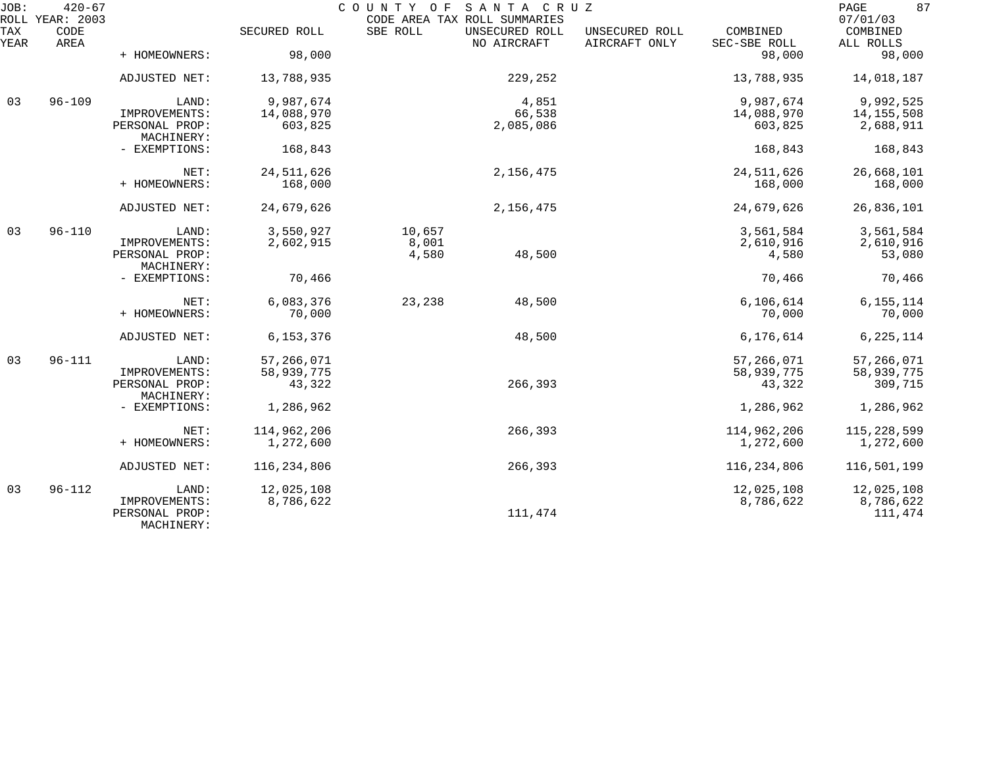| JOB:        | $420 - 67$<br>ROLL YEAR: 2003 |                                               |               | COUNTY OF | SANTA CRUZ<br>CODE AREA TAX ROLL SUMMARIES |                                 |                          | 87<br>PAGE<br>07/01/03 |
|-------------|-------------------------------|-----------------------------------------------|---------------|-----------|--------------------------------------------|---------------------------------|--------------------------|------------------------|
| TAX<br>YEAR | CODE<br>AREA                  |                                               | SECURED ROLL  | SBE ROLL  | UNSECURED ROLL<br>NO AIRCRAFT              | UNSECURED ROLL<br>AIRCRAFT ONLY | COMBINED<br>SEC-SBE ROLL | COMBINED<br>ALL ROLLS  |
|             |                               | + HOMEOWNERS:                                 | 98,000        |           |                                            |                                 | 98,000                   | 98,000                 |
|             |                               | ADJUSTED NET:                                 | 13,788,935    |           | 229,252                                    |                                 | 13,788,935               | 14,018,187             |
| 03          | $96 - 109$                    | LAND:                                         | 9,987,674     |           | 4,851                                      |                                 | 9,987,674                | 9,992,525              |
|             |                               | IMPROVEMENTS:                                 | 14,088,970    |           | 66,538                                     |                                 | 14,088,970               | 14,155,508             |
|             |                               | PERSONAL PROP:<br>MACHINERY:                  | 603,825       |           | 2,085,086                                  |                                 | 603,825                  | 2,688,911              |
|             |                               | - EXEMPTIONS:                                 | 168,843       |           |                                            |                                 | 168,843                  | 168,843                |
|             |                               | NET:                                          | 24,511,626    |           | 2,156,475                                  |                                 | 24,511,626               | 26,668,101             |
|             |                               | + HOMEOWNERS:                                 | 168,000       |           |                                            |                                 | 168,000                  | 168,000                |
|             |                               | ADJUSTED NET:                                 | 24,679,626    |           | 2,156,475                                  |                                 | 24,679,626               | 26,836,101             |
| 03          | $96 - 110$                    | LAND:                                         | 3,550,927     | 10,657    |                                            |                                 | 3,561,584                | 3,561,584              |
|             |                               | IMPROVEMENTS:                                 | 2,602,915     | 8,001     |                                            |                                 | 2,610,916                | 2,610,916              |
|             |                               | PERSONAL PROP:                                |               | 4,580     | 48,500                                     |                                 | 4,580                    | 53,080                 |
|             |                               | MACHINERY:                                    |               |           |                                            |                                 |                          |                        |
|             |                               | - EXEMPTIONS:                                 | 70,466        |           |                                            |                                 | 70,466                   | 70,466                 |
|             |                               | NET:                                          | 6,083,376     | 23,238    | 48,500                                     |                                 | 6, 106, 614              | 6, 155, 114            |
|             |                               | + HOMEOWNERS:                                 | 70,000        |           |                                            |                                 | 70,000                   | 70,000                 |
|             |                               | ADJUSTED NET:                                 | 6,153,376     |           | 48,500                                     |                                 | 6,176,614                | 6, 225, 114            |
| 03          | $96 - 111$                    | LAND:                                         | 57,266,071    |           |                                            |                                 | 57,266,071               | 57,266,071             |
|             |                               | IMPROVEMENTS:                                 | 58,939,775    |           |                                            |                                 | 58,939,775               | 58,939,775             |
|             |                               | PERSONAL PROP:<br>MACHINERY:                  | 43,322        |           | 266,393                                    |                                 | 43,322                   | 309,715                |
|             |                               | - EXEMPTIONS:                                 | 1,286,962     |           |                                            |                                 | 1,286,962                | 1,286,962              |
|             |                               | NET:                                          | 114,962,206   |           | 266,393                                    |                                 | 114,962,206              | 115,228,599            |
|             |                               | + HOMEOWNERS:                                 | 1,272,600     |           |                                            |                                 | 1,272,600                | 1,272,600              |
|             |                               |                                               |               |           |                                            |                                 |                          |                        |
|             |                               | ADJUSTED NET:                                 | 116, 234, 806 |           | 266,393                                    |                                 | 116, 234, 806            | 116,501,199            |
| 03          | $96 - 112$                    | LAND:                                         | 12,025,108    |           |                                            |                                 | 12,025,108               | 12,025,108             |
|             |                               | IMPROVEMENTS:<br>PERSONAL PROP:<br>MACHINERY: | 8,786,622     |           | 111,474                                    |                                 | 8,786,622                | 8,786,622<br>111,474   |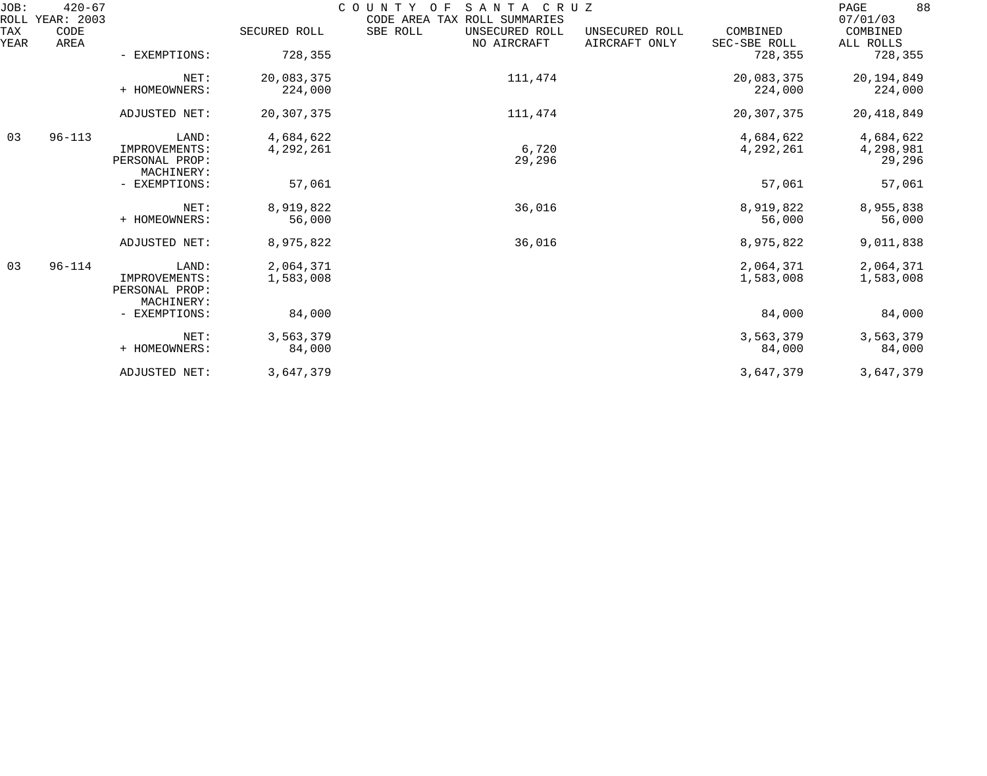| JOB:<br>ROLL | $420 - 67$<br>YEAR: 2003 |                                                        |                        | COUNTY<br>O F<br>SANTA<br>C R U Z<br>CODE AREA TAX ROLL SUMMARIES | 88<br>PAGE<br>07/01/03          |                          |                                  |
|--------------|--------------------------|--------------------------------------------------------|------------------------|-------------------------------------------------------------------|---------------------------------|--------------------------|----------------------------------|
| TAX<br>YEAR  | CODE<br><b>AREA</b>      |                                                        | SECURED ROLL           | SBE ROLL<br>UNSECURED ROLL<br>NO AIRCRAFT                         | UNSECURED ROLL<br>AIRCRAFT ONLY | COMBINED<br>SEC-SBE ROLL | COMBINED<br>ALL ROLLS            |
|              |                          | - EXEMPTIONS:                                          | 728,355                |                                                                   |                                 | 728,355                  | 728,355                          |
|              |                          | NET:<br>+ HOMEOWNERS:                                  | 20,083,375<br>224,000  | 111,474                                                           |                                 | 20,083,375<br>224,000    | 20,194,849<br>224,000            |
|              |                          | ADJUSTED NET:                                          | 20, 307, 375           | 111,474                                                           |                                 | 20, 307, 375             | 20, 418, 849                     |
| 03           | $96 - 113$               | LAND:<br>IMPROVEMENTS:<br>PERSONAL PROP:<br>MACHINERY: | 4,684,622<br>4,292,261 | 6,720<br>29,296                                                   |                                 | 4,684,622<br>4,292,261   | 4,684,622<br>4,298,981<br>29,296 |
|              |                          | - EXEMPTIONS:                                          | 57,061                 |                                                                   |                                 | 57,061                   | 57,061                           |
|              |                          | NET:<br>+ HOMEOWNERS:                                  | 8,919,822<br>56,000    | 36,016                                                            |                                 | 8,919,822<br>56,000      | 8,955,838<br>56,000              |
|              |                          | ADJUSTED NET:                                          | 8,975,822              | 36,016                                                            |                                 | 8,975,822                | 9,011,838                        |
| 03           | $96 - 114$               | LAND:<br>IMPROVEMENTS:<br>PERSONAL PROP:<br>MACHINERY: | 2,064,371<br>1,583,008 |                                                                   |                                 | 2,064,371<br>1,583,008   | 2,064,371<br>1,583,008           |
|              |                          | - EXEMPTIONS:                                          | 84,000                 |                                                                   |                                 | 84,000                   | 84,000                           |
|              |                          | NET:<br>+ HOMEOWNERS:                                  | 3,563,379<br>84,000    |                                                                   |                                 | 3,563,379<br>84,000      | 3,563,379<br>84,000              |
|              |                          | ADJUSTED NET:                                          | 3,647,379              |                                                                   |                                 | 3,647,379                | 3,647,379                        |